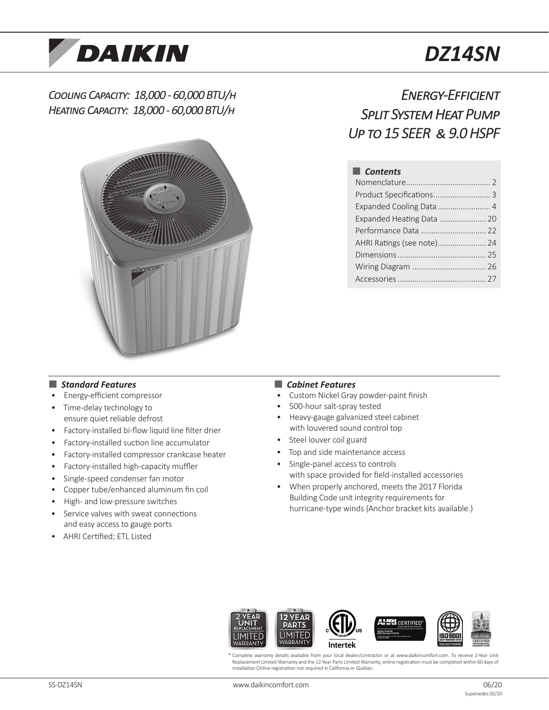

# *DZ14SN*

### *Cooling Capacity: 18,000 - 60,000 BTU/h Heating Capacity: 18,000 - 60,000 BTU/h*



## *Energy-Efficient Split System Heat Pump Up to 15 SEER & 9.0 HSPF*

#### ■ *Contents*

| Product Specifications 3   |  |
|----------------------------|--|
| Expanded Cooling Data  4   |  |
| Expanded Heating Data  20  |  |
|                            |  |
| AHRI Ratings (see note) 24 |  |
|                            |  |
|                            |  |
|                            |  |

#### ■ *Standard Features*

- Energy-efficient compressor
- Time-delay technology to ensure quiet reliable defrost
- Factory-installed bi-flow liquid line filter drier
- Factory-installed suction line accumulator
- Factory-installed compressor crankcase heater
- Factory-installed high-capacity muffler
- Single-speed condenser fan motor
- Copper tube/enhanced aluminum fin coil
- High- and low-pressure switches
- Service valves with sweat connections and easy access to gauge ports
- AHRI Certified; ETL Listed

#### ■ *Cabinet Features*

- Custom Nickel Gray powder-paint finish
- 500-hour salt-spray tested
- Heavy-gauge galvanized steel cabinet with louvered sound control top
- Steel louver coil guard
- Top and side maintenance access
- Single-panel access to controls with space provided for field-installed accessories
- When properly anchored, meets the 2017 Florida Building Code unit integrity requirements for hurricane-type winds (Anchor bracket kits available.)



Complete warranty details available from your local dealer/contractor or at www.daikincomfort.com. To receive 2-Year Unit Replacement Limited Warranty and the 12-Year Parts Limited Warranty, online registration must be completed within 60 days of installation Online registration not required in California or Québec.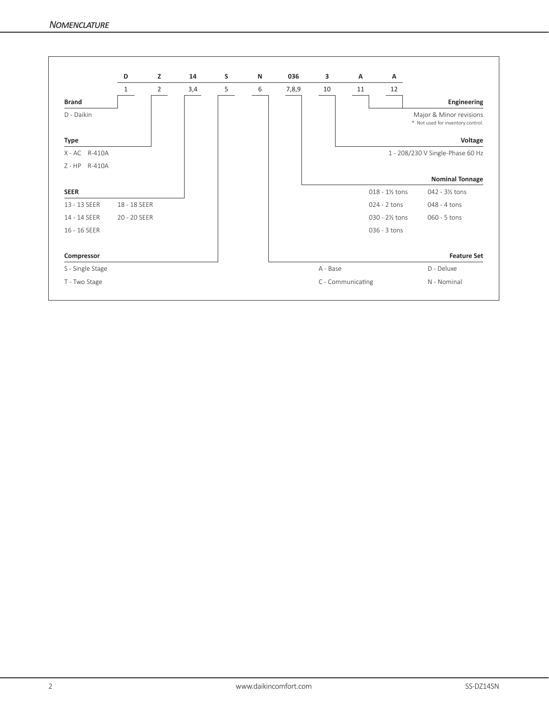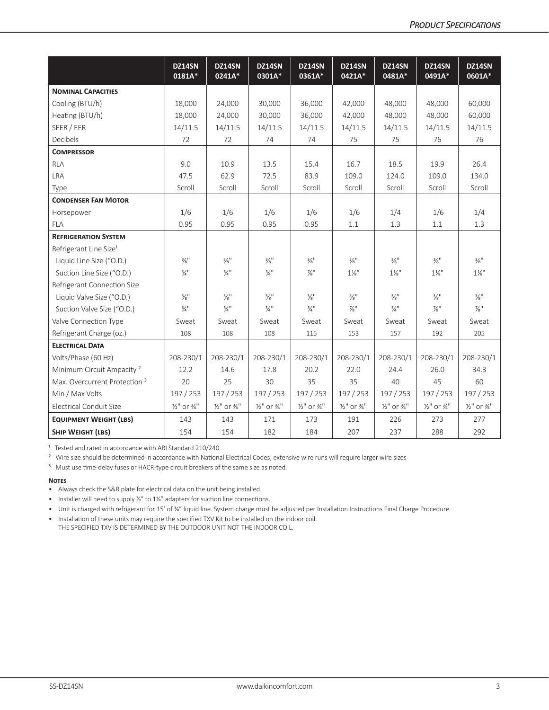|                                          | DZ14SN<br>0181A*                   | DZ14SN<br>0241A*                   | DZ14SN<br>0301A*                   | DZ14SN<br>0361A*                   | DZ14SN<br>0421A*                   | DZ14SN<br>0481A*                   | DZ14SN<br>0491A*                   | DZ14SN<br>0601A*                   |
|------------------------------------------|------------------------------------|------------------------------------|------------------------------------|------------------------------------|------------------------------------|------------------------------------|------------------------------------|------------------------------------|
| <b>NOMINAL CAPACITIES</b>                |                                    |                                    |                                    |                                    |                                    |                                    |                                    |                                    |
| Cooling (BTU/h)                          | 18,000                             | 24,000                             | 30,000                             | 36,000                             | 42,000                             | 48,000                             | 48,000                             | 60,000                             |
| Heating (BTU/h)                          | 18,000                             | 24,000                             | 30,000                             | 36,000                             | 42,000                             | 48,000                             | 48,000                             | 60,000                             |
| SEER / EER                               | 14/11.5                            | 14/11.5                            | 14/11.5                            | 14/11.5                            | 14/11.5                            | 14/11.5                            | 14/11.5                            | 14/11.5                            |
| Decibels                                 | 72                                 | 72                                 | 74                                 | 74                                 | 75                                 | 75                                 | 76                                 | 76                                 |
| <b>COMPRESSOR</b>                        |                                    |                                    |                                    |                                    |                                    |                                    |                                    |                                    |
| <b>RLA</b>                               | 9.0                                | 10.9                               | 13.5                               | 15.4                               | 16.7                               | 18.5                               | 19.9                               | 26.4                               |
| <b>LRA</b>                               | 47.5                               | 62.9                               | 72.5                               | 83.9                               | 109.0                              | 124.0                              | 109.0                              | 134.0                              |
| Type                                     | Scroll                             | Scroll                             | Scroll                             | Scroll                             | Scroll                             | Scroll                             | Scroll                             | Scroll                             |
| <b>CONDENSER FAN MOTOR</b>               |                                    |                                    |                                    |                                    |                                    |                                    |                                    |                                    |
| Horsepower                               | 1/6                                | 1/6                                | 1/6                                | 1/6                                | 1/6                                | 1/4                                | 1/6                                | 1/4                                |
| <b>FLA</b>                               | 0.95                               | 0.95                               | 0.95                               | 0.95                               | 1.1                                | 1.3                                | 1.1                                | 1.3                                |
| <b>REFRIGERATION SYSTEM</b>              |                                    |                                    |                                    |                                    |                                    |                                    |                                    |                                    |
| Refrigerant Line Size <sup>1</sup>       |                                    |                                    |                                    |                                    |                                    |                                    |                                    |                                    |
| Liquid Line Size ("O.D.)                 | $\frac{3}{8}$ <sup>11</sup>        | $\frac{3}{8}$ <sup>11</sup>        | $\frac{3}{8}$ <sup>11</sup>        | $\frac{3}{8}$ <sup>11</sup>        | $\frac{3}{8}$ <sup>11</sup>        | $\frac{3}{8}$ <sup>11</sup>        | $\frac{3}{8}$ <sup>11</sup>        | $\frac{3}{8}$ <sup>11</sup>        |
| Suction Line Size ("O.D.)                | $\frac{3}{4}$ <sup>11</sup>        | $\frac{3}{4}$ <sup>11</sup>        | $\frac{3}{4}$ <sup>11</sup>        | $\frac{7}{8}$ "                    | $1\frac{1}{8}$                     | $1\frac{1}{8}$ "                   | $1\frac{1}{8}$                     | $1\frac{1}{8}$ "                   |
| Refrigerant Connection Size              |                                    |                                    |                                    |                                    |                                    |                                    |                                    |                                    |
| Liquid Valve Size ("O.D.)                | $\frac{3}{8}$ <sup>11</sup>        | $\frac{3}{8}$ <sup>11</sup>        | $\frac{3}{8}$ <sup>11</sup>        | $\frac{3}{8}$ <sup>11</sup>        | $\frac{3}{8}$ <sup>11</sup>        | $\frac{3}{8}$ <sup>11</sup>        | $\frac{3}{8}$ <sup>11</sup>        | $\frac{3}{8}$ <sup>11</sup>        |
| Suction Valve Size ("O.D.)               | $\frac{3}{4}$ <sup>11</sup>        | $\frac{3}{4}$ <sup>11</sup>        | $\frac{3}{4}$ <sup>11</sup>        | $\frac{3}{4}$ <sup>11</sup>        | $\frac{7}{8}$                      | $\frac{3}{4}$ <sup>11</sup>        | $\frac{7}{8}$ "                    | $\frac{7}{8}$ <sup>11</sup>        |
| Valve Connection Type                    | Sweat                              | Sweat                              | Sweat                              | Sweat                              | Sweat                              | Sweat                              | Sweat                              | Sweat                              |
| Refrigerant Charge (oz.)                 | 108                                | 108                                | 108                                | 115                                | 153                                | 157                                | 192                                | 205                                |
| <b>ELECTRICAL DATA</b>                   |                                    |                                    |                                    |                                    |                                    |                                    |                                    |                                    |
| Volts/Phase (60 Hz)                      | 208-230/1                          | 208-230/1                          | 208-230/1                          | 208-230/1                          | 208-230/1                          | 208-230/1                          | 208-230/1                          | 208-230/1                          |
| Minimum Circuit Ampacity <sup>2</sup>    | 12.2                               | 14.6                               | 17.8                               | 20.2                               | 22.0                               | 24.4                               | 26.0                               | 34.3                               |
| Max. Overcurrent Protection <sup>3</sup> | 20                                 | 25                                 | 30                                 | 35                                 | 35                                 | 40                                 | 45                                 | 60                                 |
| Min / Max Volts                          | 197 / 253                          | 197 / 253                          | 197 / 253                          | 197 / 253                          | 197 / 253                          | 197 / 253                          | 197 / 253                          | 197 / 253                          |
| <b>Electrical Conduit Size</b>           | $\frac{1}{2}$ " or $\frac{3}{4}$ " | $\frac{1}{2}$ " or $\frac{3}{4}$ " | $\frac{1}{2}$ " or $\frac{3}{4}$ " | $\frac{1}{2}$ " or $\frac{3}{4}$ " | $\frac{1}{2}$ " or $\frac{3}{4}$ " | $\frac{1}{2}$ " or $\frac{3}{4}$ " | $\frac{1}{2}$ " or $\frac{3}{4}$ " | $\frac{1}{2}$ " or $\frac{3}{4}$ " |
| <b>EQUIPMENT WEIGHT (LBS)</b>            | 143                                | 143                                | 171                                | 173                                | 191                                | 226                                | 273                                | 277                                |
| <b>SHIP WEIGHT (LBS)</b>                 | 154                                | 154                                | 182                                | 184                                | 207                                | 237                                | 288                                | 292                                |

<sup>1</sup> Tested and rated in accordance with ARI Standard 210/240

<sup>2</sup> Wire size should be determined in accordance with National Electrical Codes; extensive wire runs will require larger wire sizes

<sup>3</sup> Must use time-delay fuses or HACR-type circuit breakers of the same size as noted.

#### **Notes**

• Always check the S&R plate for electrical data on the unit being installed.

• Installer will need to supply <sup>74</sup>" to 1<sup>14"</sup> adapters for suction line connections.

• Unit is charged with refrigerant for 15' of ⅜" liquid line. System charge must be adjusted per Installation Instructions Final Charge Procedure.

• Installation of these units may require the specified TXV Kit to be installed on the indoor coil. THE SPECIFIED TXV IS DETERMINED BY THE OUTDOOR UNIT NOT THE INDOOR COIL.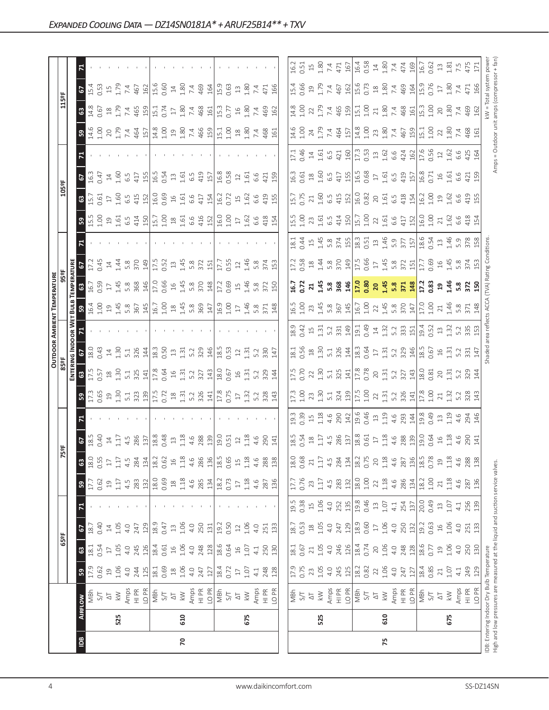| R              |                                                                                          |                                                                                                                                                                                                                                                                                                                                                     |                                                                                                                                                                                                                                                                                                                                                                                                                                                                                                                                                                                                                                                                                                                                                                                                                                                                                                                                                                                                                                                                                                                                                                                                                                                                                                                                                                                                                                                                                                                                                                                                                                                                                                                                                                                                                                                                                                                                                                                                                                                                                                                                                                                                                                                                                                                                   |      |                                                                                                                                                                                                                                                                                                                                                                                                                                                                                                                                                                                                                                                                                                                                                                                                                                                                                                                                                                                                                                                                                                                                                                                                                                                                                                                                                                                                                                                                                                                                                                                                                                                                                                                                                                                                                                                                                                                                                                                                                                                                                                                                                                                                                                                                                                                                                                                                                                                                                                                                                                                                                                                                                                                                                                                                                                                                                                                                                                                                                        |
|----------------|------------------------------------------------------------------------------------------|-----------------------------------------------------------------------------------------------------------------------------------------------------------------------------------------------------------------------------------------------------------------------------------------------------------------------------------------------------|-----------------------------------------------------------------------------------------------------------------------------------------------------------------------------------------------------------------------------------------------------------------------------------------------------------------------------------------------------------------------------------------------------------------------------------------------------------------------------------------------------------------------------------------------------------------------------------------------------------------------------------------------------------------------------------------------------------------------------------------------------------------------------------------------------------------------------------------------------------------------------------------------------------------------------------------------------------------------------------------------------------------------------------------------------------------------------------------------------------------------------------------------------------------------------------------------------------------------------------------------------------------------------------------------------------------------------------------------------------------------------------------------------------------------------------------------------------------------------------------------------------------------------------------------------------------------------------------------------------------------------------------------------------------------------------------------------------------------------------------------------------------------------------------------------------------------------------------------------------------------------------------------------------------------------------------------------------------------------------------------------------------------------------------------------------------------------------------------------------------------------------------------------------------------------------------------------------------------------------------------------------------------------------------------------------------------------------|------|------------------------------------------------------------------------------------------------------------------------------------------------------------------------------------------------------------------------------------------------------------------------------------------------------------------------------------------------------------------------------------------------------------------------------------------------------------------------------------------------------------------------------------------------------------------------------------------------------------------------------------------------------------------------------------------------------------------------------------------------------------------------------------------------------------------------------------------------------------------------------------------------------------------------------------------------------------------------------------------------------------------------------------------------------------------------------------------------------------------------------------------------------------------------------------------------------------------------------------------------------------------------------------------------------------------------------------------------------------------------------------------------------------------------------------------------------------------------------------------------------------------------------------------------------------------------------------------------------------------------------------------------------------------------------------------------------------------------------------------------------------------------------------------------------------------------------------------------------------------------------------------------------------------------------------------------------------------------------------------------------------------------------------------------------------------------------------------------------------------------------------------------------------------------------------------------------------------------------------------------------------------------------------------------------------------------------------------------------------------------------------------------------------------------------------------------------------------------------------------------------------------------------------------------------------------------------------------------------------------------------------------------------------------------------------------------------------------------------------------------------------------------------------------------------------------------------------------------------------------------------------------------------------------------------------------------------------------------------------------------------------------------|
| $\sqrt{2}$     |                                                                                          |                                                                                                                                                                                                                                                                                                                                                     |                                                                                                                                                                                                                                                                                                                                                                                                                                                                                                                                                                                                                                                                                                                                                                                                                                                                                                                                                                                                                                                                                                                                                                                                                                                                                                                                                                                                                                                                                                                                                                                                                                                                                                                                                                                                                                                                                                                                                                                                                                                                                                                                                                                                                                                                                                                                   |      |                                                                                                                                                                                                                                                                                                                                                                                                                                                                                                                                                                                                                                                                                                                                                                                                                                                                                                                                                                                                                                                                                                                                                                                                                                                                                                                                                                                                                                                                                                                                                                                                                                                                                                                                                                                                                                                                                                                                                                                                                                                                                                                                                                                                                                                                                                                                                                                                                                                                                                                                                                                                                                                                                                                                                                                                                                                                                                                                                                                                                        |
|                |                                                                                          |                                                                                                                                                                                                                                                                                                                                                     |                                                                                                                                                                                                                                                                                                                                                                                                                                                                                                                                                                                                                                                                                                                                                                                                                                                                                                                                                                                                                                                                                                                                                                                                                                                                                                                                                                                                                                                                                                                                                                                                                                                                                                                                                                                                                                                                                                                                                                                                                                                                                                                                                                                                                                                                                                                                   |      |                                                                                                                                                                                                                                                                                                                                                                                                                                                                                                                                                                                                                                                                                                                                                                                                                                                                                                                                                                                                                                                                                                                                                                                                                                                                                                                                                                                                                                                                                                                                                                                                                                                                                                                                                                                                                                                                                                                                                                                                                                                                                                                                                                                                                                                                                                                                                                                                                                                                                                                                                                                                                                                                                                                                                                                                                                                                                                                                                                                                                        |
| ြို့           |                                                                                          |                                                                                                                                                                                                                                                                                                                                                     |                                                                                                                                                                                                                                                                                                                                                                                                                                                                                                                                                                                                                                                                                                                                                                                                                                                                                                                                                                                                                                                                                                                                                                                                                                                                                                                                                                                                                                                                                                                                                                                                                                                                                                                                                                                                                                                                                                                                                                                                                                                                                                                                                                                                                                                                                                                                   |      |                                                                                                                                                                                                                                                                                                                                                                                                                                                                                                                                                                                                                                                                                                                                                                                                                                                                                                                                                                                                                                                                                                                                                                                                                                                                                                                                                                                                                                                                                                                                                                                                                                                                                                                                                                                                                                                                                                                                                                                                                                                                                                                                                                                                                                                                                                                                                                                                                                                                                                                                                                                                                                                                                                                                                                                                                                                                                                                                                                                                                        |
|                |                                                                                          |                                                                                                                                                                                                                                                                                                                                                     |                                                                                                                                                                                                                                                                                                                                                                                                                                                                                                                                                                                                                                                                                                                                                                                                                                                                                                                                                                                                                                                                                                                                                                                                                                                                                                                                                                                                                                                                                                                                                                                                                                                                                                                                                                                                                                                                                                                                                                                                                                                                                                                                                                                                                                                                                                                                   |      |                                                                                                                                                                                                                                                                                                                                                                                                                                                                                                                                                                                                                                                                                                                                                                                                                                                                                                                                                                                                                                                                                                                                                                                                                                                                                                                                                                                                                                                                                                                                                                                                                                                                                                                                                                                                                                                                                                                                                                                                                                                                                                                                                                                                                                                                                                                                                                                                                                                                                                                                                                                                                                                                                                                                                                                                                                                                                                                                                                                                                        |
| 5              |                                                                                          |                                                                                                                                                                                                                                                                                                                                                     |                                                                                                                                                                                                                                                                                                                                                                                                                                                                                                                                                                                                                                                                                                                                                                                                                                                                                                                                                                                                                                                                                                                                                                                                                                                                                                                                                                                                                                                                                                                                                                                                                                                                                                                                                                                                                                                                                                                                                                                                                                                                                                                                                                                                                                                                                                                                   |      |                                                                                                                                                                                                                                                                                                                                                                                                                                                                                                                                                                                                                                                                                                                                                                                                                                                                                                                                                                                                                                                                                                                                                                                                                                                                                                                                                                                                                                                                                                                                                                                                                                                                                                                                                                                                                                                                                                                                                                                                                                                                                                                                                                                                                                                                                                                                                                                                                                                                                                                                                                                                                                                                                                                                                                                                                                                                                                                                                                                                                        |
|                |                                                                                          |                                                                                                                                                                                                                                                                                                                                                     |                                                                                                                                                                                                                                                                                                                                                                                                                                                                                                                                                                                                                                                                                                                                                                                                                                                                                                                                                                                                                                                                                                                                                                                                                                                                                                                                                                                                                                                                                                                                                                                                                                                                                                                                                                                                                                                                                                                                                                                                                                                                                                                                                                                                                                                                                                                                   |      |                                                                                                                                                                                                                                                                                                                                                                                                                                                                                                                                                                                                                                                                                                                                                                                                                                                                                                                                                                                                                                                                                                                                                                                                                                                                                                                                                                                                                                                                                                                                                                                                                                                                                                                                                                                                                                                                                                                                                                                                                                                                                                                                                                                                                                                                                                                                                                                                                                                                                                                                                                                                                                                                                                                                                                                                                                                                                                                                                                                                                        |
| ္တ             |                                                                                          |                                                                                                                                                                                                                                                                                                                                                     |                                                                                                                                                                                                                                                                                                                                                                                                                                                                                                                                                                                                                                                                                                                                                                                                                                                                                                                                                                                                                                                                                                                                                                                                                                                                                                                                                                                                                                                                                                                                                                                                                                                                                                                                                                                                                                                                                                                                                                                                                                                                                                                                                                                                                                                                                                                                   |      |                                                                                                                                                                                                                                                                                                                                                                                                                                                                                                                                                                                                                                                                                                                                                                                                                                                                                                                                                                                                                                                                                                                                                                                                                                                                                                                                                                                                                                                                                                                                                                                                                                                                                                                                                                                                                                                                                                                                                                                                                                                                                                                                                                                                                                                                                                                                                                                                                                                                                                                                                                                                                                                                                                                                                                                                                                                                                                                                                                                                                        |
|                |                                                                                          |                                                                                                                                                                                                                                                                                                                                                     |                                                                                                                                                                                                                                                                                                                                                                                                                                                                                                                                                                                                                                                                                                                                                                                                                                                                                                                                                                                                                                                                                                                                                                                                                                                                                                                                                                                                                                                                                                                                                                                                                                                                                                                                                                                                                                                                                                                                                                                                                                                                                                                                                                                                                                                                                                                                   |      |                                                                                                                                                                                                                                                                                                                                                                                                                                                                                                                                                                                                                                                                                                                                                                                                                                                                                                                                                                                                                                                                                                                                                                                                                                                                                                                                                                                                                                                                                                                                                                                                                                                                                                                                                                                                                                                                                                                                                                                                                                                                                                                                                                                                                                                                                                                                                                                                                                                                                                                                                                                                                                                                                                                                                                                                                                                                                                                                                                                                                        |
| $\frac{3}{5}$  |                                                                                          |                                                                                                                                                                                                                                                                                                                                                     |                                                                                                                                                                                                                                                                                                                                                                                                                                                                                                                                                                                                                                                                                                                                                                                                                                                                                                                                                                                                                                                                                                                                                                                                                                                                                                                                                                                                                                                                                                                                                                                                                                                                                                                                                                                                                                                                                                                                                                                                                                                                                                                                                                                                                                                                                                                                   |      |                                                                                                                                                                                                                                                                                                                                                                                                                                                                                                                                                                                                                                                                                                                                                                                                                                                                                                                                                                                                                                                                                                                                                                                                                                                                                                                                                                                                                                                                                                                                                                                                                                                                                                                                                                                                                                                                                                                                                                                                                                                                                                                                                                                                                                                                                                                                                                                                                                                                                                                                                                                                                                                                                                                                                                                                                                                                                                                                                                                                                        |
| ‡ສ             |                                                                                          |                                                                                                                                                                                                                                                                                                                                                     |                                                                                                                                                                                                                                                                                                                                                                                                                                                                                                                                                                                                                                                                                                                                                                                                                                                                                                                                                                                                                                                                                                                                                                                                                                                                                                                                                                                                                                                                                                                                                                                                                                                                                                                                                                                                                                                                                                                                                                                                                                                                                                                                                                                                                                                                                                                                   |      |                                                                                                                                                                                                                                                                                                                                                                                                                                                                                                                                                                                                                                                                                                                                                                                                                                                                                                                                                                                                                                                                                                                                                                                                                                                                                                                                                                                                                                                                                                                                                                                                                                                                                                                                                                                                                                                                                                                                                                                                                                                                                                                                                                                                                                                                                                                                                                                                                                                                                                                                                                                                                                                                                                                                                                                                                                                                                                                                                                                                                        |
|                |                                                                                          |                                                                                                                                                                                                                                                                                                                                                     |                                                                                                                                                                                                                                                                                                                                                                                                                                                                                                                                                                                                                                                                                                                                                                                                                                                                                                                                                                                                                                                                                                                                                                                                                                                                                                                                                                                                                                                                                                                                                                                                                                                                                                                                                                                                                                                                                                                                                                                                                                                                                                                                                                                                                                                                                                                                   |      |                                                                                                                                                                                                                                                                                                                                                                                                                                                                                                                                                                                                                                                                                                                                                                                                                                                                                                                                                                                                                                                                                                                                                                                                                                                                                                                                                                                                                                                                                                                                                                                                                                                                                                                                                                                                                                                                                                                                                                                                                                                                                                                                                                                                                                                                                                                                                                                                                                                                                                                                                                                                                                                                                                                                                                                                                                                                                                                                                                                                                        |
| E R            |                                                                                          |                                                                                                                                                                                                                                                                                                                                                     |                                                                                                                                                                                                                                                                                                                                                                                                                                                                                                                                                                                                                                                                                                                                                                                                                                                                                                                                                                                                                                                                                                                                                                                                                                                                                                                                                                                                                                                                                                                                                                                                                                                                                                                                                                                                                                                                                                                                                                                                                                                                                                                                                                                                                                                                                                                                   |      |                                                                                                                                                                                                                                                                                                                                                                                                                                                                                                                                                                                                                                                                                                                                                                                                                                                                                                                                                                                                                                                                                                                                                                                                                                                                                                                                                                                                                                                                                                                                                                                                                                                                                                                                                                                                                                                                                                                                                                                                                                                                                                                                                                                                                                                                                                                                                                                                                                                                                                                                                                                                                                                                                                                                                                                                                                                                                                                                                                                                                        |
| ្រៃ            |                                                                                          |                                                                                                                                                                                                                                                                                                                                                     |                                                                                                                                                                                                                                                                                                                                                                                                                                                                                                                                                                                                                                                                                                                                                                                                                                                                                                                                                                                                                                                                                                                                                                                                                                                                                                                                                                                                                                                                                                                                                                                                                                                                                                                                                                                                                                                                                                                                                                                                                                                                                                                                                                                                                                                                                                                                   |      |                                                                                                                                                                                                                                                                                                                                                                                                                                                                                                                                                                                                                                                                                                                                                                                                                                                                                                                                                                                                                                                                                                                                                                                                                                                                                                                                                                                                                                                                                                                                                                                                                                                                                                                                                                                                                                                                                                                                                                                                                                                                                                                                                                                                                                                                                                                                                                                                                                                                                                                                                                                                                                                                                                                                                                                                                                                                                                                                                                                                                        |
|                |                                                                                          |                                                                                                                                                                                                                                                                                                                                                     |                                                                                                                                                                                                                                                                                                                                                                                                                                                                                                                                                                                                                                                                                                                                                                                                                                                                                                                                                                                                                                                                                                                                                                                                                                                                                                                                                                                                                                                                                                                                                                                                                                                                                                                                                                                                                                                                                                                                                                                                                                                                                                                                                                                                                                                                                                                                   |      |                                                                                                                                                                                                                                                                                                                                                                                                                                                                                                                                                                                                                                                                                                                                                                                                                                                                                                                                                                                                                                                                                                                                                                                                                                                                                                                                                                                                                                                                                                                                                                                                                                                                                                                                                                                                                                                                                                                                                                                                                                                                                                                                                                                                                                                                                                                                                                                                                                                                                                                                                                                                                                                                                                                                                                                                                                                                                                                                                                                                                        |
|                |                                                                                          |                                                                                                                                                                                                                                                                                                                                                     |                                                                                                                                                                                                                                                                                                                                                                                                                                                                                                                                                                                                                                                                                                                                                                                                                                                                                                                                                                                                                                                                                                                                                                                                                                                                                                                                                                                                                                                                                                                                                                                                                                                                                                                                                                                                                                                                                                                                                                                                                                                                                                                                                                                                                                                                                                                                   |      |                                                                                                                                                                                                                                                                                                                                                                                                                                                                                                                                                                                                                                                                                                                                                                                                                                                                                                                                                                                                                                                                                                                                                                                                                                                                                                                                                                                                                                                                                                                                                                                                                                                                                                                                                                                                                                                                                                                                                                                                                                                                                                                                                                                                                                                                                                                                                                                                                                                                                                                                                                                                                                                                                                                                                                                                                                                                                                                                                                                                                        |
|                |                                                                                          |                                                                                                                                                                                                                                                                                                                                                     |                                                                                                                                                                                                                                                                                                                                                                                                                                                                                                                                                                                                                                                                                                                                                                                                                                                                                                                                                                                                                                                                                                                                                                                                                                                                                                                                                                                                                                                                                                                                                                                                                                                                                                                                                                                                                                                                                                                                                                                                                                                                                                                                                                                                                                                                                                                                   |      |                                                                                                                                                                                                                                                                                                                                                                                                                                                                                                                                                                                                                                                                                                                                                                                                                                                                                                                                                                                                                                                                                                                                                                                                                                                                                                                                                                                                                                                                                                                                                                                                                                                                                                                                                                                                                                                                                                                                                                                                                                                                                                                                                                                                                                                                                                                                                                                                                                                                                                                                                                                                                                                                                                                                                                                                                                                                                                                                                                                                                        |
|                |                                                                                          |                                                                                                                                                                                                                                                                                                                                                     |                                                                                                                                                                                                                                                                                                                                                                                                                                                                                                                                                                                                                                                                                                                                                                                                                                                                                                                                                                                                                                                                                                                                                                                                                                                                                                                                                                                                                                                                                                                                                                                                                                                                                                                                                                                                                                                                                                                                                                                                                                                                                                                                                                                                                                                                                                                                   |      |                                                                                                                                                                                                                                                                                                                                                                                                                                                                                                                                                                                                                                                                                                                                                                                                                                                                                                                                                                                                                                                                                                                                                                                                                                                                                                                                                                                                                                                                                                                                                                                                                                                                                                                                                                                                                                                                                                                                                                                                                                                                                                                                                                                                                                                                                                                                                                                                                                                                                                                                                                                                                                                                                                                                                                                                                                                                                                                                                                                                                        |
| 3              |                                                                                          |                                                                                                                                                                                                                                                                                                                                                     |                                                                                                                                                                                                                                                                                                                                                                                                                                                                                                                                                                                                                                                                                                                                                                                                                                                                                                                                                                                                                                                                                                                                                                                                                                                                                                                                                                                                                                                                                                                                                                                                                                                                                                                                                                                                                                                                                                                                                                                                                                                                                                                                                                                                                                                                                                                                   | 0.75 |                                                                                                                                                                                                                                                                                                                                                                                                                                                                                                                                                                                                                                                                                                                                                                                                                                                                                                                                                                                                                                                                                                                                                                                                                                                                                                                                                                                                                                                                                                                                                                                                                                                                                                                                                                                                                                                                                                                                                                                                                                                                                                                                                                                                                                                                                                                                                                                                                                                                                                                                                                                                                                                                                                                                                                                                                                                                                                                                                                                                                        |
| ြို့           | $0.69$<br>18<br>1.18<br>4.6                                                              | $17$<br>$1.18$<br>$4.6$<br>28                                                                                                                                                                                                                                                                                                                       | 17.5                                                                                                                                                                                                                                                                                                                                                                                                                                                                                                                                                                                                                                                                                                                                                                                                                                                                                                                                                                                                                                                                                                                                                                                                                                                                                                                                                                                                                                                                                                                                                                                                                                                                                                                                                                                                                                                                                                                                                                                                                                                                                                                                                                                                                                                                                                                              |      | $rac{5}{27}$ $rac{8}{1}$<br>87<br>36                                                                                                                                                                                                                                                                                                                                                                                                                                                                                                                                                                                                                                                                                                                                                                                                                                                                                                                                                                                                                                                                                                                                                                                                                                                                                                                                                                                                                                                                                                                                                                                                                                                                                                                                                                                                                                                                                                                                                                                                                                                                                                                                                                                                                                                                                                                                                                                                                                                                                                                                                                                                                                                                                                                                                                                                                                                                                                                                                                                   |
| R              |                                                                                          |                                                                                                                                                                                                                                                                                                                                                     |                                                                                                                                                                                                                                                                                                                                                                                                                                                                                                                                                                                                                                                                                                                                                                                                                                                                                                                                                                                                                                                                                                                                                                                                                                                                                                                                                                                                                                                                                                                                                                                                                                                                                                                                                                                                                                                                                                                                                                                                                                                                                                                                                                                                                                                                                                                                   |      |                                                                                                                                                                                                                                                                                                                                                                                                                                                                                                                                                                                                                                                                                                                                                                                                                                                                                                                                                                                                                                                                                                                                                                                                                                                                                                                                                                                                                                                                                                                                                                                                                                                                                                                                                                                                                                                                                                                                                                                                                                                                                                                                                                                                                                                                                                                                                                                                                                                                                                                                                                                                                                                                                                                                                                                                                                                                                                                                                                                                                        |
| $\overline{6}$ |                                                                                          |                                                                                                                                                                                                                                                                                                                                                     |                                                                                                                                                                                                                                                                                                                                                                                                                                                                                                                                                                                                                                                                                                                                                                                                                                                                                                                                                                                                                                                                                                                                                                                                                                                                                                                                                                                                                                                                                                                                                                                                                                                                                                                                                                                                                                                                                                                                                                                                                                                                                                                                                                                                                                                                                                                                   |      |                                                                                                                                                                                                                                                                                                                                                                                                                                                                                                                                                                                                                                                                                                                                                                                                                                                                                                                                                                                                                                                                                                                                                                                                                                                                                                                                                                                                                                                                                                                                                                                                                                                                                                                                                                                                                                                                                                                                                                                                                                                                                                                                                                                                                                                                                                                                                                                                                                                                                                                                                                                                                                                                                                                                                                                                                                                                                                                                                                                                                        |
| 3              |                                                                                          |                                                                                                                                                                                                                                                                                                                                                     |                                                                                                                                                                                                                                                                                                                                                                                                                                                                                                                                                                                                                                                                                                                                                                                                                                                                                                                                                                                                                                                                                                                                                                                                                                                                                                                                                                                                                                                                                                                                                                                                                                                                                                                                                                                                                                                                                                                                                                                                                                                                                                                                                                                                                                                                                                                                   |      |                                                                                                                                                                                                                                                                                                                                                                                                                                                                                                                                                                                                                                                                                                                                                                                                                                                                                                                                                                                                                                                                                                                                                                                                                                                                                                                                                                                                                                                                                                                                                                                                                                                                                                                                                                                                                                                                                                                                                                                                                                                                                                                                                                                                                                                                                                                                                                                                                                                                                                                                                                                                                                                                                                                                                                                                                                                                                                                                                                                                                        |
| ္မက            |                                                                                          |                                                                                                                                                                                                                                                                                                                                                     |                                                                                                                                                                                                                                                                                                                                                                                                                                                                                                                                                                                                                                                                                                                                                                                                                                                                                                                                                                                                                                                                                                                                                                                                                                                                                                                                                                                                                                                                                                                                                                                                                                                                                                                                                                                                                                                                                                                                                                                                                                                                                                                                                                                                                                                                                                                                   |      | $\begin{array}{c c} 0.85 \\ 2.1 \\ 1.07 \\ 4.1 \\ 2.49 \\ 1.29 \\ \hline \end{array}$                                                                                                                                                                                                                                                                                                                                                                                                                                                                                                                                                                                                                                                                                                                                                                                                                                                                                                                                                                                                                                                                                                                                                                                                                                                                                                                                                                                                                                                                                                                                                                                                                                                                                                                                                                                                                                                                                                                                                                                                                                                                                                                                                                                                                                                                                                                                                                                                                                                                                                                                                                                                                                                                                                                                                                                                                                                                                                                                  |
|                |                                                                                          |                                                                                                                                                                                                                                                                                                                                                     |                                                                                                                                                                                                                                                                                                                                                                                                                                                                                                                                                                                                                                                                                                                                                                                                                                                                                                                                                                                                                                                                                                                                                                                                                                                                                                                                                                                                                                                                                                                                                                                                                                                                                                                                                                                                                                                                                                                                                                                                                                                                                                                                                                                                                                                                                                                                   |      | $\begin{array}{c}\n\overline{5} \\ \overline{4} \\ \overline{5} \\ \overline{4} \\ \overline{5} \\ \overline{6} \\ \overline{7} \\ \overline{8} \\ \overline{1} \\ \overline{1} \\ \overline{1} \\ \overline{1} \\ \overline{1} \\ \overline{1} \\ \overline{1} \\ \overline{1} \\ \overline{1} \\ \overline{1} \\ \overline{1} \\ \overline{1} \\ \overline{1} \\ \overline{1} \\ \overline{1} \\ \overline{1} \\ \overline{1} \\ \overline{1} \\ \overline{1} \\ \overline{1} \\ \overline{1} \\ \overline{1} \\ \over$                                                                                                                                                                                                                                                                                                                                                                                                                                                                                                                                                                                                                                                                                                                                                                                                                                                                                                                                                                                                                                                                                                                                                                                                                                                                                                                                                                                                                                                                                                                                                                                                                                                                                                                                                                                                                                                                                                                                                                                                                                                                                                                                                                                                                                                                                                                                                                                                                                                                                              |
| 525            | 610                                                                                      | 675                                                                                                                                                                                                                                                                                                                                                 | 525                                                                                                                                                                                                                                                                                                                                                                                                                                                                                                                                                                                                                                                                                                                                                                                                                                                                                                                                                                                                                                                                                                                                                                                                                                                                                                                                                                                                                                                                                                                                                                                                                                                                                                                                                                                                                                                                                                                                                                                                                                                                                                                                                                                                                                                                                                                               | 610  | 675                                                                                                                                                                                                                                                                                                                                                                                                                                                                                                                                                                                                                                                                                                                                                                                                                                                                                                                                                                                                                                                                                                                                                                                                                                                                                                                                                                                                                                                                                                                                                                                                                                                                                                                                                                                                                                                                                                                                                                                                                                                                                                                                                                                                                                                                                                                                                                                                                                                                                                                                                                                                                                                                                                                                                                                                                                                                                                                                                                                                                    |
|                |                                                                                          |                                                                                                                                                                                                                                                                                                                                                     |                                                                                                                                                                                                                                                                                                                                                                                                                                                                                                                                                                                                                                                                                                                                                                                                                                                                                                                                                                                                                                                                                                                                                                                                                                                                                                                                                                                                                                                                                                                                                                                                                                                                                                                                                                                                                                                                                                                                                                                                                                                                                                                                                                                                                                                                                                                                   |      |                                                                                                                                                                                                                                                                                                                                                                                                                                                                                                                                                                                                                                                                                                                                                                                                                                                                                                                                                                                                                                                                                                                                                                                                                                                                                                                                                                                                                                                                                                                                                                                                                                                                                                                                                                                                                                                                                                                                                                                                                                                                                                                                                                                                                                                                                                                                                                                                                                                                                                                                                                                                                                                                                                                                                                                                                                                                                                                                                                                                                        |
|                | $18.0$<br>0.55<br>0.55<br>ិ<br>បុ<br>បុ<br>$\frac{18}{18}$ 54<br>0.54<br>0.7<br>$\delta$ | $\begin{array}{c c}\n1.7 & 4.5 & 0.00 & 0.00 & 0.00 & 0.00 & 0.00 & 0.00 & 0.00 & 0.00 & 0.00 & 0.00 & 0.00 & 0.00 & 0.00 & 0.00 & 0.00 & 0.00 & 0.00 & 0.00 & 0.00 & 0.00 & 0.00 & 0.00 & 0.00 & 0.00 & 0.00 & 0.00 & 0.00 & 0.00 & 0.00 & 0.00 & 0.00 & 0.00 & 0.00 & 0.$<br>$\begin{array}{c c} 1.17 \\ 4.5 \\ 283 \\ 180 \\ \hline \end{array}$ | $\begin{bmatrix} 11 & 13 & 15 & 16 \\ 11 & 13 & 15 & 16 \\ 11 & 13 & 16 & 16 \\ 11 & 13 & 16 & 16 \\ 11 & 13 & 16 & 16 \\ 11 & 13 & 16 & 16 \\ 11 & 13 & 16 & 16 \\ 12 & 14 & 16 & 16 \\ 13 & 15 & 16 & 16 \\ 14 & 16 & 16 & 16 \\ 15 & 17 & 18 & 16 \\ 16 & 18 & 17 & 18 \\ 17 & 18 & 18 & 17 \\ 18 & 1$<br>is 2 4 5 6 7 5 6 7 6 7 6 7 7 8 7 7 8 7 7 8 7 7 8 7 7 8 7 7 8 7 7 8 7 7 8 7 7 8 7 7 8 7 7 8 7 7 7 8 7 7 7 8 7 7<br>ដូ ១ ៦ ជិ ៤ ង ៦  ដូ ៦ ង ជិ ៤ ង ៦  ដូ ១ ៦ ដូ ៤ ង ង ៦ <br>ដូ ១ ៦ ជិ ៤ ង ៦  ដូ ១ ង ជិ ៤ ង ៦  ដូ ១ ៦ ដូ ៤ ង ង ដូ<br>ra 2 de de 2010 de 2010 de 2010 de 2010 de 2010 de 2010 de 2010 de 2010 de 2010 de 2010 de 2010 de 2010 de 201<br>19 de 2010 de 2010 de 2010 de 2010 de 2010 de 2010 de 2010 de 2010 de 2010 de 2010 de 2010 de 2010 de 2010 de<br>$\frac{1}{2}$ 8 $\frac{1}{6}$ 5 $\frac{1}{6}$ 8 $\frac{1}{3}$ 7 $\frac{1}{3}$ 8 $\frac{1}{3}$ 8 $\frac{1}{6}$ 8 $\frac{1}{3}$ 7 $\frac{1}{3}$ 8 $\frac{1}{3}$ 8 $\frac{1}{6}$ 8 $\frac{1}{3}$ 9 $\frac{1}{3}$ 8 $\frac{1}{3}$<br>$\frac{3}{2}$ $\frac{1}{2}$ $\frac{1}{3}$ $\frac{3}{2}$ $\frac{3}{2}$ $\frac{3}{2}$ $\frac{3}{2}$ $\frac{3}{2}$ $\frac{3}{2}$ $\frac{3}{2}$ $\frac{3}{2}$ $\frac{3}{2}$ $\frac{3}{2}$ $\frac{3}{2}$ $\frac{3}{2}$ $\frac{3}{2}$ $\frac{3}{2}$ $\frac{3}{2}$ $\frac{3}{2}$ $\frac{3}{2}$ $\frac{3}{2}$ $\frac{3}{2}$<br>$\begin{array}{r} 286 \\ 136 \\ 0.65 \\ 0.41 \\ 0.55 \\ 0.42 \\ 0.43 \\ 0.44 \\ 0.88 \\ 0.31 \\ 0.43 \\ 0.45 \\ 0.45 \\ 0.47 \\ 0.48 \\ 0.49 \\ 0.48 \\ 0.49 \\ 0.49 \\ 0.49 \\ 0.49 \\ 0.49 \\ 0.49 \\ 0.49 \\ 0.49 \\ 0.49 \\ 0.49 \\ 0.49 \\ 0.49 \\ 0.49 \\ 0.49 \\ 0.49 \\ 0.49 \\ 0.49 \\ 0.49 \\ 0.49$<br>$\frac{285}{132}$<br>134<br>0.73<br>$\frac{13}{13}$ $\frac{1}{3}$ $\frac{1}{3}$ $\frac{1}{3}$ $\frac{1}{3}$ $\frac{1}{3}$ $\frac{1}{3}$ $\frac{1}{3}$ $\frac{1}{3}$ $\frac{1}{3}$ $\frac{1}{3}$ $\frac{1}{3}$ $\frac{1}{3}$ $\frac{1}{3}$ $\frac{1}{3}$ $\frac{1}{3}$ $\frac{1}{3}$ $\frac{1}{3}$ $\frac{1}{3}$ $\frac{1}{3}$ $\frac{1}{3}$ $\frac{1}{3}$<br>$\frac{12}{12}$ $\frac{32}{12}$ $\frac{32}{12}$ $\frac{12}{12}$ $\frac{32}{12}$ $\frac{32}{12}$ $\frac{32}{12}$ $\frac{32}{12}$ $\frac{32}{12}$ $\frac{32}{12}$ $\frac{32}{12}$ $\frac{32}{12}$ $\frac{32}{12}$ $\frac{32}{12}$ $\frac{32}{12}$ $\frac{32}{12}$ $\frac{32}{12}$ $\frac{32}{12}$ $\frac{3$ |      | $\frac{15}{19} \frac{12}{12}$ $\frac{12}{12}$ $\frac{12}{12}$ $\frac{12}{12}$ $\frac{12}{12}$ $\frac{12}{12}$ $\frac{12}{12}$ $\frac{12}{12}$ $\frac{12}{12}$ $\frac{12}{12}$ $\frac{12}{12}$ $\frac{12}{12}$ $\frac{12}{12}$<br><u>les dividis dividis di dividis di dividis di dividis di dividis di dividis di dividis di dividis di dividis d</u><br>Les dividis di dividis di dividis di dividis di dividis di dividis di dividis di dividis di dividis di dividis<br>$\begin{bmatrix} 2 & 3 & 3 & 3 & 3 & 4 \\ 3 & 3 & 3 & 3 & 3 & 4 \\ 2 & 3 & 3 & 3 & 4 & 5 \\ 3 & 3 & 3 & 4 & 5 & 6 \\ 4 & 3 & 3 & 4 & 5 & 6 \\ 5 & 4 & 3 & 3 & 5 & 6 \\ 6 & 5 & 4 & 3 & 5 & 6 \\ 7 & 6 & 5 & 3 & 5 & 6 \\ 8 & 6 & 3 & 5 & 5 & 6 \\ 9 & 10 & 10 & 11 & 11 & 13 \\ 11 & 11 & 12 & 13 & 13 & 15 \\ 12 & $<br>$\begin{bmatrix} 12 & 13 & 13 & 14 & 16 \\ 12 & 13 & 14 & 14 & 16 \\ 13 & 14 & 14 & 14 & 16 \\ 14 & 14 & 14 & 14 & 16 \\ 15 & 15 & 14 & 15 & 16 \\ 16 & 16 & 15 & 16 & 16 \\ 17 & 16 & 16 & 17 & 18 \\ 18 & 17 & 18 & 18 & 17 \\ 19 & 19 & 19 & 18 & 19 \\ 10 & 19 & 19 & 19 & 19 \\ 11 & 10 & 19 & 1$<br>$\begin{array}{ l } \hline 18.0 & 0.68 \\ 0.68 & 7.17 \\ 1.17 & 4.5 \\ 4.5 & 28.4 \\ \hline \end{array}$<br>$\frac{17}{4}$ $\frac{15}{8}$ $\frac{20}{10}$ $\frac{20}{10}$ $\frac{20}{10}$<br>$\frac{13}{4.6}$ $\frac{8}{286}$ $\frac{13}{18.2}$<br>$\begin{bmatrix} \dot{\mathbf{z}} & \dot{\mathbf{z}} & \dot{\mathbf{z}} & \dot{\mathbf{z}} \\ \dot{\mathbf{z}} & \dot{\mathbf{z}} & \dot{\mathbf{z}} & \dot{\mathbf{z}} \\ \dot{\mathbf{z}} & \dot{\mathbf{z}} & \dot{\mathbf{z}} & \dot{\mathbf{z}} \\ \dot{\mathbf{z}} & \dot{\mathbf{z}} & \dot{\mathbf{z}} & \dot{\mathbf{z}} \end{bmatrix} \begin{bmatrix} \dot{\mathbf{z}} & \dot{\mathbf{z}} & \dot{\mathbf{z}} & \dot{\mathbf{z}} \\ \dot{\mathbf{z}} & \dot{\mathbf{z}} & \dot{\mathbf$<br>$\begin{array}{ l }\n\hline\n35 & 21 \\ 0.6 & 71 \\ 1.05 & 41 \\ 1.05 & 41 \\ \hline\n184 & 101 \\ 0.74 & 101 \\ 0.74 & 101 \\ 0.74 & 101 \\ 0.74 & 101 \\ 0.74 & 101 \\ 0.74 & 101 \\ 0.74 & 101 \\ 0.74 & 101 \\ 0.74 & 101 \\ 0.74 & 101 \\ 0.74 & 101 \\ 0.74 & 101 \\ 0.74 & 101 \\ 0.74 & 101 \\ 0.74 & 101 \\ 0.74 & 101 \\ $<br>$\begin{bmatrix} 2 & 3 & 2 & 3 \\ 1 & 2 & 3 & 3 \\ 0 & 0 & 0 & 0 \\ 0 & 0 & 0 & 0 \\ 0 & 0 & 0 & 0 \\ 0 & 0 & 0 & 0 \\ 0 & 0 & 0 & 0 \\ 0 & 0 & 0 & 0 \\ 0 & 0 & 0 & 0 \\ 0 & 0 & 0 & 0 \\ 0 & 0 & 0 & 0 \\ 0 & 0 & 0 & 0 \\ 0 & 0 & 0 & 0 \\ 0 & 0 & 0 & 0 & 0 \\ 0 & 0 & 0 & 0 & 0 \\ 0 & 0 & 0 & 0 & 0 \\ 0 & 0 & 0 & 0 & $<br>$\frac{1}{4}$ , $\frac{3}{4}$ , $\frac{2}{12}$ , $\frac{1}{4}$<br>$\begin{array}{ l l l l }\hline \frac{1}{2} & \frac{1}{2} & \frac{1}{2} & \frac{1}{2} & \frac{1}{2} & \frac{1}{2} & \frac{1}{2} & \frac{1}{2} & \frac{1}{2} & \frac{1}{2} & \frac{1}{2} & \frac{1}{2} & \frac{1}{2} & \frac{1}{2} & \frac{1}{2} & \frac{1}{2} & \frac{1}{2} & \frac{1}{2} & \frac{1}{2} & \frac{1}{2} & \frac{1}{2} & \frac{1}{2} & \frac{1}{2} & \frac{1}{2} & \frac{1}{2} & \frac{$ |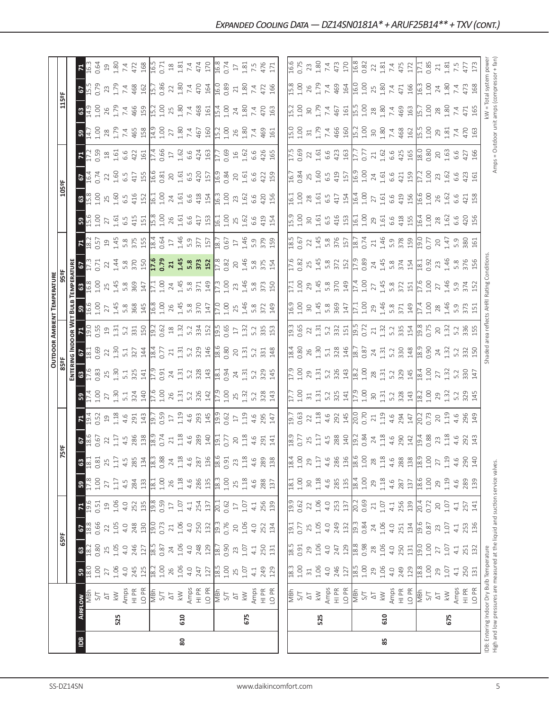|                                                                                                                                                                                                                                                                                                                                                                                                               |                                                                                                                                                                                                | 85 |  |  |  |                |                                                                 |                                                                       |
|---------------------------------------------------------------------------------------------------------------------------------------------------------------------------------------------------------------------------------------------------------------------------------------------------------------------------------------------------------------------------------------------------------------|------------------------------------------------------------------------------------------------------------------------------------------------------------------------------------------------|----|--|--|--|----------------|-----------------------------------------------------------------|-----------------------------------------------------------------------|
|                                                                                                                                                                                                                                                                                                                                                                                                               |                                                                                                                                                                                                |    |  |  |  |                |                                                                 |                                                                       |
| $\frac{1}{\sqrt{2}}\sum_{i=1}^{n} \lambda_{i} \sum_{j=1}^{n} \lambda_{j} \sum_{j=1}^{n} \lambda_{j} \sum_{j=1}^{n} \lambda_{j} \sum_{j=1}^{n} \lambda_{j} \sum_{j=1}^{n} \lambda_{j} \sum_{j=1}^{n} \lambda_{j} \sum_{j=1}^{n} \lambda_{j} \sum_{j=1}^{n} \lambda_{j} \sum_{j=1}^{n} \lambda_{j} \sum_{j=1}^{n} \lambda_{j} \sum_{j=1}^{n} \lambda_{j} \sum_{j=1}^{n} \lambda_{j} \sum_{j=1}^{n} \lambda_{j}$ | 610                                                                                                                                                                                            |    |  |  |  |                |                                                                 | 675                                                                   |
|                                                                                                                                                                                                                                                                                                                                                                                                               |                                                                                                                                                                                                |    |  |  |  |                |                                                                 |                                                                       |
| $4.0$<br>$74.28$<br>$18.3$<br>$18.3$                                                                                                                                                                                                                                                                                                                                                                          | 29<br>$\overline{a}$ .                                                                                                                                                                         |    |  |  |  |                | $29$<br>$1.07$<br>$4.1$<br>$250$<br>$131$                       |                                                                       |
| $250$ $\frac{1}{2}$ $\frac{1}{2}$ $\frac{1}{2}$ $\frac{1}{2}$                                                                                                                                                                                                                                                                                                                                                 | 28<br>$\frac{5}{11}$                                                                                                                                                                           |    |  |  |  |                | $27$<br>$1.07$<br>$4.1$<br>$251$<br>$132$                       |                                                                       |
| $\begin{array}{c} 251 \\ 134 \\ 19.6 \\ 0.8 \\ 7.0 \\ 7.1 \\ 4.5 \\ 3.6 \\ 1.3 \\ 4.3 \\ 5.3 \\ 1.3 \\ 6 \end{array}$<br>$rac{1}{4}$                                                                                                                                                                                                                                                                          | $0.84$<br>$24$<br>$1.06$                                                                                                                                                                       |    |  |  |  |                |                                                                 |                                                                       |
| $4.1$<br>$256$<br>$139$<br>$20.72$<br>0.72                                                                                                                                                                                                                                                                                                                                                                    | $0.69$<br>$21$<br>$1.07$                                                                                                                                                                       |    |  |  |  |                | $\begin{array}{c} 20 \\ 1.07 \\ 4.1 \\ 2.57 \\ 141 \end{array}$ |                                                                       |
| $\begin{array}{r} 287 \\ 137 \\ 196 \\ 149 \\ 29 \\ 30 \\ 49 \\ 139 \\ 139 \\ \end{array}$                                                                                                                                                                                                                                                                                                                    | $rac{6}{2}$<br>$1.18$<br>4.6                                                                                                                                                                   |    |  |  |  |                |                                                                 |                                                                       |
| $\frac{288}{1300}$<br>4.6                                                                                                                                                                                                                                                                                                                                                                                     | $^{28}$<br>28                                                                                                                                                                                  |    |  |  |  |                | $\begin{array}{c} 27 \\ 1.19 \\ 4.6 \\ 290 \\ 140 \end{array}$  |                                                                       |
| $\begin{bmatrix} 0.01 & 0.01 & 0.01 & 0.01 & 0.01 & 0.01 & 0.01 & 0.01 & 0.01 & 0.01 & 0.01 & 0.01 & 0.01 & 0.01 & 0.01 & 0.01 & 0.01 & 0.01 & 0.01 & 0.01 & 0.01 & 0.01 & 0.01 & 0.01 & 0.01 & 0.01 & 0.01 & 0.01 & 0.01 & 0.01 & 0.01 & 0.01 & 0.01 & 0.01 & 0.01 & 0.0$                                                                                                                                    |                                                                                                                                                                                                |    |  |  |  |                |                                                                 |                                                                       |
|                                                                                                                                                                                                                                                                                                                                                                                                               |                                                                                                                                                                                                |    |  |  |  |                |                                                                 |                                                                       |
| $\begin{bmatrix} 1 & 1 & 1 & 1 & 1 \\ 1 & 1 & 1 & 1 & 1 \\ 1 & 1 & 1 & 1 & 1 \\ 1 & 1 & 1 & 1 & 1 \\ 1 & 1 & 1 & 1 & 1 \\ 1 & 1 & 1 & 1 & 1 \\ 1 & 1 & 1 & 1 & 1 \\ 1 & 1 & 1 & 1 & 1 \\ 1 & 1 & 1 & 1 & 1 \\ 1 & 1 & 1 & 1 & 1 \\ 1 & 1 & 1 & 1 & 1 \\ 1 & 1 & 1 & 1 & 1 \\ 1 & 1 & 1 & 1 & 1 \\ 1 & 1 & 1 & 1 & 1 \\ 1 & $                                                                                  |                                                                                                                                                                                                |    |  |  |  |                | $29$<br>$1.32$<br>$5.2$<br>$3.45$                               |                                                                       |
|                                                                                                                                                                                                                                                                                                                                                                                                               |                                                                                                                                                                                                |    |  |  |  |                | $27$<br>$1.32$<br>$5.2$<br>$3.3$<br>$147$                       |                                                                       |
|                                                                                                                                                                                                                                                                                                                                                                                                               |                                                                                                                                                                                                |    |  |  |  |                | $24$<br>$1.32$<br>$5.2$<br>$3.50$                               |                                                                       |
|                                                                                                                                                                                                                                                                                                                                                                                                               |                                                                                                                                                                                                |    |  |  |  |                |                                                                 |                                                                       |
| $\begin{array}{c} 5.8 \\ 5.71 \\ 3.74 \\ 1.49 \\ 1.00 \\ 2.8 \\ 5.9 \\ 5.9 \\ \end{array}$                                                                                                                                                                                                                                                                                                                    | $-39.46$                                                                                                                                                                                       |    |  |  |  |                |                                                                 |                                                                       |
| $\frac{8}{37}$ $\frac{1}{27}$ $\frac{1}{27}$ $\frac{1}{20}$ $\frac{1}{20}$                                                                                                                                                                                                                                                                                                                                    | $\frac{17.4}{27}$                                                                                                                                                                              |    |  |  |  |                | $2746$<br>$1.46$<br>$5.74$<br>$372$                             |                                                                       |
|                                                                                                                                                                                                                                                                                                                                                                                                               |                                                                                                                                                                                                |    |  |  |  |                |                                                                 |                                                                       |
| $0.74$<br>$21.46$<br>$5.9$ $8.9$<br>$19.0$<br>$19.77$                                                                                                                                                                                                                                                                                                                                                         |                                                                                                                                                                                                |    |  |  |  |                |                                                                 | $20$<br>$1.47$<br>$5.9$<br>$380$<br>$161$                             |
| $\begin{array}{c} 1.00 \\ 2.7 \\ 1.61 \\ 6.6 \\ 4.19 \\ 1.60 \\ 1.00 \\ 1.00 \\ 1.00 \\ \hline \end{array}$<br>$\frac{100}{29}$<br>$\frac{25}{161}$<br>$\frac{6}{42}$<br>$\frac{8}{15}$<br>$\frac{15}{161}$                                                                                                                                                                                                   |                                                                                                                                                                                                |    |  |  |  |                |                                                                 | $260$<br>$1.60$<br>$42$<br>$458$<br>$28$<br>$1.62$<br>$6.6$<br>$4.56$ |
| $\frac{1}{2}$ , $\frac{1}{4}$ , $\frac{1}{6}$ , $\frac{6}{4}$ , $\frac{1}{4}$ , $\frac{1}{2}$ , $\frac{1}{2}$                                                                                                                                                                                                                                                                                                 |                                                                                                                                                                                                |    |  |  |  | $\overline{0}$ |                                                                 | $73$<br>$1.62$<br>$6.6$<br>$423$<br>$161$                             |
| $0.77$<br>$2.1$ $6.6$<br>$425$<br>$18.0$<br>$18.0$<br>$18.0$                                                                                                                                                                                                                                                                                                                                                  |                                                                                                                                                                                                |    |  |  |  |                |                                                                 | $20$<br>$1.63$<br>$6.6$<br>$427$<br>$166$                             |
|                                                                                                                                                                                                                                                                                                                                                                                                               |                                                                                                                                                                                                |    |  |  |  |                |                                                                 |                                                                       |
| $7.498$ $1.500$                                                                                                                                                                                                                                                                                                                                                                                               |                                                                                                                                                                                                |    |  |  |  |                |                                                                 | 29<br>1.81<br>7.4                                                     |
|                                                                                                                                                                                                                                                                                                                                                                                                               | $\frac{1}{15}$ , $\frac{2}{5}$ , $\frac{8}{5}$ , $\frac{8}{5}$ , $\frac{1}{5}$ , $\frac{4}{5}$ , $\frac{5}{5}$ , $\frac{1}{5}$ , $\frac{1}{5}$ , $\frac{2}{5}$ , $\frac{8}{5}$ , $\frac{8}{5}$ |    |  |  |  |                |                                                                 | $28$<br>$1.80$<br>$7.4$                                               |
|                                                                                                                                                                                                                                                                                                                                                                                                               |                                                                                                                                                                                                |    |  |  |  |                |                                                                 |                                                                       |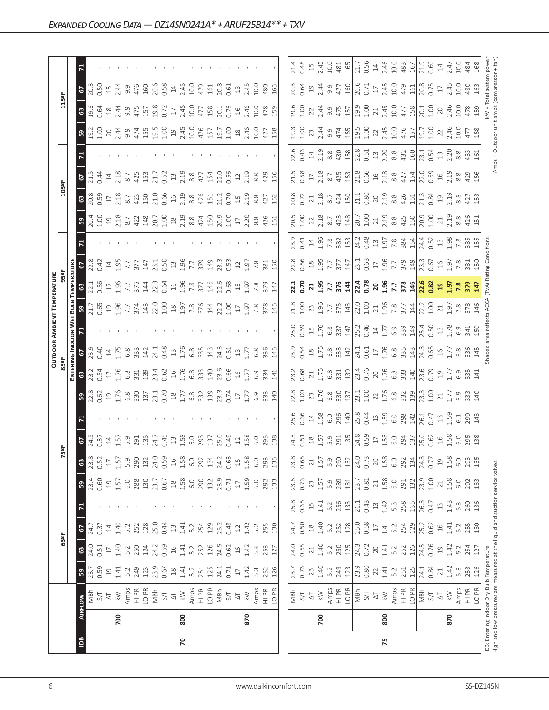|                |     |                                                                                                                            |                 |                 |                |                                           |                |                |                                                                                                                                                                                                                                                                                                                                                                                              |                                                                                                                                                                                                                                                                                                                                                           |                                                                                                                                                                                                                                                                                                                                                       |                                                                                                                                                                                                                                                                                                                                                                                                                  | <b>OUTDOOR AMBIENT TEMPERATURI</b>                                                                                                                                                                                                                                                                                                                                          |                                                                                                                                                                                                                                                                                                             |                                                                                                                                                                                                                                                                                                                         |                                                                                                                                                                                                                                                                                                                              |                                                                                                                                                                                                                                                                                                                     |                   |                                                                                                                                                                                                                                                                                                                                                                                                   |                                                                                                                                                                                                                                   |                                                                                                                                                             |                                                                                                                                                                                                                                                                                             |      |
|----------------|-----|----------------------------------------------------------------------------------------------------------------------------|-----------------|-----------------|----------------|-------------------------------------------|----------------|----------------|----------------------------------------------------------------------------------------------------------------------------------------------------------------------------------------------------------------------------------------------------------------------------------------------------------------------------------------------------------------------------------------------|-----------------------------------------------------------------------------------------------------------------------------------------------------------------------------------------------------------------------------------------------------------------------------------------------------------------------------------------------------------|-------------------------------------------------------------------------------------------------------------------------------------------------------------------------------------------------------------------------------------------------------------------------------------------------------------------------------------------------------|------------------------------------------------------------------------------------------------------------------------------------------------------------------------------------------------------------------------------------------------------------------------------------------------------------------------------------------------------------------------------------------------------------------|-----------------------------------------------------------------------------------------------------------------------------------------------------------------------------------------------------------------------------------------------------------------------------------------------------------------------------------------------------------------------------|-------------------------------------------------------------------------------------------------------------------------------------------------------------------------------------------------------------------------------------------------------------------------------------------------------------|-------------------------------------------------------------------------------------------------------------------------------------------------------------------------------------------------------------------------------------------------------------------------------------------------------------------------|------------------------------------------------------------------------------------------------------------------------------------------------------------------------------------------------------------------------------------------------------------------------------------------------------------------------------|---------------------------------------------------------------------------------------------------------------------------------------------------------------------------------------------------------------------------------------------------------------------------------------------------------------------|-------------------|---------------------------------------------------------------------------------------------------------------------------------------------------------------------------------------------------------------------------------------------------------------------------------------------------------------------------------------------------------------------------------------------------|-----------------------------------------------------------------------------------------------------------------------------------------------------------------------------------------------------------------------------------|-------------------------------------------------------------------------------------------------------------------------------------------------------------|---------------------------------------------------------------------------------------------------------------------------------------------------------------------------------------------------------------------------------------------------------------------------------------------|------|
|                |     |                                                                                                                            |                 | 65°F            |                |                                           |                |                | 5°F                                                                                                                                                                                                                                                                                                                                                                                          |                                                                                                                                                                                                                                                                                                                                                           |                                                                                                                                                                                                                                                                                                                                                       |                                                                                                                                                                                                                                                                                                                                                                                                                  |                                                                                                                                                                                                                                                                                                                                                                             |                                                                                                                                                                                                                                                                                                             |                                                                                                                                                                                                                                                                                                                         |                                                                                                                                                                                                                                                                                                                              |                                                                                                                                                                                                                                                                                                                     | 105°F             |                                                                                                                                                                                                                                                                                                                                                                                                   |                                                                                                                                                                                                                                   | 115°F                                                                                                                                                       |                                                                                                                                                                                                                                                                                             |      |
|                |     |                                                                                                                            |                 |                 |                |                                           |                |                |                                                                                                                                                                                                                                                                                                                                                                                              |                                                                                                                                                                                                                                                                                                                                                           |                                                                                                                                                                                                                                                                                                                                                       |                                                                                                                                                                                                                                                                                                                                                                                                                  |                                                                                                                                                                                                                                                                                                                                                                             |                                                                                                                                                                                                                                                                                                             |                                                                                                                                                                                                                                                                                                                         |                                                                                                                                                                                                                                                                                                                              |                                                                                                                                                                                                                                                                                                                     |                   |                                                                                                                                                                                                                                                                                                                                                                                                   |                                                                                                                                                                                                                                   |                                                                                                                                                             |                                                                                                                                                                                                                                                                                             |      |
| $\overline{B}$ |     | AIRFLOW                                                                                                                    | ${\tt S}$       | $\mathbbmss{3}$ | 2              | $\mathbf{z}$                              | ${\tt S}$      | ෂ              |                                                                                                                                                                                                                                                                                                                                                                                              |                                                                                                                                                                                                                                                                                                                                                           |                                                                                                                                                                                                                                                                                                                                                       |                                                                                                                                                                                                                                                                                                                                                                                                                  |                                                                                                                                                                                                                                                                                                                                                                             |                                                                                                                                                                                                                                                                                                             |                                                                                                                                                                                                                                                                                                                         |                                                                                                                                                                                                                                                                                                                              |                                                                                                                                                                                                                                                                                                                     |                   | $rac{67}{21.5}$                                                                                                                                                                                                                                                                                                                                                                                   |                                                                                                                                                                                                                                   |                                                                                                                                                             | $S_{0.50}$                                                                                                                                                                                                                                                                                  |      |
|                |     | MBh                                                                                                                        | 23.7            | 24.0            | 24.7           |                                           | 23.4           | 23.8           |                                                                                                                                                                                                                                                                                                                                                                                              |                                                                                                                                                                                                                                                                                                                                                           |                                                                                                                                                                                                                                                                                                                                                       |                                                                                                                                                                                                                                                                                                                                                                                                                  |                                                                                                                                                                                                                                                                                                                                                                             |                                                                                                                                                                                                                                                                                                             | 22.8                                                                                                                                                                                                                                                                                                                    |                                                                                                                                                                                                                                                                                                                              |                                                                                                                                                                                                                                                                                                                     |                   |                                                                                                                                                                                                                                                                                                                                                                                                   |                                                                                                                                                                                                                                   |                                                                                                                                                             |                                                                                                                                                                                                                                                                                             |      |
|                |     | 5/7                                                                                                                        | 0.59            | 0.51            | 0.37           |                                           | 0.60           | 0.52           |                                                                                                                                                                                                                                                                                                                                                                                              |                                                                                                                                                                                                                                                                                                                                                           |                                                                                                                                                                                                                                                                                                                                                       |                                                                                                                                                                                                                                                                                                                                                                                                                  |                                                                                                                                                                                                                                                                                                                                                                             |                                                                                                                                                                                                                                                                                                             |                                                                                                                                                                                                                                                                                                                         |                                                                                                                                                                                                                                                                                                                              |                                                                                                                                                                                                                                                                                                                     |                   |                                                                                                                                                                                                                                                                                                                                                                                                   |                                                                                                                                                                                                                                   |                                                                                                                                                             |                                                                                                                                                                                                                                                                                             |      |
|                |     | $\overline{\circ}$                                                                                                         | $\overline{19}$ | $\Box$          | 14             |                                           | $\overline{c}$ | $\Box$         |                                                                                                                                                                                                                                                                                                                                                                                              |                                                                                                                                                                                                                                                                                                                                                           |                                                                                                                                                                                                                                                                                                                                                       |                                                                                                                                                                                                                                                                                                                                                                                                                  |                                                                                                                                                                                                                                                                                                                                                                             |                                                                                                                                                                                                                                                                                                             |                                                                                                                                                                                                                                                                                                                         |                                                                                                                                                                                                                                                                                                                              |                                                                                                                                                                                                                                                                                                                     |                   | $\frac{14}{2.18}$                                                                                                                                                                                                                                                                                                                                                                                 |                                                                                                                                                                                                                                   | $\frac{63}{96}$ $\frac{6}{94}$ $\frac{8}{44}$                                                                                                               | $15$<br>$2.44$                                                                                                                                                                                                                                                                              |      |
|                | 700 | $\lesssim$                                                                                                                 | 1.41            | 1.40            | 1.40           |                                           | 1.57           | 1.57           |                                                                                                                                                                                                                                                                                                                                                                                              |                                                                                                                                                                                                                                                                                                                                                           |                                                                                                                                                                                                                                                                                                                                                       |                                                                                                                                                                                                                                                                                                                                                                                                                  |                                                                                                                                                                                                                                                                                                                                                                             |                                                                                                                                                                                                                                                                                                             |                                                                                                                                                                                                                                                                                                                         |                                                                                                                                                                                                                                                                                                                              |                                                                                                                                                                                                                                                                                                                     |                   |                                                                                                                                                                                                                                                                                                                                                                                                   |                                                                                                                                                                                                                                   |                                                                                                                                                             |                                                                                                                                                                                                                                                                                             |      |
|                |     |                                                                                                                            | 5.2             | 5.2             | 5.2            |                                           | 6.0            | 5.9            |                                                                                                                                                                                                                                                                                                                                                                                              |                                                                                                                                                                                                                                                                                                                                                           |                                                                                                                                                                                                                                                                                                                                                       |                                                                                                                                                                                                                                                                                                                                                                                                                  |                                                                                                                                                                                                                                                                                                                                                                             |                                                                                                                                                                                                                                                                                                             |                                                                                                                                                                                                                                                                                                                         |                                                                                                                                                                                                                                                                                                                              |                                                                                                                                                                                                                                                                                                                     |                   | 8.7                                                                                                                                                                                                                                                                                                                                                                                               |                                                                                                                                                                                                                                   |                                                                                                                                                             |                                                                                                                                                                                                                                                                                             |      |
|                |     | Amps<br>HI PR                                                                                                              | 249             | 250             | 252            |                                           | 288            | 290            | $\frac{1}{6} \frac{1}{2} \frac{1}{2} \frac{1}{2} \frac{1}{2} \frac{1}{2} \frac{1}{2} \frac{1}{2} \frac{1}{2} \frac{1}{2} \frac{1}{2} \frac{1}{2} \frac{1}{2} \frac{1}{2} \frac{1}{2} \frac{1}{2} \frac{1}{2} \frac{1}{2} \frac{1}{2} \frac{1}{2} \frac{1}{2} \frac{1}{2} \frac{1}{2} \frac{1}{2} \frac{1}{2} \frac{1}{2} \frac{1}{2} \frac{1}{2} \frac{1}{2} \frac{1}{2} \frac{1}{2} \frac{$ | $3\frac{8}{2}$ $\frac{8}{2}$ $\frac{6}{5}$ $\frac{6}{2}$ $\frac{8}{5}$ $\frac{8}{3}$ $\frac{8}{2}$ $\frac{1}{2}$ $\frac{1}{6}$ $\frac{1}{6}$ $\frac{8}{2}$ $\frac{8}{2}$ $\frac{8}{2}$ $\frac{8}{2}$ $\frac{8}{2}$ $\frac{8}{2}$ $\frac{8}{2}$ $\frac{8}{2}$ $\frac{8}{2}$ $\frac{8}{2}$ $\frac{8}{2}$ $\frac{8}{2}$ $\frac{8}{2}$ $\frac{8}{2}$ $\frac{$ | $3\frac{3}{2}$ $\frac{3}{2}$ $\frac{5}{2}$ $\frac{6}{2}$ $\frac{8}{2}$ $\frac{3}{2}$ $\frac{3}{2}$ $\frac{13}{2}$ $\frac{3}{2}$ $\frac{6}{2}$ $\frac{6}{2}$ $\frac{8}{2}$ $\frac{3}{2}$ $\frac{13}{2}$ $\frac{3}{2}$ $\frac{3}{2}$ $\frac{13}{2}$ $\frac{3}{2}$ $\frac{3}{2}$ $\frac{4}{2}$ $\frac{13}{2}$ $\frac{3}{2}$ $\frac{4}{2}$ $\frac{13}{2}$ | $S$ 3 3 4 5 6 8 7 6 7 7 8 9 7 7 8 9 7 7 8 9 7 7 8 9 7 7 8 9 7 7 8 9 7 7 8 9 7 7 8 9 7 7 8 9 7 7 8 9 7 7 8 9 7 7 8 9 7 7 8 9 7 7 8 9 7 7 8 9 7 7 8 9 7 7 8 9 7 7 8 9 7 7 8 9 7 7 8 9 7 7 8 9 7 7 7 8 9 7 7 7 8 9 7 7 7 8 9 7 7                                                                                                                                                                                    | $B$ $\overline{C}$ $\overline{C}$ $\overline{D}$ $\overline{D}$ $\overline{D}$ $\overline{D}$ $\overline{D}$ $\overline{D}$ $\overline{D}$ $\overline{D}$ $\overline{D}$ $\overline{D}$ $\overline{D}$ $\overline{D}$ $\overline{D}$ $\overline{D}$ $\overline{D}$ $\overline{D}$ $\overline{D}$ $\overline{D}$ $\overline{D}$ $\overline{D}$ $\overline{D}$ $\overline{D}$ | $3\frac{1}{2}$ $2\frac{1}{2}$ $5\frac{1}{2}$ $5\frac{1}{2}$ $7\frac{1}{2}$ $8\frac{1}{2}$ $1\frac{1}{2}$ $1\frac{1}{2}$ $1\frac{1}{2}$ $1\frac{1}{2}$ $1\frac{1}{2}$ $1\frac{1}{2}$ $1\frac{1}{2}$ $1\frac{1}{2}$ $1\frac{1}{2}$ $1\frac{1}{2}$ $1\frac{1}{2}$ $1\frac{1}{2}$ $1\frac{1}{2}$ $1\frac{1}{2}$ | $\begin{array}{c} 1 \  \  \, 1 \  \  \, 1 \  \  \, 2 \  \  \, 2 \  \  \, 2 \  \  \, 2 \  \  \, 2 \  \  \, 2 \  \  \, 2 \  \  \, 2 \  \  \, 2 \  \  \, 2 \  \  \, 2 \  \  \, 2 \  \  \, 2 \  \  \, 2 \  \  \, 2 \  \  \, 2 \  \  \, 2 \  \  \, 2 \  \  \, 2 \  \  \, 2 \  \  \, 2 \  \  \, 2 \  \  \, 2 \  \  \, 2 \  \$ |                                                                                                                                                                                                                                                                                                                              | $\frac{1}{2}$ $\frac{1}{2}$ $\frac{1}{2}$ $\frac{1}{2}$ $\frac{1}{2}$ $\frac{1}{2}$ $\frac{1}{2}$ $\frac{1}{2}$ $\frac{1}{2}$ $\frac{1}{2}$ $\frac{1}{2}$ $\frac{1}{2}$ $\frac{1}{2}$ $\frac{1}{2}$ $\frac{1}{2}$ $\frac{1}{2}$ $\frac{1}{2}$ $\frac{1}{2}$ $\frac{1}{2}$ $\frac{1}{2}$ $\frac{1}{2}$ $\frac{1}{2}$ |                   | 425                                                                                                                                                                                                                                                                                                                                                                                               |                                                                                                                                                                                                                                   | $\frac{955}{42}$<br>$\frac{55}{42}$<br>$\frac{225}{42}$<br>$\frac{255}{42}$<br>$\frac{255}{42}$<br>$\frac{255}{42}$<br>$\frac{255}{42}$<br>$\frac{255}{42}$ | $\begin{array}{c} 9.987 \\ 9.760 \\ 10.600 \\ 10.600 \\ 10.600 \\ 10.600 \\ 10.600 \\ 10.600 \\ 10.600 \\ 10.600 \\ 10.600 \\ 10.600 \\ 10.600 \\ 10.600 \\ 10.600 \\ 10.600 \\ 10.600 \\ 10.600 \\ 10.600 \\ 10.600 \\ 10.600 \\ 10.600 \\ 10.600 \\ 10.600 \\ 10.600 \\ 10.600 \\ 10.600$ |      |
|                |     | LO PR                                                                                                                      | 123             | 124             | 128            |                                           | 130            | 132            |                                                                                                                                                                                                                                                                                                                                                                                              |                                                                                                                                                                                                                                                                                                                                                           |                                                                                                                                                                                                                                                                                                                                                       |                                                                                                                                                                                                                                                                                                                                                                                                                  |                                                                                                                                                                                                                                                                                                                                                                             |                                                                                                                                                                                                                                                                                                             |                                                                                                                                                                                                                                                                                                                         |                                                                                                                                                                                                                                                                                                                              |                                                                                                                                                                                                                                                                                                                     |                   | 153                                                                                                                                                                                                                                                                                                                                                                                               |                                                                                                                                                                                                                                   |                                                                                                                                                             |                                                                                                                                                                                                                                                                                             |      |
|                |     | $\frac{1}{2}$                                                                                                              | 23.9            | 24.2            | 25.0           |                                           | 23.7           | 24.0           |                                                                                                                                                                                                                                                                                                                                                                                              |                                                                                                                                                                                                                                                                                                                                                           |                                                                                                                                                                                                                                                                                                                                                       |                                                                                                                                                                                                                                                                                                                                                                                                                  |                                                                                                                                                                                                                                                                                                                                                                             |                                                                                                                                                                                                                                                                                                             |                                                                                                                                                                                                                                                                                                                         |                                                                                                                                                                                                                                                                                                                              |                                                                                                                                                                                                                                                                                                                     |                   | 21.7<br>0.52<br>13                                                                                                                                                                                                                                                                                                                                                                                |                                                                                                                                                                                                                                   |                                                                                                                                                             |                                                                                                                                                                                                                                                                                             |      |
|                |     |                                                                                                                            | 0.67            | 0.59            | 0.44           |                                           | 0.67           | 0.59           |                                                                                                                                                                                                                                                                                                                                                                                              |                                                                                                                                                                                                                                                                                                                                                           |                                                                                                                                                                                                                                                                                                                                                       |                                                                                                                                                                                                                                                                                                                                                                                                                  |                                                                                                                                                                                                                                                                                                                                                                             |                                                                                                                                                                                                                                                                                                             |                                                                                                                                                                                                                                                                                                                         |                                                                                                                                                                                                                                                                                                                              |                                                                                                                                                                                                                                                                                                                     |                   |                                                                                                                                                                                                                                                                                                                                                                                                   |                                                                                                                                                                                                                                   |                                                                                                                                                             |                                                                                                                                                                                                                                                                                             |      |
|                |     | $\overline{\triangle}$                                                                                                     | $^{28}$         | $16$            | $13$           |                                           | $\frac{8}{18}$ | $\frac{16}{1}$ |                                                                                                                                                                                                                                                                                                                                                                                              |                                                                                                                                                                                                                                                                                                                                                           |                                                                                                                                                                                                                                                                                                                                                       |                                                                                                                                                                                                                                                                                                                                                                                                                  |                                                                                                                                                                                                                                                                                                                                                                             |                                                                                                                                                                                                                                                                                                             |                                                                                                                                                                                                                                                                                                                         |                                                                                                                                                                                                                                                                                                                              |                                                                                                                                                                                                                                                                                                                     |                   |                                                                                                                                                                                                                                                                                                                                                                                                   |                                                                                                                                                                                                                                   |                                                                                                                                                             |                                                                                                                                                                                                                                                                                             |      |
| 20             | 800 | $\gtrapprox$                                                                                                               | 1.41            | 1.41            | 1.41           |                                           | 1.58           | 1.58           |                                                                                                                                                                                                                                                                                                                                                                                              |                                                                                                                                                                                                                                                                                                                                                           |                                                                                                                                                                                                                                                                                                                                                       |                                                                                                                                                                                                                                                                                                                                                                                                                  |                                                                                                                                                                                                                                                                                                                                                                             |                                                                                                                                                                                                                                                                                                             |                                                                                                                                                                                                                                                                                                                         |                                                                                                                                                                                                                                                                                                                              |                                                                                                                                                                                                                                                                                                                     |                   |                                                                                                                                                                                                                                                                                                                                                                                                   |                                                                                                                                                                                                                                   |                                                                                                                                                             |                                                                                                                                                                                                                                                                                             |      |
|                |     | Amps                                                                                                                       | 5.2             | 5.2             | 5.2            |                                           | 6.0            | 6.0            |                                                                                                                                                                                                                                                                                                                                                                                              |                                                                                                                                                                                                                                                                                                                                                           |                                                                                                                                                                                                                                                                                                                                                       |                                                                                                                                                                                                                                                                                                                                                                                                                  |                                                                                                                                                                                                                                                                                                                                                                             |                                                                                                                                                                                                                                                                                                             |                                                                                                                                                                                                                                                                                                                         |                                                                                                                                                                                                                                                                                                                              |                                                                                                                                                                                                                                                                                                                     |                   |                                                                                                                                                                                                                                                                                                                                                                                                   |                                                                                                                                                                                                                                   |                                                                                                                                                             |                                                                                                                                                                                                                                                                                             |      |
|                |     | $\frac{PR}{T}$                                                                                                             | 251             | 252             | 254            |                                           | 290            | 292            |                                                                                                                                                                                                                                                                                                                                                                                              |                                                                                                                                                                                                                                                                                                                                                           |                                                                                                                                                                                                                                                                                                                                                       |                                                                                                                                                                                                                                                                                                                                                                                                                  |                                                                                                                                                                                                                                                                                                                                                                             |                                                                                                                                                                                                                                                                                                             |                                                                                                                                                                                                                                                                                                                         |                                                                                                                                                                                                                                                                                                                              |                                                                                                                                                                                                                                                                                                                     |                   | $2.38$ $8.3$ $15/2$<br>$8.3$ $15/2$<br>$15/2$<br>$15/2$<br>$15/2$                                                                                                                                                                                                                                                                                                                                 |                                                                                                                                                                                                                                   |                                                                                                                                                             |                                                                                                                                                                                                                                                                                             |      |
|                |     | LO <sub>PR</sub>                                                                                                           | 125             | 126             | 129            |                                           | 132            | 134            |                                                                                                                                                                                                                                                                                                                                                                                              |                                                                                                                                                                                                                                                                                                                                                           |                                                                                                                                                                                                                                                                                                                                                       |                                                                                                                                                                                                                                                                                                                                                                                                                  |                                                                                                                                                                                                                                                                                                                                                                             |                                                                                                                                                                                                                                                                                                             |                                                                                                                                                                                                                                                                                                                         |                                                                                                                                                                                                                                                                                                                              |                                                                                                                                                                                                                                                                                                                     |                   |                                                                                                                                                                                                                                                                                                                                                                                                   |                                                                                                                                                                                                                                   |                                                                                                                                                             |                                                                                                                                                                                                                                                                                             |      |
|                |     | MBh                                                                                                                        | 24.1            | 24.5            | 25.2           |                                           | 23.9           | 24.2           |                                                                                                                                                                                                                                                                                                                                                                                              |                                                                                                                                                                                                                                                                                                                                                           |                                                                                                                                                                                                                                                                                                                                                       |                                                                                                                                                                                                                                                                                                                                                                                                                  |                                                                                                                                                                                                                                                                                                                                                                             |                                                                                                                                                                                                                                                                                                             |                                                                                                                                                                                                                                                                                                                         |                                                                                                                                                                                                                                                                                                                              |                                                                                                                                                                                                                                                                                                                     |                   |                                                                                                                                                                                                                                                                                                                                                                                                   |                                                                                                                                                                                                                                   |                                                                                                                                                             |                                                                                                                                                                                                                                                                                             |      |
|                |     | 5/1                                                                                                                        | 0.71            | 0.62            | 0.48           |                                           | 0.71           | 0.63           |                                                                                                                                                                                                                                                                                                                                                                                              |                                                                                                                                                                                                                                                                                                                                                           |                                                                                                                                                                                                                                                                                                                                                       |                                                                                                                                                                                                                                                                                                                                                                                                                  |                                                                                                                                                                                                                                                                                                                                                                             |                                                                                                                                                                                                                                                                                                             |                                                                                                                                                                                                                                                                                                                         |                                                                                                                                                                                                                                                                                                                              |                                                                                                                                                                                                                                                                                                                     |                   |                                                                                                                                                                                                                                                                                                                                                                                                   |                                                                                                                                                                                                                                   |                                                                                                                                                             |                                                                                                                                                                                                                                                                                             |      |
|                |     | $\overline{\Delta}$                                                                                                        | $\Box$          | $16$            | $12$           |                                           | $\Box$         | 15             |                                                                                                                                                                                                                                                                                                                                                                                              |                                                                                                                                                                                                                                                                                                                                                           |                                                                                                                                                                                                                                                                                                                                                       |                                                                                                                                                                                                                                                                                                                                                                                                                  |                                                                                                                                                                                                                                                                                                                                                                             |                                                                                                                                                                                                                                                                                                             |                                                                                                                                                                                                                                                                                                                         |                                                                                                                                                                                                                                                                                                                              |                                                                                                                                                                                                                                                                                                                     |                   |                                                                                                                                                                                                                                                                                                                                                                                                   |                                                                                                                                                                                                                                   |                                                                                                                                                             |                                                                                                                                                                                                                                                                                             |      |
|                | 870 | $\leq$                                                                                                                     | 1.42            | 1.42            | 1.42           |                                           | 1.59           | 1.58           |                                                                                                                                                                                                                                                                                                                                                                                              |                                                                                                                                                                                                                                                                                                                                                           |                                                                                                                                                                                                                                                                                                                                                       |                                                                                                                                                                                                                                                                                                                                                                                                                  |                                                                                                                                                                                                                                                                                                                                                                             |                                                                                                                                                                                                                                                                                                             |                                                                                                                                                                                                                                                                                                                         |                                                                                                                                                                                                                                                                                                                              |                                                                                                                                                                                                                                                                                                                     | $15$<br>$2.19$    | 2.19                                                                                                                                                                                                                                                                                                                                                                                              |                                                                                                                                                                                                                                   |                                                                                                                                                             |                                                                                                                                                                                                                                                                                             |      |
|                |     | Amps                                                                                                                       | 5.3             | 5.3             | 5.2            |                                           | 6.0            | 6.0            |                                                                                                                                                                                                                                                                                                                                                                                              |                                                                                                                                                                                                                                                                                                                                                           |                                                                                                                                                                                                                                                                                                                                                       |                                                                                                                                                                                                                                                                                                                                                                                                                  |                                                                                                                                                                                                                                                                                                                                                                             |                                                                                                                                                                                                                                                                                                             |                                                                                                                                                                                                                                                                                                                         |                                                                                                                                                                                                                                                                                                                              |                                                                                                                                                                                                                                                                                                                     |                   |                                                                                                                                                                                                                                                                                                                                                                                                   |                                                                                                                                                                                                                                   |                                                                                                                                                             |                                                                                                                                                                                                                                                                                             |      |
|                |     | $\frac{R}{H}$                                                                                                              | 252             | 253             | 255            |                                           | 292            | 293            |                                                                                                                                                                                                                                                                                                                                                                                              |                                                                                                                                                                                                                                                                                                                                                           |                                                                                                                                                                                                                                                                                                                                                       |                                                                                                                                                                                                                                                                                                                                                                                                                  |                                                                                                                                                                                                                                                                                                                                                                             |                                                                                                                                                                                                                                                                                                             |                                                                                                                                                                                                                                                                                                                         |                                                                                                                                                                                                                                                                                                                              |                                                                                                                                                                                                                                                                                                                     | 8.8<br>427<br>152 |                                                                                                                                                                                                                                                                                                                                                                                                   |                                                                                                                                                                                                                                   |                                                                                                                                                             |                                                                                                                                                                                                                                                                                             |      |
|                |     | LO PR                                                                                                                      | 126             | 127             | 130            |                                           | 133            | 135            |                                                                                                                                                                                                                                                                                                                                                                                              |                                                                                                                                                                                                                                                                                                                                                           |                                                                                                                                                                                                                                                                                                                                                       |                                                                                                                                                                                                                                                                                                                                                                                                                  |                                                                                                                                                                                                                                                                                                                                                                             |                                                                                                                                                                                                                                                                                                             |                                                                                                                                                                                                                                                                                                                         |                                                                                                                                                                                                                                                                                                                              |                                                                                                                                                                                                                                                                                                                     |                   | 8.8<br>429<br>156                                                                                                                                                                                                                                                                                                                                                                                 |                                                                                                                                                                                                                                   | $16$ $0.08$ $0.08$ $0.08$ $0.08$                                                                                                                            |                                                                                                                                                                                                                                                                                             |      |
|                |     |                                                                                                                            |                 |                 |                |                                           |                |                |                                                                                                                                                                                                                                                                                                                                                                                              |                                                                                                                                                                                                                                                                                                                                                           |                                                                                                                                                                                                                                                                                                                                                       |                                                                                                                                                                                                                                                                                                                                                                                                                  |                                                                                                                                                                                                                                                                                                                                                                             |                                                                                                                                                                                                                                                                                                             |                                                                                                                                                                                                                                                                                                                         |                                                                                                                                                                                                                                                                                                                              |                                                                                                                                                                                                                                                                                                                     |                   |                                                                                                                                                                                                                                                                                                                                                                                                   |                                                                                                                                                                                                                                   |                                                                                                                                                             |                                                                                                                                                                                                                                                                                             |      |
|                |     |                                                                                                                            | 23.7            | 24.0            | 24.7           | 25.8                                      | 23.5           | 23.8           |                                                                                                                                                                                                                                                                                                                                                                                              |                                                                                                                                                                                                                                                                                                                                                           |                                                                                                                                                                                                                                                                                                                                                       |                                                                                                                                                                                                                                                                                                                                                                                                                  |                                                                                                                                                                                                                                                                                                                                                                             |                                                                                                                                                                                                                                                                                                             |                                                                                                                                                                                                                                                                                                                         |                                                                                                                                                                                                                                                                                                                              |                                                                                                                                                                                                                                                                                                                     |                   |                                                                                                                                                                                                                                                                                                                                                                                                   |                                                                                                                                                                                                                                   |                                                                                                                                                             |                                                                                                                                                                                                                                                                                             |      |
|                |     | NBh<br>S/T                                                                                                                 | 0.73            | 0.65            | 0.50           | 0.35                                      | 0.73           | 0.65           |                                                                                                                                                                                                                                                                                                                                                                                              |                                                                                                                                                                                                                                                                                                                                                           |                                                                                                                                                                                                                                                                                                                                                       |                                                                                                                                                                                                                                                                                                                                                                                                                  |                                                                                                                                                                                                                                                                                                                                                                             |                                                                                                                                                                                                                                                                                                             |                                                                                                                                                                                                                                                                                                                         |                                                                                                                                                                                                                                                                                                                              |                                                                                                                                                                                                                                                                                                                     |                   |                                                                                                                                                                                                                                                                                                                                                                                                   |                                                                                                                                                                                                                                   |                                                                                                                                                             |                                                                                                                                                                                                                                                                                             |      |
|                |     | $\overline{\triangle}$                                                                                                     | 23              | 21              | $\frac{8}{18}$ | $15$                                      | 23             | 21             |                                                                                                                                                                                                                                                                                                                                                                                              |                                                                                                                                                                                                                                                                                                                                                           |                                                                                                                                                                                                                                                                                                                                                       |                                                                                                                                                                                                                                                                                                                                                                                                                  |                                                                                                                                                                                                                                                                                                                                                                             |                                                                                                                                                                                                                                                                                                             |                                                                                                                                                                                                                                                                                                                         |                                                                                                                                                                                                                                                                                                                              |                                                                                                                                                                                                                                                                                                                     |                   |                                                                                                                                                                                                                                                                                                                                                                                                   |                                                                                                                                                                                                                                   |                                                                                                                                                             |                                                                                                                                                                                                                                                                                             |      |
|                | 700 | $\gtrapprox$                                                                                                               | 1.40            | 1.40            | 1.40           | 1.41                                      | 1.57           | $1.57$         |                                                                                                                                                                                                                                                                                                                                                                                              |                                                                                                                                                                                                                                                                                                                                                           |                                                                                                                                                                                                                                                                                                                                                       |                                                                                                                                                                                                                                                                                                                                                                                                                  |                                                                                                                                                                                                                                                                                                                                                                             |                                                                                                                                                                                                                                                                                                             |                                                                                                                                                                                                                                                                                                                         |                                                                                                                                                                                                                                                                                                                              |                                                                                                                                                                                                                                                                                                                     |                   |                                                                                                                                                                                                                                                                                                                                                                                                   |                                                                                                                                                                                                                                   |                                                                                                                                                             |                                                                                                                                                                                                                                                                                             |      |
|                |     | Amps                                                                                                                       | 5.2             | 5.2             | 5.2            | 5.2                                       | 5.9            | 5.9            |                                                                                                                                                                                                                                                                                                                                                                                              |                                                                                                                                                                                                                                                                                                                                                           |                                                                                                                                                                                                                                                                                                                                                       |                                                                                                                                                                                                                                                                                                                                                                                                                  |                                                                                                                                                                                                                                                                                                                                                                             |                                                                                                                                                                                                                                                                                                             |                                                                                                                                                                                                                                                                                                                         |                                                                                                                                                                                                                                                                                                                              |                                                                                                                                                                                                                                                                                                                     |                   |                                                                                                                                                                                                                                                                                                                                                                                                   |                                                                                                                                                                                                                                   |                                                                                                                                                             |                                                                                                                                                                                                                                                                                             |      |
|                |     | $\frac{P}{T}$                                                                                                              | 249             | 250             | 252            | 256                                       | 289            | 290            |                                                                                                                                                                                                                                                                                                                                                                                              |                                                                                                                                                                                                                                                                                                                                                           |                                                                                                                                                                                                                                                                                                                                                       |                                                                                                                                                                                                                                                                                                                                                                                                                  |                                                                                                                                                                                                                                                                                                                                                                             |                                                                                                                                                                                                                                                                                                             |                                                                                                                                                                                                                                                                                                                         |                                                                                                                                                                                                                                                                                                                              |                                                                                                                                                                                                                                                                                                                     |                   |                                                                                                                                                                                                                                                                                                                                                                                                   |                                                                                                                                                                                                                                   |                                                                                                                                                             |                                                                                                                                                                                                                                                                                             |      |
|                |     | LO <sub>PR</sub>                                                                                                           | 123             | 125             | 128            | 133                                       | 131            | 132            |                                                                                                                                                                                                                                                                                                                                                                                              |                                                                                                                                                                                                                                                                                                                                                           |                                                                                                                                                                                                                                                                                                                                                       |                                                                                                                                                                                                                                                                                                                                                                                                                  |                                                                                                                                                                                                                                                                                                                                                                             |                                                                                                                                                                                                                                                                                                             |                                                                                                                                                                                                                                                                                                                         |                                                                                                                                                                                                                                                                                                                              |                                                                                                                                                                                                                                                                                                                     |                   |                                                                                                                                                                                                                                                                                                                                                                                                   |                                                                                                                                                                                                                                   |                                                                                                                                                             |                                                                                                                                                                                                                                                                                             |      |
|                |     | MBh                                                                                                                        | 23.9            | 24.3            | 25.0           | 26.1                                      | 23.7           | 24.0<br>0.73   |                                                                                                                                                                                                                                                                                                                                                                                              |                                                                                                                                                                                                                                                                                                                                                           |                                                                                                                                                                                                                                                                                                                                                       |                                                                                                                                                                                                                                                                                                                                                                                                                  |                                                                                                                                                                                                                                                                                                                                                                             |                                                                                                                                                                                                                                                                                                             |                                                                                                                                                                                                                                                                                                                         |                                                                                                                                                                                                                                                                                                                              |                                                                                                                                                                                                                                                                                                                     |                   |                                                                                                                                                                                                                                                                                                                                                                                                   |                                                                                                                                                                                                                                   |                                                                                                                                                             |                                                                                                                                                                                                                                                                                             |      |
|                |     | 5/7                                                                                                                        | 0.80            | 0.72            | 0.58           | 0.43                                      | 0.81           |                |                                                                                                                                                                                                                                                                                                                                                                                              |                                                                                                                                                                                                                                                                                                                                                           |                                                                                                                                                                                                                                                                                                                                                       |                                                                                                                                                                                                                                                                                                                                                                                                                  |                                                                                                                                                                                                                                                                                                                                                                             |                                                                                                                                                                                                                                                                                                             |                                                                                                                                                                                                                                                                                                                         |                                                                                                                                                                                                                                                                                                                              |                                                                                                                                                                                                                                                                                                                     |                   |                                                                                                                                                                                                                                                                                                                                                                                                   |                                                                                                                                                                                                                                   |                                                                                                                                                             |                                                                                                                                                                                                                                                                                             |      |
|                |     | $\overline{\triangle}$                                                                                                     | $22\,$          | $20$            | $\Box$         | $\ensuremath{\mathop{\mathbb{Z}}}\xspace$ | $21\,$         | 20             |                                                                                                                                                                                                                                                                                                                                                                                              |                                                                                                                                                                                                                                                                                                                                                           |                                                                                                                                                                                                                                                                                                                                                       |                                                                                                                                                                                                                                                                                                                                                                                                                  |                                                                                                                                                                                                                                                                                                                                                                             |                                                                                                                                                                                                                                                                                                             |                                                                                                                                                                                                                                                                                                                         |                                                                                                                                                                                                                                                                                                                              |                                                                                                                                                                                                                                                                                                                     |                   |                                                                                                                                                                                                                                                                                                                                                                                                   |                                                                                                                                                                                                                                   |                                                                                                                                                             |                                                                                                                                                                                                                                                                                             |      |
| 75             | 800 | $\geqslant$                                                                                                                | 1.41            | 1.41            | $1.41\,$       | 1.42                                      | 1.58           | 1.58           |                                                                                                                                                                                                                                                                                                                                                                                              |                                                                                                                                                                                                                                                                                                                                                           |                                                                                                                                                                                                                                                                                                                                                       |                                                                                                                                                                                                                                                                                                                                                                                                                  |                                                                                                                                                                                                                                                                                                                                                                             |                                                                                                                                                                                                                                                                                                             |                                                                                                                                                                                                                                                                                                                         |                                                                                                                                                                                                                                                                                                                              |                                                                                                                                                                                                                                                                                                                     |                   |                                                                                                                                                                                                                                                                                                                                                                                                   |                                                                                                                                                                                                                                   |                                                                                                                                                             |                                                                                                                                                                                                                                                                                             |      |
|                |     | Amps<br>HI PR                                                                                                              | 5.2             | 5.2             | 5.2            | 5.3                                       | 6.0<br>291     | 6.0            |                                                                                                                                                                                                                                                                                                                                                                                              |                                                                                                                                                                                                                                                                                                                                                           |                                                                                                                                                                                                                                                                                                                                                       |                                                                                                                                                                                                                                                                                                                                                                                                                  |                                                                                                                                                                                                                                                                                                                                                                             |                                                                                                                                                                                                                                                                                                             |                                                                                                                                                                                                                                                                                                                         |                                                                                                                                                                                                                                                                                                                              |                                                                                                                                                                                                                                                                                                                     |                   |                                                                                                                                                                                                                                                                                                                                                                                                   |                                                                                                                                                                                                                                   |                                                                                                                                                             |                                                                                                                                                                                                                                                                                             |      |
|                |     |                                                                                                                            | 251             | 252             | 254            | 258                                       |                | 292            |                                                                                                                                                                                                                                                                                                                                                                                              |                                                                                                                                                                                                                                                                                                                                                           | $\begin{array}{c} 23.88 \\ 0.68 \\ 1.75 \\ 2.89 \\ 3.75 \\ 4.75 \\ 5.89 \\ 6.87 \\ 7.89 \\ 7.89 \\ 7.89 \\ 7.89 \\ 7.89 \\ 7.89 \\ 7.89 \\ 7.89 \\ 7.89 \\ 7.89 \\ 7.89 \\ 7.89 \\ 7.89 \\ 7.89 \\ 7.89 \\ 7.89 \\ 7.89 \\ 7.89 \\ 7.89 \\ 7.89 \\ 7.89 \\ 7.89 \\ 7.89 \\ 7.89 \\ 7.89 \\ 7.89 \\ 7.89 \\ 7$                                         | $\begin{array}{ccc}\n 3.5 & \text{S} & \text{S} & \text{S} & \text{S} \\  2.5 & \text{S} & \text{S} & \text{S} & \text{S} \\  3.5 & \text{S} & \text{S} & \text{S} & \text{S} \\  4.5 & \text{S} & \text{S} & \text{S} & \text{S} \\  5.5 & \text{S} & \text{S} & \text{S} & \text{S} \\  6.5 & \text{S} & \text{S} & \text{S} & \text{S} \\  7.5 & \text{S} & \text{S} & \text{S} & \text{S} \\  8.5 & \text{S$ | $21.3$ $23.4$ $25.4$ $26.4$ $27.4$ $27.4$ $28.4$ $29.4$ $29.4$ $29.4$ $29.4$ $29.4$ $29.4$ $29.4$ $29.4$ $29.4$ $29.4$ $29.4$ $29.4$ $29.4$ $29.4$ $29.4$ $29.4$ $29.4$ $29.4$ $29.4$ $29.4$ $29.4$ $29.4$ $29.4$ $29.4$ $29.$                                                                                                                                              |                                                                                                                                                                                                                                                                                                             | $23.56$ $25.57$ $27.57$ $27.57$ $27.57$ $27.57$ $27.57$ $27.57$ $27.57$ $27.57$ $27.57$ $27.57$ $27.57$ $27.57$ $27.57$ $27.57$ $27.57$ $27.57$ $27.57$ $27.57$ $27.57$ $27.57$ $27.57$ $27.57$ $27.57$ $27.57$ $27.57$ $27.5$                                                                                          | $\begin{array}{cccccccccc} 23.5 & 7 & 2 & 8 & 8 & 8 & 12 \\ 1 & 1 & 1 & 1 & 1 & 1 & 1 \\ 2 & 3 & 2 & 3 & 1 & 1 & 1 \\ 3 & 4 & 5 & 5 & 1 & 1 & 1 \\ 4 & 5 & 6 & 1 & 1 & 1 & 1 \\ 5 & 6 & 1 & 1 & 1 & 1 & 1 \\ 6 & 1 & 1 & 1 & 1 & 1 & 1 \\ 7 & 1 & 1 & 1 & 1 & 1 & 1 \\ 8 & 1 & 1 & 1 & 1 & 1 & 1 \\ 9 & 1 & 1 & 1 & 1 & 1 &$ |                                                                                                                                                                                                                                                                                                                     |                   | $\begin{array}{c} 1.98 \text{ C} & \text{C} & \text{C} \\ 1.99 \text{ C} & \text{C} & \text{C} \\ 1.99 \text{ C} & \text{C} & \text{C} \\ 1.99 \text{ C} & \text{C} & \text{C} \\ 1.99 \text{ C} & \text{C} & \text{C} \\ 1.99 \text{ C} & \text{C} & \text{C} \\ 1.99 \text{ C} & \text{C} & \text{C} \\ 1.99 \text{ C} & \text{C} & \text{C} \\ 1.99 \text{ C} & \text{C} & \text{C} \\ 1.99 \$ | $\frac{16}{21}$ and the set of the set of the set of the set of the set of the set of the set of the set of the set of the set of the set of the set of the set of the set of the set of the set of the set of the set of the set |                                                                                                                                                             | $20.69$ and a signal school of the second second second second second second second second second second second second second second second second second second second second second second second second second second seco                                                               |      |
|                |     | LO PR                                                                                                                      | 125             | 126             | 129            | 135                                       | 132            | 134            |                                                                                                                                                                                                                                                                                                                                                                                              |                                                                                                                                                                                                                                                                                                                                                           |                                                                                                                                                                                                                                                                                                                                                       |                                                                                                                                                                                                                                                                                                                                                                                                                  |                                                                                                                                                                                                                                                                                                                                                                             |                                                                                                                                                                                                                                                                                                             |                                                                                                                                                                                                                                                                                                                         |                                                                                                                                                                                                                                                                                                                              |                                                                                                                                                                                                                                                                                                                     |                   |                                                                                                                                                                                                                                                                                                                                                                                                   |                                                                                                                                                                                                                                   |                                                                                                                                                             |                                                                                                                                                                                                                                                                                             |      |
|                |     | $-25$<br>S/T                                                                                                               | 24.1            | 24.5            | 25.2           | 26.3                                      | 23.9<br>1.00   | 24.3           |                                                                                                                                                                                                                                                                                                                                                                                              |                                                                                                                                                                                                                                                                                                                                                           |                                                                                                                                                                                                                                                                                                                                                       |                                                                                                                                                                                                                                                                                                                                                                                                                  |                                                                                                                                                                                                                                                                                                                                                                             |                                                                                                                                                                                                                                                                                                             |                                                                                                                                                                                                                                                                                                                         |                                                                                                                                                                                                                                                                                                                              |                                                                                                                                                                                                                                                                                                                     |                   |                                                                                                                                                                                                                                                                                                                                                                                                   |                                                                                                                                                                                                                                   |                                                                                                                                                             |                                                                                                                                                                                                                                                                                             |      |
|                |     |                                                                                                                            | 0.84            | 0.76            | 0.62           | 0.47                                      |                | 0.77           |                                                                                                                                                                                                                                                                                                                                                                                              |                                                                                                                                                                                                                                                                                                                                                           |                                                                                                                                                                                                                                                                                                                                                       |                                                                                                                                                                                                                                                                                                                                                                                                                  |                                                                                                                                                                                                                                                                                                                                                                             |                                                                                                                                                                                                                                                                                                             |                                                                                                                                                                                                                                                                                                                         |                                                                                                                                                                                                                                                                                                                              |                                                                                                                                                                                                                                                                                                                     |                   |                                                                                                                                                                                                                                                                                                                                                                                                   |                                                                                                                                                                                                                                   |                                                                                                                                                             |                                                                                                                                                                                                                                                                                             |      |
|                |     | $\overline{\mathcal{L}}$                                                                                                   | 21              | $\overline{c}$  | $\frac{16}{1}$ | $13$                                      | $\geq$         | $\overline{c}$ |                                                                                                                                                                                                                                                                                                                                                                                              |                                                                                                                                                                                                                                                                                                                                                           |                                                                                                                                                                                                                                                                                                                                                       |                                                                                                                                                                                                                                                                                                                                                                                                                  |                                                                                                                                                                                                                                                                                                                                                                             |                                                                                                                                                                                                                                                                                                             |                                                                                                                                                                                                                                                                                                                         |                                                                                                                                                                                                                                                                                                                              |                                                                                                                                                                                                                                                                                                                     |                   |                                                                                                                                                                                                                                                                                                                                                                                                   |                                                                                                                                                                                                                                   |                                                                                                                                                             |                                                                                                                                                                                                                                                                                             |      |
|                | 870 | $\lesssim$                                                                                                                 | 1.42            | 1.42            | 1.41           | 1.43                                      | 1.58           | 1.58           |                                                                                                                                                                                                                                                                                                                                                                                              |                                                                                                                                                                                                                                                                                                                                                           |                                                                                                                                                                                                                                                                                                                                                       |                                                                                                                                                                                                                                                                                                                                                                                                                  |                                                                                                                                                                                                                                                                                                                                                                             |                                                                                                                                                                                                                                                                                                             |                                                                                                                                                                                                                                                                                                                         |                                                                                                                                                                                                                                                                                                                              |                                                                                                                                                                                                                                                                                                                     |                   |                                                                                                                                                                                                                                                                                                                                                                                                   |                                                                                                                                                                                                                                   |                                                                                                                                                             |                                                                                                                                                                                                                                                                                             |      |
|                |     | Amps                                                                                                                       | 5.3             | 5.2             | 5.2            | 5.3                                       | 6.0            | 6.0            |                                                                                                                                                                                                                                                                                                                                                                                              |                                                                                                                                                                                                                                                                                                                                                           |                                                                                                                                                                                                                                                                                                                                                       |                                                                                                                                                                                                                                                                                                                                                                                                                  |                                                                                                                                                                                                                                                                                                                                                                             |                                                                                                                                                                                                                                                                                                             |                                                                                                                                                                                                                                                                                                                         |                                                                                                                                                                                                                                                                                                                              |                                                                                                                                                                                                                                                                                                                     |                   |                                                                                                                                                                                                                                                                                                                                                                                                   |                                                                                                                                                                                                                                   |                                                                                                                                                             |                                                                                                                                                                                                                                                                                             |      |
|                |     | $\frac{PR}{T}$                                                                                                             | 253             | 254             | 255            | 260                                       | 292            | 293            |                                                                                                                                                                                                                                                                                                                                                                                              |                                                                                                                                                                                                                                                                                                                                                           |                                                                                                                                                                                                                                                                                                                                                       |                                                                                                                                                                                                                                                                                                                                                                                                                  |                                                                                                                                                                                                                                                                                                                                                                             |                                                                                                                                                                                                                                                                                                             |                                                                                                                                                                                                                                                                                                                         |                                                                                                                                                                                                                                                                                                                              |                                                                                                                                                                                                                                                                                                                     |                   |                                                                                                                                                                                                                                                                                                                                                                                                   |                                                                                                                                                                                                                                   |                                                                                                                                                             |                                                                                                                                                                                                                                                                                             |      |
|                |     | LO <sub>PR</sub>                                                                                                           | 126             | 127             | 130            | 136                                       | 133            | 135            |                                                                                                                                                                                                                                                                                                                                                                                              |                                                                                                                                                                                                                                                                                                                                                           |                                                                                                                                                                                                                                                                                                                                                       | 145                                                                                                                                                                                                                                                                                                                                                                                                              |                                                                                                                                                                                                                                                                                                                                                                             |                                                                                                                                                                                                                                                                                                             |                                                                                                                                                                                                                                                                                                                         |                                                                                                                                                                                                                                                                                                                              |                                                                                                                                                                                                                                                                                                                     |                   |                                                                                                                                                                                                                                                                                                                                                                                                   |                                                                                                                                                                                                                                   |                                                                                                                                                             |                                                                                                                                                                                                                                                                                             |      |
|                |     | High and low pressures are measured at the liquid and suction service valves.<br>IDB: Entering Indoor Dry Bulb Temperature |                 |                 |                |                                           |                |                |                                                                                                                                                                                                                                                                                                                                                                                              |                                                                                                                                                                                                                                                                                                                                                           |                                                                                                                                                                                                                                                                                                                                                       | haded                                                                                                                                                                                                                                                                                                                                                                                                            | cts ACCA                                                                                                                                                                                                                                                                                                                                                                    |                                                                                                                                                                                                                                                                                                             | TVA) Rating Condi                                                                                                                                                                                                                                                                                                       | tions                                                                                                                                                                                                                                                                                                                        |                                                                                                                                                                                                                                                                                                                     |                   |                                                                                                                                                                                                                                                                                                                                                                                                   |                                                                                                                                                                                                                                   | :W = Total syster                                                                                                                                           |                                                                                                                                                                                                                                                                                             | powe |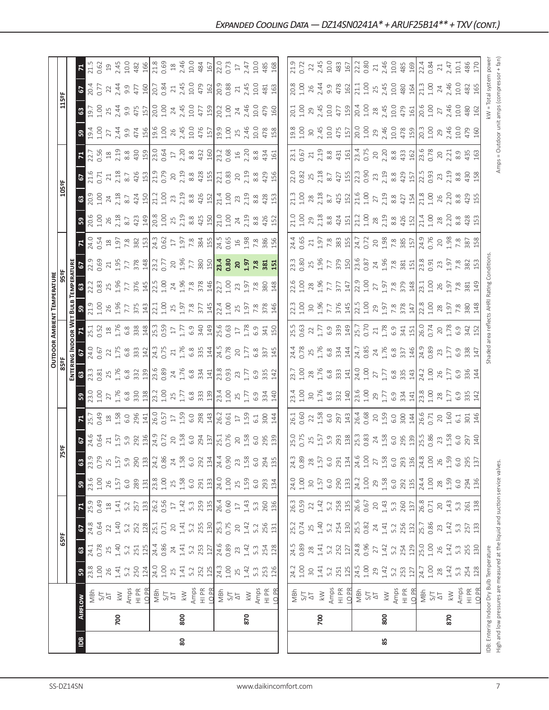|     |     |                                                                               |                                                                                                                                                                                                                                                                                                                                                   |                                                                                                                                                                                                                                                                                                                       |                                                                                                               |                                             |                                                                                                                             |                                                                                                     |                                                                                                                                                                                                                                                                                             |                                                                                                                                                                                                                                                                                                               |                                                                                                                                                                                                                                                                 |                                                                                                                                                                                                                                                                                                             |            |                                                                                                                                                                                                                                                                                                                                                                                         | OUTDOOR AMBIENT TEMPERATURE                                                                                                                                                                                                                                           |                                                                                                                                                                                                                                                                                                                                                                                                                                       |                                                                                                                                                                                                                                                                                                             |                                                                                                                                                                                                                                                                                                                       |                                                                                                                                                                                                                                 |                                                                                                                                                                                                                                                                                             |                                                                                                                                                                                                                                |                                                                                                                                                                                                                                                                                                                    |                                                                                                                                                                                                                                                                                                                                                                                               |                                                                                                                                                                        |                                                                  |                                                                                                                                                                                                                                                                                                                        |
|-----|-----|-------------------------------------------------------------------------------|---------------------------------------------------------------------------------------------------------------------------------------------------------------------------------------------------------------------------------------------------------------------------------------------------------------------------------------------------|-----------------------------------------------------------------------------------------------------------------------------------------------------------------------------------------------------------------------------------------------------------------------------------------------------------------------|---------------------------------------------------------------------------------------------------------------|---------------------------------------------|-----------------------------------------------------------------------------------------------------------------------------|-----------------------------------------------------------------------------------------------------|---------------------------------------------------------------------------------------------------------------------------------------------------------------------------------------------------------------------------------------------------------------------------------------------|---------------------------------------------------------------------------------------------------------------------------------------------------------------------------------------------------------------------------------------------------------------------------------------------------------------|-----------------------------------------------------------------------------------------------------------------------------------------------------------------------------------------------------------------------------------------------------------------|-------------------------------------------------------------------------------------------------------------------------------------------------------------------------------------------------------------------------------------------------------------------------------------------------------------|------------|-----------------------------------------------------------------------------------------------------------------------------------------------------------------------------------------------------------------------------------------------------------------------------------------------------------------------------------------------------------------------------------------|-----------------------------------------------------------------------------------------------------------------------------------------------------------------------------------------------------------------------------------------------------------------------|---------------------------------------------------------------------------------------------------------------------------------------------------------------------------------------------------------------------------------------------------------------------------------------------------------------------------------------------------------------------------------------------------------------------------------------|-------------------------------------------------------------------------------------------------------------------------------------------------------------------------------------------------------------------------------------------------------------------------------------------------------------|-----------------------------------------------------------------------------------------------------------------------------------------------------------------------------------------------------------------------------------------------------------------------------------------------------------------------|---------------------------------------------------------------------------------------------------------------------------------------------------------------------------------------------------------------------------------|---------------------------------------------------------------------------------------------------------------------------------------------------------------------------------------------------------------------------------------------------------------------------------------------|--------------------------------------------------------------------------------------------------------------------------------------------------------------------------------------------------------------------------------|--------------------------------------------------------------------------------------------------------------------------------------------------------------------------------------------------------------------------------------------------------------------------------------------------------------------|-----------------------------------------------------------------------------------------------------------------------------------------------------------------------------------------------------------------------------------------------------------------------------------------------------------------------------------------------------------------------------------------------|------------------------------------------------------------------------------------------------------------------------------------------------------------------------|------------------------------------------------------------------|------------------------------------------------------------------------------------------------------------------------------------------------------------------------------------------------------------------------------------------------------------------------------------------------------------------------|
|     |     |                                                                               |                                                                                                                                                                                                                                                                                                                                                   | 65°F                                                                                                                                                                                                                                                                                                                  |                                                                                                               |                                             |                                                                                                                             |                                                                                                     | 읈                                                                                                                                                                                                                                                                                           |                                                                                                                                                                                                                                                                                                               |                                                                                                                                                                                                                                                                 |                                                                                                                                                                                                                                                                                                             |            |                                                                                                                                                                                                                                                                                                                                                                                         |                                                                                                                                                                                                                                                                       |                                                                                                                                                                                                                                                                                                                                                                                                                                       |                                                                                                                                                                                                                                                                                                             |                                                                                                                                                                                                                                                                                                                       |                                                                                                                                                                                                                                 | 105°F                                                                                                                                                                                                                                                                                       |                                                                                                                                                                                                                                |                                                                                                                                                                                                                                                                                                                    |                                                                                                                                                                                                                                                                                                                                                                                               | 115°F                                                                                                                                                                  |                                                                  |                                                                                                                                                                                                                                                                                                                        |
|     |     |                                                                               |                                                                                                                                                                                                                                                                                                                                                   |                                                                                                                                                                                                                                                                                                                       |                                                                                                               |                                             |                                                                                                                             |                                                                                                     |                                                                                                                                                                                                                                                                                             |                                                                                                                                                                                                                                                                                                               |                                                                                                                                                                                                                                                                 | Enteri                                                                                                                                                                                                                                                                                                      | as Ivo     | OOR W                                                                                                                                                                                                                                                                                                                                                                                   | BULB                                                                                                                                                                                                                                                                  |                                                                                                                                                                                                                                                                                                                                                                                                                                       |                                                                                                                                                                                                                                                                                                             |                                                                                                                                                                                                                                                                                                                       |                                                                                                                                                                                                                                 |                                                                                                                                                                                                                                                                                             |                                                                                                                                                                                                                                |                                                                                                                                                                                                                                                                                                                    |                                                                                                                                                                                                                                                                                                                                                                                               |                                                                                                                                                                        |                                                                  |                                                                                                                                                                                                                                                                                                                        |
| Bal |     | <b>AIRFLOW</b>                                                                |                                                                                                                                                                                                                                                                                                                                                   |                                                                                                                                                                                                                                                                                                                       |                                                                                                               |                                             |                                                                                                                             | $\bullet$                                                                                           |                                                                                                                                                                                                                                                                                             |                                                                                                                                                                                                                                                                                                               |                                                                                                                                                                                                                                                                 |                                                                                                                                                                                                                                                                                                             |            |                                                                                                                                                                                                                                                                                                                                                                                         |                                                                                                                                                                                                                                                                       |                                                                                                                                                                                                                                                                                                                                                                                                                                       |                                                                                                                                                                                                                                                                                                             |                                                                                                                                                                                                                                                                                                                       |                                                                                                                                                                                                                                 |                                                                                                                                                                                                                                                                                             |                                                                                                                                                                                                                                |                                                                                                                                                                                                                                                                                                                    |                                                                                                                                                                                                                                                                                                                                                                                               |                                                                                                                                                                        |                                                                  |                                                                                                                                                                                                                                                                                                                        |
|     |     | MBh<br>S/T<br>Amps<br>Amps<br>LD PR                                           | <b>8</b><br>23.00<br>24.1                                                                                                                                                                                                                                                                                                                         | <b>8</b><br>24.1<br>0.78                                                                                                                                                                                                                                                                                              | 67<br>24.8<br>0.64                                                                                            | $\frac{1}{25.9}$                            | <b>59</b><br>23.6                                                                                                           |                                                                                                     | $rac{67}{24.6}$                                                                                                                                                                                                                                                                             | $\frac{1}{25.7}$                                                                                                                                                                                                                                                                                              | $3\frac{3}{10}$ $3\frac{3}{10}$ $5\frac{3}{10}$ $5\frac{3}{10}$ $5\frac{3}{10}$ $5\frac{3}{10}$ $5\frac{3}{10}$ $5\frac{3}{10}$ $5\frac{3}{10}$ $5\frac{3}{10}$ $5\frac{3}{10}$ $5\frac{3}{10}$ $5\frac{3}{10}$ $5\frac{3}{10}$ $5\frac{3}{10}$ $5\frac{3}{10}$ | $3\frac{3}{2}$ $3\frac{3}{2}$ $3\frac{4}{2}$ $5\frac{6}{3}$ $3\frac{3}{2}$ $1\frac{3}{2}$ $3\frac{3}{2}$ $3\frac{4}{2}$ $1\frac{3}{2}$ $3\frac{3}{2}$ $3\frac{3}{2}$ $1\frac{3}{2}$ $3\frac{3}{2}$ $3\frac{3}{2}$ $1\frac{3}{2}$ $3\frac{3}{2}$ $3\frac{3}{2}$ $3\frac{3}{2}$ $3\frac{3}{2}$ $3\frac{3}{2}$ |            | $\frac{1}{2} \sum_{i=1}^{5} \sum_{i=1}^{5} \sum_{i=1}^{5} \sum_{i=1}^{5} \sum_{i=1}^{5} \sum_{i=1}^{5} \sum_{i=1}^{5} \sum_{i=1}^{5} \sum_{i=1}^{5} \sum_{i=1}^{5} \sum_{i=1}^{5} \sum_{i=1}^{5} \sum_{i=1}^{5} \sum_{i=1}^{5} \sum_{i=1}^{5} \sum_{i=1}^{5} \sum_{i=1}^{5} \sum_{i=1}^{5} \sum_{i=1}^{5} \sum_{i=1}^{5} \sum_{i=1}^{5} \sum_{$                                         | $3.23$ $2.8$ $3.7$ $2.7$ $3.2$ $3.2$ $3.2$ $3.2$ $3.2$ $3.2$ $3.2$ $3.2$ $3.2$ $3.2$ $3.2$ $3.2$ $3.2$ $3.2$ $3.2$ $3.2$ $3.2$ $3.2$ $3.2$ $3.2$ $3.2$ $3.2$ $3.2$ $3.2$ $3.2$ $3.2$ $3.2$ $3.2$ $3.2$ $3.2$ $3.2$ $3.2$ $3.2$                                        | $rac{3}{22.3}$                                                                                                                                                                                                                                                                                                                                                                                                                        | $52.36$<br>$2.36$<br>$51.57$<br>$2.36$<br>$2.37$<br>$2.37$<br>$2.37$<br>$2.37$<br>$2.37$<br>$2.37$<br>$2.37$<br>$2.37$<br>$2.37$<br>$2.37$<br>$2.37$<br>$2.37$                                                                                                                                              | $7.935$ $\frac{3}{2}$ $\frac{3}{2}$ $\frac{3}{2}$ $\frac{3}{2}$ $\frac{3}{2}$ $\frac{3}{2}$ $\frac{3}{2}$ $\frac{3}{2}$ $\frac{3}{2}$ $\frac{3}{2}$ $\frac{3}{2}$ $\frac{3}{2}$ $\frac{3}{2}$ $\frac{3}{2}$ $\frac{3}{2}$ $\frac{3}{2}$ $\frac{3}{2}$ $\frac{3}{2}$ $\frac{3}{2}$ $\frac{3}{2}$ $\frac{3}{2}$ $\frac$ | $3\frac{8}{50}$ $3\frac{6}{50}$ $3\frac{8}{50}$ $3\frac{3}{50}$ $3\frac{1}{50}$ $3\frac{6}{50}$ $3\frac{6}{50}$ $3\frac{6}{50}$ $3\frac{6}{50}$ $3\frac{6}{50}$ $3\frac{6}{50}$ $3\frac{6}{50}$ $3\frac{6}{50}$ $3\frac{6}{50}$ |                                                                                                                                                                                                                                                                                             | 67<br>21.6<br>0.71                                                                                                                                                                                                             | $7.7.9$ $\frac{6}{3}$ $\frac{8}{3}$ $\frac{8}{3}$ $\frac{8}{3}$ $\frac{10}{3}$ $\frac{10}{3}$ $\frac{5}{6}$ $\frac{1}{2}$ $\frac{2}{3}$ $\frac{8}{3}$ $\frac{3}{4}$ $\frac{10}{2}$ $\frac{10}{3}$ $\frac{3}{2}$ $\frac{6}{3}$ $\frac{10}{3}$ $\frac{10}{3}$ $\frac{3}{6}$ $\frac{3}{4}$ $\frac{4}{5}$ $\frac{11}{$ | $\frac{1}{2}$ and $\frac{1}{2}$ and $\frac{1}{2}$ and $\frac{1}{2}$ and $\frac{1}{2}$ and $\frac{1}{2}$ and $\frac{1}{2}$ and $\frac{1}{2}$ and $\frac{1}{2}$ and $\frac{1}{2}$ and $\frac{1}{2}$ and $\frac{1}{2}$ and $\frac{1}{2}$ and $\frac{1}{2}$ and $\frac{1}{2}$ and $\frac{1}{2}$ a                                                                                                 | $3.50$ $\frac{3.50}{3.40}$ $\frac{3.50}{3.40}$ $\frac{3.50}{3.40}$ $\frac{3.50}{3.40}$ $\frac{3.50}{3.40}$ $\frac{3.50}{3.40}$ $\frac{3.50}{3.40}$ $\frac{3.50}{3.40}$ | $rac{20}{204}$                                                   | $\frac{71.5}{21.5}$                                                                                                                                                                                                                                                                                                    |
|     |     |                                                                               |                                                                                                                                                                                                                                                                                                                                                   |                                                                                                                                                                                                                                                                                                                       |                                                                                                               |                                             |                                                                                                                             | 0.79                                                                                                |                                                                                                                                                                                                                                                                                             |                                                                                                                                                                                                                                                                                                               |                                                                                                                                                                                                                                                                 |                                                                                                                                                                                                                                                                                                             |            |                                                                                                                                                                                                                                                                                                                                                                                         |                                                                                                                                                                                                                                                                       |                                                                                                                                                                                                                                                                                                                                                                                                                                       |                                                                                                                                                                                                                                                                                                             |                                                                                                                                                                                                                                                                                                                       |                                                                                                                                                                                                                                 |                                                                                                                                                                                                                                                                                             |                                                                                                                                                                                                                                |                                                                                                                                                                                                                                                                                                                    |                                                                                                                                                                                                                                                                                                                                                                                               |                                                                                                                                                                        |                                                                  |                                                                                                                                                                                                                                                                                                                        |
|     | 700 |                                                                               |                                                                                                                                                                                                                                                                                                                                                   | $7.4$ $\frac{3}{2}$ $\frac{3}{2}$ $\frac{1}{2}$ $\frac{4}{4}$ $\frac{3}{2}$ $\frac{4}{2}$ $\frac{3}{2}$ $\frac{4}{4}$ $\frac{7}{2}$ $\frac{3}{2}$ $\frac{1}{2}$ $\frac{1}{4}$ $\frac{3}{2}$ $\frac{3}{2}$ $\frac{1}{2}$ $\frac{4}{2}$ $\frac{3}{2}$ $\frac{3}{2}$ $\frac{3}{2}$ $\frac{1}{2}$ $\frac{4}{2}$ $\frac{3$ | $\begin{array}{c} 22 \\ 1.40 \\ 5.2 \\ 252 \\ 28 \\ 1.1 \\ 0.71 \\ \end{array}$                               | $1.41$ $\,$                                 | 1.57<br>26                                                                                                                  | 1.57<br>25                                                                                          | $\begin{array}{c} 1.5538 \\ 1.53384 \\ 1.54524 \\ 1.5563 \\ 1.5672 \\ 1.5722 \\ 1.5723 \\ 1.5723 \\ 1.5723 \\ 1.5723 \\ 1.5723 \\ 1.5723 \\ 1.5723 \\ 1.5723 \\ 1.5723 \\ 1.5723 \\ 1.5723 \\ 1.5723 \\ 1.5723 \\ 1.5723 \\ 1.5723 \\ 1.5723 \\ 1.5723 \\ 1.5723 \\ 1.5723 \\ 1.5723 \\ 1.$ |                                                                                                                                                                                                                                                                                                               |                                                                                                                                                                                                                                                                 |                                                                                                                                                                                                                                                                                                             |            |                                                                                                                                                                                                                                                                                                                                                                                         |                                                                                                                                                                                                                                                                       |                                                                                                                                                                                                                                                                                                                                                                                                                                       |                                                                                                                                                                                                                                                                                                             |                                                                                                                                                                                                                                                                                                                       |                                                                                                                                                                                                                                 |                                                                                                                                                                                                                                                                                             | $\begin{array}{c} 11.51 & 0.000 & 0.000 & 0.000 \\ 0.000 & 0.000 & 0.000 & 0.000 \\ 0.000 & 0.000 & 0.000 & 0.000 \\ 0.000 & 0.000 & 0.000 & 0.000 \\ 0.000 & 0.000 & 0.000 & 0.000 \\ \end{array}$                            |                                                                                                                                                                                                                                                                                                                    |                                                                                                                                                                                                                                                                                                                                                                                               |                                                                                                                                                                        | 22                                                               | $\begin{array}{c}\n 19.733 \\  14.503 \\  15.603 \\  15.603 \\  15.603 \\  15.603 \\  15.603 \\  15.603 \\  15.603 \\  15.603 \\  15.603 \\  15.603 \\  15.603 \\  15.603 \\  15.603 \\  15.603 \\  15.603 \\  15.603 \\  15.603 \\  15.603 \\  15.603 \\  15.603 \\  15.603 \\  15.603 \\  15.603 \\  15.603 \\  15.$ |
|     |     |                                                                               |                                                                                                                                                                                                                                                                                                                                                   |                                                                                                                                                                                                                                                                                                                       |                                                                                                               |                                             |                                                                                                                             |                                                                                                     |                                                                                                                                                                                                                                                                                             |                                                                                                                                                                                                                                                                                                               |                                                                                                                                                                                                                                                                 |                                                                                                                                                                                                                                                                                                             |            |                                                                                                                                                                                                                                                                                                                                                                                         |                                                                                                                                                                                                                                                                       |                                                                                                                                                                                                                                                                                                                                                                                                                                       |                                                                                                                                                                                                                                                                                                             |                                                                                                                                                                                                                                                                                                                       |                                                                                                                                                                                                                                 |                                                                                                                                                                                                                                                                                             |                                                                                                                                                                                                                                |                                                                                                                                                                                                                                                                                                                    |                                                                                                                                                                                                                                                                                                                                                                                               |                                                                                                                                                                        | $2.44$<br>9.9                                                    |                                                                                                                                                                                                                                                                                                                        |
|     |     |                                                                               | $\begin{array}{c}\n 1.53 \\  1.53 \\  1.53 \\  1.53 \\  1.53 \\  1.53 \\  1.53 \\  1.53 \\  1.53 \\  1.53 \\  1.53 \\  1.53 \\  1.53 \\  1.53 \\  1.53 \\  1.53 \\  1.53 \\  1.53 \\  1.53 \\  1.53 \\  1.53 \\  1.53 \\  1.53 \\  1.53 \\  1.53 \\  1.53 \\  1.53 \\  1.53 \\  1.53 \\  1.53 \\  1.53 \\  1.53 \\  1.53 \\  1.53 \\  1.53 \\  1$ |                                                                                                                                                                                                                                                                                                                       |                                                                                                               | 5.2<br>257<br>133<br>26.2                   | $rac{6.0}{289}$ $rac{31}{21}$ $rac{8}{21}$ $rac{6}{21}$ $rac{6}{21}$                                                        | $5.9$ 0 $290$ $13$                                                                                  |                                                                                                                                                                                                                                                                                             |                                                                                                                                                                                                                                                                                                               |                                                                                                                                                                                                                                                                 |                                                                                                                                                                                                                                                                                                             |            |                                                                                                                                                                                                                                                                                                                                                                                         |                                                                                                                                                                                                                                                                       |                                                                                                                                                                                                                                                                                                                                                                                                                                       |                                                                                                                                                                                                                                                                                                             |                                                                                                                                                                                                                                                                                                                       |                                                                                                                                                                                                                                 |                                                                                                                                                                                                                                                                                             |                                                                                                                                                                                                                                |                                                                                                                                                                                                                                                                                                                    |                                                                                                                                                                                                                                                                                                                                                                                               |                                                                                                                                                                        | 477                                                              |                                                                                                                                                                                                                                                                                                                        |
|     |     |                                                                               |                                                                                                                                                                                                                                                                                                                                                   |                                                                                                                                                                                                                                                                                                                       |                                                                                                               |                                             |                                                                                                                             |                                                                                                     |                                                                                                                                                                                                                                                                                             |                                                                                                                                                                                                                                                                                                               |                                                                                                                                                                                                                                                                 |                                                                                                                                                                                                                                                                                                             |            |                                                                                                                                                                                                                                                                                                                                                                                         |                                                                                                                                                                                                                                                                       |                                                                                                                                                                                                                                                                                                                                                                                                                                       |                                                                                                                                                                                                                                                                                                             |                                                                                                                                                                                                                                                                                                                       |                                                                                                                                                                                                                                 |                                                                                                                                                                                                                                                                                             |                                                                                                                                                                                                                                |                                                                                                                                                                                                                                                                                                                    |                                                                                                                                                                                                                                                                                                                                                                                               |                                                                                                                                                                        | 160                                                              |                                                                                                                                                                                                                                                                                                                        |
|     |     |                                                                               |                                                                                                                                                                                                                                                                                                                                                   |                                                                                                                                                                                                                                                                                                                       |                                                                                                               |                                             |                                                                                                                             | 24.2<br>0.86                                                                                        |                                                                                                                                                                                                                                                                                             |                                                                                                                                                                                                                                                                                                               |                                                                                                                                                                                                                                                                 |                                                                                                                                                                                                                                                                                                             |            |                                                                                                                                                                                                                                                                                                                                                                                         |                                                                                                                                                                                                                                                                       |                                                                                                                                                                                                                                                                                                                                                                                                                                       |                                                                                                                                                                                                                                                                                                             |                                                                                                                                                                                                                                                                                                                       |                                                                                                                                                                                                                                 |                                                                                                                                                                                                                                                                                             |                                                                                                                                                                                                                                |                                                                                                                                                                                                                                                                                                                    |                                                                                                                                                                                                                                                                                                                                                                                               |                                                                                                                                                                        | 20.7                                                             |                                                                                                                                                                                                                                                                                                                        |
|     |     | MBh<br>S/T<br>Amps<br>Ampr<br>H PR<br>D<br>B                                  |                                                                                                                                                                                                                                                                                                                                                   |                                                                                                                                                                                                                                                                                                                       |                                                                                                               |                                             |                                                                                                                             |                                                                                                     |                                                                                                                                                                                                                                                                                             |                                                                                                                                                                                                                                                                                                               |                                                                                                                                                                                                                                                                 |                                                                                                                                                                                                                                                                                                             |            |                                                                                                                                                                                                                                                                                                                                                                                         |                                                                                                                                                                                                                                                                       |                                                                                                                                                                                                                                                                                                                                                                                                                                       |                                                                                                                                                                                                                                                                                                             |                                                                                                                                                                                                                                                                                                                       |                                                                                                                                                                                                                                 |                                                                                                                                                                                                                                                                                             |                                                                                                                                                                                                                                |                                                                                                                                                                                                                                                                                                                    |                                                                                                                                                                                                                                                                                                                                                                                               |                                                                                                                                                                        | 0.84                                                             |                                                                                                                                                                                                                                                                                                                        |
|     |     |                                                                               |                                                                                                                                                                                                                                                                                                                                                   |                                                                                                                                                                                                                                                                                                                       |                                                                                                               | $17\,$                                      |                                                                                                                             | 24                                                                                                  |                                                                                                                                                                                                                                                                                             |                                                                                                                                                                                                                                                                                                               |                                                                                                                                                                                                                                                                 |                                                                                                                                                                                                                                                                                                             |            |                                                                                                                                                                                                                                                                                                                                                                                         |                                                                                                                                                                                                                                                                       |                                                                                                                                                                                                                                                                                                                                                                                                                                       |                                                                                                                                                                                                                                                                                                             |                                                                                                                                                                                                                                                                                                                       |                                                                                                                                                                                                                                 |                                                                                                                                                                                                                                                                                             |                                                                                                                                                                                                                                |                                                                                                                                                                                                                                                                                                                    |                                                                                                                                                                                                                                                                                                                                                                                               |                                                                                                                                                                        |                                                                  |                                                                                                                                                                                                                                                                                                                        |
| 80  | 800 |                                                                               |                                                                                                                                                                                                                                                                                                                                                   |                                                                                                                                                                                                                                                                                                                       | $20$<br>1.41<br>5.2                                                                                           | $1.42$<br>5.3                               | 1.58                                                                                                                        | $1.58$<br>6.0                                                                                       |                                                                                                                                                                                                                                                                                             |                                                                                                                                                                                                                                                                                                               |                                                                                                                                                                                                                                                                 |                                                                                                                                                                                                                                                                                                             |            |                                                                                                                                                                                                                                                                                                                                                                                         |                                                                                                                                                                                                                                                                       |                                                                                                                                                                                                                                                                                                                                                                                                                                       |                                                                                                                                                                                                                                                                                                             |                                                                                                                                                                                                                                                                                                                       |                                                                                                                                                                                                                                 |                                                                                                                                                                                                                                                                                             |                                                                                                                                                                                                                                |                                                                                                                                                                                                                                                                                                                    |                                                                                                                                                                                                                                                                                                                                                                                               |                                                                                                                                                                        |                                                                  |                                                                                                                                                                                                                                                                                                                        |
|     |     |                                                                               |                                                                                                                                                                                                                                                                                                                                                   |                                                                                                                                                                                                                                                                                                                       |                                                                                                               |                                             | 6.0                                                                                                                         |                                                                                                     |                                                                                                                                                                                                                                                                                             |                                                                                                                                                                                                                                                                                                               |                                                                                                                                                                                                                                                                 |                                                                                                                                                                                                                                                                                                             |            |                                                                                                                                                                                                                                                                                                                                                                                         |                                                                                                                                                                                                                                                                       |                                                                                                                                                                                                                                                                                                                                                                                                                                       |                                                                                                                                                                                                                                                                                                             |                                                                                                                                                                                                                                                                                                                       |                                                                                                                                                                                                                                 |                                                                                                                                                                                                                                                                                             |                                                                                                                                                                                                                                |                                                                                                                                                                                                                                                                                                                    |                                                                                                                                                                                                                                                                                                                                                                                               |                                                                                                                                                                        |                                                                  |                                                                                                                                                                                                                                                                                                                        |
|     |     |                                                                               |                                                                                                                                                                                                                                                                                                                                                   |                                                                                                                                                                                                                                                                                                                       |                                                                                                               |                                             | $\frac{291}{13}$                                                                                                            | 292                                                                                                 |                                                                                                                                                                                                                                                                                             |                                                                                                                                                                                                                                                                                                               |                                                                                                                                                                                                                                                                 |                                                                                                                                                                                                                                                                                                             |            |                                                                                                                                                                                                                                                                                                                                                                                         |                                                                                                                                                                                                                                                                       |                                                                                                                                                                                                                                                                                                                                                                                                                                       |                                                                                                                                                                                                                                                                                                             |                                                                                                                                                                                                                                                                                                                       |                                                                                                                                                                                                                                 |                                                                                                                                                                                                                                                                                             |                                                                                                                                                                                                                                |                                                                                                                                                                                                                                                                                                                    |                                                                                                                                                                                                                                                                                                                                                                                               |                                                                                                                                                                        |                                                                  |                                                                                                                                                                                                                                                                                                                        |
|     |     |                                                                               |                                                                                                                                                                                                                                                                                                                                                   |                                                                                                                                                                                                                                                                                                                       |                                                                                                               |                                             |                                                                                                                             |                                                                                                     |                                                                                                                                                                                                                                                                                             |                                                                                                                                                                                                                                                                                                               |                                                                                                                                                                                                                                                                 |                                                                                                                                                                                                                                                                                                             |            |                                                                                                                                                                                                                                                                                                                                                                                         |                                                                                                                                                                                                                                                                       |                                                                                                                                                                                                                                                                                                                                                                                                                                       |                                                                                                                                                                                                                                                                                                             |                                                                                                                                                                                                                                                                                                                       |                                                                                                                                                                                                                                 |                                                                                                                                                                                                                                                                                             |                                                                                                                                                                                                                                |                                                                                                                                                                                                                                                                                                                    |                                                                                                                                                                                                                                                                                                                                                                                               |                                                                                                                                                                        |                                                                  |                                                                                                                                                                                                                                                                                                                        |
|     |     |                                                                               |                                                                                                                                                                                                                                                                                                                                                   |                                                                                                                                                                                                                                                                                                                       | $\frac{255}{130}$<br>$\frac{130}{25.3}$                                                                       | 259<br>254<br>26.60                         | 24.0                                                                                                                        |                                                                                                     |                                                                                                                                                                                                                                                                                             |                                                                                                                                                                                                                                                                                                               |                                                                                                                                                                                                                                                                 |                                                                                                                                                                                                                                                                                                             |            |                                                                                                                                                                                                                                                                                                                                                                                         |                                                                                                                                                                                                                                                                       |                                                                                                                                                                                                                                                                                                                                                                                                                                       |                                                                                                                                                                                                                                                                                                             |                                                                                                                                                                                                                                                                                                                       |                                                                                                                                                                                                                                 |                                                                                                                                                                                                                                                                                             |                                                                                                                                                                                                                                |                                                                                                                                                                                                                                                                                                                    |                                                                                                                                                                                                                                                                                                                                                                                               |                                                                                                                                                                        | $71.45$<br>$2.45$<br>$479$<br>$49$<br>$100$<br>$20.88$<br>$0.88$ |                                                                                                                                                                                                                                                                                                                        |
|     |     | $\frac{1}{2}$<br>$\frac{1}{2}$                                                |                                                                                                                                                                                                                                                                                                                                                   |                                                                                                                                                                                                                                                                                                                       |                                                                                                               |                                             | 1.00                                                                                                                        | $6.90$<br>0.90                                                                                      |                                                                                                                                                                                                                                                                                             |                                                                                                                                                                                                                                                                                                               |                                                                                                                                                                                                                                                                 |                                                                                                                                                                                                                                                                                                             |            |                                                                                                                                                                                                                                                                                                                                                                                         |                                                                                                                                                                                                                                                                       |                                                                                                                                                                                                                                                                                                                                                                                                                                       |                                                                                                                                                                                                                                                                                                             |                                                                                                                                                                                                                                                                                                                       |                                                                                                                                                                                                                                 |                                                                                                                                                                                                                                                                                             |                                                                                                                                                                                                                                |                                                                                                                                                                                                                                                                                                                    |                                                                                                                                                                                                                                                                                                                                                                                               |                                                                                                                                                                        |                                                                  |                                                                                                                                                                                                                                                                                                                        |
|     |     |                                                                               |                                                                                                                                                                                                                                                                                                                                                   |                                                                                                                                                                                                                                                                                                                       | $20$                                                                                                          | $\Gamma$                                    | 25                                                                                                                          |                                                                                                     |                                                                                                                                                                                                                                                                                             |                                                                                                                                                                                                                                                                                                               |                                                                                                                                                                                                                                                                 |                                                                                                                                                                                                                                                                                                             |            |                                                                                                                                                                                                                                                                                                                                                                                         |                                                                                                                                                                                                                                                                       |                                                                                                                                                                                                                                                                                                                                                                                                                                       |                                                                                                                                                                                                                                                                                                             |                                                                                                                                                                                                                                                                                                                       |                                                                                                                                                                                                                                 |                                                                                                                                                                                                                                                                                             |                                                                                                                                                                                                                                |                                                                                                                                                                                                                                                                                                                    |                                                                                                                                                                                                                                                                                                                                                                                               |                                                                                                                                                                        |                                                                  |                                                                                                                                                                                                                                                                                                                        |
|     | 870 | $\lesssim$                                                                    | $25$<br>1.42                                                                                                                                                                                                                                                                                                                                      | $23$<br>1.42                                                                                                                                                                                                                                                                                                          | 1.42                                                                                                          | 1.43                                        | 1.59                                                                                                                        | $23$<br>$1.58$<br>$6.0$                                                                             |                                                                                                                                                                                                                                                                                             |                                                                                                                                                                                                                                                                                                               |                                                                                                                                                                                                                                                                 |                                                                                                                                                                                                                                                                                                             |            |                                                                                                                                                                                                                                                                                                                                                                                         |                                                                                                                                                                                                                                                                       |                                                                                                                                                                                                                                                                                                                                                                                                                                       | 29,885                                                                                                                                                                                                                                                                                                      |                                                                                                                                                                                                                                                                                                                       |                                                                                                                                                                                                                                 |                                                                                                                                                                                                                                                                                             |                                                                                                                                                                                                                                |                                                                                                                                                                                                                                                                                                                    |                                                                                                                                                                                                                                                                                                                                                                                               | $24$<br>2.46                                                                                                                                                           | $7\frac{45}{100}$ $64\frac{5}{100}$                              |                                                                                                                                                                                                                                                                                                                        |
|     |     |                                                                               |                                                                                                                                                                                                                                                                                                                                                   | 5.3                                                                                                                                                                                                                                                                                                                   | 5.2                                                                                                           | 5.3                                         | 6.0                                                                                                                         |                                                                                                     |                                                                                                                                                                                                                                                                                             |                                                                                                                                                                                                                                                                                                               |                                                                                                                                                                                                                                                                 |                                                                                                                                                                                                                                                                                                             |            |                                                                                                                                                                                                                                                                                                                                                                                         |                                                                                                                                                                                                                                                                       |                                                                                                                                                                                                                                                                                                                                                                                                                                       |                                                                                                                                                                                                                                                                                                             |                                                                                                                                                                                                                                                                                                                       |                                                                                                                                                                                                                                 |                                                                                                                                                                                                                                                                                             |                                                                                                                                                                                                                                |                                                                                                                                                                                                                                                                                                                    |                                                                                                                                                                                                                                                                                                                                                                                               |                                                                                                                                                                        |                                                                  |                                                                                                                                                                                                                                                                                                                        |
|     |     | Amps<br>HI PR<br>LO PR                                                        | 5.3<br>253<br>126                                                                                                                                                                                                                                                                                                                                 |                                                                                                                                                                                                                                                                                                                       |                                                                                                               |                                             |                                                                                                                             |                                                                                                     |                                                                                                                                                                                                                                                                                             | 300                                                                                                                                                                                                                                                                                                           |                                                                                                                                                                                                                                                                 |                                                                                                                                                                                                                                                                                                             |            |                                                                                                                                                                                                                                                                                                                                                                                         |                                                                                                                                                                                                                                                                       |                                                                                                                                                                                                                                                                                                                                                                                                                                       |                                                                                                                                                                                                                                                                                                             |                                                                                                                                                                                                                                                                                                                       |                                                                                                                                                                                                                                 |                                                                                                                                                                                                                                                                                             |                                                                                                                                                                                                                                |                                                                                                                                                                                                                                                                                                                    |                                                                                                                                                                                                                                                                                                                                                                                               |                                                                                                                                                                        |                                                                  | 10.0<br>485<br>168                                                                                                                                                                                                                                                                                                     |
|     |     |                                                                               |                                                                                                                                                                                                                                                                                                                                                   | 254<br>128                                                                                                                                                                                                                                                                                                            | 256<br>131                                                                                                    | 260<br>136                                  | 293<br>134                                                                                                                  | 294<br>135                                                                                          |                                                                                                                                                                                                                                                                                             | $\frac{14}{4}$                                                                                                                                                                                                                                                                                                | 140                                                                                                                                                                                                                                                             | 142                                                                                                                                                                                                                                                                                                         | 145        |                                                                                                                                                                                                                                                                                                                                                                                         |                                                                                                                                                                                                                                                                       |                                                                                                                                                                                                                                                                                                                                                                                                                                       |                                                                                                                                                                                                                                                                                                             |                                                                                                                                                                                                                                                                                                                       |                                                                                                                                                                                                                                 |                                                                                                                                                                                                                                                                                             |                                                                                                                                                                                                                                |                                                                                                                                                                                                                                                                                                                    | 158                                                                                                                                                                                                                                                                                                                                                                                           | 150                                                                                                                                                                    |                                                                  |                                                                                                                                                                                                                                                                                                                        |
|     |     |                                                                               |                                                                                                                                                                                                                                                                                                                                                   |                                                                                                                                                                                                                                                                                                                       |                                                                                                               |                                             |                                                                                                                             |                                                                                                     |                                                                                                                                                                                                                                                                                             |                                                                                                                                                                                                                                                                                                               |                                                                                                                                                                                                                                                                 |                                                                                                                                                                                                                                                                                                             |            |                                                                                                                                                                                                                                                                                                                                                                                         |                                                                                                                                                                                                                                                                       |                                                                                                                                                                                                                                                                                                                                                                                                                                       |                                                                                                                                                                                                                                                                                                             |                                                                                                                                                                                                                                                                                                                       |                                                                                                                                                                                                                                 |                                                                                                                                                                                                                                                                                             |                                                                                                                                                                                                                                |                                                                                                                                                                                                                                                                                                                    |                                                                                                                                                                                                                                                                                                                                                                                               |                                                                                                                                                                        |                                                                  |                                                                                                                                                                                                                                                                                                                        |
|     |     |                                                                               |                                                                                                                                                                                                                                                                                                                                                   |                                                                                                                                                                                                                                                                                                                       |                                                                                                               |                                             |                                                                                                                             |                                                                                                     |                                                                                                                                                                                                                                                                                             |                                                                                                                                                                                                                                                                                                               |                                                                                                                                                                                                                                                                 |                                                                                                                                                                                                                                                                                                             |            |                                                                                                                                                                                                                                                                                                                                                                                         |                                                                                                                                                                                                                                                                       |                                                                                                                                                                                                                                                                                                                                                                                                                                       |                                                                                                                                                                                                                                                                                                             |                                                                                                                                                                                                                                                                                                                       |                                                                                                                                                                                                                                 |                                                                                                                                                                                                                                                                                             |                                                                                                                                                                                                                                |                                                                                                                                                                                                                                                                                                                    |                                                                                                                                                                                                                                                                                                                                                                                               |                                                                                                                                                                        |                                                                  |                                                                                                                                                                                                                                                                                                                        |
|     |     |                                                                               |                                                                                                                                                                                                                                                                                                                                                   | 24.5<br>0.89                                                                                                                                                                                                                                                                                                          | 25.2<br>0.74                                                                                                  | 26.3<br>0.59                                | 24.0<br>1.00                                                                                                                | 24.3<br>0.89                                                                                        |                                                                                                                                                                                                                                                                                             |                                                                                                                                                                                                                                                                                                               |                                                                                                                                                                                                                                                                 |                                                                                                                                                                                                                                                                                                             |            |                                                                                                                                                                                                                                                                                                                                                                                         |                                                                                                                                                                                                                                                                       |                                                                                                                                                                                                                                                                                                                                                                                                                                       |                                                                                                                                                                                                                                                                                                             |                                                                                                                                                                                                                                                                                                                       |                                                                                                                                                                                                                                 |                                                                                                                                                                                                                                                                                             |                                                                                                                                                                                                                                |                                                                                                                                                                                                                                                                                                                    |                                                                                                                                                                                                                                                                                                                                                                                               |                                                                                                                                                                        |                                                                  |                                                                                                                                                                                                                                                                                                                        |
|     |     | $\frac{5}{8}$ $\frac{24}{8}$                                                  |                                                                                                                                                                                                                                                                                                                                                   |                                                                                                                                                                                                                                                                                                                       |                                                                                                               |                                             |                                                                                                                             |                                                                                                     |                                                                                                                                                                                                                                                                                             |                                                                                                                                                                                                                                                                                                               |                                                                                                                                                                                                                                                                 |                                                                                                                                                                                                                                                                                                             |            |                                                                                                                                                                                                                                                                                                                                                                                         |                                                                                                                                                                                                                                                                       |                                                                                                                                                                                                                                                                                                                                                                                                                                       |                                                                                                                                                                                                                                                                                                             |                                                                                                                                                                                                                                                                                                                       |                                                                                                                                                                                                                                 |                                                                                                                                                                                                                                                                                             |                                                                                                                                                                                                                                |                                                                                                                                                                                                                                                                                                                    |                                                                                                                                                                                                                                                                                                                                                                                               |                                                                                                                                                                        |                                                                  |                                                                                                                                                                                                                                                                                                                        |
|     | 700 |                                                                               |                                                                                                                                                                                                                                                                                                                                                   |                                                                                                                                                                                                                                                                                                                       |                                                                                                               |                                             |                                                                                                                             |                                                                                                     |                                                                                                                                                                                                                                                                                             |                                                                                                                                                                                                                                                                                                               |                                                                                                                                                                                                                                                                 |                                                                                                                                                                                                                                                                                                             |            |                                                                                                                                                                                                                                                                                                                                                                                         |                                                                                                                                                                                                                                                                       |                                                                                                                                                                                                                                                                                                                                                                                                                                       |                                                                                                                                                                                                                                                                                                             |                                                                                                                                                                                                                                                                                                                       |                                                                                                                                                                                                                                 |                                                                                                                                                                                                                                                                                             |                                                                                                                                                                                                                                |                                                                                                                                                                                                                                                                                                                    |                                                                                                                                                                                                                                                                                                                                                                                               |                                                                                                                                                                        |                                                                  |                                                                                                                                                                                                                                                                                                                        |
|     |     |                                                                               |                                                                                                                                                                                                                                                                                                                                                   |                                                                                                                                                                                                                                                                                                                       |                                                                                                               |                                             | $\begin{array}{c} 30 \\ 1.57 \\ 6.0 \\ 290 \\ 133 \end{array}$                                                              | $28$<br>$1.50$<br>$6.0$<br>$291$<br>$134$                                                           |                                                                                                                                                                                                                                                                                             |                                                                                                                                                                                                                                                                                                               |                                                                                                                                                                                                                                                                 |                                                                                                                                                                                                                                                                                                             |            |                                                                                                                                                                                                                                                                                                                                                                                         |                                                                                                                                                                                                                                                                       |                                                                                                                                                                                                                                                                                                                                                                                                                                       |                                                                                                                                                                                                                                                                                                             |                                                                                                                                                                                                                                                                                                                       |                                                                                                                                                                                                                                 |                                                                                                                                                                                                                                                                                             |                                                                                                                                                                                                                                |                                                                                                                                                                                                                                                                                                                    |                                                                                                                                                                                                                                                                                                                                                                                               |                                                                                                                                                                        |                                                                  |                                                                                                                                                                                                                                                                                                                        |
|     |     |                                                                               |                                                                                                                                                                                                                                                                                                                                                   |                                                                                                                                                                                                                                                                                                                       |                                                                                                               |                                             |                                                                                                                             |                                                                                                     |                                                                                                                                                                                                                                                                                             |                                                                                                                                                                                                                                                                                                               |                                                                                                                                                                                                                                                                 |                                                                                                                                                                                                                                                                                                             |            |                                                                                                                                                                                                                                                                                                                                                                                         |                                                                                                                                                                                                                                                                       |                                                                                                                                                                                                                                                                                                                                                                                                                                       |                                                                                                                                                                                                                                                                                                             |                                                                                                                                                                                                                                                                                                                       |                                                                                                                                                                                                                                 |                                                                                                                                                                                                                                                                                             |                                                                                                                                                                                                                                |                                                                                                                                                                                                                                                                                                                    |                                                                                                                                                                                                                                                                                                                                                                                               |                                                                                                                                                                        |                                                                  |                                                                                                                                                                                                                                                                                                                        |
|     |     |                                                                               |                                                                                                                                                                                                                                                                                                                                                   | $28$<br>$1.41$<br>$5.2$<br>$21$                                                                                                                                                                                                                                                                                       | $25$<br>$1.40$<br>$5.2$<br>$7.50$<br>$1.80$                                                                   | $22$ $1.42$ $5.2$ $89$ $1.5$                |                                                                                                                             |                                                                                                     |                                                                                                                                                                                                                                                                                             |                                                                                                                                                                                                                                                                                                               |                                                                                                                                                                                                                                                                 |                                                                                                                                                                                                                                                                                                             |            |                                                                                                                                                                                                                                                                                                                                                                                         |                                                                                                                                                                                                                                                                       |                                                                                                                                                                                                                                                                                                                                                                                                                                       |                                                                                                                                                                                                                                                                                                             |                                                                                                                                                                                                                                                                                                                       |                                                                                                                                                                                                                                 |                                                                                                                                                                                                                                                                                             |                                                                                                                                                                                                                                |                                                                                                                                                                                                                                                                                                                    |                                                                                                                                                                                                                                                                                                                                                                                               | 20.100<br>20.45<br>20.45<br>20.27                                                                                                                                      | $20.8$<br>$2.4$<br>$2.4$<br>$9.8$<br>$4\frac{10}{2}$             |                                                                                                                                                                                                                                                                                                                        |
|     |     |                                                                               |                                                                                                                                                                                                                                                                                                                                                   |                                                                                                                                                                                                                                                                                                                       | 25.5<br>0.82                                                                                                  | 26.6<br>0.67                                | $24.2$<br>1.00                                                                                                              | $24.6$<br>1.00                                                                                      |                                                                                                                                                                                                                                                                                             |                                                                                                                                                                                                                                                                                                               |                                                                                                                                                                                                                                                                 |                                                                                                                                                                                                                                                                                                             |            |                                                                                                                                                                                                                                                                                                                                                                                         |                                                                                                                                                                                                                                                                       |                                                                                                                                                                                                                                                                                                                                                                                                                                       |                                                                                                                                                                                                                                                                                                             |                                                                                                                                                                                                                                                                                                                       |                                                                                                                                                                                                                                 |                                                                                                                                                                                                                                                                                             |                                                                                                                                                                                                                                |                                                                                                                                                                                                                                                                                                                    |                                                                                                                                                                                                                                                                                                                                                                                               |                                                                                                                                                                        |                                                                  |                                                                                                                                                                                                                                                                                                                        |
|     |     |                                                                               |                                                                                                                                                                                                                                                                                                                                                   |                                                                                                                                                                                                                                                                                                                       |                                                                                                               |                                             |                                                                                                                             |                                                                                                     |                                                                                                                                                                                                                                                                                             |                                                                                                                                                                                                                                                                                                               |                                                                                                                                                                                                                                                                 |                                                                                                                                                                                                                                                                                                             |            |                                                                                                                                                                                                                                                                                                                                                                                         |                                                                                                                                                                                                                                                                       |                                                                                                                                                                                                                                                                                                                                                                                                                                       |                                                                                                                                                                                                                                                                                                             |                                                                                                                                                                                                                                                                                                                       |                                                                                                                                                                                                                                 |                                                                                                                                                                                                                                                                                             |                                                                                                                                                                                                                                |                                                                                                                                                                                                                                                                                                                    |                                                                                                                                                                                                                                                                                                                                                                                               |                                                                                                                                                                        |                                                                  |                                                                                                                                                                                                                                                                                                                        |
|     |     |                                                                               |                                                                                                                                                                                                                                                                                                                                                   |                                                                                                                                                                                                                                                                                                                       |                                                                                                               |                                             |                                                                                                                             |                                                                                                     |                                                                                                                                                                                                                                                                                             |                                                                                                                                                                                                                                                                                                               |                                                                                                                                                                                                                                                                 |                                                                                                                                                                                                                                                                                                             |            |                                                                                                                                                                                                                                                                                                                                                                                         |                                                                                                                                                                                                                                                                       |                                                                                                                                                                                                                                                                                                                                                                                                                                       |                                                                                                                                                                                                                                                                                                             |                                                                                                                                                                                                                                                                                                                       |                                                                                                                                                                                                                                 |                                                                                                                                                                                                                                                                                             |                                                                                                                                                                                                                                |                                                                                                                                                                                                                                                                                                                    |                                                                                                                                                                                                                                                                                                                                                                                               |                                                                                                                                                                        |                                                                  |                                                                                                                                                                                                                                                                                                                        |
| 85  | 800 |                                                                               |                                                                                                                                                                                                                                                                                                                                                   |                                                                                                                                                                                                                                                                                                                       |                                                                                                               |                                             |                                                                                                                             |                                                                                                     |                                                                                                                                                                                                                                                                                             |                                                                                                                                                                                                                                                                                                               |                                                                                                                                                                                                                                                                 |                                                                                                                                                                                                                                                                                                             |            |                                                                                                                                                                                                                                                                                                                                                                                         |                                                                                                                                                                                                                                                                       |                                                                                                                                                                                                                                                                                                                                                                                                                                       |                                                                                                                                                                                                                                                                                                             |                                                                                                                                                                                                                                                                                                                       |                                                                                                                                                                                                                                 |                                                                                                                                                                                                                                                                                             |                                                                                                                                                                                                                                |                                                                                                                                                                                                                                                                                                                    |                                                                                                                                                                                                                                                                                                                                                                                               |                                                                                                                                                                        |                                                                  |                                                                                                                                                                                                                                                                                                                        |
|     |     |                                                                               |                                                                                                                                                                                                                                                                                                                                                   |                                                                                                                                                                                                                                                                                                                       |                                                                                                               |                                             |                                                                                                                             |                                                                                                     |                                                                                                                                                                                                                                                                                             |                                                                                                                                                                                                                                                                                                               |                                                                                                                                                                                                                                                                 |                                                                                                                                                                                                                                                                                                             |            |                                                                                                                                                                                                                                                                                                                                                                                         |                                                                                                                                                                                                                                                                       |                                                                                                                                                                                                                                                                                                                                                                                                                                       |                                                                                                                                                                                                                                                                                                             |                                                                                                                                                                                                                                                                                                                       |                                                                                                                                                                                                                                 |                                                                                                                                                                                                                                                                                             |                                                                                                                                                                                                                                |                                                                                                                                                                                                                                                                                                                    |                                                                                                                                                                                                                                                                                                                                                                                               |                                                                                                                                                                        |                                                                  |                                                                                                                                                                                                                                                                                                                        |
|     |     | Amps<br>HIPR<br>LOPE<br>S/T<br>Amps<br>Amps<br>Amps<br>HIPR                   |                                                                                                                                                                                                                                                                                                                                                   | $\begin{array}{c}\n 24.8 \\  0.96 \\  0.7 \\  1.4 \\  5.2 \\  7.3 \\  8.2 \\  1.0 \\  1.0 \\  1.0 \\  1.\n\end{array}$                                                                                                                                                                                                | $24$ $1.41$ $5.2$ $5.5$ $\frac{2}{12}$ $\frac{1}{25}$ $\frac{2}{5}$ $\frac{5}{6}$ $\frac{5}{6}$ $\frac{2}{6}$ | $20$<br>1.43<br>5.3<br>260<br>26.8<br>26.71 | $\begin{array}{c c}\n 29 & 58 \\  1.58 & 292 \\  \hline\n 0.01 & 34.4 \\  1.50 & 292 \\  \hline\n 1.4 & 1.00\n \end{array}$ | $\begin{array}{c c}\n77 & 58 \\ 1.58 & 0.33 \\ 6.0 & 793 \\ 136 & 74.00 \\ 1.00 & 293\n\end{array}$ |                                                                                                                                                                                                                                                                                             |                                                                                                                                                                                                                                                                                                               |                                                                                                                                                                                                                                                                 | $\begin{array}{l} 23.508\\ 21.608\\ 22.608\\ 23.709\\ 24.709\\ 25.709\\ 26.709\\ 27.709\\ 28.709\\ 29.709\\ 21.709\\ 22.709\\ 23.709\\ 24.709\\ 25.709\\ 26.709\\ 27.709\\ 28.709\\ 29.709\\ 29.709\\ 29.709\\ 29.709\\ 29.709\\ 29.709\\ 29.709\\ 29.709\\ 29.7$                                           |            |                                                                                                                                                                                                                                                                                                                                                                                         |                                                                                                                                                                                                                                                                       | $\frac{16}{21} \times \frac{16}{21} \times \frac{16}{21} \times \frac{16}{21} \times \frac{16}{21} \times \frac{16}{21} \times \frac{16}{21} \times \frac{16}{21} \times \frac{16}{21} \times \frac{16}{21} \times \frac{16}{21} \times \frac{16}{21} \times \frac{16}{21} \times \frac{16}{21} \times \frac{16}{21} \times \frac{16}{21} \times \frac{16}{21} \times \frac{16}{21} \times \frac{16}{21} \times \frac{16}{21} \times$ | $\begin{array}{l} 23.86 \\ 23.87 \\ 24.96 \\ 25.7 \\ 26.87 \\ 27.8 \\ 28.9 \\ 29.8 \\ 21.8 \\ 23.8 \\ 24.9 \\ 25.8 \\ 27.8 \\ 28.8 \\ 21.8 \\ 23.8 \\ 27.8 \\ 28.9 \\ 29.8 \\ 21.8 \\ 23.8 \\ 27.8 \\ 28.9 \\ 29.8 \\ 29.8 \\ 21.8 \\ 23.8 \\ 25.8 \\ 27.8 \\ 28.8 \\ 29.8 \\ 29.8 \\ 21.8 \\ 23.8 \\ 24.8$ | $24.4$ $25.7$ $27.8$ $28.8$ $21.7$ $22.8$ $29.8$ $21.7$ $22.8$ $29.8$ $21.7$ $22.8$ $23.7$ $24.7$ $25.7$ $26.7$ $27.8$ $28.8$ $21.7$ $22.8$ $23.8$ $24.7$ $25.7$ $26.7$ $27.8$ $28.8$ $29.8$ $21.7$ $22.8$ $23.8$ $24.7$ $25.$                                                                                        |                                                                                                                                                                                                                                 |                                                                                                                                                                                                                                                                                             |                                                                                                                                                                                                                                |                                                                                                                                                                                                                                                                                                                    |                                                                                                                                                                                                                                                                                                                                                                                               | 2018<br>2018<br>2019<br>2019<br>2019<br>2019<br>2019                                                                                                                   |                                                                  |                                                                                                                                                                                                                                                                                                                        |
|     |     |                                                                               |                                                                                                                                                                                                                                                                                                                                                   |                                                                                                                                                                                                                                                                                                                       |                                                                                                               |                                             |                                                                                                                             |                                                                                                     |                                                                                                                                                                                                                                                                                             |                                                                                                                                                                                                                                                                                                               |                                                                                                                                                                                                                                                                 |                                                                                                                                                                                                                                                                                                             |            |                                                                                                                                                                                                                                                                                                                                                                                         |                                                                                                                                                                                                                                                                       |                                                                                                                                                                                                                                                                                                                                                                                                                                       |                                                                                                                                                                                                                                                                                                             |                                                                                                                                                                                                                                                                                                                       |                                                                                                                                                                                                                                 |                                                                                                                                                                                                                                                                                             |                                                                                                                                                                                                                                |                                                                                                                                                                                                                                                                                                                    |                                                                                                                                                                                                                                                                                                                                                                                               |                                                                                                                                                                        |                                                                  |                                                                                                                                                                                                                                                                                                                        |
|     |     |                                                                               |                                                                                                                                                                                                                                                                                                                                                   |                                                                                                                                                                                                                                                                                                                       |                                                                                                               |                                             |                                                                                                                             |                                                                                                     |                                                                                                                                                                                                                                                                                             |                                                                                                                                                                                                                                                                                                               |                                                                                                                                                                                                                                                                 |                                                                                                                                                                                                                                                                                                             |            |                                                                                                                                                                                                                                                                                                                                                                                         |                                                                                                                                                                                                                                                                       |                                                                                                                                                                                                                                                                                                                                                                                                                                       |                                                                                                                                                                                                                                                                                                             |                                                                                                                                                                                                                                                                                                                       |                                                                                                                                                                                                                                 |                                                                                                                                                                                                                                                                                             |                                                                                                                                                                                                                                |                                                                                                                                                                                                                                                                                                                    |                                                                                                                                                                                                                                                                                                                                                                                               |                                                                                                                                                                        |                                                                  |                                                                                                                                                                                                                                                                                                                        |
|     |     | 4성<br>지지                                                                      |                                                                                                                                                                                                                                                                                                                                                   |                                                                                                                                                                                                                                                                                                                       |                                                                                                               |                                             |                                                                                                                             |                                                                                                     |                                                                                                                                                                                                                                                                                             |                                                                                                                                                                                                                                                                                                               |                                                                                                                                                                                                                                                                 |                                                                                                                                                                                                                                                                                                             |            |                                                                                                                                                                                                                                                                                                                                                                                         |                                                                                                                                                                                                                                                                       |                                                                                                                                                                                                                                                                                                                                                                                                                                       |                                                                                                                                                                                                                                                                                                             |                                                                                                                                                                                                                                                                                                                       |                                                                                                                                                                                                                                 |                                                                                                                                                                                                                                                                                             |                                                                                                                                                                                                                                |                                                                                                                                                                                                                                                                                                                    |                                                                                                                                                                                                                                                                                                                                                                                               |                                                                                                                                                                        |                                                                  |                                                                                                                                                                                                                                                                                                                        |
|     |     |                                                                               |                                                                                                                                                                                                                                                                                                                                                   | 26                                                                                                                                                                                                                                                                                                                    | 23                                                                                                            | $20\,$                                      | $28$                                                                                                                        |                                                                                                     |                                                                                                                                                                                                                                                                                             |                                                                                                                                                                                                                                                                                                               |                                                                                                                                                                                                                                                                 |                                                                                                                                                                                                                                                                                                             |            |                                                                                                                                                                                                                                                                                                                                                                                         |                                                                                                                                                                                                                                                                       |                                                                                                                                                                                                                                                                                                                                                                                                                                       |                                                                                                                                                                                                                                                                                                             |                                                                                                                                                                                                                                                                                                                       |                                                                                                                                                                                                                                 |                                                                                                                                                                                                                                                                                             |                                                                                                                                                                                                                                |                                                                                                                                                                                                                                                                                                                    |                                                                                                                                                                                                                                                                                                                                                                                               |                                                                                                                                                                        |                                                                  |                                                                                                                                                                                                                                                                                                                        |
|     | 870 | $\gtrapprox$                                                                  |                                                                                                                                                                                                                                                                                                                                                   | 1.42                                                                                                                                                                                                                                                                                                                  | 1.42                                                                                                          | $1.43$<br>5.3                               | 1.59                                                                                                                        | $1.59$<br>6.0                                                                                       |                                                                                                                                                                                                                                                                                             |                                                                                                                                                                                                                                                                                                               |                                                                                                                                                                                                                                                                 |                                                                                                                                                                                                                                                                                                             |            |                                                                                                                                                                                                                                                                                                                                                                                         |                                                                                                                                                                                                                                                                       |                                                                                                                                                                                                                                                                                                                                                                                                                                       |                                                                                                                                                                                                                                                                                                             |                                                                                                                                                                                                                                                                                                                       |                                                                                                                                                                                                                                 |                                                                                                                                                                                                                                                                                             |                                                                                                                                                                                                                                |                                                                                                                                                                                                                                                                                                                    |                                                                                                                                                                                                                                                                                                                                                                                               |                                                                                                                                                                        |                                                                  |                                                                                                                                                                                                                                                                                                                        |
|     |     |                                                                               |                                                                                                                                                                                                                                                                                                                                                   | 5.3                                                                                                                                                                                                                                                                                                                   | 5.3                                                                                                           |                                             | 6.0                                                                                                                         |                                                                                                     |                                                                                                                                                                                                                                                                                             |                                                                                                                                                                                                                                                                                                               |                                                                                                                                                                                                                                                                 |                                                                                                                                                                                                                                                                                                             |            |                                                                                                                                                                                                                                                                                                                                                                                         |                                                                                                                                                                                                                                                                       |                                                                                                                                                                                                                                                                                                                                                                                                                                       |                                                                                                                                                                                                                                                                                                             |                                                                                                                                                                                                                                                                                                                       |                                                                                                                                                                                                                                 |                                                                                                                                                                                                                                                                                             |                                                                                                                                                                                                                                |                                                                                                                                                                                                                                                                                                                    |                                                                                                                                                                                                                                                                                                                                                                                               |                                                                                                                                                                        |                                                                  |                                                                                                                                                                                                                                                                                                                        |
|     |     | Amps<br>HI PR<br>LO PR                                                        |                                                                                                                                                                                                                                                                                                                                                   | 255<br>130                                                                                                                                                                                                                                                                                                            | 257<br>133                                                                                                    | 261<br>138                                  | 294<br>136                                                                                                                  | 295<br>137                                                                                          | ន្ត្រី ដូច ខ្លួន ដូច ខ្លួន ដូច ខ្លួន ដូច ខ្លួន ដូច ខ្លួន ដូច ខ្លួន ដូច ខ្លួន ដូច ខ្លួន ដូច ខ្លួន<br>ក្នុង ដូច ខ្លួន ដូច ខ្លួន ដូច ខ្លួន ដូច ខ្លួន ដូច ខ្លួន ដូច ខ្លួន ដូច ខ្លួន ដូច ខ្លួន ដូច ខ្លួន ដូច                                                                                     | $\begin{array}{l} 1696 \\ 1696 \\ 1696 \\ 1696 \\ 1696 \\ 1696 \\ 1696 \\ 1696 \\ 1696 \\ 1696 \\ 1696 \\ 1696 \\ 1696 \\ 1696 \\ 1696 \\ 1696 \\ 1696 \\ 1696 \\ 1696 \\ 1696 \\ 1696 \\ 1696 \\ 1696 \\ 1696 \\ 1696 \\ 1696 \\ 1696 \\ 1696 \\ 1696 \\ 1696 \\ 1696 \\ 1696 \\ 1696 \\ 1696 \\ 1696 \\ 16$ | $23.58$ $25.88$ $27.88$ $27.82$ $27.82$ $27.82$ $27.82$ $27.82$ $27.82$ $27.82$ $27.82$ $27.82$ $27.82$ $27.82$ $27.82$ $27.82$ $27.82$ $27.82$ $27.82$ $27.82$ $27.82$ $27.82$ $27.82$ $27.82$ $27.82$ $27.82$ $27.82$ $27.8$                                  | 336<br>144                                                                                                                                                                                                                                                                                                  | 338<br>147 | $\begin{array}{cccccccccc} \text{S.5} & \text{S.6} & \text{S.7} & \text{S.8} & \text{S.7} & \text{S.8} \\ \text{S.6} & \text{S.7} & \text{S.8} & \text{S.7} & \text{S.7} & \text{S.8} & \text{S.7} & \text{S.8} \\ \text{S.7} & \text{S.8} & \text{S.8} & \text{S.8} & \text{S.8} & \text{S.8} & \text{S.8} \\ \text{S.8} & \text{S.8} & \text{S.8} & \text{S.8} & \text{S.8} & \text{$ | $\begin{array}{l} 23.99 & 25.88 & 27.88 & 27.88 & 27.88 & 27.88 & 27.88 & 27.88 & 27.88 & 27.88 & 27.88 & 27.88 & 27.88 & 27.88 & 27.88 & 27.88 & 27.88 & 27.88 & 27.88 & 27.88 & 27.88 & 27.88 & 27.88 & 27.88 & 27.88 & 27.88 & 27.88 & 27.88 & 27.88 & 27.88 & 27$ |                                                                                                                                                                                                                                                                                                                                                                                                                                       | $\begin{array}{c} 382 \\ 153 \end{array}$                                                                                                                                                                                                                                                                   | 387<br>158                                                                                                                                                                                                                                                                                                            | $21.28$ and a star discussion of the contract of the contract of the contract of the contract of the contract of the contract of the contract of the contract of the contract of the contract of the contract of the contract   | $\begin{array}{l} 1.11 & 1.12 & 1.13 \\ 1.1 & 1.1 & 1.14 \\ 1.1 & 1.1 & 1.14 \\ 1.1 & 1.1 & 1.14 \\ 1.1 & 1.1 & 1.14 \\ 1.1 & 1.1 & 1.14 \\ 1.1 & 1.1 & 1.14 \\ 1.1 & 1.1 & 1.14 \\ 1.1 & 1.1 & 1.14 \\ 1.1 & 1.1 & 1.14 \\ 1.1 & 1.1 & 1.14 \\ 1.1 & 1.1 & 1.14 \\ 1.1 & 1.1 & 1.14 \\ 1.$ | $23.835$ $25.875$ $26.875$ $27.875$ $28.875$ $29.875$ $29.875$ $29.875$ $29.875$ $29.875$ $29.875$ $29.875$ $29.875$ $29.875$ $29.875$ $29.875$ $29.875$ $29.875$ $29.875$ $29.875$ $29.875$ $29.875$ $29.875$ $29.875$ $29.8$ |                                                                                                                                                                                                                                                                                                                    | $\begin{array}{l} 33.69 \, \text{S} \, \text{S} \, \text{S} \, \text{S} \, \text{S} \, \text{S} \, \text{S} \, \text{S} \, \text{S} \, \text{S} \, \text{S} \, \text{S} \, \text{S} \, \text{S} \, \text{S} \, \text{S} \, \text{S} \, \text{S} \, \text{S} \, \text{S} \, \text{S} \, \text{S} \, \text{S} \, \text{S} \, \text{S} \, \text{S} \, \text{S} \, \text{S} \, \text{S} \, \text$ | 2.46<br>10.0<br>480<br>162                                                                                                                                             |                                                                  |                                                                                                                                                                                                                                                                                                                        |
|     |     |                                                                               |                                                                                                                                                                                                                                                                                                                                                   |                                                                                                                                                                                                                                                                                                                       |                                                                                                               |                                             |                                                                                                                             |                                                                                                     |                                                                                                                                                                                                                                                                                             |                                                                                                                                                                                                                                                                                                               |                                                                                                                                                                                                                                                                 |                                                                                                                                                                                                                                                                                                             |            |                                                                                                                                                                                                                                                                                                                                                                                         |                                                                                                                                                                                                                                                                       |                                                                                                                                                                                                                                                                                                                                                                                                                                       |                                                                                                                                                                                                                                                                                                             |                                                                                                                                                                                                                                                                                                                       |                                                                                                                                                                                                                                 |                                                                                                                                                                                                                                                                                             |                                                                                                                                                                                                                                |                                                                                                                                                                                                                                                                                                                    |                                                                                                                                                                                                                                                                                                                                                                                               |                                                                                                                                                                        |                                                                  |                                                                                                                                                                                                                                                                                                                        |
|     |     | IDB: Entering Indoor Dry Bulb Temperature                                     |                                                                                                                                                                                                                                                                                                                                                   |                                                                                                                                                                                                                                                                                                                       |                                                                                                               |                                             |                                                                                                                             |                                                                                                     |                                                                                                                                                                                                                                                                                             |                                                                                                                                                                                                                                                                                                               |                                                                                                                                                                                                                                                                 |                                                                                                                                                                                                                                                                                                             | Shaded     | area refl                                                                                                                                                                                                                                                                                                                                                                               | ects AHR                                                                                                                                                                                                                                                              | Rating Condition:                                                                                                                                                                                                                                                                                                                                                                                                                     |                                                                                                                                                                                                                                                                                                             |                                                                                                                                                                                                                                                                                                                       |                                                                                                                                                                                                                                 |                                                                                                                                                                                                                                                                                             |                                                                                                                                                                                                                                |                                                                                                                                                                                                                                                                                                                    |                                                                                                                                                                                                                                                                                                                                                                                               | $\langle W = \text{Total system}$                                                                                                                                      |                                                                  | power                                                                                                                                                                                                                                                                                                                  |
|     |     | High and low pressures are measured at the liquid and suction service valves. |                                                                                                                                                                                                                                                                                                                                                   |                                                                                                                                                                                                                                                                                                                       |                                                                                                               |                                             |                                                                                                                             |                                                                                                     |                                                                                                                                                                                                                                                                                             |                                                                                                                                                                                                                                                                                                               |                                                                                                                                                                                                                                                                 |                                                                                                                                                                                                                                                                                                             |            |                                                                                                                                                                                                                                                                                                                                                                                         |                                                                                                                                                                                                                                                                       |                                                                                                                                                                                                                                                                                                                                                                                                                                       |                                                                                                                                                                                                                                                                                                             |                                                                                                                                                                                                                                                                                                                       |                                                                                                                                                                                                                                 |                                                                                                                                                                                                                                                                                             |                                                                                                                                                                                                                                |                                                                                                                                                                                                                                                                                                                    | Amps = Outdoor unit amps (compressor + fan                                                                                                                                                                                                                                                                                                                                                    |                                                                                                                                                                        |                                                                  |                                                                                                                                                                                                                                                                                                                        |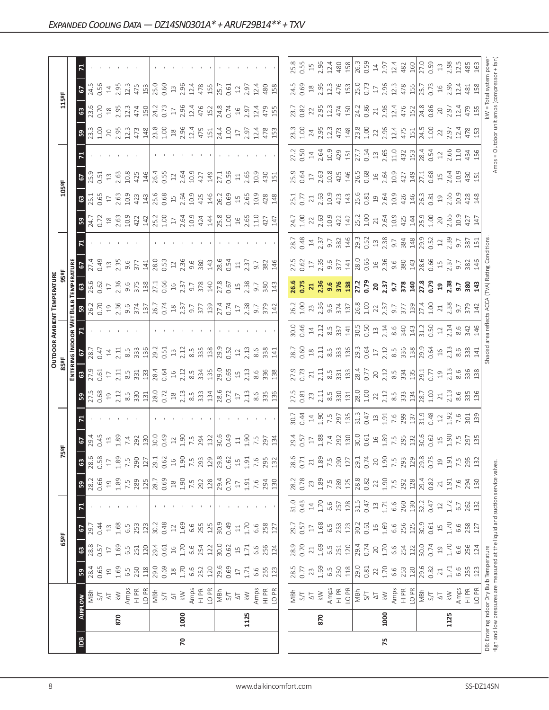|                |      |                                                                                                                            |          |                  |                |        |                                                   |                |                                                                                                                                                                                                                                                                                                             |                                                                                                                                                                                                                                                                                                                                                           |                                                                                                                                                                                                                                                                                                                                                                                      |                                                                                                                                                                                                                                                                                                                                                                            |                                                                                                                                                                                                                                                                           | <b>OUTDOOR AMBIENT TEMPERATURE</b>                                                                                                                                                                                             |                   |                                                                    |                                                                                                                                                                                                                                                                                                                                  |                                            |                                                                                                      |                                                                                                                                                                                                                                                                                                                     |                                                                                                                                                                                                                                                                                                             |                                                                                                                                                                                                                                                                                                                     |                                                                                                                                                                                                                               |                                                                                                                                                                                                                                |
|----------------|------|----------------------------------------------------------------------------------------------------------------------------|----------|------------------|----------------|--------|---------------------------------------------------|----------------|-------------------------------------------------------------------------------------------------------------------------------------------------------------------------------------------------------------------------------------------------------------------------------------------------------------|-----------------------------------------------------------------------------------------------------------------------------------------------------------------------------------------------------------------------------------------------------------------------------------------------------------------------------------------------------------|--------------------------------------------------------------------------------------------------------------------------------------------------------------------------------------------------------------------------------------------------------------------------------------------------------------------------------------------------------------------------------------|----------------------------------------------------------------------------------------------------------------------------------------------------------------------------------------------------------------------------------------------------------------------------------------------------------------------------------------------------------------------------|---------------------------------------------------------------------------------------------------------------------------------------------------------------------------------------------------------------------------------------------------------------------------|--------------------------------------------------------------------------------------------------------------------------------------------------------------------------------------------------------------------------------|-------------------|--------------------------------------------------------------------|----------------------------------------------------------------------------------------------------------------------------------------------------------------------------------------------------------------------------------------------------------------------------------------------------------------------------------|--------------------------------------------|------------------------------------------------------------------------------------------------------|---------------------------------------------------------------------------------------------------------------------------------------------------------------------------------------------------------------------------------------------------------------------------------------------------------------------|-------------------------------------------------------------------------------------------------------------------------------------------------------------------------------------------------------------------------------------------------------------------------------------------------------------|---------------------------------------------------------------------------------------------------------------------------------------------------------------------------------------------------------------------------------------------------------------------------------------------------------------------|-------------------------------------------------------------------------------------------------------------------------------------------------------------------------------------------------------------------------------|--------------------------------------------------------------------------------------------------------------------------------------------------------------------------------------------------------------------------------|
|                |      |                                                                                                                            |          | 65°F             |                |        |                                                   |                | 5ºF                                                                                                                                                                                                                                                                                                         |                                                                                                                                                                                                                                                                                                                                                           |                                                                                                                                                                                                                                                                                                                                                                                      |                                                                                                                                                                                                                                                                                                                                                                            |                                                                                                                                                                                                                                                                           |                                                                                                                                                                                                                                |                   |                                                                    |                                                                                                                                                                                                                                                                                                                                  | 105°F                                      |                                                                                                      |                                                                                                                                                                                                                                                                                                                     |                                                                                                                                                                                                                                                                                                             | 115°F                                                                                                                                                                                                                                                                                                               |                                                                                                                                                                                                                               |                                                                                                                                                                                                                                |
|                |      |                                                                                                                            |          |                  |                |        |                                                   |                |                                                                                                                                                                                                                                                                                                             |                                                                                                                                                                                                                                                                                                                                                           |                                                                                                                                                                                                                                                                                                                                                                                      |                                                                                                                                                                                                                                                                                                                                                                            |                                                                                                                                                                                                                                                                           |                                                                                                                                                                                                                                |                   |                                                                    |                                                                                                                                                                                                                                                                                                                                  |                                            |                                                                                                      |                                                                                                                                                                                                                                                                                                                     |                                                                                                                                                                                                                                                                                                             |                                                                                                                                                                                                                                                                                                                     |                                                                                                                                                                                                                               |                                                                                                                                                                                                                                |
| $\overline{B}$ |      | <b>AIRFLOW</b>                                                                                                             | 59       | $\mathbbmss{3}$  | 2              | 71     | ${\tt S}$                                         | ෂ              |                                                                                                                                                                                                                                                                                                             |                                                                                                                                                                                                                                                                                                                                                           |                                                                                                                                                                                                                                                                                                                                                                                      |                                                                                                                                                                                                                                                                                                                                                                            |                                                                                                                                                                                                                                                                           |                                                                                                                                                                                                                                |                   |                                                                    |                                                                                                                                                                                                                                                                                                                                  | $\frac{35.1}{25.1}$<br>0.65 17<br>2.63 423 | $\frac{6}{25}$ , $\frac{9}{25}$ , $\frac{11}{25}$ , $\frac{3}{25}$ , $\frac{3}{25}$ , $\frac{3}{25}$ |                                                                                                                                                                                                                                                                                                                     |                                                                                                                                                                                                                                                                                                             | 8.5000                                                                                                                                                                                                                                                                                                              | $rac{67}{24.5}$                                                                                                                                                                                                               |                                                                                                                                                                                                                                |
|                |      | MBh                                                                                                                        | 28.4     | 28.8             | 29.7           |        | 28.2                                              | 28.6           |                                                                                                                                                                                                                                                                                                             |                                                                                                                                                                                                                                                                                                                                                           |                                                                                                                                                                                                                                                                                                                                                                                      |                                                                                                                                                                                                                                                                                                                                                                            |                                                                                                                                                                                                                                                                           |                                                                                                                                                                                                                                |                   |                                                                    |                                                                                                                                                                                                                                                                                                                                  |                                            |                                                                                                      |                                                                                                                                                                                                                                                                                                                     |                                                                                                                                                                                                                                                                                                             |                                                                                                                                                                                                                                                                                                                     |                                                                                                                                                                                                                               |                                                                                                                                                                                                                                |
|                |      | 5/7                                                                                                                        | 0.65     | 0.57             | 0.44           |        | 0.66                                              | 0.58           |                                                                                                                                                                                                                                                                                                             |                                                                                                                                                                                                                                                                                                                                                           |                                                                                                                                                                                                                                                                                                                                                                                      |                                                                                                                                                                                                                                                                                                                                                                            |                                                                                                                                                                                                                                                                           |                                                                                                                                                                                                                                |                   |                                                                    |                                                                                                                                                                                                                                                                                                                                  |                                            |                                                                                                      |                                                                                                                                                                                                                                                                                                                     |                                                                                                                                                                                                                                                                                                             |                                                                                                                                                                                                                                                                                                                     |                                                                                                                                                                                                                               |                                                                                                                                                                                                                                |
|                |      | $\overline{\sim}$                                                                                                          | 19       | $\Box$           | $13$           |        | $\overline{c}$                                    | $\Box$         |                                                                                                                                                                                                                                                                                                             |                                                                                                                                                                                                                                                                                                                                                           |                                                                                                                                                                                                                                                                                                                                                                                      |                                                                                                                                                                                                                                                                                                                                                                            |                                                                                                                                                                                                                                                                           |                                                                                                                                                                                                                                |                   |                                                                    |                                                                                                                                                                                                                                                                                                                                  |                                            |                                                                                                      |                                                                                                                                                                                                                                                                                                                     |                                                                                                                                                                                                                                                                                                             |                                                                                                                                                                                                                                                                                                                     |                                                                                                                                                                                                                               |                                                                                                                                                                                                                                |
|                | 870  | $\lesssim$                                                                                                                 | 1.69     | 1.69             | 1.68           |        | 1.89                                              | 1.89           |                                                                                                                                                                                                                                                                                                             |                                                                                                                                                                                                                                                                                                                                                           |                                                                                                                                                                                                                                                                                                                                                                                      |                                                                                                                                                                                                                                                                                                                                                                            |                                                                                                                                                                                                                                                                           |                                                                                                                                                                                                                                |                   |                                                                    |                                                                                                                                                                                                                                                                                                                                  |                                            |                                                                                                      |                                                                                                                                                                                                                                                                                                                     |                                                                                                                                                                                                                                                                                                             |                                                                                                                                                                                                                                                                                                                     |                                                                                                                                                                                                                               |                                                                                                                                                                                                                                |
|                |      |                                                                                                                            | 6.5      | 6.5              | 6.5            |        | $7.\overline{5}$<br>289                           | 7.5            |                                                                                                                                                                                                                                                                                                             |                                                                                                                                                                                                                                                                                                                                                           |                                                                                                                                                                                                                                                                                                                                                                                      |                                                                                                                                                                                                                                                                                                                                                                            |                                                                                                                                                                                                                                                                           |                                                                                                                                                                                                                                |                   |                                                                    |                                                                                                                                                                                                                                                                                                                                  |                                            |                                                                                                      |                                                                                                                                                                                                                                                                                                                     |                                                                                                                                                                                                                                                                                                             |                                                                                                                                                                                                                                                                                                                     |                                                                                                                                                                                                                               |                                                                                                                                                                                                                                |
|                |      | Amps<br>HI PR                                                                                                              | 250      | 251              | 253            |        |                                                   | 290            | $2\frac{3}{5}$ $2\frac{3}{5}$ $3\frac{3}{5}$ $2\frac{3}{5}$ $3\frac{3}{5}$ $3\frac{3}{5}$ $3\frac{3}{5}$ $3\frac{3}{5}$ $3\frac{3}{5}$ $3\frac{3}{5}$ $3\frac{3}{5}$ $3\frac{3}{5}$ $3\frac{3}{5}$ $3\frac{3}{5}$ $3\frac{3}{5}$ $3\frac{3}{5}$ $3\frac{3}{5}$ $3\frac{3}{5}$ $3\frac{3}{5}$ $3\frac{3}{5}$ | $3\frac{1}{2}$ $\frac{1}{2}$ $\frac{1}{3}$ $\frac{3}{3}$ $\frac{3}{3}$ $\frac{3}{3}$ $\frac{1}{3}$ $\frac{1}{6}$ $\frac{1}{2}$ $\frac{1}{6}$ $\frac{3}{2}$ $\frac{3}{2}$ $\frac{3}{2}$ $\frac{1}{3}$ $\frac{1}{3}$ $\frac{1}{3}$ $\frac{1}{3}$ $\frac{1}{3}$ $\frac{1}{3}$ $\frac{1}{3}$ $\frac{1}{3}$ $\frac{1}{3}$ $\frac{1}{3}$ $\frac{1}{3}$ $\frac{$ | $3\overline{)}$ $\overline{)}$ $\overline{)}$ $\overline{)}$ $\overline{)}$ $\overline{)}$ $\overline{)}$ $\overline{)}$ $\overline{)}$ $\overline{)}$ $\overline{)}$ $\overline{)}$ $\overline{)}$ $\overline{)}$ $\overline{)}$ $\overline{)}$ $\overline{)}$ $\overline{)}$ $\overline{)}$ $\overline{)}$ $\overline{)}$ $\overline{)}$ $\overline{)}$ $\overline{)}$ $\overline$ | $S \times 1$ $S \times 1$ $S \times 2$ $S \times 1$ $S \times 2$ $S \times 1$ $S \times 2$ $S \times 2$ $S \times 1$ $S \times 2$ $S \times 2$ $S \times 2$ $S \times 2$ $S \times 2$ $S \times 2$ $S \times 2$ $S \times 2$ $S \times 2$ $S \times 2$ $S \times 2$ $S \times 2$ $S \times 2$ $S \times 2$ $S \times 2$ $S \times 2$ $S \times 2$ $S \times 2$ $S \times $ |                                                                                                                                                                                                                                                                           | $3.25$ $2.3$ $3.3$ $3.5$ $2.5$ $3.5$ $3.5$ $3.5$ $3.5$ $3.5$ $3.5$ $3.5$ $3.5$ $3.5$ $3.5$ $3.5$ $3.5$ $3.5$ $3.5$ $3.5$ $3.5$ $3.5$ $3.5$ $3.5$ $3.5$ $3.5$ $3.5$ $3.5$ $3.5$ $3.5$ $3.5$ $3.5$ $3.5$ $3.5$ $3.5$ $3.5$ $3.5$ |                   |                                                                    | $3\frac{1}{2}$ , $\frac{1}{2}$ , $\frac{1}{2}$ , $\frac{1}{2}$ , $\frac{1}{2}$ , $\frac{1}{2}$ , $\frac{1}{2}$ , $\frac{1}{2}$ , $\frac{1}{2}$ , $\frac{1}{2}$ , $\frac{1}{2}$ , $\frac{1}{2}$ , $\frac{1}{2}$ , $\frac{1}{2}$ , $\frac{1}{2}$ , $\frac{1}{2}$ , $\frac{1}{2}$ , $\frac{1}{2}$ , $\frac{1}{2}$ , $\frac{1}{2}$ , |                                            |                                                                                                      |                                                                                                                                                                                                                                                                                                                     | $\frac{3}{12}$ $\frac{3}{12}$ $\frac{3}{12}$ $\frac{3}{12}$ $\frac{3}{12}$ $\frac{3}{12}$ $\frac{3}{12}$ $\frac{3}{12}$ $\frac{3}{12}$ $\frac{3}{12}$ $\frac{3}{12}$ $\frac{3}{12}$ $\frac{3}{12}$ $\frac{3}{12}$ $\frac{3}{12}$ $\frac{3}{12}$ $\frac{3}{12}$ $\frac{3}{12}$ $\frac{3}{12}$ $\frac{3}{12}$ | $\begin{array}{c} 29.53 \\ 21.54 \\ 21.54 \\ \hline \end{array}$                                                                                                                                                                                                                                                    |                                                                                                                                                                                                                               |                                                                                                                                                                                                                                |
|                |      | LO PR                                                                                                                      | 118      | 120              | 123            |        | 125                                               | 127            |                                                                                                                                                                                                                                                                                                             |                                                                                                                                                                                                                                                                                                                                                           |                                                                                                                                                                                                                                                                                                                                                                                      |                                                                                                                                                                                                                                                                                                                                                                            |                                                                                                                                                                                                                                                                           |                                                                                                                                                                                                                                |                   |                                                                    |                                                                                                                                                                                                                                                                                                                                  |                                            | 146                                                                                                  |                                                                                                                                                                                                                                                                                                                     |                                                                                                                                                                                                                                                                                                             |                                                                                                                                                                                                                                                                                                                     |                                                                                                                                                                                                                               |                                                                                                                                                                                                                                |
|                |      | $\frac{1}{2}$                                                                                                              | 29.0     | 29.4             | 30.2           |        | 28.7                                              | 29.1           |                                                                                                                                                                                                                                                                                                             |                                                                                                                                                                                                                                                                                                                                                           |                                                                                                                                                                                                                                                                                                                                                                                      |                                                                                                                                                                                                                                                                                                                                                                            |                                                                                                                                                                                                                                                                           |                                                                                                                                                                                                                                |                   |                                                                    |                                                                                                                                                                                                                                                                                                                                  |                                            | $\begin{array}{c} 26.4 \\ 0.55 \\ 2.64 \\ 2.69 \\ 427 \\ \hline \end{array}$                         |                                                                                                                                                                                                                                                                                                                     |                                                                                                                                                                                                                                                                                                             | 24.2<br>0.73<br>17<br>2.96                                                                                                                                                                                                                                                                                          |                                                                                                                                                                                                                               |                                                                                                                                                                                                                                |
|                |      |                                                                                                                            | 0.69     | 0.61             | 0.48           |        | 0.69                                              | 0.62           |                                                                                                                                                                                                                                                                                                             |                                                                                                                                                                                                                                                                                                                                                           |                                                                                                                                                                                                                                                                                                                                                                                      |                                                                                                                                                                                                                                                                                                                                                                            |                                                                                                                                                                                                                                                                           |                                                                                                                                                                                                                                |                   |                                                                    |                                                                                                                                                                                                                                                                                                                                  |                                            |                                                                                                      |                                                                                                                                                                                                                                                                                                                     |                                                                                                                                                                                                                                                                                                             |                                                                                                                                                                                                                                                                                                                     |                                                                                                                                                                                                                               |                                                                                                                                                                                                                                |
|                |      | $\overline{\Delta}$                                                                                                        | $^{28}$  | $16$             | $12$           |        | $\overset{\text{\tiny \textsf{SO}}}{\rightarrow}$ | $16$           |                                                                                                                                                                                                                                                                                                             |                                                                                                                                                                                                                                                                                                                                                           |                                                                                                                                                                                                                                                                                                                                                                                      |                                                                                                                                                                                                                                                                                                                                                                            |                                                                                                                                                                                                                                                                           |                                                                                                                                                                                                                                |                   |                                                                    |                                                                                                                                                                                                                                                                                                                                  |                                            |                                                                                                      |                                                                                                                                                                                                                                                                                                                     |                                                                                                                                                                                                                                                                                                             |                                                                                                                                                                                                                                                                                                                     |                                                                                                                                                                                                                               |                                                                                                                                                                                                                                |
| 20             | 1000 | $\lesssim$                                                                                                                 | 1.70     | 1.70             | 1.69           |        | 1.90                                              | 1.90           |                                                                                                                                                                                                                                                                                                             |                                                                                                                                                                                                                                                                                                                                                           |                                                                                                                                                                                                                                                                                                                                                                                      |                                                                                                                                                                                                                                                                                                                                                                            |                                                                                                                                                                                                                                                                           |                                                                                                                                                                                                                                |                   |                                                                    |                                                                                                                                                                                                                                                                                                                                  |                                            |                                                                                                      |                                                                                                                                                                                                                                                                                                                     |                                                                                                                                                                                                                                                                                                             |                                                                                                                                                                                                                                                                                                                     |                                                                                                                                                                                                                               |                                                                                                                                                                                                                                |
|                |      | Amps                                                                                                                       | 6.6      | 6.6              | 6.6            |        | 7.5                                               | 7.5            |                                                                                                                                                                                                                                                                                                             |                                                                                                                                                                                                                                                                                                                                                           |                                                                                                                                                                                                                                                                                                                                                                                      |                                                                                                                                                                                                                                                                                                                                                                            |                                                                                                                                                                                                                                                                           |                                                                                                                                                                                                                                |                   |                                                                    |                                                                                                                                                                                                                                                                                                                                  |                                            |                                                                                                      |                                                                                                                                                                                                                                                                                                                     |                                                                                                                                                                                                                                                                                                             |                                                                                                                                                                                                                                                                                                                     |                                                                                                                                                                                                                               |                                                                                                                                                                                                                                |
|                |      | $\frac{P}{I}$                                                                                                              | 252      | 254              | 255            |        | 292                                               | 293            |                                                                                                                                                                                                                                                                                                             |                                                                                                                                                                                                                                                                                                                                                           |                                                                                                                                                                                                                                                                                                                                                                                      |                                                                                                                                                                                                                                                                                                                                                                            |                                                                                                                                                                                                                                                                           |                                                                                                                                                                                                                                |                   |                                                                    |                                                                                                                                                                                                                                                                                                                                  |                                            |                                                                                                      |                                                                                                                                                                                                                                                                                                                     |                                                                                                                                                                                                                                                                                                             | $\frac{1}{2}$ $\frac{1}{4}$ $\frac{1}{2}$ $\frac{1}{6}$ $\frac{1}{2}$ $\frac{1}{6}$ $\frac{1}{2}$ $\frac{1}{6}$ $\frac{1}{2}$ $\frac{1}{6}$ $\frac{1}{2}$ $\frac{1}{6}$ $\frac{1}{2}$ $\frac{1}{6}$ $\frac{1}{2}$ $\frac{1}{6}$ $\frac{1}{2}$ $\frac{1}{6}$ $\frac{1}{2}$ $\frac{1}{6}$ $\frac{1}{6}$ $\frac{1}{6}$ |                                                                                                                                                                                                                               |                                                                                                                                                                                                                                |
|                |      | LO <sub>PR</sub>                                                                                                           | 120      | 122              | 125            |        | 128                                               | 129            |                                                                                                                                                                                                                                                                                                             |                                                                                                                                                                                                                                                                                                                                                           |                                                                                                                                                                                                                                                                                                                                                                                      |                                                                                                                                                                                                                                                                                                                                                                            |                                                                                                                                                                                                                                                                           |                                                                                                                                                                                                                                |                   |                                                                    |                                                                                                                                                                                                                                                                                                                                  |                                            |                                                                                                      |                                                                                                                                                                                                                                                                                                                     |                                                                                                                                                                                                                                                                                                             |                                                                                                                                                                                                                                                                                                                     |                                                                                                                                                                                                                               |                                                                                                                                                                                                                                |
|                |      |                                                                                                                            | 29.6     | 30.0             | 30.9           |        | 29.4                                              | 29.8           |                                                                                                                                                                                                                                                                                                             |                                                                                                                                                                                                                                                                                                                                                           |                                                                                                                                                                                                                                                                                                                                                                                      |                                                                                                                                                                                                                                                                                                                                                                            |                                                                                                                                                                                                                                                                           |                                                                                                                                                                                                                                |                   |                                                                    |                                                                                                                                                                                                                                                                                                                                  |                                            |                                                                                                      |                                                                                                                                                                                                                                                                                                                     |                                                                                                                                                                                                                                                                                                             |                                                                                                                                                                                                                                                                                                                     |                                                                                                                                                                                                                               |                                                                                                                                                                                                                                |
|                |      | $\frac{1}{2}$                                                                                                              | 0.69     | 0.62             | 0.49           |        | 0.70                                              | 0.62           |                                                                                                                                                                                                                                                                                                             |                                                                                                                                                                                                                                                                                                                                                           |                                                                                                                                                                                                                                                                                                                                                                                      |                                                                                                                                                                                                                                                                                                                                                                            |                                                                                                                                                                                                                                                                           |                                                                                                                                                                                                                                |                   |                                                                    |                                                                                                                                                                                                                                                                                                                                  |                                            |                                                                                                      |                                                                                                                                                                                                                                                                                                                     |                                                                                                                                                                                                                                                                                                             |                                                                                                                                                                                                                                                                                                                     |                                                                                                                                                                                                                               |                                                                                                                                                                                                                                |
|                |      | $\Delta \top$                                                                                                              | $\Gamma$ | $15$             | $\Xi$          |        | $\Box$                                            | $\overline{1}$ |                                                                                                                                                                                                                                                                                                             |                                                                                                                                                                                                                                                                                                                                                           |                                                                                                                                                                                                                                                                                                                                                                                      |                                                                                                                                                                                                                                                                                                                                                                            |                                                                                                                                                                                                                                                                           |                                                                                                                                                                                                                                |                   |                                                                    |                                                                                                                                                                                                                                                                                                                                  |                                            |                                                                                                      |                                                                                                                                                                                                                                                                                                                     |                                                                                                                                                                                                                                                                                                             |                                                                                                                                                                                                                                                                                                                     |                                                                                                                                                                                                                               |                                                                                                                                                                                                                                |
|                | 1125 | $\gtrapprox$                                                                                                               | 1.71     | 1.71             | 1.70           |        | 1.91                                              | $1.91\,$       |                                                                                                                                                                                                                                                                                                             |                                                                                                                                                                                                                                                                                                                                                           |                                                                                                                                                                                                                                                                                                                                                                                      |                                                                                                                                                                                                                                                                                                                                                                            |                                                                                                                                                                                                                                                                           |                                                                                                                                                                                                                                |                   |                                                                    |                                                                                                                                                                                                                                                                                                                                  |                                            | $27.1$<br>0.56<br>1.56<br>2.69<br>2.9<br>4<br>3                                                      |                                                                                                                                                                                                                                                                                                                     |                                                                                                                                                                                                                                                                                                             |                                                                                                                                                                                                                                                                                                                     |                                                                                                                                                                                                                               |                                                                                                                                                                                                                                |
|                |      | Amps                                                                                                                       | 6.6      | 6.6              | 6.6            |        | 7.6                                               | 7.6            |                                                                                                                                                                                                                                                                                                             |                                                                                                                                                                                                                                                                                                                                                           |                                                                                                                                                                                                                                                                                                                                                                                      |                                                                                                                                                                                                                                                                                                                                                                            |                                                                                                                                                                                                                                                                           |                                                                                                                                                                                                                                |                   |                                                                    |                                                                                                                                                                                                                                                                                                                                  |                                            |                                                                                                      |                                                                                                                                                                                                                                                                                                                     |                                                                                                                                                                                                                                                                                                             |                                                                                                                                                                                                                                                                                                                     |                                                                                                                                                                                                                               |                                                                                                                                                                                                                                |
|                |      |                                                                                                                            | 255      | 256              | 258            |        | 294                                               | 295            |                                                                                                                                                                                                                                                                                                             |                                                                                                                                                                                                                                                                                                                                                           |                                                                                                                                                                                                                                                                                                                                                                                      |                                                                                                                                                                                                                                                                                                                                                                            |                                                                                                                                                                                                                                                                           |                                                                                                                                                                                                                                |                   |                                                                    |                                                                                                                                                                                                                                                                                                                                  |                                            |                                                                                                      |                                                                                                                                                                                                                                                                                                                     |                                                                                                                                                                                                                                                                                                             |                                                                                                                                                                                                                                                                                                                     |                                                                                                                                                                                                                               |                                                                                                                                                                                                                                |
|                |      | H PR<br>LO PR                                                                                                              | 123      | 124              | 127            |        | 130                                               | 132            |                                                                                                                                                                                                                                                                                                             |                                                                                                                                                                                                                                                                                                                                                           |                                                                                                                                                                                                                                                                                                                                                                                      |                                                                                                                                                                                                                                                                                                                                                                            |                                                                                                                                                                                                                                                                           |                                                                                                                                                                                                                                |                   |                                                                    |                                                                                                                                                                                                                                                                                                                                  |                                            |                                                                                                      |                                                                                                                                                                                                                                                                                                                     |                                                                                                                                                                                                                                                                                                             |                                                                                                                                                                                                                                                                                                                     |                                                                                                                                                                                                                               |                                                                                                                                                                                                                                |
|                |      |                                                                                                                            |          |                  |                |        |                                                   |                |                                                                                                                                                                                                                                                                                                             |                                                                                                                                                                                                                                                                                                                                                           |                                                                                                                                                                                                                                                                                                                                                                                      |                                                                                                                                                                                                                                                                                                                                                                            |                                                                                                                                                                                                                                                                           |                                                                                                                                                                                                                                |                   |                                                                    |                                                                                                                                                                                                                                                                                                                                  |                                            |                                                                                                      |                                                                                                                                                                                                                                                                                                                     |                                                                                                                                                                                                                                                                                                             |                                                                                                                                                                                                                                                                                                                     |                                                                                                                                                                                                                               |                                                                                                                                                                                                                                |
|                |      |                                                                                                                            | 28.5     | 28.9             | 29.7           | 31.0   | 28.2                                              | 28.6           |                                                                                                                                                                                                                                                                                                             |                                                                                                                                                                                                                                                                                                                                                           |                                                                                                                                                                                                                                                                                                                                                                                      | 28.7                                                                                                                                                                                                                                                                                                                                                                       |                                                                                                                                                                                                                                                                           |                                                                                                                                                                                                                                | 27.5              |                                                                    |                                                                                                                                                                                                                                                                                                                                  |                                            |                                                                                                      |                                                                                                                                                                                                                                                                                                                     |                                                                                                                                                                                                                                                                                                             |                                                                                                                                                                                                                                                                                                                     |                                                                                                                                                                                                                               |                                                                                                                                                                                                                                |
|                |      | NS<br>S/T                                                                                                                  | 0.77     | 0.70             | 0.57           | 0.43   | 0.78                                              | 0.71           |                                                                                                                                                                                                                                                                                                             |                                                                                                                                                                                                                                                                                                                                                           |                                                                                                                                                                                                                                                                                                                                                                                      |                                                                                                                                                                                                                                                                                                                                                                            |                                                                                                                                                                                                                                                                           |                                                                                                                                                                                                                                |                   |                                                                    |                                                                                                                                                                                                                                                                                                                                  |                                            |                                                                                                      |                                                                                                                                                                                                                                                                                                                     |                                                                                                                                                                                                                                                                                                             |                                                                                                                                                                                                                                                                                                                     |                                                                                                                                                                                                                               |                                                                                                                                                                                                                                |
|                |      | $\overline{\circ}$                                                                                                         | 23       | 21               | $\Box$         | $14\,$ | 23                                                | 21             |                                                                                                                                                                                                                                                                                                             |                                                                                                                                                                                                                                                                                                                                                           |                                                                                                                                                                                                                                                                                                                                                                                      |                                                                                                                                                                                                                                                                                                                                                                            |                                                                                                                                                                                                                                                                           |                                                                                                                                                                                                                                |                   |                                                                    |                                                                                                                                                                                                                                                                                                                                  |                                            |                                                                                                      |                                                                                                                                                                                                                                                                                                                     |                                                                                                                                                                                                                                                                                                             |                                                                                                                                                                                                                                                                                                                     |                                                                                                                                                                                                                               |                                                                                                                                                                                                                                |
|                | 870  | $\gtrapprox$                                                                                                               | 1.69     | 1.69             | 1.68           | 1.70   | 1.89                                              | 1.89           |                                                                                                                                                                                                                                                                                                             |                                                                                                                                                                                                                                                                                                                                                           |                                                                                                                                                                                                                                                                                                                                                                                      |                                                                                                                                                                                                                                                                                                                                                                            |                                                                                                                                                                                                                                                                           |                                                                                                                                                                                                                                |                   |                                                                    |                                                                                                                                                                                                                                                                                                                                  |                                            |                                                                                                      |                                                                                                                                                                                                                                                                                                                     |                                                                                                                                                                                                                                                                                                             |                                                                                                                                                                                                                                                                                                                     |                                                                                                                                                                                                                               |                                                                                                                                                                                                                                |
|                |      | Amps                                                                                                                       | 6.5      | $6.\overline{5}$ | 6.5            | 6.6    | 7.5                                               | 7.5            |                                                                                                                                                                                                                                                                                                             |                                                                                                                                                                                                                                                                                                                                                           |                                                                                                                                                                                                                                                                                                                                                                                      |                                                                                                                                                                                                                                                                                                                                                                            |                                                                                                                                                                                                                                                                           |                                                                                                                                                                                                                                |                   |                                                                    |                                                                                                                                                                                                                                                                                                                                  |                                            |                                                                                                      |                                                                                                                                                                                                                                                                                                                     |                                                                                                                                                                                                                                                                                                             |                                                                                                                                                                                                                                                                                                                     |                                                                                                                                                                                                                               |                                                                                                                                                                                                                                |
|                |      | $\frac{P}{T}$                                                                                                              | 250      | 251              | 253            | 257    | 289                                               | 290            |                                                                                                                                                                                                                                                                                                             |                                                                                                                                                                                                                                                                                                                                                           |                                                                                                                                                                                                                                                                                                                                                                                      |                                                                                                                                                                                                                                                                                                                                                                            |                                                                                                                                                                                                                                                                           |                                                                                                                                                                                                                                |                   |                                                                    |                                                                                                                                                                                                                                                                                                                                  |                                            |                                                                                                      |                                                                                                                                                                                                                                                                                                                     |                                                                                                                                                                                                                                                                                                             |                                                                                                                                                                                                                                                                                                                     |                                                                                                                                                                                                                               |                                                                                                                                                                                                                                |
|                |      | LO <sub>PR</sub>                                                                                                           | 118      | 120              | 123            | 128    | 125                                               | 127            |                                                                                                                                                                                                                                                                                                             |                                                                                                                                                                                                                                                                                                                                                           |                                                                                                                                                                                                                                                                                                                                                                                      |                                                                                                                                                                                                                                                                                                                                                                            |                                                                                                                                                                                                                                                                           |                                                                                                                                                                                                                                |                   |                                                                    |                                                                                                                                                                                                                                                                                                                                  |                                            |                                                                                                      |                                                                                                                                                                                                                                                                                                                     |                                                                                                                                                                                                                                                                                                             |                                                                                                                                                                                                                                                                                                                     |                                                                                                                                                                                                                               |                                                                                                                                                                                                                                |
|                |      | MBh                                                                                                                        | 29.0     | 29.4             | 30.2           | 31.5   | $28.8$<br>0.82                                    | 29.1           |                                                                                                                                                                                                                                                                                                             |                                                                                                                                                                                                                                                                                                                                                           |                                                                                                                                                                                                                                                                                                                                                                                      |                                                                                                                                                                                                                                                                                                                                                                            |                                                                                                                                                                                                                                                                           |                                                                                                                                                                                                                                |                   |                                                                    |                                                                                                                                                                                                                                                                                                                                  |                                            |                                                                                                      |                                                                                                                                                                                                                                                                                                                     |                                                                                                                                                                                                                                                                                                             |                                                                                                                                                                                                                                                                                                                     |                                                                                                                                                                                                                               |                                                                                                                                                                                                                                |
|                |      | 5/7                                                                                                                        | 0.81     | 0.74             | 0.61           | 0.47   |                                                   | 0.74           |                                                                                                                                                                                                                                                                                                             |                                                                                                                                                                                                                                                                                                                                                           |                                                                                                                                                                                                                                                                                                                                                                                      |                                                                                                                                                                                                                                                                                                                                                                            |                                                                                                                                                                                                                                                                           |                                                                                                                                                                                                                                |                   |                                                                    |                                                                                                                                                                                                                                                                                                                                  |                                            |                                                                                                      |                                                                                                                                                                                                                                                                                                                     |                                                                                                                                                                                                                                                                                                             |                                                                                                                                                                                                                                                                                                                     |                                                                                                                                                                                                                               |                                                                                                                                                                                                                                |
|                |      | $\overline{\triangle}$                                                                                                     | 22       | $20$             | $\Xi$          | $13\,$ | 22                                                | 20             |                                                                                                                                                                                                                                                                                                             |                                                                                                                                                                                                                                                                                                                                                           |                                                                                                                                                                                                                                                                                                                                                                                      |                                                                                                                                                                                                                                                                                                                                                                            |                                                                                                                                                                                                                                                                           |                                                                                                                                                                                                                                |                   |                                                                    |                                                                                                                                                                                                                                                                                                                                  |                                            |                                                                                                      |                                                                                                                                                                                                                                                                                                                     |                                                                                                                                                                                                                                                                                                             |                                                                                                                                                                                                                                                                                                                     |                                                                                                                                                                                                                               |                                                                                                                                                                                                                                |
| 75             | 1000 | $\lesssim$                                                                                                                 | 1.70     | 1.70             | 1.69           | 1.71   | 1.90<br>7.5<br>292                                | 1.90           |                                                                                                                                                                                                                                                                                                             |                                                                                                                                                                                                                                                                                                                                                           |                                                                                                                                                                                                                                                                                                                                                                                      |                                                                                                                                                                                                                                                                                                                                                                            |                                                                                                                                                                                                                                                                           |                                                                                                                                                                                                                                |                   |                                                                    |                                                                                                                                                                                                                                                                                                                                  |                                            |                                                                                                      |                                                                                                                                                                                                                                                                                                                     |                                                                                                                                                                                                                                                                                                             |                                                                                                                                                                                                                                                                                                                     |                                                                                                                                                                                                                               |                                                                                                                                                                                                                                |
|                |      | Amps                                                                                                                       | 6.6      | 6.6              | 6.6<br>256     | 6.6    |                                                   | 7.5            |                                                                                                                                                                                                                                                                                                             |                                                                                                                                                                                                                                                                                                                                                           |                                                                                                                                                                                                                                                                                                                                                                                      |                                                                                                                                                                                                                                                                                                                                                                            |                                                                                                                                                                                                                                                                           |                                                                                                                                                                                                                                |                   |                                                                    |                                                                                                                                                                                                                                                                                                                                  |                                            |                                                                                                      |                                                                                                                                                                                                                                                                                                                     |                                                                                                                                                                                                                                                                                                             |                                                                                                                                                                                                                                                                                                                     |                                                                                                                                                                                                                               |                                                                                                                                                                                                                                |
|                |      | $\frac{P}{I}$                                                                                                              | 253      | 254              |                | 260    |                                                   | 293            |                                                                                                                                                                                                                                                                                                             |                                                                                                                                                                                                                                                                                                                                                           |                                                                                                                                                                                                                                                                                                                                                                                      |                                                                                                                                                                                                                                                                                                                                                                            |                                                                                                                                                                                                                                                                           |                                                                                                                                                                                                                                |                   |                                                                    |                                                                                                                                                                                                                                                                                                                                  |                                            |                                                                                                      |                                                                                                                                                                                                                                                                                                                     |                                                                                                                                                                                                                                                                                                             |                                                                                                                                                                                                                                                                                                                     |                                                                                                                                                                                                                               |                                                                                                                                                                                                                                |
|                |      | LO PR                                                                                                                      | 120      | 122              | 125            | 130    | 128                                               | 129            |                                                                                                                                                                                                                                                                                                             | $\frac{1}{2}$ 2 3 3 $\frac{1}{2}$ 3 3 $\frac{1}{2}$ 3 $\frac{1}{2}$ 3 $\frac{1}{2}$ 3 $\frac{1}{2}$ 3 $\frac{1}{2}$ 3 $\frac{1}{2}$ 3 $\frac{1}{2}$ 3 $\frac{1}{2}$ 3 $\frac{1}{2}$ 3 $\frac{1}{2}$ 3 $\frac{1}{2}$ 3 $\frac{1}{2}$ 3 $\frac{1}{2}$ 3 $\frac{1}{2}$ 3 $\frac{1}{2}$ 3 $\frac{1}{2}$ 3                                                     | $25.23$ $-2.3$ $-2.3$ $-2.3$ $-2.3$ $-2.3$ $-2.3$ $-2.3$ $-2.3$ $-2.3$ $-2.3$ $-2.3$ $-2.3$ $-2.3$ $-2.3$ $-2.3$ $-2.3$ $-2.3$ $-2.3$ $-2.3$ $-2.3$ $-2.3$ $-2.3$ $-2.3$ $-2.3$ $-2.3$ $-2.3$ $-2.3$ $-2.3$ $-2.3$ $-2.3$ $-2$                                                                                                                                                       | $0.6$ $\alpha$ $1.4$ $\alpha$ $3.4$ $\alpha$ $4.4$ $\alpha$ $5.4$ $\alpha$ $6.4$ $\alpha$ $7.4$ $\alpha$ $8.4$ $\alpha$ $1.4$ $\alpha$ $1.4$ $\alpha$ $1.4$ $\alpha$ $1.4$ $\alpha$ $1.4$ $\alpha$ $1.4$ $\alpha$ $1.4$ $\alpha$ $1.4$ $\alpha$ $1.4$ $\alpha$ $1.4$ $\alpha$ $1.4$ $\alpha$ $1.4$ $\alpha$                                                                | $\begin{array}{l} 0.96674 & 0.00000 \\ 0.000000 & 0.00000 \\ 0.000000 & 0.00000 \\ 0.00000 & 0.00000 \\ 0.00000 & 0.00000 \\ 0.00000 & 0.00000 \\ 0.00000 & 0.00000 \\ 0.00000 & 0.00000 \\ 0.00000 & 0.00000 \\ 0.00000 & 0.00000 \\ 0.00000 & 0.00000 \\ 0.00000 & 0.0$ | $26.28$ $27.88$ $28.87$ $27.88$ $29.87$ $20.87$ $21.87$ $22.87$ $23.87$ $24.87$ $25.87$ $25.87$ $25.87$ $25.87$ $25.87$ $25.87$ $25.87$ $25.87$ $25.87$ $25.87$ $25.87$ $25.87$ $25.87$ $25.87$ $25.87$ $25.87$ $25.87$ $25.8$ |                   | $\begin{array}{l} 23.33 \\ 23.42 \\ 24.51 \\ 25.52 \\ \end{array}$ |                                                                                                                                                                                                                                                                                                                                  |                                            |                                                                                                      | $\frac{2}{2}$ $\frac{3}{2}$ $\frac{4}{3}$ $\frac{3}{2}$ $\frac{3}{2}$ $\frac{4}{3}$ $\frac{5}{2}$ $\frac{3}{2}$ $\frac{1}{2}$ $\frac{1}{2}$ $\frac{5}{2}$ $\frac{3}{2}$ $\frac{1}{2}$ $\frac{1}{2}$ $\frac{3}{2}$ $\frac{3}{2}$ $\frac{1}{2}$ $\frac{1}{2}$ $\frac{3}{2}$ $\frac{1}{2}$ $\frac{1}{2}$ $\frac{3}{2}$ | 2010 10:00 10:00 10:00 10:00 10:00 10:00 10:00 10:00 10:00 10:00 10:00 10:00 10:00 10:00 10:00 10:00 10:00 10:0                                                                                                                                                                                             |                                                                                                                                                                                                                                                                                                                     | $2.5$ $2.8$ $3.9$ $3.2$ $4.7$ $5.0$ $6.0$ $7.2$ $7.0$ $7.2$ $8.0$ $7.2$ $8.0$ $7.2$ $8.0$ $7.2$ $8.0$ $7.2$ $7.2$ $8.0$ $7.2$ $7.2$ $8.0$ $7.2$ $7.2$ $8.0$ $7.2$ $7.2$ $8.2$ $7.2$ $8.2$ $7.2$ $8.2$ $7.2$ $8.2$ $7.2$ $8.2$ | $23.59$ $25.49$ $26.49$ $27.49$ $28.49$ $29.49$ $29.49$ $20.49$ $20.49$ $20.49$ $20.49$ $20.49$ $20.49$ $20.49$ $20.49$ $20.49$ $20.49$ $20.49$ $20.49$ $20.49$ $20.49$ $20.49$ $20.49$ $20.49$ $20.49$ $20.49$ $20.49$ $20.4$ |
|                |      | NBh                                                                                                                        | 29.6     | 30.0             | 30.9           | 32.2   | 29.4<br>0.82                                      | 29.8           |                                                                                                                                                                                                                                                                                                             |                                                                                                                                                                                                                                                                                                                                                           |                                                                                                                                                                                                                                                                                                                                                                                      |                                                                                                                                                                                                                                                                                                                                                                            |                                                                                                                                                                                                                                                                           |                                                                                                                                                                                                                                |                   |                                                                    |                                                                                                                                                                                                                                                                                                                                  |                                            |                                                                                                      |                                                                                                                                                                                                                                                                                                                     |                                                                                                                                                                                                                                                                                                             |                                                                                                                                                                                                                                                                                                                     |                                                                                                                                                                                                                               |                                                                                                                                                                                                                                |
|                |      | 5/1                                                                                                                        | 0.82     | 0.74             | 0.61           | 0.47   |                                                   | 0.75           |                                                                                                                                                                                                                                                                                                             |                                                                                                                                                                                                                                                                                                                                                           |                                                                                                                                                                                                                                                                                                                                                                                      |                                                                                                                                                                                                                                                                                                                                                                            |                                                                                                                                                                                                                                                                           |                                                                                                                                                                                                                                |                   |                                                                    |                                                                                                                                                                                                                                                                                                                                  |                                            |                                                                                                      |                                                                                                                                                                                                                                                                                                                     |                                                                                                                                                                                                                                                                                                             |                                                                                                                                                                                                                                                                                                                     |                                                                                                                                                                                                                               |                                                                                                                                                                                                                                |
|                |      | $\overline{\triangle}$                                                                                                     | 21       | $\overline{c}$   | $\frac{15}{1}$ | $12\,$ | 21                                                | $\overline{c}$ |                                                                                                                                                                                                                                                                                                             |                                                                                                                                                                                                                                                                                                                                                           |                                                                                                                                                                                                                                                                                                                                                                                      |                                                                                                                                                                                                                                                                                                                                                                            |                                                                                                                                                                                                                                                                           |                                                                                                                                                                                                                                |                   |                                                                    |                                                                                                                                                                                                                                                                                                                                  |                                            |                                                                                                      |                                                                                                                                                                                                                                                                                                                     |                                                                                                                                                                                                                                                                                                             | 2.97                                                                                                                                                                                                                                                                                                                |                                                                                                                                                                                                                               |                                                                                                                                                                                                                                |
|                | 1125 | $\lesssim$                                                                                                                 | 1.71     | 1.70             | 1.70           | 1.72   | 1.91                                              | 1.91           |                                                                                                                                                                                                                                                                                                             |                                                                                                                                                                                                                                                                                                                                                           |                                                                                                                                                                                                                                                                                                                                                                                      |                                                                                                                                                                                                                                                                                                                                                                            |                                                                                                                                                                                                                                                                           |                                                                                                                                                                                                                                |                   |                                                                    |                                                                                                                                                                                                                                                                                                                                  |                                            |                                                                                                      |                                                                                                                                                                                                                                                                                                                     |                                                                                                                                                                                                                                                                                                             |                                                                                                                                                                                                                                                                                                                     |                                                                                                                                                                                                                               |                                                                                                                                                                                                                                |
|                |      | Amps                                                                                                                       | 6.6      | 6.6              | 6.6            | 6.7    | 7.6                                               | 7.5            |                                                                                                                                                                                                                                                                                                             |                                                                                                                                                                                                                                                                                                                                                           |                                                                                                                                                                                                                                                                                                                                                                                      |                                                                                                                                                                                                                                                                                                                                                                            |                                                                                                                                                                                                                                                                           |                                                                                                                                                                                                                                |                   |                                                                    |                                                                                                                                                                                                                                                                                                                                  |                                            |                                                                                                      |                                                                                                                                                                                                                                                                                                                     | 12.4<br>478<br>153                                                                                                                                                                                                                                                                                          | 12.4<br>479<br>155                                                                                                                                                                                                                                                                                                  |                                                                                                                                                                                                                               |                                                                                                                                                                                                                                |
|                |      | $\frac{R}{I}$                                                                                                              | 255      | 256              | 258            | 262    | 294                                               | 295            |                                                                                                                                                                                                                                                                                                             |                                                                                                                                                                                                                                                                                                                                                           |                                                                                                                                                                                                                                                                                                                                                                                      |                                                                                                                                                                                                                                                                                                                                                                            |                                                                                                                                                                                                                                                                           |                                                                                                                                                                                                                                |                   |                                                                    |                                                                                                                                                                                                                                                                                                                                  |                                            |                                                                                                      |                                                                                                                                                                                                                                                                                                                     |                                                                                                                                                                                                                                                                                                             |                                                                                                                                                                                                                                                                                                                     |                                                                                                                                                                                                                               |                                                                                                                                                                                                                                |
|                |      | LO <sub>PR</sub>                                                                                                           | 123      | 124              | 127            | 132    | 130                                               | 132            |                                                                                                                                                                                                                                                                                                             |                                                                                                                                                                                                                                                                                                                                                           |                                                                                                                                                                                                                                                                                                                                                                                      |                                                                                                                                                                                                                                                                                                                                                                            |                                                                                                                                                                                                                                                                           |                                                                                                                                                                                                                                |                   |                                                                    |                                                                                                                                                                                                                                                                                                                                  |                                            |                                                                                                      |                                                                                                                                                                                                                                                                                                                     |                                                                                                                                                                                                                                                                                                             |                                                                                                                                                                                                                                                                                                                     |                                                                                                                                                                                                                               |                                                                                                                                                                                                                                |
|                |      | High and low pressures are measured at the liquid and suction service valves.<br>IDB: Entering Indoor Dry Bulb Temperature |          |                  |                |        |                                                   |                |                                                                                                                                                                                                                                                                                                             |                                                                                                                                                                                                                                                                                                                                                           |                                                                                                                                                                                                                                                                                                                                                                                      | haded                                                                                                                                                                                                                                                                                                                                                                      |                                                                                                                                                                                                                                                                           | ects ACCA                                                                                                                                                                                                                      | (TVA) Rating Cond | tions                                                              |                                                                                                                                                                                                                                                                                                                                  |                                            |                                                                                                      |                                                                                                                                                                                                                                                                                                                     | = Outdoor unit amps (compresso                                                                                                                                                                                                                                                                              | $(W = Total system$                                                                                                                                                                                                                                                                                                 |                                                                                                                                                                                                                               | powe                                                                                                                                                                                                                           |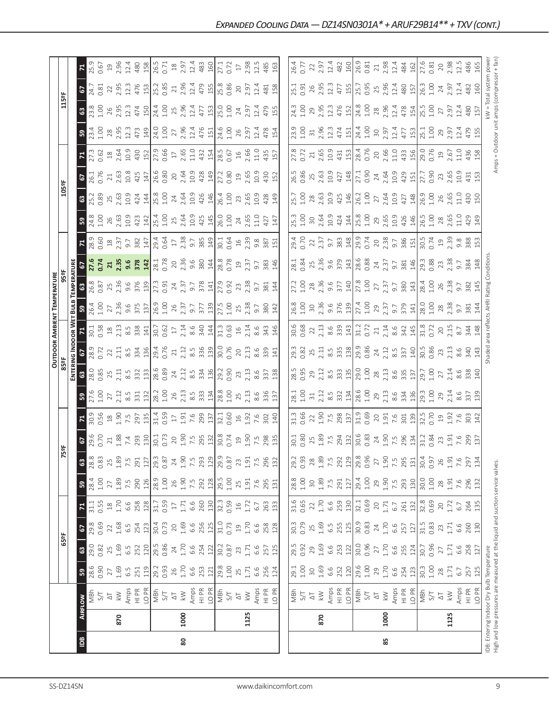|                |      |                                                                               |              |                 |                          |                 |                    |                 |                           |                                                                                                                                                                                                                                                                                                                     |                                                                                                                                                                                                                                                                                                                                  |                          |                                                                                                                                                                                                                                                                                                                                                   |                                                                                                                                                                                                                                                                                                               | <b>OUTDOOR AMBIENT TEMPERATURE</b>                                                                                                                                                                                                                                                                                                        |                                                                                                                                                                                                                                                                         |                     |                                                                                                                                                                                                                                                                                                                                                   |                                                                                                                                                                                                                                                                                                                                |                                                                                                                                                                                                                                                                                                                        |                                                                                            |                                                                                                                                                                                                                                                                                                               |                                                                                                                                                                                                 |                                                                                                                                |                                                                    |      |
|----------------|------|-------------------------------------------------------------------------------|--------------|-----------------|--------------------------|-----------------|--------------------|-----------------|---------------------------|---------------------------------------------------------------------------------------------------------------------------------------------------------------------------------------------------------------------------------------------------------------------------------------------------------------------|----------------------------------------------------------------------------------------------------------------------------------------------------------------------------------------------------------------------------------------------------------------------------------------------------------------------------------|--------------------------|---------------------------------------------------------------------------------------------------------------------------------------------------------------------------------------------------------------------------------------------------------------------------------------------------------------------------------------------------|---------------------------------------------------------------------------------------------------------------------------------------------------------------------------------------------------------------------------------------------------------------------------------------------------------------|-------------------------------------------------------------------------------------------------------------------------------------------------------------------------------------------------------------------------------------------------------------------------------------------------------------------------------------------|-------------------------------------------------------------------------------------------------------------------------------------------------------------------------------------------------------------------------------------------------------------------------|---------------------|---------------------------------------------------------------------------------------------------------------------------------------------------------------------------------------------------------------------------------------------------------------------------------------------------------------------------------------------------|--------------------------------------------------------------------------------------------------------------------------------------------------------------------------------------------------------------------------------------------------------------------------------------------------------------------------------|------------------------------------------------------------------------------------------------------------------------------------------------------------------------------------------------------------------------------------------------------------------------------------------------------------------------|--------------------------------------------------------------------------------------------|---------------------------------------------------------------------------------------------------------------------------------------------------------------------------------------------------------------------------------------------------------------------------------------------------------------|-------------------------------------------------------------------------------------------------------------------------------------------------------------------------------------------------|--------------------------------------------------------------------------------------------------------------------------------|--------------------------------------------------------------------|------|
|                |      |                                                                               |              | 65°F            |                          |                 |                    |                 | 5°F                       |                                                                                                                                                                                                                                                                                                                     |                                                                                                                                                                                                                                                                                                                                  |                          |                                                                                                                                                                                                                                                                                                                                                   |                                                                                                                                                                                                                                                                                                               |                                                                                                                                                                                                                                                                                                                                           |                                                                                                                                                                                                                                                                         |                     |                                                                                                                                                                                                                                                                                                                                                   |                                                                                                                                                                                                                                                                                                                                | 105°F                                                                                                                                                                                                                                                                                                                  |                                                                                            |                                                                                                                                                                                                                                                                                                               |                                                                                                                                                                                                 | 115°F                                                                                                                          |                                                                    |      |
|                |      |                                                                               |              |                 |                          |                 |                    |                 |                           |                                                                                                                                                                                                                                                                                                                     |                                                                                                                                                                                                                                                                                                                                  | ENTERI                   | <b>VG INDOOR WET</b>                                                                                                                                                                                                                                                                                                                              |                                                                                                                                                                                                                                                                                                               | BULB                                                                                                                                                                                                                                                                                                                                      | TEMPERATUR                                                                                                                                                                                                                                                              |                     |                                                                                                                                                                                                                                                                                                                                                   |                                                                                                                                                                                                                                                                                                                                |                                                                                                                                                                                                                                                                                                                        |                                                                                            |                                                                                                                                                                                                                                                                                                               |                                                                                                                                                                                                 |                                                                                                                                |                                                                    |      |
| $\overline{5}$ |      | <b>AIRFLOW</b>                                                                | 53           | $\mathbbmss{3}$ | 5                        | $\mathbf{z}$    | ${\tt S}$          | ශී              | <b>67</b><br>29.6<br>0.70 |                                                                                                                                                                                                                                                                                                                     |                                                                                                                                                                                                                                                                                                                                  | <b>8</b><br>28.0<br>0.85 |                                                                                                                                                                                                                                                                                                                                                   |                                                                                                                                                                                                                                                                                                               |                                                                                                                                                                                                                                                                                                                                           | 63<br>26.8<br>0.87                                                                                                                                                                                                                                                      | <b>67.6</b><br>0.74 |                                                                                                                                                                                                                                                                                                                                                   |                                                                                                                                                                                                                                                                                                                                | <b>63</b><br>25.2<br>0.89                                                                                                                                                                                                                                                                                              |                                                                                            | 4                                                                                                                                                                                                                                                                                                             | 59                                                                                                                                                                                              |                                                                                                                                | <b>Z</b><br>25.9                                                   |      |
|                |      | MBh                                                                           | 28.6<br>0.90 | 29.0            | 29.8                     | 31.1            | 28.4               | 28.8            |                           |                                                                                                                                                                                                                                                                                                                     |                                                                                                                                                                                                                                                                                                                                  |                          |                                                                                                                                                                                                                                                                                                                                                   | $\frac{71}{30.1}$                                                                                                                                                                                                                                                                                             |                                                                                                                                                                                                                                                                                                                                           |                                                                                                                                                                                                                                                                         |                     | $\frac{78.9}{28.9}$                                                                                                                                                                                                                                                                                                                               | $3\frac{8}{24.8}$                                                                                                                                                                                                                                                                                                              |                                                                                                                                                                                                                                                                                                                        | 67<br>26.1<br>0.76                                                                         |                                                                                                                                                                                                                                                                                                               | 23.4<br>1.00                                                                                                                                                                                    | <b>67</b><br>24.7<br>0.81                                                                                                      |                                                                    |      |
|                |      | 5/7                                                                           |              | 0.82            | 0.69                     | 0.55            | $1.00$             | 0.83            |                           |                                                                                                                                                                                                                                                                                                                     |                                                                                                                                                                                                                                                                                                                                  |                          |                                                                                                                                                                                                                                                                                                                                                   |                                                                                                                                                                                                                                                                                                               |                                                                                                                                                                                                                                                                                                                                           |                                                                                                                                                                                                                                                                         |                     |                                                                                                                                                                                                                                                                                                                                                   |                                                                                                                                                                                                                                                                                                                                |                                                                                                                                                                                                                                                                                                                        |                                                                                            |                                                                                                                                                                                                                                                                                                               |                                                                                                                                                                                                 |                                                                                                                                |                                                                    |      |
|                |      | $\overline{\circ}$                                                            | 27           | 25              | 22                       | $^{28}$         | 27                 | 25              |                           |                                                                                                                                                                                                                                                                                                                     |                                                                                                                                                                                                                                                                                                                                  |                          |                                                                                                                                                                                                                                                                                                                                                   |                                                                                                                                                                                                                                                                                                               |                                                                                                                                                                                                                                                                                                                                           |                                                                                                                                                                                                                                                                         |                     |                                                                                                                                                                                                                                                                                                                                                   | $26$<br>$2.63$<br>$10.9$<br>$423$                                                                                                                                                                                                                                                                                              |                                                                                                                                                                                                                                                                                                                        |                                                                                            |                                                                                                                                                                                                                                                                                                               | $28$<br>$2.95$<br>$12.3$<br>$473$                                                                                                                                                               | 22<br>$rac{3}{23.8}$<br>$rac{8}{25}$ $\frac{9}{25}$                                                                            | $\overline{c}$                                                     |      |
|                | 870  | $\lesssim$                                                                    | 1.69         | 1.69<br>6.5     | 1.68<br>$6.\overline{5}$ | 1.70            | 1.89               | 1.89            |                           |                                                                                                                                                                                                                                                                                                                     |                                                                                                                                                                                                                                                                                                                                  |                          |                                                                                                                                                                                                                                                                                                                                                   |                                                                                                                                                                                                                                                                                                               |                                                                                                                                                                                                                                                                                                                                           |                                                                                                                                                                                                                                                                         |                     |                                                                                                                                                                                                                                                                                                                                                   |                                                                                                                                                                                                                                                                                                                                |                                                                                                                                                                                                                                                                                                                        |                                                                                            |                                                                                                                                                                                                                                                                                                               |                                                                                                                                                                                                 | 2.95                                                                                                                           | $2.96$<br>$12.4$                                                   |      |
|                |      | Amps<br>HI PR                                                                 | 6.5<br>251   | 252             | 254                      | 258<br>6.6      | 290<br>7.5         | 291<br>7.5      |                           |                                                                                                                                                                                                                                                                                                                     |                                                                                                                                                                                                                                                                                                                                  |                          |                                                                                                                                                                                                                                                                                                                                                   |                                                                                                                                                                                                                                                                                                               |                                                                                                                                                                                                                                                                                                                                           |                                                                                                                                                                                                                                                                         |                     |                                                                                                                                                                                                                                                                                                                                                   |                                                                                                                                                                                                                                                                                                                                |                                                                                                                                                                                                                                                                                                                        |                                                                                            |                                                                                                                                                                                                                                                                                                               |                                                                                                                                                                                                 | 12.3<br>12.3                                                                                                                   |                                                                    |      |
|                |      | LO PR                                                                         | 119          | 120             | 123                      | 128             | 126                | 127             |                           | $\frac{1}{2}$ $\frac{3}{2}$ $\frac{3}{2}$ $\frac{3}{2}$ $\frac{3}{2}$ $\frac{3}{2}$ $\frac{3}{2}$ $\frac{3}{2}$ $\frac{3}{2}$ $\frac{3}{2}$ $\frac{3}{2}$ $\frac{3}{2}$ $\frac{3}{2}$ $\frac{3}{2}$ $\frac{3}{2}$ $\frac{3}{2}$ $\frac{3}{2}$ $\frac{3}{2}$ $\frac{3}{2}$ $\frac{3}{2}$ $\frac{3}{2}$ $\frac{3}{2}$ | $3\frac{1}{2}$ , $\frac{1}{2}$ , $\frac{1}{2}$ , $\frac{1}{2}$ , $\frac{1}{2}$ , $\frac{1}{2}$ , $\frac{1}{2}$ , $\frac{1}{2}$ , $\frac{1}{2}$ , $\frac{1}{2}$ , $\frac{1}{2}$ , $\frac{1}{2}$ , $\frac{1}{2}$ , $\frac{1}{2}$ , $\frac{1}{2}$ , $\frac{1}{2}$ , $\frac{1}{2}$ , $\frac{1}{2}$ , $\frac{1}{2}$ , $\frac{1}{2}$ , |                          | $\frac{6}{283}$<br>$\frac{3}{22}$<br>$\frac{2}{21}$<br>$\frac{1}{21}$<br>$\frac{5}{25}$<br>$\frac{3}{27}$<br>$\frac{3}{21}$                                                                                                                                                                                                                       |                                                                                                                                                                                                                                                                                                               | $\mathbf{B}$ , $\mathbf{S}$ , $\mathbf{S}$ , $\mathbf{S}$ , $\mathbf{S}$ , $\mathbf{S}$ , $\mathbf{S}$ , $\mathbf{S}$ , $\mathbf{S}$ , $\mathbf{S}$ , $\mathbf{S}$ , $\mathbf{S}$ , $\mathbf{S}$ , $\mathbf{S}$ , $\mathbf{S}$ , $\mathbf{S}$ , $\mathbf{S}$ , $\mathbf{S}$ , $\mathbf{S}$ , $\mathbf{S}$ , $\mathbf{S}$ , $\mathbf{S}$ , |                                                                                                                                                                                                                                                                         |                     | $\begin{array}{c} 23 \\ 21 \\ 23 \\ 24 \\ 25 \\ 26 \\ 27 \\ 28 \\ 29 \\ 20 \\ 21 \\ 23 \\ 24 \\ 26 \\ 27 \\ 28 \\ 29 \\ 20 \\ 20 \\ 24 \\ 23 \\ 24 \\ 25 \\ 26 \\ 27 \\ 28 \\ 29 \\ 20 \\ 21 \\ 22 \\ 23 \\ 24 \\ 25 \\ 26 \\ 27 \\ 28 \\ 29 \\ 29 \\ 21 \\ 22 \\ 23 \\ 24 \\ 25 \\ 27 \\ 28 \\ 29 \\ 29 \\ 29 \\ 20 \\ 23 \\ 25 \\ 27 \\ 29 \\ $ |                                                                                                                                                                                                                                                                                                                                | $\begin{array}{c}\n1.633344 \\ 1.63544 \\ 1.63544 \\ 1.63544 \\ 1.63544 \\ 1.63544 \\ 1.63544 \\ 1.63544 \\ 1.63544 \\ 1.63544 \\ 1.63544 \\ 1.63544 \\ 1.63544 \\ 1.63544 \\ 1.63544 \\ 1.63544 \\ 1.63544 \\ 1.63544 \\ 1.63544 \\ 1.63544 \\ 1.63544 \\ 1.63544 \\ 1.63544 \\ 1.63544 \\ 1.63544 \\ 1.63544 \\ 1.6$ |                                                                                            | $\begin{array}{l} 2,65 \\ 2,66 \\ 3,76 \\ 4,85 \\ 5,66 \\ 6,76 \\ 6,76 \\ 6,76 \\ 6,76 \\ 6,76 \\ 6,76 \\ 6,76 \\ 6,76 \\ 6,76 \\ 6,76 \\ 6,76 \\ 6,76 \\ 6,76 \\ 6,76 \\ 6,76 \\ 6,76 \\ 6,76 \\ 6,76 \\ 6,76 \\ 6,76 \\ 6,76 \\ 6,76 \\ 6,76 \\ 6,76 \\ 6,76 \\ 6,76 \\ 6,76 \\ 6,76 \\ 6,76 \\ 6,76 \\ 6,$ | 474<br>150<br>149                                                                                                                                                                               | 476                                                                                                                            | 480                                                                |      |
|                |      |                                                                               | 29.2         | 29.5            | 30.4                     | 31.7            | 28.9               | 29.3            |                           |                                                                                                                                                                                                                                                                                                                     |                                                                                                                                                                                                                                                                                                                                  |                          |                                                                                                                                                                                                                                                                                                                                                   |                                                                                                                                                                                                                                                                                                               |                                                                                                                                                                                                                                                                                                                                           |                                                                                                                                                                                                                                                                         |                     |                                                                                                                                                                                                                                                                                                                                                   | $\frac{1}{2} \begin{vmatrix} 1 & 0 & 0 & 0 & 0 \\ 0 & 1 & 0 & 0 & 0 \\ 0 & 0 & 0 & 0 & 0 \\ 0 & 0 & 0 & 0 & 0 \\ 0 & 0 & 0 & 0 & 0 \\ 0 & 0 & 0 & 0 & 0 \\ 0 & 0 & 0 & 0 & 0 \\ 0 & 0 & 0 & 0 & 0 \\ 0 & 0 & 0 & 0 & 0 \\ 0 & 0 & 0 & 0 & 0 \\ 0 & 0 & 0 & 0 & 0 \\ 0 & 0 & 0 & 0 & 0 \\ 0 & 0 & 0 & 0 & 0 \\ 0 & 0 & 0 & 0 &$ |                                                                                                                                                                                                                                                                                                                        |                                                                                            |                                                                                                                                                                                                                                                                                                               |                                                                                                                                                                                                 |                                                                                                                                |                                                                    |      |
|                |      | $\frac{1}{14}$                                                                | 0.93         | 0.86            | 0.73                     | 0.59            | 1.00               | 0.87            |                           |                                                                                                                                                                                                                                                                                                                     |                                                                                                                                                                                                                                                                                                                                  |                          |                                                                                                                                                                                                                                                                                                                                                   |                                                                                                                                                                                                                                                                                                               |                                                                                                                                                                                                                                                                                                                                           |                                                                                                                                                                                                                                                                         |                     |                                                                                                                                                                                                                                                                                                                                                   |                                                                                                                                                                                                                                                                                                                                |                                                                                                                                                                                                                                                                                                                        |                                                                                            |                                                                                                                                                                                                                                                                                                               | 24.0<br>1.00<br>27<br>2.96<br>12.4                                                                                                                                                              | 25.2<br>0.85<br>24.4<br>1.00                                                                                                   | 26.5<br>0.71<br>18<br>2.97                                         |      |
|                |      | $\overline{\circlearrowright}$                                                | 26           | 24              | 20                       | $\overline{17}$ | 26                 | 24              |                           |                                                                                                                                                                                                                                                                                                                     |                                                                                                                                                                                                                                                                                                                                  |                          |                                                                                                                                                                                                                                                                                                                                                   |                                                                                                                                                                                                                                                                                                               |                                                                                                                                                                                                                                                                                                                                           |                                                                                                                                                                                                                                                                         |                     |                                                                                                                                                                                                                                                                                                                                                   |                                                                                                                                                                                                                                                                                                                                |                                                                                                                                                                                                                                                                                                                        |                                                                                            |                                                                                                                                                                                                                                                                                                               |                                                                                                                                                                                                 | 25                                                                                                                             |                                                                    |      |
| 80             | 1000 | $\lesssim$                                                                    | 1.70         | 1.70            | 1.69                     | 1.71            | 1.90               | 1.90            |                           |                                                                                                                                                                                                                                                                                                                     |                                                                                                                                                                                                                                                                                                                                  |                          |                                                                                                                                                                                                                                                                                                                                                   |                                                                                                                                                                                                                                                                                                               |                                                                                                                                                                                                                                                                                                                                           |                                                                                                                                                                                                                                                                         |                     |                                                                                                                                                                                                                                                                                                                                                   |                                                                                                                                                                                                                                                                                                                                |                                                                                                                                                                                                                                                                                                                        |                                                                                            |                                                                                                                                                                                                                                                                                                               |                                                                                                                                                                                                 | 2.96<br>2.96                                                                                                                   |                                                                    |      |
|                |      | Amps                                                                          | 6.6          | 6.6             | 6.6                      | 6.6             | 7.5                | 7.5             |                           |                                                                                                                                                                                                                                                                                                                     |                                                                                                                                                                                                                                                                                                                                  |                          |                                                                                                                                                                                                                                                                                                                                                   |                                                                                                                                                                                                                                                                                                               |                                                                                                                                                                                                                                                                                                                                           |                                                                                                                                                                                                                                                                         |                     |                                                                                                                                                                                                                                                                                                                                                   |                                                                                                                                                                                                                                                                                                                                |                                                                                                                                                                                                                                                                                                                        |                                                                                            |                                                                                                                                                                                                                                                                                                               |                                                                                                                                                                                                 | 12.4<br>12.4                                                                                                                   | 12.4                                                               |      |
|                |      | HI PR                                                                         | 253          | 254             |                          | 260             | 292                | 293             |                           |                                                                                                                                                                                                                                                                                                                     |                                                                                                                                                                                                                                                                                                                                  |                          |                                                                                                                                                                                                                                                                                                                                                   |                                                                                                                                                                                                                                                                                                               |                                                                                                                                                                                                                                                                                                                                           |                                                                                                                                                                                                                                                                         |                     |                                                                                                                                                                                                                                                                                                                                                   |                                                                                                                                                                                                                                                                                                                                |                                                                                                                                                                                                                                                                                                                        |                                                                                            |                                                                                                                                                                                                                                                                                                               |                                                                                                                                                                                                 | 477                                                                                                                            |                                                                    |      |
|                |      | LO PR                                                                         | 121          | 122             | 256<br>125               | 130             | 128                | 129             |                           |                                                                                                                                                                                                                                                                                                                     |                                                                                                                                                                                                                                                                                                                                  |                          |                                                                                                                                                                                                                                                                                                                                                   |                                                                                                                                                                                                                                                                                                               |                                                                                                                                                                                                                                                                                                                                           |                                                                                                                                                                                                                                                                         |                     |                                                                                                                                                                                                                                                                                                                                                   |                                                                                                                                                                                                                                                                                                                                |                                                                                                                                                                                                                                                                                                                        |                                                                                            |                                                                                                                                                                                                                                                                                                               |                                                                                                                                                                                                 | 479<br>155<br>153                                                                                                              | 483<br>160                                                         |      |
|                |      |                                                                               | 29.8         | 30.2            | 31.0                     | 32.3            | 29.5               | 29.9            |                           |                                                                                                                                                                                                                                                                                                                     |                                                                                                                                                                                                                                                                                                                                  |                          | $\frac{13.76}{2.71}$ $\frac{21.73}{8.5}$ $\frac{8.98}{2.10}$ $\frac{21.73}{2.00}$ $\frac{21.73}{2.00}$                                                                                                                                                                                                                                            |                                                                                                                                                                                                                                                                                                               |                                                                                                                                                                                                                                                                                                                                           |                                                                                                                                                                                                                                                                         |                     |                                                                                                                                                                                                                                                                                                                                                   |                                                                                                                                                                                                                                                                                                                                |                                                                                                                                                                                                                                                                                                                        | $\frac{27.2}{0.80}$                                                                        |                                                                                                                                                                                                                                                                                                               | $476$<br>$\frac{151}{24.6}$<br>$\frac{1}{4.00}$<br>$\frac{26}{297}$                                                                                                                             |                                                                                                                                |                                                                    |      |
|                |      | $\frac{1}{2}$ S/T                                                             | 1.00         | 0.87            | 0.73                     | 0.59            | $1.00$             | 0.87            |                           |                                                                                                                                                                                                                                                                                                                     |                                                                                                                                                                                                                                                                                                                                  |                          |                                                                                                                                                                                                                                                                                                                                                   |                                                                                                                                                                                                                                                                                                               |                                                                                                                                                                                                                                                                                                                                           |                                                                                                                                                                                                                                                                         |                     |                                                                                                                                                                                                                                                                                                                                                   |                                                                                                                                                                                                                                                                                                                                |                                                                                                                                                                                                                                                                                                                        |                                                                                            |                                                                                                                                                                                                                                                                                                               |                                                                                                                                                                                                 | 25.8<br>0.86<br>25.0<br>1.00                                                                                                   | 27.1<br>0.72                                                       |      |
|                |      | $\overline{\triangle}$                                                        | 25           | 23              | $\mathfrak{Q}$           | $\frac{1}{2}$   | 25                 | 23              |                           |                                                                                                                                                                                                                                                                                                                     |                                                                                                                                                                                                                                                                                                                                  |                          |                                                                                                                                                                                                                                                                                                                                                   |                                                                                                                                                                                                                                                                                                               |                                                                                                                                                                                                                                                                                                                                           |                                                                                                                                                                                                                                                                         |                     |                                                                                                                                                                                                                                                                                                                                                   |                                                                                                                                                                                                                                                                                                                                |                                                                                                                                                                                                                                                                                                                        |                                                                                            |                                                                                                                                                                                                                                                                                                               |                                                                                                                                                                                                 | $20\,$                                                                                                                         | $17\,$                                                             |      |
|                | 1125 | $\lesssim$                                                                    | 1.71         | 1.71            | 1.70                     | 1.72            | 1.91               | 1.91            |                           |                                                                                                                                                                                                                                                                                                                     |                                                                                                                                                                                                                                                                                                                                  |                          |                                                                                                                                                                                                                                                                                                                                                   |                                                                                                                                                                                                                                                                                                               |                                                                                                                                                                                                                                                                                                                                           |                                                                                                                                                                                                                                                                         | $19$<br>$2.37$      |                                                                                                                                                                                                                                                                                                                                                   | 24.65                                                                                                                                                                                                                                                                                                                          |                                                                                                                                                                                                                                                                                                                        | $\frac{9}{2.65}$                                                                           |                                                                                                                                                                                                                                                                                                               |                                                                                                                                                                                                 | $-97$<br>$24$ $97$                                                                                                             | 2.98                                                               |      |
|                |      | Amps                                                                          | 6.6          | 6.6             | 6.6                      | 6.7             | 7.6                | 7.5             |                           |                                                                                                                                                                                                                                                                                                                     |                                                                                                                                                                                                                                                                                                                                  |                          |                                                                                                                                                                                                                                                                                                                                                   |                                                                                                                                                                                                                                                                                                               |                                                                                                                                                                                                                                                                                                                                           |                                                                                                                                                                                                                                                                         |                     |                                                                                                                                                                                                                                                                                                                                                   | 11.0                                                                                                                                                                                                                                                                                                                           |                                                                                                                                                                                                                                                                                                                        |                                                                                            |                                                                                                                                                                                                                                                                                                               | 12.4                                                                                                                                                                                            | 12.4<br>12.4                                                                                                                   | 12.5                                                               |      |
|                |      | HI PR                                                                         | 256          | 257             | 258                      |                 | 295                | 296             | 1907581                   | 7.6<br>302                                                                                                                                                                                                                                                                                                          | 8.6<br>336                                                                                                                                                                                                                                                                                                                       |                          | 20, 13, 6, 8, 9, 14                                                                                                                                                                                                                                                                                                                               |                                                                                                                                                                                                                                                                                                               |                                                                                                                                                                                                                                                                                                                                           |                                                                                                                                                                                                                                                                         | 9.7<br>383<br>146   |                                                                                                                                                                                                                                                                                                                                                   | 427                                                                                                                                                                                                                                                                                                                            |                                                                                                                                                                                                                                                                                                                        | 10.9<br>430<br>152                                                                         |                                                                                                                                                                                                                                                                                                               | 478                                                                                                                                                                                             | 481<br>479                                                                                                                     | 485                                                                |      |
|                |      |                                                                               |              |                 |                          | 263             |                    |                 |                           |                                                                                                                                                                                                                                                                                                                     |                                                                                                                                                                                                                                                                                                                                  |                          |                                                                                                                                                                                                                                                                                                                                                   |                                                                                                                                                                                                                                                                                                               |                                                                                                                                                                                                                                                                                                                                           |                                                                                                                                                                                                                                                                         |                     |                                                                                                                                                                                                                                                                                                                                                   |                                                                                                                                                                                                                                                                                                                                |                                                                                                                                                                                                                                                                                                                        |                                                                                            |                                                                                                                                                                                                                                                                                                               |                                                                                                                                                                                                 |                                                                                                                                |                                                                    |      |
|                |      | LO PR                                                                         | 124          | 125             | 128                      | 133             | 131                | 132             |                           | $\frac{1}{40}$                                                                                                                                                                                                                                                                                                      | 137                                                                                                                                                                                                                                                                                                                              |                          |                                                                                                                                                                                                                                                                                                                                                   |                                                                                                                                                                                                                                                                                                               |                                                                                                                                                                                                                                                                                                                                           |                                                                                                                                                                                                                                                                         |                     |                                                                                                                                                                                                                                                                                                                                                   | 147                                                                                                                                                                                                                                                                                                                            |                                                                                                                                                                                                                                                                                                                        |                                                                                            |                                                                                                                                                                                                                                                                                                               | 154                                                                                                                                                                                             | 158<br>155                                                                                                                     | 163                                                                |      |
|                |      |                                                                               |              |                 |                          |                 |                    |                 |                           |                                                                                                                                                                                                                                                                                                                     |                                                                                                                                                                                                                                                                                                                                  |                          |                                                                                                                                                                                                                                                                                                                                                   |                                                                                                                                                                                                                                                                                                               |                                                                                                                                                                                                                                                                                                                                           |                                                                                                                                                                                                                                                                         |                     |                                                                                                                                                                                                                                                                                                                                                   |                                                                                                                                                                                                                                                                                                                                |                                                                                                                                                                                                                                                                                                                        |                                                                                            |                                                                                                                                                                                                                                                                                                               |                                                                                                                                                                                                 |                                                                                                                                |                                                                    |      |
|                |      | ngw<br>2년                                                                     | 29.1         | 29.5            | 30.3                     | 31.6            | 28.8               | 29.2            |                           | 31.3<br>0.66<br>22                                                                                                                                                                                                                                                                                                  | $\frac{1}{28}$                                                                                                                                                                                                                                                                                                                   | 28.5                     | 29.3<br>0.82                                                                                                                                                                                                                                                                                                                                      |                                                                                                                                                                                                                                                                                                               | 26.8                                                                                                                                                                                                                                                                                                                                      | 27.2                                                                                                                                                                                                                                                                    | 28.1                |                                                                                                                                                                                                                                                                                                                                                   | 25.3<br>1.00                                                                                                                                                                                                                                                                                                                   | 25.7<br>1.00                                                                                                                                                                                                                                                                                                           | 26.5                                                                                       |                                                                                                                                                                                                                                                                                                               |                                                                                                                                                                                                 | 25.1<br>0.91                                                                                                                   | 26.4<br>0.77                                                       |      |
|                |      |                                                                               | 1.00         | 0.92            | 0.79                     | 0.65            | 1.00               | 0.93            |                           |                                                                                                                                                                                                                                                                                                                     |                                                                                                                                                                                                                                                                                                                                  | 0.95                     |                                                                                                                                                                                                                                                                                                                                                   |                                                                                                                                                                                                                                                                                                               |                                                                                                                                                                                                                                                                                                                                           |                                                                                                                                                                                                                                                                         |                     |                                                                                                                                                                                                                                                                                                                                                   |                                                                                                                                                                                                                                                                                                                                |                                                                                                                                                                                                                                                                                                                        | 0.86                                                                                       |                                                                                                                                                                                                                                                                                                               |                                                                                                                                                                                                 |                                                                                                                                |                                                                    |      |
|                |      | $\overline{\Delta}$                                                           | $30$         | 29              | 25                       | 22              | 30                 | 28              |                           |                                                                                                                                                                                                                                                                                                                     |                                                                                                                                                                                                                                                                                                                                  |                          |                                                                                                                                                                                                                                                                                                                                                   |                                                                                                                                                                                                                                                                                                               |                                                                                                                                                                                                                                                                                                                                           |                                                                                                                                                                                                                                                                         |                     |                                                                                                                                                                                                                                                                                                                                                   |                                                                                                                                                                                                                                                                                                                                |                                                                                                                                                                                                                                                                                                                        |                                                                                            |                                                                                                                                                                                                                                                                                                               |                                                                                                                                                                                                 |                                                                                                                                |                                                                    |      |
|                | 870  | $\lesssim$                                                                    | 1.69         | 1.69            | 1.69                     | 1.70            | 1.89               | 1.89            |                           |                                                                                                                                                                                                                                                                                                                     |                                                                                                                                                                                                                                                                                                                                  |                          |                                                                                                                                                                                                                                                                                                                                                   |                                                                                                                                                                                                                                                                                                               |                                                                                                                                                                                                                                                                                                                                           |                                                                                                                                                                                                                                                                         |                     |                                                                                                                                                                                                                                                                                                                                                   |                                                                                                                                                                                                                                                                                                                                |                                                                                                                                                                                                                                                                                                                        |                                                                                            |                                                                                                                                                                                                                                                                                                               |                                                                                                                                                                                                 |                                                                                                                                |                                                                    |      |
|                |      |                                                                               | 6.6          | 6.6             | 6.5                      | 6.6             | 7.5                | 7.5             |                           |                                                                                                                                                                                                                                                                                                                     |                                                                                                                                                                                                                                                                                                                                  |                          |                                                                                                                                                                                                                                                                                                                                                   |                                                                                                                                                                                                                                                                                                               |                                                                                                                                                                                                                                                                                                                                           |                                                                                                                                                                                                                                                                         |                     |                                                                                                                                                                                                                                                                                                                                                   |                                                                                                                                                                                                                                                                                                                                |                                                                                                                                                                                                                                                                                                                        |                                                                                            |                                                                                                                                                                                                                                                                                                               |                                                                                                                                                                                                 | $2.95$<br>$2.3$<br>24.3<br>1.00<br>2.95<br>2.31                                                                                | $2.97$<br>$12.4$                                                   |      |
|                |      | Amps<br>HI PR                                                                 | 252          | 253             |                          |                 | 291                | 292             |                           |                                                                                                                                                                                                                                                                                                                     |                                                                                                                                                                                                                                                                                                                                  |                          |                                                                                                                                                                                                                                                                                                                                                   |                                                                                                                                                                                                                                                                                                               |                                                                                                                                                                                                                                                                                                                                           |                                                                                                                                                                                                                                                                         |                     |                                                                                                                                                                                                                                                                                                                                                   |                                                                                                                                                                                                                                                                                                                                |                                                                                                                                                                                                                                                                                                                        |                                                                                            |                                                                                                                                                                                                                                                                                                               |                                                                                                                                                                                                 |                                                                                                                                |                                                                    |      |
|                |      | LO PR                                                                         | 120          | 122             | 255<br>125               | 259<br>130      | 127                | 129             |                           | $\frac{36}{25}$ $\frac{36}{25}$ $\frac{36}{25}$ $\frac{36}{25}$ $\frac{36}{25}$ $\frac{36}{25}$ $\frac{36}{25}$ $\frac{36}{25}$ $\frac{36}{25}$                                                                                                                                                                     | $\frac{1}{2}$ $\frac{1}{2}$ $\frac{1}{2}$ $\frac{1}{2}$ $\frac{1}{2}$ $\frac{1}{2}$ $\frac{1}{2}$ $\frac{1}{2}$ $\frac{1}{2}$ $\frac{1}{2}$ $\frac{1}{2}$ $\frac{1}{2}$ $\frac{1}{2}$ $\frac{1}{2}$ $\frac{1}{2}$ $\frac{1}{2}$ $\frac{1}{2}$ $\frac{1}{2}$ $\frac{1}{2}$ $\frac{1}{2}$ $\frac{1}{2}$ $\frac{1}{2}$              |                          | $\begin{array}{l} 25 \\ 211 \\ 36 \\ 37 \\ 48 \\ 50 \\ 61 \\ 70 \\ 80 \\ 81 \\ 71 \\ 82 \\ 72 \\ 83 \\ 73 \\ 74 \\ 75 \\ 76 \\ 79 \\ 79 \\ 70 \\ 70 \\ 71 \\ 71 \\ 72 \\ 73 \\ 74 \\ 75 \\ 77 \\ 78 \\ 79 \\ 73 \\ 73 \\ 74 \\ 75 \\ 77 \\ 78 \\ 79 \\ 79 \\ 79 \\ 73 \\ 73 \\ 75 \\ 77 \\ 78 \\ 79 \\ 79 \\ 79 \\ 79 \\ 79 \\ 79 \\ 79 \\ 79 \\$ | $\begin{array}{l} 0.68 \\ 0.68 \\ 0.87 \\ 0.71 \\ 0.88 \\ 0.71 \\ 0.89 \\ 0.71 \\ 0.72 \\ 0.73 \\ 0.75 \\ 0.71 \\ 0.72 \\ 0.73 \\ 0.74 \\ 0.75 \\ 0.75 \\ 0.77 \\ 0.77 \\ 0.79 \\ 0.79 \\ 0.79 \\ 0.79 \\ 0.79 \\ 0.79 \\ 0.79 \\ 0.79 \\ 0.79 \\ 0.79 \\ 0.79 \\ 0.79 \\ 0.79 \\ 0.79 \\ 0.79 \\ 0.79 \\ 0.$ | $\frac{1}{3}$ $\frac{1}{3}$ $\frac{1}{3}$ $\frac{1}{3}$ $\frac{1}{3}$ $\frac{1}{3}$ $\frac{1}{3}$ $\frac{1}{3}$ $\frac{1}{3}$ $\frac{1}{3}$ $\frac{1}{3}$ $\frac{1}{3}$ $\frac{1}{3}$ $\frac{1}{3}$ $\frac{1}{3}$ $\frac{1}{3}$ $\frac{1}{3}$ $\frac{1}{3}$ $\frac{1}{3}$ $\frac{1}{3}$ $\frac{1}{3}$ $\frac{1}{3}$                       | $\begin{array}{c c c c c c c c c} 1.03 & 0.02 & 0.03 & 0.00 & 0.00 & 0.00 & 0.00 & 0.00 & 0.00 & 0.00 & 0.00 & 0.00 & 0.00 & 0.00 & 0.00 & 0.00 & 0.00 & 0.00 & 0.00 & 0.00 & 0.00 & 0.00 & 0.00 & 0.00 & 0.00 & 0.00 & 0.00 & 0.00 & 0.00 & 0.00 & 0.00 & 0.00 & 0.00$ |                     |                                                                                                                                                                                                                                                                                                                                                   | $\begin{array}{c}\n 3.63344 \\  2.6344 \\  3.63544 \\  3.6364 \\  4.6364 \\  5.6364 \\  6.6364 \\  7.6364 \\  8.6364 \\  9.6364 \\  1.0364 \\  1.0364 \\  1.0364 \\  1.0364 \\  1.0364 \\  1.0364 \\  1.0364 \\  1.0364 \\  1.0364 \\  1.0364 \\  1.0364 \\  1.0364 \\  1.0364 \\  1.0364 \\  1.0364 \\  1.0364 \\  1$         |                                                                                                                                                                                                                                                                                                                        | $\begin{array}{c}\n 25 \\  2.63 \\  12.7 \\  427 \\  7.1 \\  0.90 \\  \hline\n\end{array}$ |                                                                                                                                                                                                                                                                                                               | $\frac{3}{100}$ $\frac{3}{100}$ $\frac{3}{100}$ $\frac{3}{100}$ $\frac{3}{100}$ $\frac{3}{100}$ $\frac{3}{100}$ $\frac{3}{100}$ $\frac{3}{100}$ $\frac{3}{100}$ $\frac{3}{100}$ $\frac{3}{100}$ | $\frac{477}{155}$<br>$\frac{155}{25.7}$<br>$\begin{array}{c c}\n476 \\ 152 \\ 74.00 \\ 28 \\ 73.478 \\ 474 \\ 19\n\end{array}$ | $482$<br>$160$<br>$26.9$<br>0.81                                   |      |
|                |      |                                                                               | 29.6         | 30.0            | 30.9                     | 32.1            | 29.4               | 29.8            |                           |                                                                                                                                                                                                                                                                                                                     |                                                                                                                                                                                                                                                                                                                                  |                          |                                                                                                                                                                                                                                                                                                                                                   |                                                                                                                                                                                                                                                                                                               |                                                                                                                                                                                                                                                                                                                                           |                                                                                                                                                                                                                                                                         |                     |                                                                                                                                                                                                                                                                                                                                                   |                                                                                                                                                                                                                                                                                                                                |                                                                                                                                                                                                                                                                                                                        |                                                                                            |                                                                                                                                                                                                                                                                                                               |                                                                                                                                                                                                 |                                                                                                                                |                                                                    |      |
|                |      | $\frac{1}{4}$<br>MBh                                                          | 1.00         | 0.96            | 0.83                     | 0.69            | 1.00               | 0.96            |                           |                                                                                                                                                                                                                                                                                                                     |                                                                                                                                                                                                                                                                                                                                  |                          |                                                                                                                                                                                                                                                                                                                                                   |                                                                                                                                                                                                                                                                                                               |                                                                                                                                                                                                                                                                                                                                           |                                                                                                                                                                                                                                                                         |                     |                                                                                                                                                                                                                                                                                                                                                   |                                                                                                                                                                                                                                                                                                                                |                                                                                                                                                                                                                                                                                                                        |                                                                                            |                                                                                                                                                                                                                                                                                                               |                                                                                                                                                                                                 |                                                                                                                                |                                                                    |      |
|                |      | $\overline{\Delta}$                                                           | 29           | 27              | 24                       | $20\,$          | 29                 | $\overline{27}$ |                           |                                                                                                                                                                                                                                                                                                                     |                                                                                                                                                                                                                                                                                                                                  |                          |                                                                                                                                                                                                                                                                                                                                                   |                                                                                                                                                                                                                                                                                                               |                                                                                                                                                                                                                                                                                                                                           |                                                                                                                                                                                                                                                                         |                     |                                                                                                                                                                                                                                                                                                                                                   |                                                                                                                                                                                                                                                                                                                                |                                                                                                                                                                                                                                                                                                                        |                                                                                            |                                                                                                                                                                                                                                                                                                               |                                                                                                                                                                                                 |                                                                                                                                |                                                                    |      |
| 85             | 1000 | $\gtrapprox$                                                                  | 1.70         | 1.70            | 1.70                     | 1.71            |                    | 1.90            |                           |                                                                                                                                                                                                                                                                                                                     |                                                                                                                                                                                                                                                                                                                                  |                          |                                                                                                                                                                                                                                                                                                                                                   |                                                                                                                                                                                                                                                                                                               |                                                                                                                                                                                                                                                                                                                                           |                                                                                                                                                                                                                                                                         |                     |                                                                                                                                                                                                                                                                                                                                                   |                                                                                                                                                                                                                                                                                                                                |                                                                                                                                                                                                                                                                                                                        |                                                                                            |                                                                                                                                                                                                                                                                                                               |                                                                                                                                                                                                 |                                                                                                                                |                                                                    |      |
|                |      | Amps                                                                          | 6.6          | 6.6             | 6.6                      | 6.7             |                    |                 |                           |                                                                                                                                                                                                                                                                                                                     |                                                                                                                                                                                                                                                                                                                                  |                          |                                                                                                                                                                                                                                                                                                                                                   |                                                                                                                                                                                                                                                                                                               |                                                                                                                                                                                                                                                                                                                                           |                                                                                                                                                                                                                                                                         |                     |                                                                                                                                                                                                                                                                                                                                                   |                                                                                                                                                                                                                                                                                                                                |                                                                                                                                                                                                                                                                                                                        |                                                                                            |                                                                                                                                                                                                                                                                                                               |                                                                                                                                                                                                 |                                                                                                                                |                                                                    |      |
|                |      | $\frac{P}{T}$                                                                 | 254          | 255             | 257                      | 261             | $\frac{1.90}{7.5}$ | $7.5$<br>295    |                           |                                                                                                                                                                                                                                                                                                                     |                                                                                                                                                                                                                                                                                                                                  |                          |                                                                                                                                                                                                                                                                                                                                                   |                                                                                                                                                                                                                                                                                                               |                                                                                                                                                                                                                                                                                                                                           |                                                                                                                                                                                                                                                                         |                     |                                                                                                                                                                                                                                                                                                                                                   |                                                                                                                                                                                                                                                                                                                                |                                                                                                                                                                                                                                                                                                                        |                                                                                            |                                                                                                                                                                                                                                                                                                               |                                                                                                                                                                                                 | 25<br>2.96<br>480<br>457                                                                                                       |                                                                    |      |
|                |      | LO PR                                                                         | 123          | 124             | 127                      | 132             | 130                | 131             |                           |                                                                                                                                                                                                                                                                                                                     |                                                                                                                                                                                                                                                                                                                                  |                          |                                                                                                                                                                                                                                                                                                                                                   |                                                                                                                                                                                                                                                                                                               |                                                                                                                                                                                                                                                                                                                                           |                                                                                                                                                                                                                                                                         |                     |                                                                                                                                                                                                                                                                                                                                                   |                                                                                                                                                                                                                                                                                                                                |                                                                                                                                                                                                                                                                                                                        |                                                                                            |                                                                                                                                                                                                                                                                                                               | 153                                                                                                                                                                                             |                                                                                                                                |                                                                    |      |
|                |      | NBh                                                                           | 30.3         | 30.7            | 31.5                     | 32.8            | 30.0               | 30.4            |                           | 32.5<br>0.70                                                                                                                                                                                                                                                                                                        |                                                                                                                                                                                                                                                                                                                                  | $\frac{1}{29.7}$         |                                                                                                                                                                                                                                                                                                                                                   |                                                                                                                                                                                                                                                                                                               |                                                                                                                                                                                                                                                                                                                                           |                                                                                                                                                                                                                                                                         |                     |                                                                                                                                                                                                                                                                                                                                                   |                                                                                                                                                                                                                                                                                                                                |                                                                                                                                                                                                                                                                                                                        | $\frac{24}{2.64}$ $\frac{49}{42}$ $\frac{5}{41}$ $\frac{1}{27}$ $\frac{1}{20}$             |                                                                                                                                                                                                                                                                                                               | 25.1<br>1.00                                                                                                                                                                                    | 26.3<br>1.00<br>25.5                                                                                                           | $21$<br>$2.98$<br>$124$<br>$481$<br>$50$<br>$7.6$<br>$10$<br>$7.6$ |      |
|                |      | $5/1$                                                                         | 1.00         | 0.96            | 0.83                     | 0.69            | $1.00$             | 0.97            |                           |                                                                                                                                                                                                                                                                                                                     |                                                                                                                                                                                                                                                                                                                                  |                          |                                                                                                                                                                                                                                                                                                                                                   |                                                                                                                                                                                                                                                                                                               |                                                                                                                                                                                                                                                                                                                                           |                                                                                                                                                                                                                                                                         |                     |                                                                                                                                                                                                                                                                                                                                                   |                                                                                                                                                                                                                                                                                                                                |                                                                                                                                                                                                                                                                                                                        |                                                                                            |                                                                                                                                                                                                                                                                                                               |                                                                                                                                                                                                 | 001                                                                                                                            |                                                                    |      |
|                |      | $\overline{\Delta}$                                                           | 28           | 27              | 23                       | 20              | $28$               | 26              |                           |                                                                                                                                                                                                                                                                                                                     |                                                                                                                                                                                                                                                                                                                                  | $\overline{27}$          |                                                                                                                                                                                                                                                                                                                                                   |                                                                                                                                                                                                                                                                                                               |                                                                                                                                                                                                                                                                                                                                           |                                                                                                                                                                                                                                                                         |                     |                                                                                                                                                                                                                                                                                                                                                   |                                                                                                                                                                                                                                                                                                                                |                                                                                                                                                                                                                                                                                                                        | 23<br>2.65                                                                                 | 2.67                                                                                                                                                                                                                                                                                                          | $\overline{27}$<br>29<br>2.97                                                                                                                                                                   | 24<br>2.97                                                                                                                     |                                                                    |      |
|                | 1125 | $\geq$                                                                        | 1.71         | 1.71            | 1.71                     | 1.72            | 1.91               | 1.91            |                           |                                                                                                                                                                                                                                                                                                                     |                                                                                                                                                                                                                                                                                                                                  | 2.14                     |                                                                                                                                                                                                                                                                                                                                                   |                                                                                                                                                                                                                                                                                                               |                                                                                                                                                                                                                                                                                                                                           |                                                                                                                                                                                                                                                                         |                     |                                                                                                                                                                                                                                                                                                                                                   |                                                                                                                                                                                                                                                                                                                                |                                                                                                                                                                                                                                                                                                                        |                                                                                            |                                                                                                                                                                                                                                                                                                               |                                                                                                                                                                                                 | $-97$                                                                                                                          |                                                                    |      |
|                |      | Amps                                                                          | 6.7          | 6.6             | 6.6                      | 6.7             | 7.6                | 7.6             |                           |                                                                                                                                                                                                                                                                                                                     | 8.6<br>337                                                                                                                                                                                                                                                                                                                       |                          | 8.6<br>340                                                                                                                                                                                                                                                                                                                                        | $8.7$<br>344                                                                                                                                                                                                                                                                                                  | $9.7$<br>$381$                                                                                                                                                                                                                                                                                                                            | 9.7                                                                                                                                                                                                                                                                     |                     |                                                                                                                                                                                                                                                                                                                                                   |                                                                                                                                                                                                                                                                                                                                | 11C                                                                                                                                                                                                                                                                                                                    |                                                                                            |                                                                                                                                                                                                                                                                                                               | 12.4                                                                                                                                                                                            | 12.4<br>12.4                                                                                                                   | $20$<br>$2.98$<br>$12.5$<br>486                                    |      |
|                |      | $\frac{PR}{T}$                                                                | 257          | 258             | 260<br>130               | 264<br>135      | 296                | 297             |                           | $1.92$<br>$7.93$<br>$7.93$                                                                                                                                                                                                                                                                                          |                                                                                                                                                                                                                                                                                                                                  | 8.8<br>3.32<br>14<br>14  |                                                                                                                                                                                                                                                                                                                                                   |                                                                                                                                                                                                                                                                                                               |                                                                                                                                                                                                                                                                                                                                           | 382                                                                                                                                                                                                                                                                     |                     |                                                                                                                                                                                                                                                                                                                                                   | 429                                                                                                                                                                                                                                                                                                                            | $430$<br>$150$                                                                                                                                                                                                                                                                                                         | 10.9<br>431<br>153                                                                         | $11.0$<br>$436$<br>$158$                                                                                                                                                                                                                                                                                      | 479<br>155                                                                                                                                                                                      | $482$<br>160<br>480<br>157                                                                                                     |                                                                    |      |
|                |      | LO PR                                                                         | 125          | 127             |                          |                 | 132                | 134             | 137                       | 142                                                                                                                                                                                                                                                                                                                 | 139                                                                                                                                                                                                                                                                                                                              |                          |                                                                                                                                                                                                                                                                                                                                                   |                                                                                                                                                                                                                                                                                                               |                                                                                                                                                                                                                                                                                                                                           |                                                                                                                                                                                                                                                                         |                     |                                                                                                                                                                                                                                                                                                                                                   |                                                                                                                                                                                                                                                                                                                                |                                                                                                                                                                                                                                                                                                                        |                                                                                            |                                                                                                                                                                                                                                                                                                               |                                                                                                                                                                                                 |                                                                                                                                | 165                                                                |      |
|                |      | IDB: Entering Indoor Dry Bulb Temperature                                     |              |                 |                          |                 |                    |                 |                           |                                                                                                                                                                                                                                                                                                                     |                                                                                                                                                                                                                                                                                                                                  |                          | haded                                                                                                                                                                                                                                                                                                                                             |                                                                                                                                                                                                                                                                                                               | ects AHRI                                                                                                                                                                                                                                                                                                                                 |                                                                                                                                                                                                                                                                         | Condition           |                                                                                                                                                                                                                                                                                                                                                   |                                                                                                                                                                                                                                                                                                                                |                                                                                                                                                                                                                                                                                                                        |                                                                                            |                                                                                                                                                                                                                                                                                                               | $\leq$                                                                                                                                                                                          |                                                                                                                                |                                                                    | powe |
|                |      | High and low pressures are measured at the liquid and suction service valves. |              |                 |                          |                 |                    |                 |                           |                                                                                                                                                                                                                                                                                                                     |                                                                                                                                                                                                                                                                                                                                  |                          |                                                                                                                                                                                                                                                                                                                                                   |                                                                                                                                                                                                                                                                                                               |                                                                                                                                                                                                                                                                                                                                           |                                                                                                                                                                                                                                                                         |                     |                                                                                                                                                                                                                                                                                                                                                   |                                                                                                                                                                                                                                                                                                                                |                                                                                                                                                                                                                                                                                                                        |                                                                                            |                                                                                                                                                                                                                                                                                                               | Amps = Outdoor unit amps (compressor + fan                                                                                                                                                      |                                                                                                                                |                                                                    |      |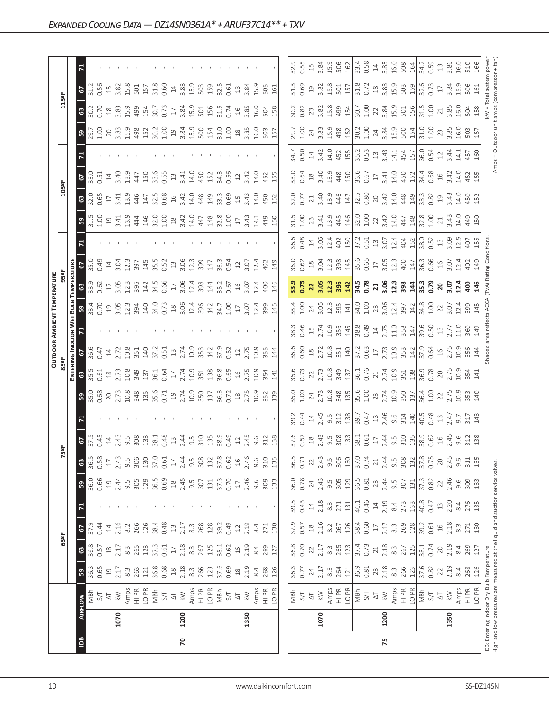|                |      |                                                                                                                            |                                                 |                                            |                                            |                                             |                                  |                 |                                                                                                                                                                                                                                                                                                     |                                                                                                                                                                                                                                                                                             |                      |                                                                                                                                                                                                                                                                                                                                    |                                                                                                                                                                                                                                                                                                                                    |                      | <b>OUTDOOR AMBIENT TEMPERATURE</b>                                                                                                                                                                                                                                                                                  |                                                                                                                                                                                                                                                                                                            |                                                                                                                                                                                                                                                                                                 |      |                                                                                                                                                                                                                                                                                                     |                                                                                                                                                                                                                                                                                                                               |                                                                                                                                                                                                                                                                                                        |            |                                                                                                                                                                                                                                                                                                                     |                                                                                                                                          |                                     |  |
|----------------|------|----------------------------------------------------------------------------------------------------------------------------|-------------------------------------------------|--------------------------------------------|--------------------------------------------|---------------------------------------------|----------------------------------|-----------------|-----------------------------------------------------------------------------------------------------------------------------------------------------------------------------------------------------------------------------------------------------------------------------------------------------|---------------------------------------------------------------------------------------------------------------------------------------------------------------------------------------------------------------------------------------------------------------------------------------------|----------------------|------------------------------------------------------------------------------------------------------------------------------------------------------------------------------------------------------------------------------------------------------------------------------------------------------------------------------------|------------------------------------------------------------------------------------------------------------------------------------------------------------------------------------------------------------------------------------------------------------------------------------------------------------------------------------|----------------------|---------------------------------------------------------------------------------------------------------------------------------------------------------------------------------------------------------------------------------------------------------------------------------------------------------------------|------------------------------------------------------------------------------------------------------------------------------------------------------------------------------------------------------------------------------------------------------------------------------------------------------------|-------------------------------------------------------------------------------------------------------------------------------------------------------------------------------------------------------------------------------------------------------------------------------------------------|------|-----------------------------------------------------------------------------------------------------------------------------------------------------------------------------------------------------------------------------------------------------------------------------------------------------|-------------------------------------------------------------------------------------------------------------------------------------------------------------------------------------------------------------------------------------------------------------------------------------------------------------------------------|--------------------------------------------------------------------------------------------------------------------------------------------------------------------------------------------------------------------------------------------------------------------------------------------------------|------------|---------------------------------------------------------------------------------------------------------------------------------------------------------------------------------------------------------------------------------------------------------------------------------------------------------------------|------------------------------------------------------------------------------------------------------------------------------------------|-------------------------------------|--|
|                |      |                                                                                                                            |                                                 | 65°F                                       |                                            |                                             |                                  |                 | 5ºF                                                                                                                                                                                                                                                                                                 |                                                                                                                                                                                                                                                                                             |                      | 85°F                                                                                                                                                                                                                                                                                                                               |                                                                                                                                                                                                                                                                                                                                    |                      |                                                                                                                                                                                                                                                                                                                     |                                                                                                                                                                                                                                                                                                            |                                                                                                                                                                                                                                                                                                 |      |                                                                                                                                                                                                                                                                                                     | 105°F                                                                                                                                                                                                                                                                                                                         |                                                                                                                                                                                                                                                                                                        |            |                                                                                                                                                                                                                                                                                                                     | 115°F                                                                                                                                    |                                     |  |
|                |      |                                                                                                                            |                                                 |                                            |                                            |                                             |                                  |                 |                                                                                                                                                                                                                                                                                                     |                                                                                                                                                                                                                                                                                             |                      | ENTERI                                                                                                                                                                                                                                                                                                                             |                                                                                                                                                                                                                                                                                                                                    | <b>NG INDOOR WET</b> |                                                                                                                                                                                                                                                                                                                     |                                                                                                                                                                                                                                                                                                            |                                                                                                                                                                                                                                                                                                 |      |                                                                                                                                                                                                                                                                                                     |                                                                                                                                                                                                                                                                                                                               |                                                                                                                                                                                                                                                                                                        |            |                                                                                                                                                                                                                                                                                                                     |                                                                                                                                          |                                     |  |
| $\overline{5}$ |      | <b>AIRFLOW</b>                                                                                                             | ${\bf 59}$                                      | $\mathbbmss{3}$                            | 2                                          |                                             | ${\tt S}$                        | $\mathbbmss{3}$ |                                                                                                                                                                                                                                                                                                     |                                                                                                                                                                                                                                                                                             | ន $\vert$            | $\mathbf{G}$                                                                                                                                                                                                                                                                                                                       | $5\frac{6}{36}$                                                                                                                                                                                                                                                                                                                    |                      | 3.34                                                                                                                                                                                                                                                                                                                |                                                                                                                                                                                                                                                                                                            |                                                                                                                                                                                                                                                                                                 |      | ន $\vert$                                                                                                                                                                                                                                                                                           | $\mathbb{S}^3$                                                                                                                                                                                                                                                                                                                | $\frac{5}{2}$                                                                                                                                                                                                                                                                                          |            |                                                                                                                                                                                                                                                                                                                     | $\frac{67}{31.3}$<br>8.28                                                                                                                |                                     |  |
|                |      | MBh                                                                                                                        | 36.3                                            | 36.8                                       |                                            |                                             | 36.0<br>0.66                     | 36.5            |                                                                                                                                                                                                                                                                                                     |                                                                                                                                                                                                                                                                                             |                      |                                                                                                                                                                                                                                                                                                                                    |                                                                                                                                                                                                                                                                                                                                    |                      |                                                                                                                                                                                                                                                                                                                     | 33.9<br>D.62                                                                                                                                                                                                                                                                                               | 35.0                                                                                                                                                                                                                                                                                            |      |                                                                                                                                                                                                                                                                                                     | 32.0<br>0.65                                                                                                                                                                                                                                                                                                                  | $33.0$<br>0.51                                                                                                                                                                                                                                                                                         |            |                                                                                                                                                                                                                                                                                                                     |                                                                                                                                          |                                     |  |
|                |      | 5/7                                                                                                                        | 0.65                                            | 0.57                                       | 0.44                                       |                                             |                                  | 0.58            |                                                                                                                                                                                                                                                                                                     |                                                                                                                                                                                                                                                                                             |                      | 0.61                                                                                                                                                                                                                                                                                                                               |                                                                                                                                                                                                                                                                                                                                    |                      |                                                                                                                                                                                                                                                                                                                     |                                                                                                                                                                                                                                                                                                            | 0.49                                                                                                                                                                                                                                                                                            |      |                                                                                                                                                                                                                                                                                                     |                                                                                                                                                                                                                                                                                                                               |                                                                                                                                                                                                                                                                                                        |            |                                                                                                                                                                                                                                                                                                                     |                                                                                                                                          |                                     |  |
|                |      | $\overline{\sim}$                                                                                                          | $\overline{19}$                                 | $\widetilde{\Xi}$                          | $\overline{1}4$                            |                                             | $\overline{19}$                  | $\Box$          |                                                                                                                                                                                                                                                                                                     |                                                                                                                                                                                                                                                                                             | 35.0<br>0.68<br>2.73 |                                                                                                                                                                                                                                                                                                                                    | $14$<br>$2.72$<br>$10.8$<br>$351$                                                                                                                                                                                                                                                                                                  |                      |                                                                                                                                                                                                                                                                                                                     |                                                                                                                                                                                                                                                                                                            | $\ensuremath{\mathop{\mathop{\mathbf{1}}}\nolimits}$                                                                                                                                                                                                                                            |      |                                                                                                                                                                                                                                                                                                     | $\overline{\mathbb{L}}$                                                                                                                                                                                                                                                                                                       | $14$<br>3.40                                                                                                                                                                                                                                                                                           |            |                                                                                                                                                                                                                                                                                                                     |                                                                                                                                          |                                     |  |
|                | 1070 | $\gtrapprox$                                                                                                               | 2.17                                            | 2.17                                       | 2.16                                       |                                             | 2.44                             | 2.43            |                                                                                                                                                                                                                                                                                                     |                                                                                                                                                                                                                                                                                             |                      |                                                                                                                                                                                                                                                                                                                                    |                                                                                                                                                                                                                                                                                                                                    |                      |                                                                                                                                                                                                                                                                                                                     |                                                                                                                                                                                                                                                                                                            | $3.04$<br>$12.3$                                                                                                                                                                                                                                                                                |      |                                                                                                                                                                                                                                                                                                     | 3.41<br>13.9                                                                                                                                                                                                                                                                                                                  |                                                                                                                                                                                                                                                                                                        |            |                                                                                                                                                                                                                                                                                                                     |                                                                                                                                          |                                     |  |
|                |      | Amps<br>HI PR                                                                                                              | $8.\overline{3}$                                | $8.\overline{3}$                           | 8.2                                        |                                             | 9.5<br>305                       | 9.5             |                                                                                                                                                                                                                                                                                                     |                                                                                                                                                                                                                                                                                             |                      |                                                                                                                                                                                                                                                                                                                                    |                                                                                                                                                                                                                                                                                                                                    |                      |                                                                                                                                                                                                                                                                                                                     |                                                                                                                                                                                                                                                                                                            |                                                                                                                                                                                                                                                                                                 |      |                                                                                                                                                                                                                                                                                                     |                                                                                                                                                                                                                                                                                                                               | 13.9                                                                                                                                                                                                                                                                                                   |            |                                                                                                                                                                                                                                                                                                                     |                                                                                                                                          |                                     |  |
|                |      |                                                                                                                            | 263                                             | 265                                        | 266                                        |                                             |                                  | 306             | $5.593747.58377.58377.58377.58377.58377.58377.58377.58377.58377.58377.58377.58377.58377.58377.58377.58377.58377.58377.58377.58377.58377.58377.58377.58377.58377.58377.58377.58377.58377.58377.58377.58377.58377.58377.58377.5$                                                                      |                                                                                                                                                                                                                                                                                             |                      | $\begin{array}{c}\n 2.738 \\  2.758 \\  2.879 \\  2.979 \\  2.141 \\  2.141 \\  2.141 \\  2.141 \\  2.141 \\  2.141 \\  2.141 \\  2.141 \\  2.141 \\  2.141 \\  2.141 \\  2.141 \\  2.141 \\  2.141 \\  2.141 \\  2.141 \\  2.141 \\  2.141 \\  2.141 \\  2.141 \\  2.141 \\  2.141 \\  2.141 \\  2.141 \\  2.141 \\  2.141 \\  2$ |                                                                                                                                                                                                                                                                                                                                    |                      |                                                                                                                                                                                                                                                                                                                     | $\begin{array}{c} 17 \\ 3.05 \\ 12.3 \\ 395 \\ 142 \end{array}$                                                                                                                                                                                                                                            | 397                                                                                                                                                                                                                                                                                             |      | $\begin{array}{c} 11.68 \\ 11.69 \\ 13.61 \\ 14.61 \\ 15.62 \\ 16.63 \\ 17.64 \\ 18.65 \\ 19.61 \\ 19.62 \\ 19.63 \\ 10.64 \\ 19.64 \\ 19.61 \\ 19.62 \\ 19.63 \\ 10.64 \\ 10.65 \\ 17.67 \\ 19.68 \\ 10.67 \\ 17.69 \\ 19.61 \\ 10.61 \\ 11.62 \\ 12.63 \\ 13.64 \\ 14.65 \\ 15.67 \\ 16.67 \\ 17$ | 445<br>147                                                                                                                                                                                                                                                                                                                    | 447<br>150                                                                                                                                                                                                                                                                                             |            | $\frac{1}{2}$ $\frac{1}{2}$ $\frac{1}{2}$ $\frac{1}{2}$ $\frac{1}{2}$ $\frac{1}{2}$ $\frac{1}{2}$ $\frac{1}{2}$ $\frac{1}{2}$ $\frac{1}{2}$ $\frac{1}{2}$ $\frac{1}{2}$ $\frac{1}{2}$ $\frac{1}{2}$ $\frac{1}{2}$ $\frac{1}{2}$ $\frac{1}{2}$ $\frac{1}{2}$ $\frac{1}{2}$ $\frac{1}{2}$ $\frac{1}{2}$ $\frac{1}{2}$ | $\begin{array}{c} 15 \\ 3.82 \\ 15.3 \\ 501 \\ 157 \\ \end{array}$<br>$\begin{array}{c} 18 \\ 3.83 \\ 15.9 \\ 499 \\ \hline \end{array}$ |                                     |  |
|                |      | LO PR                                                                                                                      | 121                                             | 123                                        | 126                                        |                                             | 129                              | 130             |                                                                                                                                                                                                                                                                                                     |                                                                                                                                                                                                                                                                                             |                      |                                                                                                                                                                                                                                                                                                                                    |                                                                                                                                                                                                                                                                                                                                    |                      |                                                                                                                                                                                                                                                                                                                     |                                                                                                                                                                                                                                                                                                            | 145                                                                                                                                                                                                                                                                                             |      |                                                                                                                                                                                                                                                                                                     |                                                                                                                                                                                                                                                                                                                               |                                                                                                                                                                                                                                                                                                        |            |                                                                                                                                                                                                                                                                                                                     |                                                                                                                                          |                                     |  |
|                |      | $\frac{1}{140}$                                                                                                            | 36.8                                            | 37.3                                       | 38.4                                       |                                             | 36.5<br>0.69                     | 37.0            |                                                                                                                                                                                                                                                                                                     |                                                                                                                                                                                                                                                                                             |                      |                                                                                                                                                                                                                                                                                                                                    |                                                                                                                                                                                                                                                                                                                                    |                      |                                                                                                                                                                                                                                                                                                                     | 34.5<br>0.66                                                                                                                                                                                                                                                                                               | 35.5                                                                                                                                                                                                                                                                                            |      |                                                                                                                                                                                                                                                                                                     | $\begin{array}{ccc} 1, & 0 & 0 \\ 0, & 0 & 0 \\ 0, & 0 & 0 \\ 0, & 0 & 0 \\ 0, & 0 & 0 \\ 0, & 0 & 0 \\ 0, & 0 & 0 \\ 0, & 0 & 0 \\ 0, & 0 & 0 \\ 0, & 0 & 0 \\ 0, & 0 & 0 \\ 0, & 0 & 0 \\ 0, & 0 & 0 \\ 0, & 0 & 0 \\ 0, & 0 & 0 \\ 0, & 0 & 0 \\ 0, & 0 & 0 \\ 0, & 0 & 0 \\ 0, & 0 & 0 \\ 0, & 0 & 0 \\ 0, & 0 & 0 \\ 0,$ | $\begin{vmatrix} 0.5 & 0.5 \\ 0.5 & 0.5 \\ 0.5 & 0.5 \\ 0.5 & 0.5 \\ 0.5 & 0.5 \\ 0.5 & 0.5 \\ 0.5 & 0.5 \\ 0.5 & 0.5 \\ 0.5 & 0.5 \\ 0.5 & 0.5 \\ 0.5 & 0.5 \\ 0.5 & 0.5 \\ 0.5 & 0.5 \\ 0.5 & 0.5 \\ 0.5 & 0.5 \\ 0.5 & 0.5 \\ 0.5 & 0.5 \\ 0.5 & 0.5 \\ 0.5 & 0.5 \\ 0.5 & 0.5 \\ 0.5 & 0.5 \\ 0.5$ |            |                                                                                                                                                                                                                                                                                                                     | 31.8<br>$\frac{1}{20.73}$                                                                                                                |                                     |  |
|                |      |                                                                                                                            | 0.68                                            | 0.61                                       | 0.48                                       |                                             |                                  |                 |                                                                                                                                                                                                                                                                                                     |                                                                                                                                                                                                                                                                                             |                      |                                                                                                                                                                                                                                                                                                                                    |                                                                                                                                                                                                                                                                                                                                    |                      |                                                                                                                                                                                                                                                                                                                     |                                                                                                                                                                                                                                                                                                            | 0.52                                                                                                                                                                                                                                                                                            |      |                                                                                                                                                                                                                                                                                                     |                                                                                                                                                                                                                                                                                                                               |                                                                                                                                                                                                                                                                                                        |            |                                                                                                                                                                                                                                                                                                                     | 0.60                                                                                                                                     |                                     |  |
|                |      | $\overline{\Delta}$                                                                                                        | $^{28}$                                         | $17\,$                                     | $13$                                       |                                             |                                  | $17$            |                                                                                                                                                                                                                                                                                                     |                                                                                                                                                                                                                                                                                             |                      |                                                                                                                                                                                                                                                                                                                                    |                                                                                                                                                                                                                                                                                                                                    |                      |                                                                                                                                                                                                                                                                                                                     | $17\,$                                                                                                                                                                                                                                                                                                     |                                                                                                                                                                                                                                                                                                 |      |                                                                                                                                                                                                                                                                                                     |                                                                                                                                                                                                                                                                                                                               |                                                                                                                                                                                                                                                                                                        |            |                                                                                                                                                                                                                                                                                                                     |                                                                                                                                          |                                     |  |
| 20             | 1200 | $\lesssim$                                                                                                                 |                                                 | 2.18                                       | 2.17                                       |                                             |                                  | 2.44            |                                                                                                                                                                                                                                                                                                     |                                                                                                                                                                                                                                                                                             |                      |                                                                                                                                                                                                                                                                                                                                    |                                                                                                                                                                                                                                                                                                                                    |                      |                                                                                                                                                                                                                                                                                                                     | 3.06                                                                                                                                                                                                                                                                                                       | 3.06                                                                                                                                                                                                                                                                                            |      |                                                                                                                                                                                                                                                                                                     |                                                                                                                                                                                                                                                                                                                               |                                                                                                                                                                                                                                                                                                        |            |                                                                                                                                                                                                                                                                                                                     |                                                                                                                                          |                                     |  |
|                |      | Amps                                                                                                                       | $2.18$<br>8.3                                   | $8.\overline{3}$                           | $8.\overline{3}$                           |                                             |                                  | 9.5             |                                                                                                                                                                                                                                                                                                     |                                                                                                                                                                                                                                                                                             |                      |                                                                                                                                                                                                                                                                                                                                    |                                                                                                                                                                                                                                                                                                                                    |                      |                                                                                                                                                                                                                                                                                                                     |                                                                                                                                                                                                                                                                                                            | 12.3                                                                                                                                                                                                                                                                                            |      |                                                                                                                                                                                                                                                                                                     |                                                                                                                                                                                                                                                                                                                               |                                                                                                                                                                                                                                                                                                        |            |                                                                                                                                                                                                                                                                                                                     | $14$<br>$3.83$<br>$15.9$                                                                                                                 |                                     |  |
|                |      | HI PR                                                                                                                      | 266                                             | 267                                        | 268                                        |                                             | $18$<br>$2.45$<br>$9.5$<br>$307$ | 308             |                                                                                                                                                                                                                                                                                                     |                                                                                                                                                                                                                                                                                             |                      |                                                                                                                                                                                                                                                                                                                                    | $\frac{40}{37}$ , $\frac{1}{2}$ , $\frac{1}{3}$ , $\frac{1}{2}$ , $\frac{1}{2}$ , $\frac{1}{2}$ , $\frac{1}{2}$ , $\frac{1}{2}$ , $\frac{1}{2}$                                                                                                                                                                                    |                      |                                                                                                                                                                                                                                                                                                                     | $\frac{13}{3}$ $\frac{34}{4}$                                                                                                                                                                                                                                                                              | 399<br>147                                                                                                                                                                                                                                                                                      |      |                                                                                                                                                                                                                                                                                                     | 448<br>149                                                                                                                                                                                                                                                                                                                    | 450<br>152                                                                                                                                                                                                                                                                                             |            |                                                                                                                                                                                                                                                                                                                     | 503<br>159<br>$3.34$<br>$1.501$<br>$501$                                                                                                 |                                     |  |
|                |      | LO <sub>PR</sub>                                                                                                           | 123                                             | 125                                        | 128                                        |                                             | 131                              | 132             |                                                                                                                                                                                                                                                                                                     |                                                                                                                                                                                                                                                                                             |                      |                                                                                                                                                                                                                                                                                                                                    |                                                                                                                                                                                                                                                                                                                                    |                      |                                                                                                                                                                                                                                                                                                                     |                                                                                                                                                                                                                                                                                                            |                                                                                                                                                                                                                                                                                                 |      |                                                                                                                                                                                                                                                                                                     |                                                                                                                                                                                                                                                                                                                               |                                                                                                                                                                                                                                                                                                        |            |                                                                                                                                                                                                                                                                                                                     |                                                                                                                                          |                                     |  |
|                |      | NBh                                                                                                                        | 37.6                                            | 38.1                                       | 39.2                                       |                                             |                                  | 37.8            |                                                                                                                                                                                                                                                                                                     |                                                                                                                                                                                                                                                                                             |                      |                                                                                                                                                                                                                                                                                                                                    | $\frac{37.9}{0.52}$                                                                                                                                                                                                                                                                                                                |                      |                                                                                                                                                                                                                                                                                                                     | 35.2                                                                                                                                                                                                                                                                                                       |                                                                                                                                                                                                                                                                                                 |      |                                                                                                                                                                                                                                                                                                     |                                                                                                                                                                                                                                                                                                                               | 34.3                                                                                                                                                                                                                                                                                                   |            |                                                                                                                                                                                                                                                                                                                     | 32.5                                                                                                                                     |                                     |  |
|                |      | 5/1                                                                                                                        | 0.69                                            | 0.62                                       | 0.49                                       |                                             | 37.3<br>0.70                     | 0.62            |                                                                                                                                                                                                                                                                                                     |                                                                                                                                                                                                                                                                                             |                      |                                                                                                                                                                                                                                                                                                                                    |                                                                                                                                                                                                                                                                                                                                    |                      | $\frac{34.7}{1.00}$                                                                                                                                                                                                                                                                                                 | 0.67                                                                                                                                                                                                                                                                                                       | $36.3$<br>0.54<br>12                                                                                                                                                                                                                                                                            |      |                                                                                                                                                                                                                                                                                                     | 33.3<br>0.69                                                                                                                                                                                                                                                                                                                  | 0.56                                                                                                                                                                                                                                                                                                   |            |                                                                                                                                                                                                                                                                                                                     | 0.61<br>$31.5$<br>0.74                                                                                                                   |                                     |  |
|                |      | $\overline{\triangle}$                                                                                                     | $\stackrel{\textstyle\circ}{\scriptstyle\circ}$ | $16$                                       |                                            |                                             | $\Box$                           | $16$            |                                                                                                                                                                                                                                                                                                     |                                                                                                                                                                                                                                                                                             |                      |                                                                                                                                                                                                                                                                                                                                    |                                                                                                                                                                                                                                                                                                                                    |                      | $17\,$                                                                                                                                                                                                                                                                                                              |                                                                                                                                                                                                                                                                                                            |                                                                                                                                                                                                                                                                                                 |      |                                                                                                                                                                                                                                                                                                     |                                                                                                                                                                                                                                                                                                                               | $12\,$                                                                                                                                                                                                                                                                                                 |            |                                                                                                                                                                                                                                                                                                                     | $\Xi$                                                                                                                                    |                                     |  |
|                | 1350 | $\gtrapprox$                                                                                                               | 2.19                                            | 2.19                                       | 2.19                                       |                                             | 2.46                             | 2.46            |                                                                                                                                                                                                                                                                                                     |                                                                                                                                                                                                                                                                                             |                      |                                                                                                                                                                                                                                                                                                                                    |                                                                                                                                                                                                                                                                                                                                    |                      |                                                                                                                                                                                                                                                                                                                     | $16$<br>$3.07$<br>$12.4$                                                                                                                                                                                                                                                                                   | 3.07                                                                                                                                                                                                                                                                                            |      |                                                                                                                                                                                                                                                                                                     |                                                                                                                                                                                                                                                                                                                               |                                                                                                                                                                                                                                                                                                        |            |                                                                                                                                                                                                                                                                                                                     |                                                                                                                                          |                                     |  |
|                |      |                                                                                                                            | 8.4                                             | 8.4                                        | 8.4                                        |                                             | 9.6                              | 9.6             |                                                                                                                                                                                                                                                                                                     |                                                                                                                                                                                                                                                                                             |                      |                                                                                                                                                                                                                                                                                                                                    |                                                                                                                                                                                                                                                                                                                                    |                      |                                                                                                                                                                                                                                                                                                                     |                                                                                                                                                                                                                                                                                                            | 12.4                                                                                                                                                                                                                                                                                            |      |                                                                                                                                                                                                                                                                                                     |                                                                                                                                                                                                                                                                                                                               | $3.42$<br>14.0                                                                                                                                                                                                                                                                                         |            |                                                                                                                                                                                                                                                                                                                     | $3.84$<br>15.9                                                                                                                           |                                     |  |
|                |      |                                                                                                                            | 268                                             | 269                                        | 271                                        |                                             | 309                              | 310             |                                                                                                                                                                                                                                                                                                     |                                                                                                                                                                                                                                                                                             |                      |                                                                                                                                                                                                                                                                                                                                    |                                                                                                                                                                                                                                                                                                                                    |                      |                                                                                                                                                                                                                                                                                                                     |                                                                                                                                                                                                                                                                                                            |                                                                                                                                                                                                                                                                                                 |      |                                                                                                                                                                                                                                                                                                     |                                                                                                                                                                                                                                                                                                                               |                                                                                                                                                                                                                                                                                                        |            |                                                                                                                                                                                                                                                                                                                     |                                                                                                                                          |                                     |  |
|                |      | Amps<br>H PR<br>LO PR                                                                                                      | 126                                             | 127                                        | 130                                        |                                             | 133                              | 135             | 9.6<br>312<br>138                                                                                                                                                                                                                                                                                   |                                                                                                                                                                                                                                                                                             |                      |                                                                                                                                                                                                                                                                                                                                    | $12,75$<br>$2,55$<br>$3,54$<br>$14$                                                                                                                                                                                                                                                                                                |                      | 3.07<br>12.4<br>399<br>145                                                                                                                                                                                                                                                                                          | 400<br>146                                                                                                                                                                                                                                                                                                 | $402$<br>$149$                                                                                                                                                                                                                                                                                  |      | 3.43<br>2.44<br>3.44<br>3.50                                                                                                                                                                                                                                                                        | $15$ $3;43$ $4;50$ $15$                                                                                                                                                                                                                                                                                                       | 452<br>155                                                                                                                                                                                                                                                                                             |            |                                                                                                                                                                                                                                                                                                                     | 505<br>161<br>$16$ $3.85$ $5.0$ $15.8$                                                                                                   |                                     |  |
|                |      |                                                                                                                            |                                                 |                                            |                                            |                                             |                                  |                 |                                                                                                                                                                                                                                                                                                     |                                                                                                                                                                                                                                                                                             |                      |                                                                                                                                                                                                                                                                                                                                    |                                                                                                                                                                                                                                                                                                                                    |                      |                                                                                                                                                                                                                                                                                                                     |                                                                                                                                                                                                                                                                                                            |                                                                                                                                                                                                                                                                                                 |      |                                                                                                                                                                                                                                                                                                     |                                                                                                                                                                                                                                                                                                                               |                                                                                                                                                                                                                                                                                                        |            |                                                                                                                                                                                                                                                                                                                     |                                                                                                                                          |                                     |  |
|                |      |                                                                                                                            | 36.3                                            | 36.8                                       | 37.9                                       | 39.5                                        |                                  | 36.5            |                                                                                                                                                                                                                                                                                                     |                                                                                                                                                                                                                                                                                             | 35.0                 |                                                                                                                                                                                                                                                                                                                                    | 36.6                                                                                                                                                                                                                                                                                                                               |                      |                                                                                                                                                                                                                                                                                                                     |                                                                                                                                                                                                                                                                                                            | 35.0                                                                                                                                                                                                                                                                                            | 36.6 |                                                                                                                                                                                                                                                                                                     |                                                                                                                                                                                                                                                                                                                               |                                                                                                                                                                                                                                                                                                        |            |                                                                                                                                                                                                                                                                                                                     | 31.3                                                                                                                                     | 32.9                                |  |
|                |      | NBh<br>S/T                                                                                                                 | 0.77                                            | 0.70                                       | 0.57                                       | 0.43                                        | 36.0<br>0.78                     | 0.71            |                                                                                                                                                                                                                                                                                                     | 39.2<br>0.44                                                                                                                                                                                                                                                                                | 1.00                 | 35.6<br>0.73                                                                                                                                                                                                                                                                                                                       | 0.60                                                                                                                                                                                                                                                                                                                               |                      | $33.4$<br>1.00                                                                                                                                                                                                                                                                                                      | 33.9<br>0.75                                                                                                                                                                                                                                                                                               | 0.62                                                                                                                                                                                                                                                                                            |      |                                                                                                                                                                                                                                                                                                     | 32.0<br>0.77                                                                                                                                                                                                                                                                                                                  |                                                                                                                                                                                                                                                                                                        |            |                                                                                                                                                                                                                                                                                                                     |                                                                                                                                          | 0.55                                |  |
|                |      | $\overline{\circ}$                                                                                                         | 24                                              | 22                                         | $18$                                       | $14\,$                                      | 24                               | 22              |                                                                                                                                                                                                                                                                                                     | $\Xi$                                                                                                                                                                                                                                                                                       |                      |                                                                                                                                                                                                                                                                                                                                    |                                                                                                                                                                                                                                                                                                                                    |                      |                                                                                                                                                                                                                                                                                                                     | 22                                                                                                                                                                                                                                                                                                         |                                                                                                                                                                                                                                                                                                 |      |                                                                                                                                                                                                                                                                                                     | $\gtrsim$                                                                                                                                                                                                                                                                                                                     |                                                                                                                                                                                                                                                                                                        |            |                                                                                                                                                                                                                                                                                                                     |                                                                                                                                          |                                     |  |
|                | 1070 | $\lesssim$                                                                                                                 | 2.17                                            | 2.17                                       | 2.16                                       | 2.18                                        |                                  | 2.43            |                                                                                                                                                                                                                                                                                                     |                                                                                                                                                                                                                                                                                             |                      |                                                                                                                                                                                                                                                                                                                                    |                                                                                                                                                                                                                                                                                                                                    |                      |                                                                                                                                                                                                                                                                                                                     |                                                                                                                                                                                                                                                                                                            |                                                                                                                                                                                                                                                                                                 |      |                                                                                                                                                                                                                                                                                                     |                                                                                                                                                                                                                                                                                                                               |                                                                                                                                                                                                                                                                                                        |            |                                                                                                                                                                                                                                                                                                                     |                                                                                                                                          |                                     |  |
|                |      | Amps                                                                                                                       | $8.\overline{3}$                                | $8.\overline{3}$                           | 8.2                                        | $8.\overline{3}$                            | $2.43$<br>9.5<br>305             | 9.5             |                                                                                                                                                                                                                                                                                                     | 2.45<br>9.5<br>312<br>138                                                                                                                                                                                                                                                                   |                      |                                                                                                                                                                                                                                                                                                                                    |                                                                                                                                                                                                                                                                                                                                    |                      |                                                                                                                                                                                                                                                                                                                     |                                                                                                                                                                                                                                                                                                            | $\begin{array}{c}\n 18 \\  304 \\  213 \\  398 \\  456 \\  565 \\  756 \\  303 \\  47 \\  503 \\  47 \\  40\n \end{array}$                                                                                                                                                                      |      |                                                                                                                                                                                                                                                                                                     |                                                                                                                                                                                                                                                                                                                               |                                                                                                                                                                                                                                                                                                        |            |                                                                                                                                                                                                                                                                                                                     | $0.69$<br>$1.8$<br>$3.8$<br>$3.5$<br>$5$<br>$5$<br>$7$<br>$7$<br>$6$<br>$7$<br>$7$<br>$6$<br>$7$<br>$7$<br>$6$<br>$7$<br>$7$<br>         |                                     |  |
|                |      | $\frac{R}{I}$                                                                                                              | 264                                             | 265                                        | 267                                        | 271                                         |                                  | 306             |                                                                                                                                                                                                                                                                                                     |                                                                                                                                                                                                                                                                                             |                      |                                                                                                                                                                                                                                                                                                                                    |                                                                                                                                                                                                                                                                                                                                    |                      |                                                                                                                                                                                                                                                                                                                     |                                                                                                                                                                                                                                                                                                            |                                                                                                                                                                                                                                                                                                 |      |                                                                                                                                                                                                                                                                                                     |                                                                                                                                                                                                                                                                                                                               |                                                                                                                                                                                                                                                                                                        |            |                                                                                                                                                                                                                                                                                                                     |                                                                                                                                          |                                     |  |
|                |      | LO <sub>PR</sub>                                                                                                           | 121                                             | 123                                        | 126                                        | 131                                         | 129                              | 130             |                                                                                                                                                                                                                                                                                                     |                                                                                                                                                                                                                                                                                             |                      |                                                                                                                                                                                                                                                                                                                                    |                                                                                                                                                                                                                                                                                                                                    |                      |                                                                                                                                                                                                                                                                                                                     |                                                                                                                                                                                                                                                                                                            |                                                                                                                                                                                                                                                                                                 |      |                                                                                                                                                                                                                                                                                                     |                                                                                                                                                                                                                                                                                                                               |                                                                                                                                                                                                                                                                                                        |            |                                                                                                                                                                                                                                                                                                                     |                                                                                                                                          |                                     |  |
|                |      | MBh                                                                                                                        | 36.9<br>0.81                                    | 37.4                                       | 38.4                                       | 40.1                                        | 36.5<br>0.81                     | 37.0<br>0.74    |                                                                                                                                                                                                                                                                                                     |                                                                                                                                                                                                                                                                                             |                      |                                                                                                                                                                                                                                                                                                                                    |                                                                                                                                                                                                                                                                                                                                    |                      |                                                                                                                                                                                                                                                                                                                     |                                                                                                                                                                                                                                                                                                            |                                                                                                                                                                                                                                                                                                 |      |                                                                                                                                                                                                                                                                                                     |                                                                                                                                                                                                                                                                                                                               |                                                                                                                                                                                                                                                                                                        |            |                                                                                                                                                                                                                                                                                                                     |                                                                                                                                          |                                     |  |
|                |      | S/T                                                                                                                        |                                                 | 0.73                                       | 0.60                                       | 0.46                                        |                                  |                 |                                                                                                                                                                                                                                                                                                     |                                                                                                                                                                                                                                                                                             |                      |                                                                                                                                                                                                                                                                                                                                    |                                                                                                                                                                                                                                                                                                                                    |                      |                                                                                                                                                                                                                                                                                                                     |                                                                                                                                                                                                                                                                                                            |                                                                                                                                                                                                                                                                                                 |      |                                                                                                                                                                                                                                                                                                     |                                                                                                                                                                                                                                                                                                                               |                                                                                                                                                                                                                                                                                                        |            |                                                                                                                                                                                                                                                                                                                     |                                                                                                                                          |                                     |  |
|                |      | $\overline{\triangle}$                                                                                                     | $23$                                            | $\sqrt{2}1$                                | $\Box$                                     | $\ensuremath{\mathop{\mathbb{1}}\nolimits}$ | 23                               | 21              |                                                                                                                                                                                                                                                                                                     |                                                                                                                                                                                                                                                                                             |                      |                                                                                                                                                                                                                                                                                                                                    |                                                                                                                                                                                                                                                                                                                                    |                      |                                                                                                                                                                                                                                                                                                                     |                                                                                                                                                                                                                                                                                                            |                                                                                                                                                                                                                                                                                                 |      |                                                                                                                                                                                                                                                                                                     |                                                                                                                                                                                                                                                                                                                               |                                                                                                                                                                                                                                                                                                        |            |                                                                                                                                                                                                                                                                                                                     |                                                                                                                                          |                                     |  |
| 75             | 1200 | $\lesssim$                                                                                                                 | $\begin{array}{c} 2.18 \\ 8.3 \end{array}$      | $\begin{array}{c} 2.18 \\ 8.3 \end{array}$ | $\begin{array}{c} 2.17 \\ 8.3 \end{array}$ | 2.19                                        |                                  | $2.44$<br>9.5   |                                                                                                                                                                                                                                                                                                     |                                                                                                                                                                                                                                                                                             |                      |                                                                                                                                                                                                                                                                                                                                    |                                                                                                                                                                                                                                                                                                                                    |                      |                                                                                                                                                                                                                                                                                                                     |                                                                                                                                                                                                                                                                                                            |                                                                                                                                                                                                                                                                                                 |      |                                                                                                                                                                                                                                                                                                     |                                                                                                                                                                                                                                                                                                                               |                                                                                                                                                                                                                                                                                                        |            |                                                                                                                                                                                                                                                                                                                     |                                                                                                                                          |                                     |  |
|                |      | Amps<br>HI PR                                                                                                              |                                                 |                                            |                                            |                                             |                                  |                 |                                                                                                                                                                                                                                                                                                     |                                                                                                                                                                                                                                                                                             |                      |                                                                                                                                                                                                                                                                                                                                    |                                                                                                                                                                                                                                                                                                                                    |                      |                                                                                                                                                                                                                                                                                                                     |                                                                                                                                                                                                                                                                                                            |                                                                                                                                                                                                                                                                                                 |      |                                                                                                                                                                                                                                                                                                     |                                                                                                                                                                                                                                                                                                                               |                                                                                                                                                                                                                                                                                                        |            |                                                                                                                                                                                                                                                                                                                     |                                                                                                                                          |                                     |  |
|                |      |                                                                                                                            | 266                                             | 267                                        | 269                                        | 8.4<br>273<br>133                           | 2.44<br>9.5<br>307<br>131        | 308             |                                                                                                                                                                                                                                                                                                     |                                                                                                                                                                                                                                                                                             |                      |                                                                                                                                                                                                                                                                                                                                    |                                                                                                                                                                                                                                                                                                                                    |                      |                                                                                                                                                                                                                                                                                                                     |                                                                                                                                                                                                                                                                                                            |                                                                                                                                                                                                                                                                                                 |      |                                                                                                                                                                                                                                                                                                     |                                                                                                                                                                                                                                                                                                                               |                                                                                                                                                                                                                                                                                                        |            |                                                                                                                                                                                                                                                                                                                     |                                                                                                                                          |                                     |  |
|                |      | LO PR                                                                                                                      | 123                                             | 125                                        | 128                                        |                                             |                                  | 132             | $\begin{array}{c} 1.616 \\ 1.616 \\ 1.616 \\ 1.616 \\ 1.616 \\ 1.616 \\ 1.616 \\ 1.616 \\ 1.616 \\ 1.616 \\ 1.616 \\ 1.616 \\ 1.616 \\ 1.616 \\ 1.616 \\ 1.616 \\ 1.616 \\ 1.616 \\ 1.616 \\ 1.616 \\ 1.616 \\ 1.616 \\ 1.616 \\ 1.616 \\ 1.616 \\ 1.616 \\ 1.616 \\ 1.616 \\ 1.616 \\ 1.616 \\ 1.$ | $\left  \begin{array}{ccc} 0.75 & 0.75 & 0.75 \\ 0.75 & 0.75 & 0.75 \\ 0.75 & 0.75 & 0.75 \\ 0.75 & 0.75 & 0.75 \\ 0.75 & 0.75 & 0.75 \\ 0.75 & 0.75 & 0.75 \\ 0.75 & 0.75 & 0.75 \\ 0.75 & 0.75 & 0.75 \\ 0.75 & 0.75 & 0.75 \\ 0.75 & 0.75 & 0.75 \\ 0.75 & 0.75 & 0.75 \\ 0.75 & 0.75 &$ |                      | $\begin{array}{c} 22.73 \\ 21.73 \\ 23.84 \\ 24.74 \\ 25.75 \\ 26.75 \\ 27.75 \\ 28.75 \\ 29.75 \\ 20.75 \\ 21.75 \\ 22.75 \\ 23.75 \\ 24.75 \\ 25.75 \\ 26.75 \\ 27.75 \\ 28.75 \\ 29.75 \\ 21.75 \\ 22.75 \\ 23.75 \\ 24.75 \\ 25.75 \\ 26.75 \\ 27.75 \\ 28.75 \\ 29.75 \\ 21.75 \\ 22.75 \\ 23$                                | $\begin{array}{c}\n 27.78 \\  27.87 \\  27.87 \\  27.87 \\  27.87 \\  27.87 \\  27.87 \\  27.87 \\  27.87 \\  27.87 \\  27.87 \\  27.87 \\  27.87 \\  27.87 \\  27.87 \\  27.87 \\  27.87 \\  27.87 \\  27.87 \\  27.87 \\  27.87 \\  27.87 \\  27.87 \\  27.87 \\  27.87 \\  27.87 \\  27.87 \\  27.87 \\  27.87 \\  27.87 \\  2$ |                      |                                                                                                                                                                                                                                                                                                                     | $\frac{36}{32}$ $\frac{38}{32}$ $\frac{41}{32}$ $\frac{8}{32}$ $\frac{7}{32}$ $\frac{8}{32}$ $\frac{36}{32}$ $\frac{38}{32}$ $\frac{41}{32}$ $\frac{36}{32}$ $\frac{36}{32}$ $\frac{37}{32}$ $\frac{38}{32}$ $\frac{41}{32}$ $\frac{37}{32}$ $\frac{38}{32}$ $\frac{41}{32}$ $\frac{37}{32}$ $\frac{38}{3$ |                                                                                                                                                                                                                                                                                                 |      |                                                                                                                                                                                                                                                                                                     |                                                                                                                                                                                                                                                                                                                               |                                                                                                                                                                                                                                                                                                        |            |                                                                                                                                                                                                                                                                                                                     | $\begin{array}{c}\n 28 \\  38 \\  15 \\  20 \\  32 \\  5\n \end{array}$                                                                  |                                     |  |
|                |      | $-25$<br>MBh                                                                                                               | 37.6<br>0.82                                    | 38.1                                       | 39.2                                       | $40.8$<br>0.47                              | 37.3<br>0.82                     | 37.8            |                                                                                                                                                                                                                                                                                                     |                                                                                                                                                                                                                                                                                             |                      |                                                                                                                                                                                                                                                                                                                                    |                                                                                                                                                                                                                                                                                                                                    |                      |                                                                                                                                                                                                                                                                                                                     |                                                                                                                                                                                                                                                                                                            |                                                                                                                                                                                                                                                                                                 |      |                                                                                                                                                                                                                                                                                                     |                                                                                                                                                                                                                                                                                                                               |                                                                                                                                                                                                                                                                                                        |            |                                                                                                                                                                                                                                                                                                                     |                                                                                                                                          |                                     |  |
|                |      |                                                                                                                            |                                                 | 0.74                                       | 0.61                                       |                                             |                                  |                 |                                                                                                                                                                                                                                                                                                     |                                                                                                                                                                                                                                                                                             |                      |                                                                                                                                                                                                                                                                                                                                    |                                                                                                                                                                                                                                                                                                                                    |                      |                                                                                                                                                                                                                                                                                                                     |                                                                                                                                                                                                                                                                                                            |                                                                                                                                                                                                                                                                                                 |      |                                                                                                                                                                                                                                                                                                     |                                                                                                                                                                                                                                                                                                                               |                                                                                                                                                                                                                                                                                                        |            |                                                                                                                                                                                                                                                                                                                     |                                                                                                                                          |                                     |  |
|                |      | $\overline{\mathbb{Q}}$                                                                                                    | 22                                              | $20$                                       | $\exists$                                  | $\Xi$                                       | $22\,$                           | 20              |                                                                                                                                                                                                                                                                                                     |                                                                                                                                                                                                                                                                                             |                      |                                                                                                                                                                                                                                                                                                                                    |                                                                                                                                                                                                                                                                                                                                    |                      |                                                                                                                                                                                                                                                                                                                     |                                                                                                                                                                                                                                                                                                            |                                                                                                                                                                                                                                                                                                 |      |                                                                                                                                                                                                                                                                                                     |                                                                                                                                                                                                                                                                                                                               |                                                                                                                                                                                                                                                                                                        |            | 23<br>3.85                                                                                                                                                                                                                                                                                                          |                                                                                                                                          |                                     |  |
|                | 1350 | $\gtrapprox$                                                                                                               | 2.19                                            | 2.19                                       | 2.18                                       | 2.20                                        | 2.46                             | 2.45            |                                                                                                                                                                                                                                                                                                     |                                                                                                                                                                                                                                                                                             |                      |                                                                                                                                                                                                                                                                                                                                    |                                                                                                                                                                                                                                                                                                                                    |                      |                                                                                                                                                                                                                                                                                                                     |                                                                                                                                                                                                                                                                                                            |                                                                                                                                                                                                                                                                                                 |      |                                                                                                                                                                                                                                                                                                     |                                                                                                                                                                                                                                                                                                                               |                                                                                                                                                                                                                                                                                                        |            |                                                                                                                                                                                                                                                                                                                     |                                                                                                                                          |                                     |  |
|                |      | Amps                                                                                                                       | 8.4                                             | $8.4\,$                                    | $8.\overline{3}$                           | 8.4                                         | 9.6                              | 9.6             |                                                                                                                                                                                                                                                                                                     |                                                                                                                                                                                                                                                                                             |                      |                                                                                                                                                                                                                                                                                                                                    | $16$<br>$2.75$<br>$10.9$<br>$356$                                                                                                                                                                                                                                                                                                  |                      |                                                                                                                                                                                                                                                                                                                     | $3.54$<br>$3.54$<br>$400$                                                                                                                                                                                                                                                                                  |                                                                                                                                                                                                                                                                                                 |      |                                                                                                                                                                                                                                                                                                     |                                                                                                                                                                                                                                                                                                                               |                                                                                                                                                                                                                                                                                                        | 14.1       |                                                                                                                                                                                                                                                                                                                     |                                                                                                                                          |                                     |  |
|                |      | $\frac{PR}{T}$<br>LO <sub>PR</sub>                                                                                         | 268<br>126                                      | 269<br>127                                 | 271                                        | 276<br>135                                  | 309                              | 311             | $16$<br>$2,45$<br>$9,52$<br>$3,38$                                                                                                                                                                                                                                                                  | 317<br>143                                                                                                                                                                                                                                                                                  |                      | 10.9<br>354<br>141                                                                                                                                                                                                                                                                                                                 | $\frac{14}{3}$                                                                                                                                                                                                                                                                                                                     | 149                  | $\frac{1}{2}$ $\frac{1}{2}$ $\frac{1}{2}$ $\frac{1}{2}$ $\frac{1}{2}$ $\frac{1}{2}$ $\frac{1}{2}$ $\frac{1}{2}$ $\frac{1}{2}$ $\frac{1}{2}$ $\frac{1}{2}$ $\frac{1}{2}$ $\frac{1}{2}$ $\frac{1}{2}$ $\frac{1}{2}$ $\frac{1}{2}$ $\frac{1}{2}$ $\frac{1}{2}$ $\frac{1}{2}$ $\frac{1}{2}$ $\frac{1}{2}$ $\frac{1}{2}$ | $\frac{8}{4}$                                                                                                                                                                                                                                                                                              | $\begin{bmatrix} 0.6 & 0.6 & 0.6 \\ 0.6 & 0.6 & 0.6 \\ 0.6 & 0.6 & 0.6 \\ 0.6 & 0.6 & 0.6 \\ 0.6 & 0.6 & 0.6 \\ 0.6 & 0.6 & 0.6 \\ 0.6 & 0.6 & 0.6 \\ 0.6 & 0.6 & 0.6 \\ 0.6 & 0.6 & 0.6 \\ 0.6 & 0.6 & 0.6 \\ 0.6 & 0.6 & 0.6 \\ 0.6 & 0.6 & 0.6 \\ 0.6 & 0.6 & 0.6 \\ 0.6 & 0.6 & 0.6 \\ 0.6$ |      | <u>थ</u> न अ अंस क्षेत्रि पर अंस क्षेत्र अंस के संस्कृत<br>संघटन असंस्कृति छ अ अंस क्षेत्र अ अंस के संस्कृत                                                                                                                                                                                         | 14.0<br>450<br>152                                                                                                                                                                                                                                                                                                            |                                                                                                                                                                                                                                                                                                        | 457<br>160 | 16.0<br>503<br>157                                                                                                                                                                                                                                                                                                  | $17$ $3.84$ $5.96$ $161$<br>$71.85$<br>$3.85$<br>$504$<br>$158$                                                                          | $13.86$<br>$3.86$<br>$5.0$<br>$166$ |  |
|                |      |                                                                                                                            |                                                 |                                            | 130                                        |                                             | 133                              | 135             |                                                                                                                                                                                                                                                                                                     |                                                                                                                                                                                                                                                                                             |                      |                                                                                                                                                                                                                                                                                                                                    |                                                                                                                                                                                                                                                                                                                                    |                      |                                                                                                                                                                                                                                                                                                                     |                                                                                                                                                                                                                                                                                                            |                                                                                                                                                                                                                                                                                                 |      |                                                                                                                                                                                                                                                                                                     |                                                                                                                                                                                                                                                                                                                               |                                                                                                                                                                                                                                                                                                        |            |                                                                                                                                                                                                                                                                                                                     |                                                                                                                                          |                                     |  |
|                |      | High and low pressures are measured at the liquid and suction service valves.<br>IDB: Entering Indoor Dry Bulb Temperature |                                                 |                                            |                                            |                                             |                                  |                 |                                                                                                                                                                                                                                                                                                     |                                                                                                                                                                                                                                                                                             |                      |                                                                                                                                                                                                                                                                                                                                    | shaded area reflects ACCA                                                                                                                                                                                                                                                                                                          |                      |                                                                                                                                                                                                                                                                                                                     |                                                                                                                                                                                                                                                                                                            | (TVA) Rating Conditions                                                                                                                                                                                                                                                                         |      |                                                                                                                                                                                                                                                                                                     |                                                                                                                                                                                                                                                                                                                               |                                                                                                                                                                                                                                                                                                        |            |                                                                                                                                                                                                                                                                                                                     | <w =="" system<br="" total="">= Outdoor unit amps (compress</w>                                                                          | powe                                |  |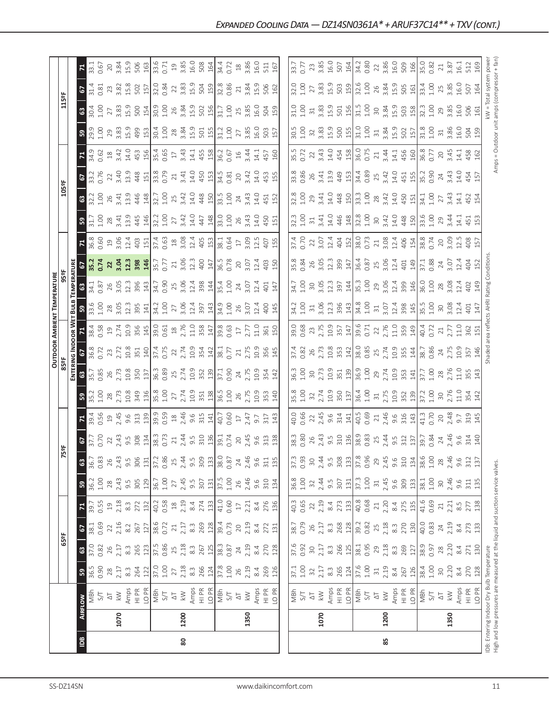|     |                |                                                                                                                                                                                                                                                                                                                                                                                                                                                                                                                                                                      |                                                                                                                                                                                                                                                                                                                                 |                                                                                                                                                                                                                                                                                                                                    |                                                                                                                                                                                                                                                                                                                                                   |                                                                                                                                                                                                                                                                                |                                                                              |                                            |                                                                               |                                                                                                                                                                                                                                                                                                                                                                                           |                                                                                                                                                                                                                                                                                                               |                                                                                                                    | <b>OUTDOOR AMBIENT TEMPERATURE</b>                                                                                                                                                                                                                                                                                                                                                                                                                           |                                                                                                    |                                                                                                                                                                                                                                                                                                                                                   |                                                                                                                                                                                                                                                                                                                                                                                                                 |                                                                                                                                                                                                                                                                                                                 |                                                                                                                                                                                                                                                                                |                                                   |                                                                           |                                                              |                                                                              |                                                                                                                                                                         |                             |                                                                                                                                                                                                                                                                                                              |                                                                                                               |
|-----|----------------|----------------------------------------------------------------------------------------------------------------------------------------------------------------------------------------------------------------------------------------------------------------------------------------------------------------------------------------------------------------------------------------------------------------------------------------------------------------------------------------------------------------------------------------------------------------------|---------------------------------------------------------------------------------------------------------------------------------------------------------------------------------------------------------------------------------------------------------------------------------------------------------------------------------|------------------------------------------------------------------------------------------------------------------------------------------------------------------------------------------------------------------------------------------------------------------------------------------------------------------------------------|---------------------------------------------------------------------------------------------------------------------------------------------------------------------------------------------------------------------------------------------------------------------------------------------------------------------------------------------------|--------------------------------------------------------------------------------------------------------------------------------------------------------------------------------------------------------------------------------------------------------------------------------|------------------------------------------------------------------------------|--------------------------------------------|-------------------------------------------------------------------------------|-------------------------------------------------------------------------------------------------------------------------------------------------------------------------------------------------------------------------------------------------------------------------------------------------------------------------------------------------------------------------------------------|---------------------------------------------------------------------------------------------------------------------------------------------------------------------------------------------------------------------------------------------------------------------------------------------------------------|--------------------------------------------------------------------------------------------------------------------|--------------------------------------------------------------------------------------------------------------------------------------------------------------------------------------------------------------------------------------------------------------------------------------------------------------------------------------------------------------------------------------------------------------------------------------------------------------|----------------------------------------------------------------------------------------------------|---------------------------------------------------------------------------------------------------------------------------------------------------------------------------------------------------------------------------------------------------------------------------------------------------------------------------------------------------|-----------------------------------------------------------------------------------------------------------------------------------------------------------------------------------------------------------------------------------------------------------------------------------------------------------------------------------------------------------------------------------------------------------------|-----------------------------------------------------------------------------------------------------------------------------------------------------------------------------------------------------------------------------------------------------------------------------------------------------------------|--------------------------------------------------------------------------------------------------------------------------------------------------------------------------------------------------------------------------------------------------------------------------------|---------------------------------------------------|---------------------------------------------------------------------------|--------------------------------------------------------------|------------------------------------------------------------------------------|-------------------------------------------------------------------------------------------------------------------------------------------------------------------------|-----------------------------|--------------------------------------------------------------------------------------------------------------------------------------------------------------------------------------------------------------------------------------------------------------------------------------------------------------|---------------------------------------------------------------------------------------------------------------|
|     |                |                                                                                                                                                                                                                                                                                                                                                                                                                                                                                                                                                                      |                                                                                                                                                                                                                                                                                                                                 | 65°F                                                                                                                                                                                                                                                                                                                               |                                                                                                                                                                                                                                                                                                                                                   |                                                                                                                                                                                                                                                                                |                                                                              | 5ºF                                        |                                                                               |                                                                                                                                                                                                                                                                                                                                                                                           |                                                                                                                                                                                                                                                                                                               |                                                                                                                    |                                                                                                                                                                                                                                                                                                                                                                                                                                                              |                                                                                                    |                                                                                                                                                                                                                                                                                                                                                   |                                                                                                                                                                                                                                                                                                                                                                                                                 |                                                                                                                                                                                                                                                                                                                 |                                                                                                                                                                                                                                                                                |                                                   | 105°F                                                                     |                                                              |                                                                              |                                                                                                                                                                         | 115°F                       |                                                                                                                                                                                                                                                                                                              |                                                                                                               |
|     |                |                                                                                                                                                                                                                                                                                                                                                                                                                                                                                                                                                                      |                                                                                                                                                                                                                                                                                                                                 |                                                                                                                                                                                                                                                                                                                                    |                                                                                                                                                                                                                                                                                                                                                   |                                                                                                                                                                                                                                                                                |                                                                              |                                            |                                                                               |                                                                                                                                                                                                                                                                                                                                                                                           |                                                                                                                                                                                                                                                                                                               | ENTERII                                                                                                            | NG INDOOR WET                                                                                                                                                                                                                                                                                                                                                                                                                                                |                                                                                                    | <b>Buus</b>                                                                                                                                                                                                                                                                                                                                       | TEMPERATURI                                                                                                                                                                                                                                                                                                                                                                                                     |                                                                                                                                                                                                                                                                                                                 |                                                                                                                                                                                                                                                                                |                                                   |                                                                           |                                                              |                                                                              |                                                                                                                                                                         |                             |                                                                                                                                                                                                                                                                                                              |                                                                                                               |
| Bal | <b>AIRFLOW</b> |                                                                                                                                                                                                                                                                                                                                                                                                                                                                                                                                                                      | 5 <sup>2</sup>                                                                                                                                                                                                                                                                                                                  | ශී                                                                                                                                                                                                                                                                                                                                 | <b>67</b><br>38.1<br>0.69                                                                                                                                                                                                                                                                                                                         |                                                                                                                                                                                                                                                                                | 59                                                                           | $\boldsymbol{\mathbb{S}}$                  |                                                                               | 치                                                                                                                                                                                                                                                                                                                                                                                         | 59                                                                                                                                                                                                                                                                                                            | ${\tt G}$                                                                                                          |                                                                                                                                                                                                                                                                                                                                                                                                                                                              |                                                                                                    | ၛၟ                                                                                                                                                                                                                                                                                                                                                |                                                                                                                                                                                                                                                                                                                                                                                                                 |                                                                                                                                                                                                                                                                                                                 |                                                                                                                                                                                                                                                                                | 59                                                | $\frac{3}{2}$                                                             |                                                              |                                                                              | ႙                                                                                                                                                                       | $\boldsymbol{63}$           | 5                                                                                                                                                                                                                                                                                                            |                                                                                                               |
|     |                |                                                                                                                                                                                                                                                                                                                                                                                                                                                                                                                                                                      | 36.5<br>0.90                                                                                                                                                                                                                                                                                                                    | 37.0<br>0.82                                                                                                                                                                                                                                                                                                                       |                                                                                                                                                                                                                                                                                                                                                   | 39.7                                                                                                                                                                                                                                                                           | 36.2<br>1.00                                                                 | 36.7                                       | <b>P</b><br>27.7<br>0.70                                                      | 39.4<br>0.56                                                                                                                                                                                                                                                                                                                                                                              |                                                                                                                                                                                                                                                                                                               | 35.7<br>0.85                                                                                                       | 36.8<br>0.72                                                                                                                                                                                                                                                                                                                                                                                                                                                 | 38.4                                                                                               | $33.6$<br>1.00                                                                                                                                                                                                                                                                                                                                    | 34.1<br>0.87                                                                                                                                                                                                                                                                                                                                                                                                    | 35.2<br>0.74                                                                                                                                                                                                                                                                                                    | 36.8<br>0.60                                                                                                                                                                                                                                                                   | $31.7$<br>$1.00$                                  | 32.2                                                                      | 67<br>33.2<br>0.76                                           | 34.9<br>0.62                                                                 | 29.9<br>1.00                                                                                                                                                            | 30.4<br>1.00                | $31.4$<br>0.81                                                                                                                                                                                                                                                                                               | 33.1<br>0.67                                                                                                  |
|     |                |                                                                                                                                                                                                                                                                                                                                                                                                                                                                                                                                                                      |                                                                                                                                                                                                                                                                                                                                 |                                                                                                                                                                                                                                                                                                                                    |                                                                                                                                                                                                                                                                                                                                                   | 0.55                                                                                                                                                                                                                                                                           |                                                                              | 0.83                                       |                                                                               |                                                                                                                                                                                                                                                                                                                                                                                           |                                                                                                                                                                                                                                                                                                               |                                                                                                                    |                                                                                                                                                                                                                                                                                                                                                                                                                                                              | 0.58                                                                                               |                                                                                                                                                                                                                                                                                                                                                   |                                                                                                                                                                                                                                                                                                                                                                                                                 |                                                                                                                                                                                                                                                                                                                 |                                                                                                                                                                                                                                                                                |                                                   |                                                                           |                                                              |                                                                              |                                                                                                                                                                         |                             |                                                                                                                                                                                                                                                                                                              |                                                                                                               |
|     | 1070           |                                                                                                                                                                                                                                                                                                                                                                                                                                                                                                                                                                      | $28$<br>$2.17$                                                                                                                                                                                                                                                                                                                  |                                                                                                                                                                                                                                                                                                                                    |                                                                                                                                                                                                                                                                                                                                                   |                                                                                                                                                                                                                                                                                |                                                                              |                                            |                                                                               | $\Xi$                                                                                                                                                                                                                                                                                                                                                                                     | $\frac{1}{35.2}$<br>1.00<br>2.73                                                                                                                                                                                                                                                                              | 26<br>2.73                                                                                                         | 23<br>2.72                                                                                                                                                                                                                                                                                                                                                                                                                                                   |                                                                                                    |                                                                                                                                                                                                                                                                                                                                                   |                                                                                                                                                                                                                                                                                                                                                                                                                 | 22<br>3.04<br>12.3<br>398                                                                                                                                                                                                                                                                                       |                                                                                                                                                                                                                                                                                | $\frac{28}{3.41}$                                 | $26$<br>3.41                                                              | $\frac{22}{3.40}$                                            |                                                                              |                                                                                                                                                                         | 3.83<br>27                  | 23                                                                                                                                                                                                                                                                                                           | 3.84<br>$20$                                                                                                  |
|     |                |                                                                                                                                                                                                                                                                                                                                                                                                                                                                                                                                                                      |                                                                                                                                                                                                                                                                                                                                 |                                                                                                                                                                                                                                                                                                                                    |                                                                                                                                                                                                                                                                                                                                                   |                                                                                                                                                                                                                                                                                |                                                                              |                                            |                                                                               | $2.45$<br>9.6                                                                                                                                                                                                                                                                                                                                                                             |                                                                                                                                                                                                                                                                                                               |                                                                                                                    |                                                                                                                                                                                                                                                                                                                                                                                                                                                              |                                                                                                    |                                                                                                                                                                                                                                                                                                                                                   |                                                                                                                                                                                                                                                                                                                                                                                                                 |                                                                                                                                                                                                                                                                                                                 |                                                                                                                                                                                                                                                                                |                                                   |                                                                           |                                                              |                                                                              |                                                                                                                                                                         | 15.9                        |                                                                                                                                                                                                                                                                                                              |                                                                                                               |
|     |                |                                                                                                                                                                                                                                                                                                                                                                                                                                                                                                                                                                      |                                                                                                                                                                                                                                                                                                                                 |                                                                                                                                                                                                                                                                                                                                    |                                                                                                                                                                                                                                                                                                                                                   |                                                                                                                                                                                                                                                                                |                                                                              |                                            |                                                                               | 313                                                                                                                                                                                                                                                                                                                                                                                       |                                                                                                                                                                                                                                                                                                               |                                                                                                                    |                                                                                                                                                                                                                                                                                                                                                                                                                                                              |                                                                                                    |                                                                                                                                                                                                                                                                                                                                                   |                                                                                                                                                                                                                                                                                                                                                                                                                 |                                                                                                                                                                                                                                                                                                                 |                                                                                                                                                                                                                                                                                |                                                   |                                                                           |                                                              |                                                                              |                                                                                                                                                                         |                             |                                                                                                                                                                                                                                                                                                              |                                                                                                               |
|     |                | $\begin{array}{l} \text{MSE} \\ \text{MSE} \\ \text{MSE} \\ \text{MSE} \\ \text{MSE} \\ \text{MSE} \\ \text{MSE} \\ \text{MSE} \\ \text{MSE} \\ \text{MSE} \\ \text{MSE} \\ \text{MSE} \\ \text{MSE} \\ \text{MSE} \\ \text{MSE} \\ \text{MSE} \\ \text{MSE} \\ \text{MSE} \\ \text{MSE} \\ \text{MSE} \\ \text{MSE} \\ \text{MSE} \\ \text{MSE} \\ \text{MSE} \\ \text{MSE} \\ \text{MSE} \\ \text{MSE} \\ \text{MSE} \\ \text{MSE} \\ \text{MSE} \\ \text{$                                                                                                        | $\begin{array}{l} 3.35 & 2.00 & 2.00 & 2.00 & 2.00 & 2.00 & 2.00 & 2.00 & 2.00 & 2.00 & 2.00 & 2.00 & 2.00 & 2.00 & 2.00 & 2.00 & 2.00 & 2.00 & 2.00 & 2.00 & 2.00 & 2.00 & 2.00 & 2.00 & 2.00 & 2.00 & 2.00 & 2.00 & 2.00 & 2.00 & 2.00 & 2.00 & 2.00 & 2.00 & 2.00 & 2.$                                                      | $\begin{array}{l} 26.75 & 22.73 \\ 27.75 & 28.73 \\ 28.75 & 29.73 \\ 29.75 & 29.73 \\ 20.75 & 29.73 \\ 20.75 & 20.73 \\ 20.75 & 20.73 \\ 20.75 & 20.73 \\ 20.75 & 20.73 \\ 20.75 & 20.73 \\ 20.75 & 20.73 \\ 20.75 & 20.73 \\ 20.75 & 20.73 \\ 20.75 & 20.73 \\ 20.75 & 20.73 \\ 20$                                               | $\begin{array}{c}\n 2.46 \\  2.46 \\  2.52 \\  2.54 \\  2.54 \\  2.54 \\  2.54 \\  2.54 \\  2.54 \\  2.54 \\  2.54 \\  2.54 \\  2.54 \\  2.54 \\  2.54 \\  2.54 \\  2.54 \\  2.54 \\  2.54 \\  2.54 \\  2.54 \\  2.54 \\  2.54 \\  2.54 \\  2.55 \\  2.55 \\  2.55 \\  2.55 \\  2.55 \\  2.55 \\  2.55 \\  2.55 \\  2.55 \\  2.55 \\  2.55 \\  2$ | $\begin{array}{c} 21.676 & 22.676 \\ 21.676 & 22.676 \\ 22.676 & 22.676 \\ 23.676 & 24.676 \\ 24.676 & 25.676 \\ 25.676 & 26.676 \\ 26.676 & 27.676 \\ 27.676 & 27.676 \\ 28.676 & 27.676 \\ 29.676 & 27.676 \\ 20.676 & 27.676 \\ 21.676 & 27.676 \\ 22.676 & 27.676 \\ 23.6$ | $28,43,505$<br>$305$<br>$307$<br>$36.7$<br>$36.7$                            |                                            | $22,43,58,60,73$<br>$308,48,38,50$<br>$198,38,30$<br>$0.73$                   |                                                                                                                                                                                                                                                                                                                                                                                           |                                                                                                                                                                                                                                                                                                               | 10.8<br>350<br>137                                                                                                 | $\begin{array}{c}\n 2 \text{ s} \\  3 \text{ s} \\  4 \text{ s} \\  5 \text{ s} \\  6 \text{ s} \\  7 \text{ s} \\  8 \text{ s} \\  1 \text{ s} \\  1 \text{ s} \\  2 \text{ s} \\  3 \text{ s} \\  4 \text{ s} \\  5 \text{ s} \\  6 \text{ s} \\  7 \text{ s} \\  8 \text{ s} \\  7 \text{ s} \\  8 \text{ s} \\  7 \text{ s} \\  8 \text{ s} \\  7 \text{ s} \\  8 \text{ s} \\  7 \text{ s} \\  8 \text{ s} \\  7 \text{ s} \\  8 \text{ s} \\  7 \text$ |                                                                                                    | $\begin{array}{c}\n 28 \\  3.05 \\  2.39 \\  3.41 \\  3.52 \\  4.29 \\  5.53 \\  5.43 \\  6.43 \\  7.53 \\  7.53 \\  7.53 \\  7.53 \\  7.53 \\  7.53 \\  7.53 \\  7.53 \\  7.53 \\  7.53 \\  7.53 \\  7.53 \\  7.53 \\  7.53 \\  7.53 \\  7.53 \\  7.53 \\  7.53 \\  7.53 \\  7.53 \\  7.53 \\  7.53 \\  7.53 \\  7.53 \\  7.53 \\  7.53 \\  7.5$ | $\begin{array}{c c c c c c c c c} \text{SG} & \text{G} & \text{G} & \text{G} & \text{G} & \text{G} & \text{G} & \text{G} \\ \text{G} & \text{G} & \text{G} & \text{G} & \text{G} & \text{G} & \text{G} & \text{G} & \text{G} & \text{G} & \text{G} \\ \text{G} & \text{G} & \text{G} & \text{G} & \text{G} & \text{G} & \text{G} & \text{G} & \text{G} & \text{G} & \text{G} & \text{G} \\ \text{G} & \text{G}$ |                                                                                                                                                                                                                                                                                                                 | $\begin{array}{c} 29.674 & 20.714 \\ 20.674 & 20.714 \\ 20.714 & 20.714 \\ 20.714 & 20.714 \\ 20.714 & 20.714 \\ 20.714 & 20.714 \\ 20.714 & 20.714 \\ 20.714 & 20.714 \\ 20.714 & 20.714 \\ 20.714 & 20.714 \\ 20.714 & 20.714 \\ 20.714 & 20.714 \\ 20.714 & 20.714 \\ 20.7$ | $\begin{bmatrix} 3.9 \\ 445 \\ 146 \end{bmatrix}$ | $\frac{33}{448}$                                                          | $43\frac{15}{33}$ $\frac{8}{3}$ $\frac{29}{3}$               | $\begin{array}{c}\n 28 \\  340 \\  450 \\  490 \\  540 \\  65\n \end{array}$ | $29.83$ $1.99$ $1.53$                                                                                                                                                   | 500                         | 3.82<br>15.8<br>502                                                                                                                                                                                                                                                                                          | 15.9<br>506<br>163                                                                                            |
|     |                |                                                                                                                                                                                                                                                                                                                                                                                                                                                                                                                                                                      |                                                                                                                                                                                                                                                                                                                                 |                                                                                                                                                                                                                                                                                                                                    |                                                                                                                                                                                                                                                                                                                                                   |                                                                                                                                                                                                                                                                                |                                                                              |                                            |                                                                               | $\frac{139}{39.5}$<br>$\frac{9}{39.5}$<br>$\frac{8}{14}$<br>$\frac{46}{14}$<br>9.6                                                                                                                                                                                                                                                                                                        |                                                                                                                                                                                                                                                                                                               |                                                                                                                    |                                                                                                                                                                                                                                                                                                                                                                                                                                                              |                                                                                                    |                                                                                                                                                                                                                                                                                                                                                   |                                                                                                                                                                                                                                                                                                                                                                                                                 | $\frac{146}{35.7}$                                                                                                                                                                                                                                                                                              |                                                                                                                                                                                                                                                                                | $32.2$<br>1.00                                    |                                                                           |                                                              |                                                                              |                                                                                                                                                                         |                             |                                                                                                                                                                                                                                                                                                              |                                                                                                               |
|     |                |                                                                                                                                                                                                                                                                                                                                                                                                                                                                                                                                                                      |                                                                                                                                                                                                                                                                                                                                 |                                                                                                                                                                                                                                                                                                                                    |                                                                                                                                                                                                                                                                                                                                                   |                                                                                                                                                                                                                                                                                |                                                                              |                                            |                                                                               |                                                                                                                                                                                                                                                                                                                                                                                           |                                                                                                                                                                                                                                                                                                               |                                                                                                                    |                                                                                                                                                                                                                                                                                                                                                                                                                                                              |                                                                                                    |                                                                                                                                                                                                                                                                                                                                                   |                                                                                                                                                                                                                                                                                                                                                                                                                 |                                                                                                                                                                                                                                                                                                                 |                                                                                                                                                                                                                                                                                |                                                   | 1.00                                                                      |                                                              |                                                                              |                                                                                                                                                                         | $30.9$<br>$1.00$            | $32.0$<br>0.84                                                                                                                                                                                                                                                                                               | $33.6$<br>0.71<br>19<br>3.85                                                                                  |
|     |                |                                                                                                                                                                                                                                                                                                                                                                                                                                                                                                                                                                      |                                                                                                                                                                                                                                                                                                                                 |                                                                                                                                                                                                                                                                                                                                    |                                                                                                                                                                                                                                                                                                                                                   |                                                                                                                                                                                                                                                                                |                                                                              |                                            |                                                                               |                                                                                                                                                                                                                                                                                                                                                                                           |                                                                                                                                                                                                                                                                                                               |                                                                                                                    |                                                                                                                                                                                                                                                                                                                                                                                                                                                              |                                                                                                    |                                                                                                                                                                                                                                                                                                                                                   |                                                                                                                                                                                                                                                                                                                                                                                                                 | $21\,$                                                                                                                                                                                                                                                                                                          |                                                                                                                                                                                                                                                                                | 27                                                | 25                                                                        |                                                              |                                                                              |                                                                                                                                                                         | 26                          |                                                                                                                                                                                                                                                                                                              |                                                                                                               |
| 80  | 1200           |                                                                                                                                                                                                                                                                                                                                                                                                                                                                                                                                                                      |                                                                                                                                                                                                                                                                                                                                 |                                                                                                                                                                                                                                                                                                                                    |                                                                                                                                                                                                                                                                                                                                                   |                                                                                                                                                                                                                                                                                |                                                                              |                                            |                                                                               |                                                                                                                                                                                                                                                                                                                                                                                           |                                                                                                                                                                                                                                                                                                               |                                                                                                                    |                                                                                                                                                                                                                                                                                                                                                                                                                                                              |                                                                                                    |                                                                                                                                                                                                                                                                                                                                                   |                                                                                                                                                                                                                                                                                                                                                                                                                 |                                                                                                                                                                                                                                                                                                                 |                                                                                                                                                                                                                                                                                |                                                   |                                                                           |                                                              |                                                                              |                                                                                                                                                                         | 3.84                        |                                                                                                                                                                                                                                                                                                              |                                                                                                               |
|     |                |                                                                                                                                                                                                                                                                                                                                                                                                                                                                                                                                                                      |                                                                                                                                                                                                                                                                                                                                 |                                                                                                                                                                                                                                                                                                                                    |                                                                                                                                                                                                                                                                                                                                                   |                                                                                                                                                                                                                                                                                |                                                                              |                                            |                                                                               |                                                                                                                                                                                                                                                                                                                                                                                           |                                                                                                                                                                                                                                                                                                               |                                                                                                                    |                                                                                                                                                                                                                                                                                                                                                                                                                                                              |                                                                                                    |                                                                                                                                                                                                                                                                                                                                                   |                                                                                                                                                                                                                                                                                                                                                                                                                 | $3.06$<br>12.3<br>400<br>147                                                                                                                                                                                                                                                                                    |                                                                                                                                                                                                                                                                                | $3.42$<br>14.0                                    | $3.43$ $4.48$ $15$                                                        | $\begin{array}{c} 21 \\ 3.41 \\ 4.50 \\ 4.51 \\ \end{array}$ |                                                                              |                                                                                                                                                                         | 15.02<br>502                | $22,83$<br>$3,53$<br>$5,59$<br>$15$                                                                                                                                                                                                                                                                          | 16.0<br>508<br>164                                                                                            |
|     |                |                                                                                                                                                                                                                                                                                                                                                                                                                                                                                                                                                                      |                                                                                                                                                                                                                                                                                                                                 |                                                                                                                                                                                                                                                                                                                                    |                                                                                                                                                                                                                                                                                                                                                   |                                                                                                                                                                                                                                                                                |                                                                              |                                            |                                                                               |                                                                                                                                                                                                                                                                                                                                                                                           |                                                                                                                                                                                                                                                                                                               |                                                                                                                    |                                                                                                                                                                                                                                                                                                                                                                                                                                                              |                                                                                                    |                                                                                                                                                                                                                                                                                                                                                   |                                                                                                                                                                                                                                                                                                                                                                                                                 |                                                                                                                                                                                                                                                                                                                 |                                                                                                                                                                                                                                                                                |                                                   |                                                                           |                                                              |                                                                              |                                                                                                                                                                         |                             |                                                                                                                                                                                                                                                                                                              |                                                                                                               |
|     |                |                                                                                                                                                                                                                                                                                                                                                                                                                                                                                                                                                                      |                                                                                                                                                                                                                                                                                                                                 |                                                                                                                                                                                                                                                                                                                                    |                                                                                                                                                                                                                                                                                                                                                   |                                                                                                                                                                                                                                                                                |                                                                              |                                            |                                                                               | $\frac{315}{141}$                                                                                                                                                                                                                                                                                                                                                                         |                                                                                                                                                                                                                                                                                                               |                                                                                                                    |                                                                                                                                                                                                                                                                                                                                                                                                                                                              |                                                                                                    |                                                                                                                                                                                                                                                                                                                                                   |                                                                                                                                                                                                                                                                                                                                                                                                                 |                                                                                                                                                                                                                                                                                                                 |                                                                                                                                                                                                                                                                                | 447<br>148                                        |                                                                           |                                                              |                                                                              |                                                                                                                                                                         |                             |                                                                                                                                                                                                                                                                                                              |                                                                                                               |
|     |                |                                                                                                                                                                                                                                                                                                                                                                                                                                                                                                                                                                      |                                                                                                                                                                                                                                                                                                                                 |                                                                                                                                                                                                                                                                                                                                    |                                                                                                                                                                                                                                                                                                                                                   |                                                                                                                                                                                                                                                                                | $2.45$<br>9.5<br>307<br>$\frac{131}{37.5}$                                   |                                            | $21$<br>$2.44$<br>$9.5$<br>$9.1$<br>$9.1$<br>$9.1$<br>$9.1$<br>$9.1$<br>$9.1$ |                                                                                                                                                                                                                                                                                                                                                                                           |                                                                                                                                                                                                                                                                                                               | $\begin{array}{c} 36.3 \\ 0.89 \\ 0.34 \\ 0.74 \\ 0.94 \\ 0.96 \\ \hline \end{array}$                              |                                                                                                                                                                                                                                                                                                                                                                                                                                                              |                                                                                                    |                                                                                                                                                                                                                                                                                                                                                   | $\frac{35.4}{4}$                                                                                                                                                                                                                                                                                                                                                                                                |                                                                                                                                                                                                                                                                                                                 |                                                                                                                                                                                                                                                                                |                                                   | 33.5                                                                      | 34.5                                                         | $\begin{array}{c} 3.43 \\ 14.1 \\ 450 \\ 80 \\ 100 \\ 0.67 \\ \end{array}$   |                                                                                                                                                                         | 31.7                        |                                                                                                                                                                                                                                                                                                              |                                                                                                               |
|     |                |                                                                                                                                                                                                                                                                                                                                                                                                                                                                                                                                                                      |                                                                                                                                                                                                                                                                                                                                 |                                                                                                                                                                                                                                                                                                                                    |                                                                                                                                                                                                                                                                                                                                                   |                                                                                                                                                                                                                                                                                |                                                                              | 0.87                                       |                                                                               | 40.7<br>0.60<br>17                                                                                                                                                                                                                                                                                                                                                                        |                                                                                                                                                                                                                                                                                                               |                                                                                                                    |                                                                                                                                                                                                                                                                                                                                                                                                                                                              |                                                                                                    | 34.9<br>1.00                                                                                                                                                                                                                                                                                                                                      | 1.00                                                                                                                                                                                                                                                                                                                                                                                                            | 36.5<br>0.78                                                                                                                                                                                                                                                                                                    |                                                                                                                                                                                                                                                                                | 33.0<br>1.00                                      | 1.00                                                                      | 0.81                                                         |                                                                              | $31.2$<br>$1.00$                                                                                                                                                        | 1.00                        | 32.8<br>0.86                                                                                                                                                                                                                                                                                                 | 34.4<br>0.72                                                                                                  |
|     |                |                                                                                                                                                                                                                                                                                                                                                                                                                                                                                                                                                                      |                                                                                                                                                                                                                                                                                                                                 |                                                                                                                                                                                                                                                                                                                                    |                                                                                                                                                                                                                                                                                                                                                   |                                                                                                                                                                                                                                                                                |                                                                              |                                            |                                                                               |                                                                                                                                                                                                                                                                                                                                                                                           |                                                                                                                                                                                                                                                                                                               |                                                                                                                    |                                                                                                                                                                                                                                                                                                                                                                                                                                                              |                                                                                                    |                                                                                                                                                                                                                                                                                                                                                   | 24                                                                                                                                                                                                                                                                                                                                                                                                              |                                                                                                                                                                                                                                                                                                                 |                                                                                                                                                                                                                                                                                |                                                   |                                                                           | $20$                                                         |                                                                              |                                                                                                                                                                         |                             | $\gtrsim$                                                                                                                                                                                                                                                                                                    |                                                                                                               |
|     | 1350           | $\stackrel{\textstyle _{\textstyle _{\textstyle _{\textstyle <}}}}{\sim}$                                                                                                                                                                                                                                                                                                                                                                                                                                                                                            |                                                                                                                                                                                                                                                                                                                                 |                                                                                                                                                                                                                                                                                                                                    |                                                                                                                                                                                                                                                                                                                                                   |                                                                                                                                                                                                                                                                                |                                                                              |                                            |                                                                               | 2.47                                                                                                                                                                                                                                                                                                                                                                                      |                                                                                                                                                                                                                                                                                                               | $24$<br>$2.75$                                                                                                     | 2.75                                                                                                                                                                                                                                                                                                                                                                                                                                                         |                                                                                                    | 26<br>3.07                                                                                                                                                                                                                                                                                                                                        | 3.07                                                                                                                                                                                                                                                                                                                                                                                                            | $\frac{20}{3.07}$                                                                                                                                                                                                                                                                                               |                                                                                                                                                                                                                                                                                | $26$<br>3.43                                      | $24$<br>3.43                                                              | 3.42                                                         |                                                                              |                                                                                                                                                                         | 25<br>3.85                  |                                                                                                                                                                                                                                                                                                              | $\frac{18}{3.86}$                                                                                             |
|     |                |                                                                                                                                                                                                                                                                                                                                                                                                                                                                                                                                                                      |                                                                                                                                                                                                                                                                                                                                 |                                                                                                                                                                                                                                                                                                                                    |                                                                                                                                                                                                                                                                                                                                                   |                                                                                                                                                                                                                                                                                | 26<br>2.46<br>9.6<br>310<br>134                                              | $24$<br>$2.46$<br>$9.6$<br>$3.13$<br>$135$ | $2.45$<br>$9.6$<br>$3.3$                                                      | 9.7                                                                                                                                                                                                                                                                                                                                                                                       | 10.9                                                                                                                                                                                                                                                                                                          |                                                                                                                    |                                                                                                                                                                                                                                                                                                                                                                                                                                                              | 11.0                                                                                               | 12.4                                                                                                                                                                                                                                                                                                                                              | 12.4                                                                                                                                                                                                                                                                                                                                                                                                            | 12.4                                                                                                                                                                                                                                                                                                            |                                                                                                                                                                                                                                                                                | $\overline{14.0}$                                 | 14.0                                                                      | 14.0                                                         | $\frac{1}{4}$                                                                | $\frac{27}{3.85}$                                                                                                                                                       | <b>16.0</b>                 | 3.84<br>15.9                                                                                                                                                                                                                                                                                                 | 16.0                                                                                                          |
|     |                | Amps<br>HI PR<br>LO PR                                                                                                                                                                                                                                                                                                                                                                                                                                                                                                                                               |                                                                                                                                                                                                                                                                                                                                 |                                                                                                                                                                                                                                                                                                                                    |                                                                                                                                                                                                                                                                                                                                                   |                                                                                                                                                                                                                                                                                |                                                                              |                                            |                                                                               | 317                                                                                                                                                                                                                                                                                                                                                                                       | 353                                                                                                                                                                                                                                                                                                           | 10.9<br>354                                                                                                        | 10.9<br>356                                                                                                                                                                                                                                                                                                                                                                                                                                                  |                                                                                                    | 400                                                                                                                                                                                                                                                                                                                                               | 401                                                                                                                                                                                                                                                                                                                                                                                                             |                                                                                                                                                                                                                                                                                                                 | 407                                                                                                                                                                                                                                                                            | 450                                               |                                                                           |                                                              | 457                                                                          |                                                                                                                                                                         | 504                         | 506                                                                                                                                                                                                                                                                                                          | 511                                                                                                           |
|     |                |                                                                                                                                                                                                                                                                                                                                                                                                                                                                                                                                                                      |                                                                                                                                                                                                                                                                                                                                 |                                                                                                                                                                                                                                                                                                                                    |                                                                                                                                                                                                                                                                                                                                                   |                                                                                                                                                                                                                                                                                |                                                                              |                                            |                                                                               |                                                                                                                                                                                                                                                                                                                                                                                           |                                                                                                                                                                                                                                                                                                               |                                                                                                                    |                                                                                                                                                                                                                                                                                                                                                                                                                                                              | $\begin{array}{c} 361 \\ 150 \end{array}$                                                          |                                                                                                                                                                                                                                                                                                                                                   |                                                                                                                                                                                                                                                                                                                                                                                                                 | $403$<br>$150$                                                                                                                                                                                                                                                                                                  |                                                                                                                                                                                                                                                                                |                                                   | 452                                                                       | $\begin{array}{c} 455 \\ 155 \end{array}$                    |                                                                              |                                                                                                                                                                         |                             |                                                                                                                                                                                                                                                                                                              |                                                                                                               |
|     |                |                                                                                                                                                                                                                                                                                                                                                                                                                                                                                                                                                                      |                                                                                                                                                                                                                                                                                                                                 |                                                                                                                                                                                                                                                                                                                                    |                                                                                                                                                                                                                                                                                                                                                   |                                                                                                                                                                                                                                                                                |                                                                              |                                            | 138                                                                           | 143                                                                                                                                                                                                                                                                                                                                                                                       | 140                                                                                                                                                                                                                                                                                                           | 142                                                                                                                | 145                                                                                                                                                                                                                                                                                                                                                                                                                                                          |                                                                                                    | 145                                                                                                                                                                                                                                                                                                                                               | 147                                                                                                                                                                                                                                                                                                                                                                                                             |                                                                                                                                                                                                                                                                                                                 | 155                                                                                                                                                                                                                                                                            | 151                                               |                                                                           |                                                              | 160                                                                          | 157                                                                                                                                                                     | 159                         | 162                                                                                                                                                                                                                                                                                                          | 167                                                                                                           |
|     |                |                                                                                                                                                                                                                                                                                                                                                                                                                                                                                                                                                                      |                                                                                                                                                                                                                                                                                                                                 |                                                                                                                                                                                                                                                                                                                                    |                                                                                                                                                                                                                                                                                                                                                   |                                                                                                                                                                                                                                                                                |                                                                              |                                            |                                                                               |                                                                                                                                                                                                                                                                                                                                                                                           |                                                                                                                                                                                                                                                                                                               |                                                                                                                    |                                                                                                                                                                                                                                                                                                                                                                                                                                                              |                                                                                                    |                                                                                                                                                                                                                                                                                                                                                   |                                                                                                                                                                                                                                                                                                                                                                                                                 |                                                                                                                                                                                                                                                                                                                 |                                                                                                                                                                                                                                                                                |                                                   |                                                                           |                                                              |                                                                              |                                                                                                                                                                         |                             |                                                                                                                                                                                                                                                                                                              |                                                                                                               |
|     |                |                                                                                                                                                                                                                                                                                                                                                                                                                                                                                                                                                                      |                                                                                                                                                                                                                                                                                                                                 | 37.6<br>0.92                                                                                                                                                                                                                                                                                                                       | 38.7<br>0.79                                                                                                                                                                                                                                                                                                                                      |                                                                                                                                                                                                                                                                                |                                                                              |                                            | $38.3$<br>$0.80$                                                              |                                                                                                                                                                                                                                                                                                                                                                                           |                                                                                                                                                                                                                                                                                                               | $36.3$<br>1.00                                                                                                     | 37.4                                                                                                                                                                                                                                                                                                                                                                                                                                                         | 39.0<br>0.68                                                                                       | 34.2                                                                                                                                                                                                                                                                                                                                              | 34.7                                                                                                                                                                                                                                                                                                                                                                                                            | 35.8                                                                                                                                                                                                                                                                                                            | 37.4<br>0.70                                                                                                                                                                                                                                                                   | 32.3                                              | 32.8<br>1.00                                                              |                                                              |                                                                              |                                                                                                                                                                         |                             |                                                                                                                                                                                                                                                                                                              | 33.7                                                                                                          |
|     |                |                                                                                                                                                                                                                                                                                                                                                                                                                                                                                                                                                                      |                                                                                                                                                                                                                                                                                                                                 |                                                                                                                                                                                                                                                                                                                                    |                                                                                                                                                                                                                                                                                                                                                   |                                                                                                                                                                                                                                                                                |                                                                              |                                            |                                                                               |                                                                                                                                                                                                                                                                                                                                                                                           |                                                                                                                                                                                                                                                                                                               |                                                                                                                    | 0.82                                                                                                                                                                                                                                                                                                                                                                                                                                                         |                                                                                                    | 1.00                                                                                                                                                                                                                                                                                                                                              | 1.00                                                                                                                                                                                                                                                                                                                                                                                                            | 0.84                                                                                                                                                                                                                                                                                                            |                                                                                                                                                                                                                                                                                | 1.00                                              |                                                                           |                                                              |                                                                              |                                                                                                                                                                         |                             |                                                                                                                                                                                                                                                                                                              |                                                                                                               |
|     |                |                                                                                                                                                                                                                                                                                                                                                                                                                                                                                                                                                                      |                                                                                                                                                                                                                                                                                                                                 |                                                                                                                                                                                                                                                                                                                                    |                                                                                                                                                                                                                                                                                                                                                   |                                                                                                                                                                                                                                                                                |                                                                              |                                            |                                                                               |                                                                                                                                                                                                                                                                                                                                                                                           |                                                                                                                                                                                                                                                                                                               |                                                                                                                    |                                                                                                                                                                                                                                                                                                                                                                                                                                                              |                                                                                                    |                                                                                                                                                                                                                                                                                                                                                   |                                                                                                                                                                                                                                                                                                                                                                                                                 |                                                                                                                                                                                                                                                                                                                 |                                                                                                                                                                                                                                                                                |                                                   |                                                                           |                                                              |                                                                              |                                                                                                                                                                         | 31.00<br>31<br>3.83<br>15.9 | $32.0$<br>$1.00$<br>$27$                                                                                                                                                                                                                                                                                     | 23                                                                                                            |
|     | 1070           |                                                                                                                                                                                                                                                                                                                                                                                                                                                                                                                                                                      |                                                                                                                                                                                                                                                                                                                                 |                                                                                                                                                                                                                                                                                                                                    |                                                                                                                                                                                                                                                                                                                                                   |                                                                                                                                                                                                                                                                                |                                                                              |                                            |                                                                               |                                                                                                                                                                                                                                                                                                                                                                                           |                                                                                                                                                                                                                                                                                                               |                                                                                                                    |                                                                                                                                                                                                                                                                                                                                                                                                                                                              |                                                                                                    |                                                                                                                                                                                                                                                                                                                                                   |                                                                                                                                                                                                                                                                                                                                                                                                                 |                                                                                                                                                                                                                                                                                                                 |                                                                                                                                                                                                                                                                                |                                                   |                                                                           |                                                              |                                                                              |                                                                                                                                                                         |                             |                                                                                                                                                                                                                                                                                                              |                                                                                                               |
|     |                |                                                                                                                                                                                                                                                                                                                                                                                                                                                                                                                                                                      |                                                                                                                                                                                                                                                                                                                                 |                                                                                                                                                                                                                                                                                                                                    |                                                                                                                                                                                                                                                                                                                                                   |                                                                                                                                                                                                                                                                                |                                                                              |                                            |                                                                               |                                                                                                                                                                                                                                                                                                                                                                                           |                                                                                                                                                                                                                                                                                                               |                                                                                                                    |                                                                                                                                                                                                                                                                                                                                                                                                                                                              |                                                                                                    |                                                                                                                                                                                                                                                                                                                                                   |                                                                                                                                                                                                                                                                                                                                                                                                                 |                                                                                                                                                                                                                                                                                                                 |                                                                                                                                                                                                                                                                                |                                                   |                                                                           |                                                              |                                                                              |                                                                                                                                                                         |                             |                                                                                                                                                                                                                                                                                                              |                                                                                                               |
|     |                |                                                                                                                                                                                                                                                                                                                                                                                                                                                                                                                                                                      |                                                                                                                                                                                                                                                                                                                                 |                                                                                                                                                                                                                                                                                                                                    |                                                                                                                                                                                                                                                                                                                                                   |                                                                                                                                                                                                                                                                                |                                                                              |                                            |                                                                               |                                                                                                                                                                                                                                                                                                                                                                                           |                                                                                                                                                                                                                                                                                                               |                                                                                                                    |                                                                                                                                                                                                                                                                                                                                                                                                                                                              |                                                                                                    |                                                                                                                                                                                                                                                                                                                                                   |                                                                                                                                                                                                                                                                                                                                                                                                                 |                                                                                                                                                                                                                                                                                                                 |                                                                                                                                                                                                                                                                                |                                                   |                                                                           |                                                              |                                                                              |                                                                                                                                                                         |                             |                                                                                                                                                                                                                                                                                                              |                                                                                                               |
|     |                | MBh<br>S <i>T</i><br>ST<br>ST<br>ST<br>ST<br>ST<br>ST                                                                                                                                                                                                                                                                                                                                                                                                                                                                                                                | $\frac{1}{2}$ , $\frac{1}{2}$ , $\frac{1}{2}$ , $\frac{1}{2}$ , $\frac{1}{2}$ , $\frac{1}{2}$ , $\frac{1}{2}$ , $\frac{1}{2}$ , $\frac{1}{2}$ , $\frac{1}{2}$ , $\frac{1}{2}$ , $\frac{1}{2}$ , $\frac{1}{2}$ , $\frac{1}{2}$ , $\frac{1}{2}$ , $\frac{1}{2}$ , $\frac{1}{2}$ , $\frac{1}{2}$ , $\frac{1}{2}$ , $\frac{1}{2}$ , | $\begin{array}{c}\n 3.773 \\  2.733 \\  3.743 \\  3.753 \\  3.753 \\  3.753 \\  3.753 \\  3.753 \\  3.753 \\  3.753 \\  3.753 \\  3.753 \\  3.753 \\  3.753 \\  3.753 \\  3.753 \\  3.753 \\  3.753 \\  3.753 \\  3.753 \\  3.753 \\  3.753 \\  3.753 \\  3.753 \\  3.753 \\  3.753 \\  3.753 \\  3.753 \\  3.753 \\  3.753 \\  3$ |                                                                                                                                                                                                                                                                                                                                                   | $\begin{array}{cccc}\n43.6 & 32.7 & 42.7 & 42.7 & 42.7 & 42.7 & 42.7 & 42.7 & 42.7 & 42.7 & 42.7 & 42.7 & 42.7 & 42.7 & 42.7 & 42.7 & 42.7 & 42.7 & 42.7 & 42.7 & 42.7 & 42.7 & 42.7 & 42.7 & 42.7 & 42.7 & 42.7 & 42.7 & 42.7 & 42.7 & 42.7 & 42.7 & 42.7 & 42.7 & 42.7 & 42$ |                                                                              |                                            | $\begin{array}{c}\n0.43 \\ 0.443 \\ 0.45\n\end{array}$                        | $40.68 \times 7.49 \times 7.49 \times 7.49 \times 7.49 \times 7.49 \times 7.49 \times 7.49 \times 7.49 \times 7.49 \times 7.49 \times 7.49 \times 7.49 \times 7.49 \times 7.49 \times 7.49 \times 7.49 \times 7.49 \times 7.49 \times 7.49 \times 7.49 \times 7.49 \times 7.49 \times 7.49 \times 7.49 \times 7.49 \times 7.49 \times 7.49 \times 7.49 \times 7.49 \times 7.49 \times 7.$ | $\begin{array}{c} 35.8 \\ 31.0 \\ 32.0 \\ 33.0 \\ 34.0 \\ 35.0 \\ 36.0 \\ 37.0 \\ 38.0 \\ 39.0 \\ 30.0 \\ 30.0 \\ 30.0 \\ 31.0 \\ 32.0 \\ 33.0 \\ 34.0 \\ 35.0 \\ 36.0 \\ 37.0 \\ 38.0 \\ 39.0 \\ 37.0 \\ 39.0 \\ 39.0 \\ 39.0 \\ 39.0 \\ 39.0 \\ 39.0 \\ 39.0 \\ 39.0 \\ 39.0 \\ 39.0 \\ 39.0 \\ 39.0 \\ 39$ | $\begin{array}{c}\n 30 \\  21 \\  35 \\  19 \\  19 \\  19 \\  19 \\  10 \\  29 \\  21 \\  21 \\  22\n \end{array}$ | $\begin{array}{c}\n 26 \\  2.73 \\  10.8 \\  353 \\  42 \\  80.85 \\  0.85 \\  2.74\n \end{array}$                                                                                                                                                                                                                                                                                                                                                           | $\begin{array}{c}\n 23 \\  2.75 \\  10.9 \\  357 \\  147 \\  0.71 \\  2.76 \\  2.76\n \end{array}$ | $\begin{array}{c}\n 31 \\  3.06 \\  12.3 \\  86 \\  \hline\n 148 \\  34.00 \\  1.00\n \end{array}$                                                                                                                                                                                                                                                | $\frac{1}{3}$ $\frac{1}{3}$ $\frac{1}{3}$ $\frac{1}{3}$ $\frac{1}{3}$ $\frac{1}{3}$ $\frac{1}{3}$ $\frac{1}{3}$ $\frac{1}{3}$ $\frac{1}{3}$ $\frac{1}{3}$ $\frac{1}{3}$ $\frac{1}{3}$ $\frac{1}{3}$ $\frac{1}{3}$ $\frac{1}{3}$ $\frac{1}{3}$ $\frac{1}{3}$ $\frac{1}{3}$                                                                                                                                       | $\begin{array}{c} 26 \\ 3.05 \\ 3.05 \\ 2.39 \\ 3.09 \\ 4.4 \\ 5.08 \\ 7.4 \\ 8.09 \\ 1.08 \\ 1.09 \\ 1.09 \\ 1.09 \\ 1.00 \\ 1.00 \\ 1.00 \\ 1.00 \\ 1.00 \\ 1.00 \\ 1.00 \\ 1.00 \\ 1.00 \\ 1.00 \\ 1.00 \\ 1.00 \\ 1.00 \\ 1.00 \\ 1.00 \\ 1.00 \\ 1.00 \\ 1.00 \\ 1.00 \\ 1.00 \\ 1.00 \\ 1.00 \\ 1.00 \\ $ |                                                                                                                                                                                                                                                                                |                                                   | $29$<br>$3.41$<br>$44.0$<br>$448$<br>$150$                                |                                                              |                                                                              | $\frac{30.5}{31.00}$ $\frac{30.8}{31.00}$ $\frac{30.8}{31.00}$ $\frac{30.8}{31.00}$ $\frac{30.8}{31.00}$ $\frac{30.8}{31.00}$ $\frac{30.8}{31.00}$ $\frac{30.8}{31.00}$ | 501<br>156                  | $\frac{33}{35}$ $\frac{3}{25}$ $\frac{3}{25}$ $\frac{1}{25}$ $\frac{3}{25}$ $\frac{3}{25}$ $\frac{3}{25}$ $\frac{3}{25}$ $\frac{3}{25}$ $\frac{3}{25}$ $\frac{3}{25}$ $\frac{3}{25}$ $\frac{3}{25}$ $\frac{3}{25}$ $\frac{3}{25}$ $\frac{3}{25}$ $\frac{3}{25}$ $\frac{3}{25}$ $\frac{3}{25}$ $\frac{3}{25}$ | $3.85$<br>$16.0$<br>$507$<br>$164$                                                                            |
|     |                |                                                                                                                                                                                                                                                                                                                                                                                                                                                                                                                                                                      |                                                                                                                                                                                                                                                                                                                                 |                                                                                                                                                                                                                                                                                                                                    |                                                                                                                                                                                                                                                                                                                                                   |                                                                                                                                                                                                                                                                                |                                                                              |                                            |                                                                               |                                                                                                                                                                                                                                                                                                                                                                                           |                                                                                                                                                                                                                                                                                                               |                                                                                                                    |                                                                                                                                                                                                                                                                                                                                                                                                                                                              |                                                                                                    |                                                                                                                                                                                                                                                                                                                                                   |                                                                                                                                                                                                                                                                                                                                                                                                                 |                                                                                                                                                                                                                                                                                                                 |                                                                                                                                                                                                                                                                                |                                                   | $\begin{array}{ c c c }\n\hline\n33.3 \\ 1.00 \\ 28 \\ 3.42\n\end{array}$ | $\begin{array}{c} 34.4 \\ 0.89 \\ 25 \\ 3.42 \end{array}$    |                                                                              |                                                                                                                                                                         |                             |                                                                                                                                                                                                                                                                                                              | $\frac{34.2}{0.80}$                                                                                           |
|     |                |                                                                                                                                                                                                                                                                                                                                                                                                                                                                                                                                                                      |                                                                                                                                                                                                                                                                                                                                 |                                                                                                                                                                                                                                                                                                                                    |                                                                                                                                                                                                                                                                                                                                                   |                                                                                                                                                                                                                                                                                |                                                                              |                                            |                                                                               |                                                                                                                                                                                                                                                                                                                                                                                           |                                                                                                                                                                                                                                                                                                               |                                                                                                                    |                                                                                                                                                                                                                                                                                                                                                                                                                                                              |                                                                                                    |                                                                                                                                                                                                                                                                                                                                                   |                                                                                                                                                                                                                                                                                                                                                                                                                 |                                                                                                                                                                                                                                                                                                                 |                                                                                                                                                                                                                                                                                |                                                   |                                                                           |                                                              |                                                                              |                                                                                                                                                                         |                             |                                                                                                                                                                                                                                                                                                              |                                                                                                               |
|     |                |                                                                                                                                                                                                                                                                                                                                                                                                                                                                                                                                                                      |                                                                                                                                                                                                                                                                                                                                 |                                                                                                                                                                                                                                                                                                                                    |                                                                                                                                                                                                                                                                                                                                                   |                                                                                                                                                                                                                                                                                |                                                                              |                                            |                                                                               |                                                                                                                                                                                                                                                                                                                                                                                           |                                                                                                                                                                                                                                                                                                               |                                                                                                                    |                                                                                                                                                                                                                                                                                                                                                                                                                                                              |                                                                                                    |                                                                                                                                                                                                                                                                                                                                                   |                                                                                                                                                                                                                                                                                                                                                                                                                 |                                                                                                                                                                                                                                                                                                                 |                                                                                                                                                                                                                                                                                |                                                   |                                                                           |                                                              |                                                                              |                                                                                                                                                                         |                             | 26                                                                                                                                                                                                                                                                                                           |                                                                                                               |
| 85  | 1200           | $\frac{1}{\sqrt{2}}$                                                                                                                                                                                                                                                                                                                                                                                                                                                                                                                                                 |                                                                                                                                                                                                                                                                                                                                 |                                                                                                                                                                                                                                                                                                                                    |                                                                                                                                                                                                                                                                                                                                                   |                                                                                                                                                                                                                                                                                |                                                                              |                                            |                                                                               |                                                                                                                                                                                                                                                                                                                                                                                           |                                                                                                                                                                                                                                                                                                               |                                                                                                                    |                                                                                                                                                                                                                                                                                                                                                                                                                                                              |                                                                                                    |                                                                                                                                                                                                                                                                                                                                                   |                                                                                                                                                                                                                                                                                                                                                                                                                 |                                                                                                                                                                                                                                                                                                                 |                                                                                                                                                                                                                                                                                |                                                   |                                                                           |                                                              |                                                                              |                                                                                                                                                                         |                             |                                                                                                                                                                                                                                                                                                              |                                                                                                               |
|     |                |                                                                                                                                                                                                                                                                                                                                                                                                                                                                                                                                                                      |                                                                                                                                                                                                                                                                                                                                 |                                                                                                                                                                                                                                                                                                                                    |                                                                                                                                                                                                                                                                                                                                                   |                                                                                                                                                                                                                                                                                |                                                                              |                                            |                                                                               |                                                                                                                                                                                                                                                                                                                                                                                           |                                                                                                                                                                                                                                                                                                               |                                                                                                                    |                                                                                                                                                                                                                                                                                                                                                                                                                                                              |                                                                                                    |                                                                                                                                                                                                                                                                                                                                                   |                                                                                                                                                                                                                                                                                                                                                                                                                 |                                                                                                                                                                                                                                                                                                                 |                                                                                                                                                                                                                                                                                |                                                   |                                                                           |                                                              |                                                                              |                                                                                                                                                                         |                             |                                                                                                                                                                                                                                                                                                              |                                                                                                               |
|     |                |                                                                                                                                                                                                                                                                                                                                                                                                                                                                                                                                                                      |                                                                                                                                                                                                                                                                                                                                 |                                                                                                                                                                                                                                                                                                                                    |                                                                                                                                                                                                                                                                                                                                                   |                                                                                                                                                                                                                                                                                |                                                                              |                                            |                                                                               |                                                                                                                                                                                                                                                                                                                                                                                           |                                                                                                                                                                                                                                                                                                               |                                                                                                                    |                                                                                                                                                                                                                                                                                                                                                                                                                                                              | $\begin{bmatrix} 1.0 \\ 3.59 \\ 1.49 \end{bmatrix}$                                                |                                                                                                                                                                                                                                                                                                                                                   |                                                                                                                                                                                                                                                                                                                                                                                                                 |                                                                                                                                                                                                                                                                                                                 |                                                                                                                                                                                                                                                                                |                                                   | $14.0$<br>$450$<br>$151$                                                  |                                                              |                                                                              |                                                                                                                                                                         |                             | 3.84<br>15.9<br>505                                                                                                                                                                                                                                                                                          |                                                                                                               |
|     |                |                                                                                                                                                                                                                                                                                                                                                                                                                                                                                                                                                                      |                                                                                                                                                                                                                                                                                                                                 |                                                                                                                                                                                                                                                                                                                                    |                                                                                                                                                                                                                                                                                                                                                   |                                                                                                                                                                                                                                                                                | $\frac{31}{21}$ $\frac{45}{9}$ $\frac{6}{3}$ $\frac{81}{21}$ $\frac{33}{36}$ |                                            |                                                                               |                                                                                                                                                                                                                                                                                                                                                                                           |                                                                                                                                                                                                                                                                                                               |                                                                                                                    |                                                                                                                                                                                                                                                                                                                                                                                                                                                              |                                                                                                    |                                                                                                                                                                                                                                                                                                                                                   | $\frac{146}{36.0}$                                                                                                                                                                                                                                                                                                                                                                                              |                                                                                                                                                                                                                                                                                                                 |                                                                                                                                                                                                                                                                                |                                                   |                                                                           | $14.0$<br>$451$<br>$155$<br>$35.2$                           |                                                                              |                                                                                                                                                                         |                             | 161                                                                                                                                                                                                                                                                                                          |                                                                                                               |
|     |                | $\begin{array}{c}\n\begin{array}{c}\n\text{Area} \\ \text{Area} \\ \text{Area} \\ \text{Area} \\ \text{Area} \\ \text{Area} \\ \text{Area} \\ \text{Area} \\ \text{Area} \\ \text{Area} \\ \text{Area} \\ \text{Area} \\ \text{Area} \\ \text{Area} \\ \text{Area} \\ \text{Area} \\ \text{Area} \\ \text{Area} \\ \text{Area} \\ \text{Area} \\ \text{Area} \\ \text{Area} \\ \text{Area} \\ \text{Area} \\ \text{Area} \\ \text{Area} \\ \text{Area} \\ \text{Area} \\ \text{Area} \\ \text{Area} \\ \text{Area} \\ \text{Area} \\ \text{Area} \\ \text{Area} \\ $ |                                                                                                                                                                                                                                                                                                                                 |                                                                                                                                                                                                                                                                                                                                    |                                                                                                                                                                                                                                                                                                                                                   |                                                                                                                                                                                                                                                                                |                                                                              |                                            |                                                                               | 41.3<br>0.70                                                                                                                                                                                                                                                                                                                                                                              |                                                                                                                                                                                                                                                                                                               | $\begin{array}{c} 10.9 \\ 353 \\ 141 \\ 37.7 \\ 1.00 \end{array}$                                                  | $\begin{array}{c}\n 10.9 \\  355 \\  \hline\n 144 \\  38.7 \\  \hline\n 0.86\n \end{array}$                                                                                                                                                                                                                                                                                                                                                                  | $40.4$<br>0.72<br>21<br>2.77                                                                       | $\begin{array}{c} 31 \\ 3.07 \\ 12.4 \\ \hline \end{array}$<br>3.07<br>$\begin{array}{c} 4 \\ 39.8 \\ \hline \end{array}$<br>$\begin{array}{c} 1.00 \\ 1.01 \\ \hline \end{array}$                                                                                                                                                                |                                                                                                                                                                                                                                                                                                                                                                                                                 |                                                                                                                                                                                                                                                                                                                 |                                                                                                                                                                                                                                                                                |                                                   | 34.1                                                                      |                                                              |                                                                              | 31.8<br>1.00                                                                                                                                                            | $32.3$<br>$1.00$            | 33.4<br>1.00                                                                                                                                                                                                                                                                                                 | $\begin{array}{c}\n 22 \\  3.86 \\  16.0 \\  509 \\  \underline{160} \\  35.0 \\  382 \\  0.82\n \end{array}$ |
|     |                |                                                                                                                                                                                                                                                                                                                                                                                                                                                                                                                                                                      |                                                                                                                                                                                                                                                                                                                                 |                                                                                                                                                                                                                                                                                                                                    |                                                                                                                                                                                                                                                                                                                                                   |                                                                                                                                                                                                                                                                                | 1.00                                                                         |                                            |                                                                               |                                                                                                                                                                                                                                                                                                                                                                                           |                                                                                                                                                                                                                                                                                                               |                                                                                                                    |                                                                                                                                                                                                                                                                                                                                                                                                                                                              |                                                                                                    |                                                                                                                                                                                                                                                                                                                                                   | 1.00                                                                                                                                                                                                                                                                                                                                                                                                            |                                                                                                                                                                                                                                                                                                                 |                                                                                                                                                                                                                                                                                |                                                   | 1.00                                                                      | 0.90                                                         |                                                                              |                                                                                                                                                                         |                             |                                                                                                                                                                                                                                                                                                              |                                                                                                               |
|     |                | $\overline{\triangle}$                                                                                                                                                                                                                                                                                                                                                                                                                                                                                                                                               |                                                                                                                                                                                                                                                                                                                                 | 28<br>2.20                                                                                                                                                                                                                                                                                                                         |                                                                                                                                                                                                                                                                                                                                                   |                                                                                                                                                                                                                                                                                |                                                                              |                                            |                                                                               | $20\,$                                                                                                                                                                                                                                                                                                                                                                                    | $30^{2.76}$                                                                                                                                                                                                                                                                                                   | $28$                                                                                                               | 2.75                                                                                                                                                                                                                                                                                                                                                                                                                                                         |                                                                                                    | $30$                                                                                                                                                                                                                                                                                                                                              | $28$                                                                                                                                                                                                                                                                                                                                                                                                            | $24\,$                                                                                                                                                                                                                                                                                                          |                                                                                                                                                                                                                                                                                | 29                                                | $\overline{27}$                                                           | 24                                                           | 20                                                                           | $\overline{\mathcal{E}}$                                                                                                                                                | 29                          | 25<br>3.85                                                                                                                                                                                                                                                                                                   | 21                                                                                                            |
|     | 1350           | $\geqslant$                                                                                                                                                                                                                                                                                                                                                                                                                                                                                                                                                          |                                                                                                                                                                                                                                                                                                                                 |                                                                                                                                                                                                                                                                                                                                    | $2.19$<br>$2.19$<br>$8.4$                                                                                                                                                                                                                                                                                                                         |                                                                                                                                                                                                                                                                                |                                                                              |                                            | $246$<br>$2.46$<br>$9.5$<br>$314$                                             | 2.48                                                                                                                                                                                                                                                                                                                                                                                      |                                                                                                                                                                                                                                                                                                               | 2.76                                                                                                               |                                                                                                                                                                                                                                                                                                                                                                                                                                                              |                                                                                                    | $3.\overline{08}$<br>12.4                                                                                                                                                                                                                                                                                                                         | $3.\overline{08}$<br>12.4                                                                                                                                                                                                                                                                                                                                                                                       | 3.07                                                                                                                                                                                                                                                                                                            | 20<br>3.09<br>12.5                                                                                                                                                                                                                                                             | 3.44                                              | 3.43                                                                      | 3.43                                                         | 3.45                                                                         |                                                                                                                                                                         | 3.85<br>16.0                |                                                                                                                                                                                                                                                                                                              | 3.87                                                                                                          |
|     |                | Amps<br>HI PR                                                                                                                                                                                                                                                                                                                                                                                                                                                                                                                                                        |                                                                                                                                                                                                                                                                                                                                 | 8.4                                                                                                                                                                                                                                                                                                                                |                                                                                                                                                                                                                                                                                                                                                   |                                                                                                                                                                                                                                                                                |                                                                              |                                            |                                                                               | $\overline{5}$                                                                                                                                                                                                                                                                                                                                                                            | $\frac{1}{1}$                                                                                                                                                                                                                                                                                                 | $\overline{11}$                                                                                                    | 10.9                                                                                                                                                                                                                                                                                                                                                                                                                                                         | 110                                                                                                |                                                                                                                                                                                                                                                                                                                                                   |                                                                                                                                                                                                                                                                                                                                                                                                                 | $\frac{1}{2}$ .4                                                                                                                                                                                                                                                                                                |                                                                                                                                                                                                                                                                                | $\overline{14.1}$                                 | $\overline{14}$                                                           | $\frac{1}{4}$                                                | 14.1                                                                         |                                                                                                                                                                         |                             |                                                                                                                                                                                                                                                                                                              | 16.1<br>512                                                                                                   |
|     |                |                                                                                                                                                                                                                                                                                                                                                                                                                                                                                                                                                                      | 8.4<br>270<br>128                                                                                                                                                                                                                                                                                                               | 271<br>130                                                                                                                                                                                                                                                                                                                         | 273<br>133                                                                                                                                                                                                                                                                                                                                        | $2.21$<br>$2.21$<br>$8.5$<br>$77$<br>$138$                                                                                                                                                                                                                                     | $246$<br>$246$<br>$941$<br>$313$                                             |                                            |                                                                               | 319                                                                                                                                                                                                                                                                                                                                                                                       | 354                                                                                                                                                                                                                                                                                                           | 355<br>143                                                                                                         | 357                                                                                                                                                                                                                                                                                                                                                                                                                                                          | 362<br>151                                                                                         | 401                                                                                                                                                                                                                                                                                                                                               | 402                                                                                                                                                                                                                                                                                                                                                                                                             | 404                                                                                                                                                                                                                                                                                                             | 408                                                                                                                                                                                                                                                                            | $\frac{45}{153}$                                  | 452<br>154                                                                | 454<br>157                                                   | 458<br>162                                                                   | $3.86$<br>$16.0$<br>$159$                                                                                                                                               | 506<br>161                  | 16.0<br>507<br>164                                                                                                                                                                                                                                                                                           |                                                                                                               |
|     |                | LO <sub>PR</sub>                                                                                                                                                                                                                                                                                                                                                                                                                                                                                                                                                     |                                                                                                                                                                                                                                                                                                                                 |                                                                                                                                                                                                                                                                                                                                    |                                                                                                                                                                                                                                                                                                                                                   |                                                                                                                                                                                                                                                                                |                                                                              |                                            | 140                                                                           | 145                                                                                                                                                                                                                                                                                                                                                                                       | 142                                                                                                                                                                                                                                                                                                           |                                                                                                                    |                                                                                                                                                                                                                                                                                                                                                                                                                                                              |                                                                                                    |                                                                                                                                                                                                                                                                                                                                                   |                                                                                                                                                                                                                                                                                                                                                                                                                 |                                                                                                                                                                                                                                                                                                                 |                                                                                                                                                                                                                                                                                |                                                   |                                                                           |                                                              |                                                                              |                                                                                                                                                                         |                             |                                                                                                                                                                                                                                                                                                              | 169                                                                                                           |
|     |                | High and low pressures are measured at the liquid and suction service valves.<br>IDB: Entering Indoor Dry Bulb Temperature                                                                                                                                                                                                                                                                                                                                                                                                                                           |                                                                                                                                                                                                                                                                                                                                 |                                                                                                                                                                                                                                                                                                                                    |                                                                                                                                                                                                                                                                                                                                                   |                                                                                                                                                                                                                                                                                |                                                                              |                                            |                                                                               |                                                                                                                                                                                                                                                                                                                                                                                           |                                                                                                                                                                                                                                                                                                               |                                                                                                                    | haded                                                                                                                                                                                                                                                                                                                                                                                                                                                        | ea refl                                                                                            | ects AHRI                                                                                                                                                                                                                                                                                                                                         | Rating Condition                                                                                                                                                                                                                                                                                                                                                                                                |                                                                                                                                                                                                                                                                                                                 |                                                                                                                                                                                                                                                                                |                                                   |                                                                           |                                                              |                                                                              | Amps = Outdoor unit amps (compressor + fan                                                                                                                              |                             | al system                                                                                                                                                                                                                                                                                                    | power                                                                                                         |
|     |                |                                                                                                                                                                                                                                                                                                                                                                                                                                                                                                                                                                      |                                                                                                                                                                                                                                                                                                                                 |                                                                                                                                                                                                                                                                                                                                    |                                                                                                                                                                                                                                                                                                                                                   |                                                                                                                                                                                                                                                                                |                                                                              |                                            |                                                                               |                                                                                                                                                                                                                                                                                                                                                                                           |                                                                                                                                                                                                                                                                                                               |                                                                                                                    |                                                                                                                                                                                                                                                                                                                                                                                                                                                              |                                                                                                    |                                                                                                                                                                                                                                                                                                                                                   |                                                                                                                                                                                                                                                                                                                                                                                                                 |                                                                                                                                                                                                                                                                                                                 |                                                                                                                                                                                                                                                                                |                                                   |                                                                           |                                                              |                                                                              |                                                                                                                                                                         |                             |                                                                                                                                                                                                                                                                                                              |                                                                                                               |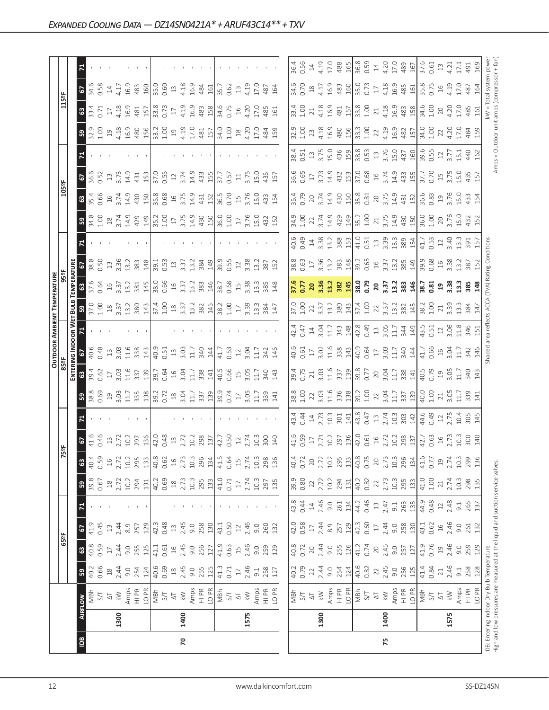|                |      |                                                                               |                |                                           |               |               |                                                   |                 |                                                                                                                                                                                                                                                                                                               |                                                                                     |                                                                                 |                                                                        |                                           |                                                    | <b>OUTDOOR AMBIENT TEMPERATURE</b>                                                     |                            |                                                     |                                                                |                                                                                                                                                   |                                                                                                                  |                                                              |                        |                                                                                                                                                                                                                                |                                                              |                                               |                                                      |
|----------------|------|-------------------------------------------------------------------------------|----------------|-------------------------------------------|---------------|---------------|---------------------------------------------------|-----------------|---------------------------------------------------------------------------------------------------------------------------------------------------------------------------------------------------------------------------------------------------------------------------------------------------------------|-------------------------------------------------------------------------------------|---------------------------------------------------------------------------------|------------------------------------------------------------------------|-------------------------------------------|----------------------------------------------------|----------------------------------------------------------------------------------------|----------------------------|-----------------------------------------------------|----------------------------------------------------------------|---------------------------------------------------------------------------------------------------------------------------------------------------|------------------------------------------------------------------------------------------------------------------|--------------------------------------------------------------|------------------------|--------------------------------------------------------------------------------------------------------------------------------------------------------------------------------------------------------------------------------|--------------------------------------------------------------|-----------------------------------------------|------------------------------------------------------|
|                |      |                                                                               |                | 65°F                                      |               |               |                                                   |                 | 75°F                                                                                                                                                                                                                                                                                                          |                                                                                     |                                                                                 | 85°F                                                                   |                                           |                                                    |                                                                                        | 959                        |                                                     |                                                                |                                                                                                                                                   | 105°F                                                                                                            |                                                              |                        |                                                                                                                                                                                                                                | 115°F                                                        |                                               |                                                      |
|                |      |                                                                               |                |                                           |               |               |                                                   |                 |                                                                                                                                                                                                                                                                                                               |                                                                                     |                                                                                 | ENTERI                                                                 |                                           | NG INDOOR WET                                      | BuuB                                                                                   | <b>EMPERATURE</b>          |                                                     |                                                                |                                                                                                                                                   |                                                                                                                  |                                                              |                        |                                                                                                                                                                                                                                |                                                              |                                               |                                                      |
| $\overline{5}$ |      | <b>AIRFLOW</b>                                                                | ${\tt S}$      | $\mathbbmss{3}$                           | 6             | Σ,            | ${\tt S}$                                         | $\mathbbmss{3}$ | $\overline{c}$                                                                                                                                                                                                                                                                                                |                                                                                     | ၛၟ                                                                              | $\mathbbmss{3}$                                                        | 2                                         |                                                    |                                                                                        |                            | $\mathbf{c}$                                        |                                                                | ၛၟ                                                                                                                                                | 63                                                                                                               | 5                                                            |                        | 59                                                                                                                                                                                                                             | $\boldsymbol{3}$                                             | 2                                             |                                                      |
|                |      | MBh                                                                           | 40.2           | 40.8                                      | 41.9          |               | 39.8                                              | 40.4            | 41.6<br>0.46                                                                                                                                                                                                                                                                                                  |                                                                                     | 38.8<br>0.69                                                                    | 39.4                                                                   |                                           |                                                    | $\frac{1}{37.00}$                                                                      | 37.6<br>0.64               | 38.8                                                |                                                                |                                                                                                                                                   | 35.4<br>0.66                                                                                                     | 36.6<br>0.52                                                 |                        |                                                                                                                                                                                                                                | $33.4$<br>0.71                                               | 34.6<br>0.58                                  |                                                      |
|                |      | 5/7                                                                           | 0.66           | 0.59                                      | 0.45          |               | 0.67                                              | 0.59            |                                                                                                                                                                                                                                                                                                               |                                                                                     |                                                                                 | 0.62                                                                   | 0.48                                      |                                                    |                                                                                        |                            | 0.50                                                |                                                                |                                                                                                                                                   |                                                                                                                  |                                                              |                        |                                                                                                                                                                                                                                |                                                              |                                               |                                                      |
|                |      | $\overline{\triangleright}$                                                   | $^{28}$        | $\Box$                                    | $13$          |               | $^{28}$                                           | $\frac{16}{2}$  |                                                                                                                                                                                                                                                                                                               |                                                                                     |                                                                                 | $\overline{\Box}$                                                      | $\Xi$                                     |                                                    |                                                                                        | $\frac{16}{3.37}$          | $\frac{13}{3.36}$                                   |                                                                |                                                                                                                                                   | $16$<br>3.74                                                                                                     | $\Xi$                                                        |                        |                                                                                                                                                                                                                                | $17\,$                                                       | $14\,$                                        |                                                      |
|                | 1300 | $\lesssim$                                                                    | 2.44           | 2.44                                      | 2.44          |               | 2.72                                              | 2.72            |                                                                                                                                                                                                                                                                                                               |                                                                                     |                                                                                 | $3.03$<br>11.6                                                         |                                           |                                                    |                                                                                        |                            |                                                     |                                                                |                                                                                                                                                   |                                                                                                                  | 3.73                                                         |                        |                                                                                                                                                                                                                                | 4.18<br>16.9                                                 | 4.17                                          |                                                      |
|                |      | Amps<br>HI PR                                                                 | 9.0            | 9.0                                       | 8.9           |               | 10.2                                              | 10.2            |                                                                                                                                                                                                                                                                                                               |                                                                                     |                                                                                 |                                                                        | 3.03<br>11.6<br>338                       |                                                    |                                                                                        | 13.2                       | 13.2                                                |                                                                |                                                                                                                                                   | 14.9                                                                                                             | 14.9                                                         |                        |                                                                                                                                                                                                                                |                                                              | 16.9                                          |                                                      |
|                |      |                                                                               | 254            | 255                                       | 257           |               | 294                                               | 295             |                                                                                                                                                                                                                                                                                                               |                                                                                     |                                                                                 | 337                                                                    |                                           |                                                    |                                                                                        | 381                        | 383                                                 |                                                                |                                                                                                                                                   | 430                                                                                                              | 431                                                          |                        |                                                                                                                                                                                                                                | 481                                                          | 483                                           |                                                      |
|                |      | LO <sub>PR</sub>                                                              | 124            | 125                                       | 129           |               | 131                                               | 133             |                                                                                                                                                                                                                                                                                                               |                                                                                     |                                                                                 | 139                                                                    | 143                                       |                                                    |                                                                                        | 145                        | 148                                                 |                                                                |                                                                                                                                                   | 150                                                                                                              | 153                                                          |                        |                                                                                                                                                                                                                                | 157                                                          | 160                                           |                                                      |
|                |      | MBh                                                                           | 40.6           | 41.1                                      | 42.3          |               | 40.2                                              | 40.8            | $\begin{array}{c} 13 \\ 2.72 \\ 2.97 \\ 2.97 \\ 2.97 \\ 2.97 \\ 2.97 \\ 2.90 \\ 2.91 \\ 2.91 \\ 2.92 \\ 2.93 \\ 2.91 \\ 2.92 \\ 2.93 \\ 2.94 \\ 2.95 \\ 2.97 \\ 2.93 \\ 2.98 \\ 2.97 \\ 2.99 \\ 2.99 \\ 2.99 \\ 2.99 \\ 2.99 \\ 2.99 \\ 2.99 \\ 2.99 \\ 2.99 \\ 2.99 \\ 2.99 \\ 2.99 \\ 2.99 \\ 2.99 \\ 2.99$ |                                                                                     |                                                                                 | $\frac{39.7}{0.64}$                                                    | $\frac{9}{40.51}$                         |                                                    | $\begin{array}{c} 18 \\ 3.37 \\ 13.2 \\ 80 \\ 14 \\ 7.0 \\ 1.00 \\ \hline \end{array}$ | 38.0                       | 39.1                                                |                                                                | $\begin{array}{c}\n 34.8 \\  3.08 \\  1.09 \\  3.74 \\  3.42 \\  4.9 \\  5.08 \\  7.09 \\  8.09 \\  1.3 \\  1.2\n\end{array}$                     | 35.8<br>0.68                                                                                                     | $\frac{0}{37.55}$                                            |                        |                                                                                                                                                                                                                                | $\frac{33.8}{0.73}$                                          | $\frac{0}{35.0}$                              |                                                      |
|                |      | $5/1$                                                                         | 0.69           | 0.61                                      | 0.48          |               | 0.69                                              | 0.62            |                                                                                                                                                                                                                                                                                                               |                                                                                     |                                                                                 |                                                                        |                                           |                                                    |                                                                                        | 0.66                       | 0.53                                                |                                                                |                                                                                                                                                   |                                                                                                                  |                                                              |                        |                                                                                                                                                                                                                                |                                                              |                                               |                                                      |
|                |      | $\overline{\triangle}$                                                        | $18$           | $\frac{1}{6}$                             | $\Xi$         |               | $\overset{\text{\tiny \textsf{SO}}}{\rightarrow}$ | $\frac{16}{1}$  |                                                                                                                                                                                                                                                                                                               |                                                                                     |                                                                                 | $16$<br>3.04                                                           | $\ensuremath{\mathop{\mathbb{Z}}}\xspace$ |                                                    | $^{28}$                                                                                | $\frac{16}{1}$             | $13$                                                |                                                                |                                                                                                                                                   | $16$                                                                                                             | $\ensuremath{\mathop{\mathop{\mathbf{2}}}}$                  |                        |                                                                                                                                                                                                                                | $17\,$                                                       | $13$                                          |                                                      |
| 20             | 1400 | $\lesssim$                                                                    | 2.45           | 2.45                                      | 2.45          |               | 2.73                                              | 2.73            |                                                                                                                                                                                                                                                                                                               |                                                                                     |                                                                                 |                                                                        | $3.03$<br>11.7                            |                                                    | 3.37                                                                                   | 3.37                       | 3.37                                                |                                                                |                                                                                                                                                   | 3.75                                                                                                             | 3.74                                                         |                        |                                                                                                                                                                                                                                | 4.19                                                         | 4.18<br>16.9                                  |                                                      |
|                |      | Amps                                                                          | 9.0            | 9.0                                       | 9.0           |               | $10.3$                                            | $10.3$          |                                                                                                                                                                                                                                                                                                               |                                                                                     |                                                                                 | 11.7                                                                   |                                           |                                                    | 13.2                                                                                   | 13.2                       | 13.2                                                |                                                                | $3.75$<br>14.9                                                                                                                                    | 14.9                                                                                                             | 14.9                                                         |                        |                                                                                                                                                                                                                                | 16.9                                                         |                                               |                                                      |
|                |      | $\frac{P}{I}$                                                                 | 255            | 256                                       | 258           |               | 295                                               | 296             | 298<br>137                                                                                                                                                                                                                                                                                                    |                                                                                     |                                                                                 | 338                                                                    | 340                                       |                                                    | 382<br>145                                                                             | 383<br>146                 | 384<br>149                                          |                                                                | 430                                                                                                                                               | 431<br>152                                                                                                       | 433<br>155                                                   |                        |                                                                                                                                                                                                                                | 483                                                          | 484                                           |                                                      |
|                |      | LO PR                                                                         | 125            | 127                                       | 130           |               | 133                                               | 134             |                                                                                                                                                                                                                                                                                                               |                                                                                     |                                                                                 | 141                                                                    | 144                                       |                                                    |                                                                                        |                            |                                                     |                                                                |                                                                                                                                                   |                                                                                                                  |                                                              |                        |                                                                                                                                                                                                                                |                                                              | 161                                           |                                                      |
|                |      | MBh                                                                           | 41.3           | 41.9                                      | 43.1          |               | 41.0                                              | 41.5            |                                                                                                                                                                                                                                                                                                               |                                                                                     |                                                                                 |                                                                        |                                           |                                                    |                                                                                        | 38.7                       | 39.9                                                |                                                                | 36.0<br>1.00                                                                                                                                      | 36.5                                                                                                             | 37.7                                                         |                        |                                                                                                                                                                                                                                |                                                              | 35.7                                          |                                                      |
|                |      | <b>S/T</b>                                                                    | 0.71           | 0.63                                      | 0.50          |               | 0.71                                              | 0.64            | $42.7$<br>0.50<br>12                                                                                                                                                                                                                                                                                          |                                                                                     |                                                                                 | 40.5<br>0.66                                                           | 41.7<br>0.53                              |                                                    | $38.2$<br>1.00                                                                         | 0.68                       | 0.55                                                |                                                                |                                                                                                                                                   | 0.70                                                                                                             | 0.57                                                         |                        |                                                                                                                                                                                                                                | 34.6<br>0.75                                                 | 0.62                                          |                                                      |
|                |      | $\overline{\triangle}$                                                        | $17\,$         | $\overline{1}$                            | $12$          |               | $\Box$                                            | $\overline{15}$ |                                                                                                                                                                                                                                                                                                               |                                                                                     |                                                                                 |                                                                        | $12\,$                                    |                                                    | $17\,$                                                                                 | $\Xi$                      | $12$                                                |                                                                | $\Gamma$                                                                                                                                          | $15$                                                                                                             | $\Xi$                                                        |                        |                                                                                                                                                                                                                                | $16$                                                         | $13$                                          |                                                      |
|                | 1575 | $\geq$                                                                        | 2.46           | 2.46                                      | 2.46          |               | 2.74                                              | 2.74            | 2.74                                                                                                                                                                                                                                                                                                          |                                                                                     |                                                                                 |                                                                        |                                           |                                                    | 3.39                                                                                   | 3.38                       | 3.38                                                |                                                                |                                                                                                                                                   | 3.76                                                                                                             | 3.75                                                         |                        |                                                                                                                                                                                                                                |                                                              |                                               |                                                      |
|                |      | Amps                                                                          | $\overline{5}$ | 9.0                                       | 9.0           |               | 10.3                                              | 10.3            | 10.3                                                                                                                                                                                                                                                                                                          |                                                                                     | $3.17$<br>$3.33$<br>$41$                                                        | 15<br>3.05<br>11.7                                                     | $3.04$<br>11.7                            |                                                    | 13.3                                                                                   | 13.3                       | 13.2                                                |                                                                | 3.76<br>15.0                                                                                                                                      | 15.0                                                                                                             | <b>15.0</b>                                                  |                        | $34.00$ $0.0$ $0.0$ $0.0$ $0.0$ $0.0$ $0.0$ $0.0$ $0.0$ $0.0$ $0.0$ $0.0$ $0.0$ $0.0$ $0.0$ $0.0$ $0.0$ $0.0$ $0.0$ $0.0$ $0.0$ $0.0$ $0.0$ $0.0$ $0.0$ $0.0$ $0.0$ $0.0$ $0.0$ $0.0$ $0.0$ $0.0$ $0.0$ $0.0$ $0.0$ $0.0$ $0.$ | 4.20<br>17.0                                                 | 4.19<br>17.0                                  |                                                      |
|                |      | $\frac{PR}{T}$                                                                | 258            | 259                                       | 260           |               | 297                                               | 298             |                                                                                                                                                                                                                                                                                                               |                                                                                     |                                                                                 | 340<br>143                                                             | 342                                       |                                                    | 384<br>147                                                                             | 385                        |                                                     |                                                                |                                                                                                                                                   | 433                                                                                                              |                                                              |                        |                                                                                                                                                                                                                                | 485                                                          | 487                                           |                                                      |
|                |      | LO PR                                                                         | 127            | 129                                       | 132           |               | 135                                               | 136             | 300<br>140                                                                                                                                                                                                                                                                                                    |                                                                                     |                                                                                 |                                                                        | 146                                       |                                                    |                                                                                        | 148                        | 387<br>152                                          |                                                                | 432<br>152                                                                                                                                        | 154                                                                                                              | 435<br>157                                                   |                        |                                                                                                                                                                                                                                | 161                                                          | 164                                           |                                                      |
|                |      |                                                                               |                |                                           |               |               |                                                   |                 |                                                                                                                                                                                                                                                                                                               |                                                                                     |                                                                                 |                                                                        |                                           |                                                    |                                                                                        |                            |                                                     |                                                                |                                                                                                                                                   |                                                                                                                  |                                                              |                        |                                                                                                                                                                                                                                |                                                              |                                               |                                                      |
|                |      | MBh                                                                           | 40.2           | 40.8                                      | 42.0          | 43.8          | 39.9                                              | 40.4            |                                                                                                                                                                                                                                                                                                               | 43.4                                                                                | 38.8                                                                            | 39.4                                                                   | 40.6                                      |                                                    | 37.0                                                                                   | 37.6                       | 38.8                                                |                                                                | 34.9                                                                                                                                              | 35.4<br>0.79                                                                                                     | 36.6<br>0.65                                                 |                        | 32.9                                                                                                                                                                                                                           | 33.4                                                         | 34.6                                          | 36.4                                                 |
|                |      | $5/1$                                                                         | 0.79           | 0.72                                      | 0.58          | 0.44          | 0.80                                              | 0.72            | 41.6<br>0.59                                                                                                                                                                                                                                                                                                  | 0.44                                                                                | 1.00                                                                            | 0.75                                                                   | 0.61                                      | 42.47<br>0.47                                      | 1.00                                                                                   | 0.77                       | 0.63                                                |                                                                | 1.00                                                                                                                                              |                                                                                                                  |                                                              |                        | 1.00                                                                                                                                                                                                                           | $1.00$<br>$21$                                               | 0.70                                          | 0.56                                                 |
|                |      | $\overline{\triangle}$                                                        | 22             | 20                                        | $\Box$        | $14\,$        | 22                                                | 20              | $\overline{\phantom{0}}$                                                                                                                                                                                                                                                                                      | $\ensuremath{\mathop{\mathbf{1}}}\xspace$                                           | 22                                                                              | $\gtrsim$                                                              | $\overline{\mathbb{1}}$                   |                                                    | 22                                                                                     | 20                         | $\overline{17}$                                     |                                                                | 22                                                                                                                                                | 20                                                                                                               | $17\,$                                                       |                        | 23                                                                                                                                                                                                                             |                                                              | $^{28}$                                       | $14\,$                                               |
|                | 1300 | $\lesssim$                                                                    | 2.44           | 2.44                                      | 2.44          | 2.46          | 2.72                                              | 2.72            | 2.71                                                                                                                                                                                                                                                                                                          | 2.73                                                                                |                                                                                 | $3.03$<br>11.6                                                         |                                           |                                                    |                                                                                        |                            |                                                     |                                                                |                                                                                                                                                   | $3.74$<br>14.9                                                                                                   | $3.73$<br>14.9                                               |                        | $4.18$<br>$16.9$                                                                                                                                                                                                               | 4.18<br>16.9                                                 |                                               | 4.19<br>17.0                                         |
|                |      | Amps                                                                          | 9.0            | 9.0                                       | 8.9           | 9.0           | 10.2                                              | 10.2            |                                                                                                                                                                                                                                                                                                               | $\frac{10.3}{301}$                                                                  | $\begin{array}{c} 3.03 \\ 1.18 \\ 3.8 \\ 1.9 \\ 1.0 \\ 2. \\ 2. \\ \end{array}$ |                                                                        | $3.02$<br>$1.1.6$<br>$3.38$<br>$1.43$     | $14$ $3.04$ $1.7$ $3.48$                           | $\frac{3}{3}$ $\frac{3}{3}$ $\frac{2}{3}$ $\frac{8}{4}$ $\frac{3}{1}$                  | 3.36<br>13.2<br>382<br>145 | $3.36$<br>$13.2$<br>$383$<br>$148$                  | $\frac{40.49}{0.41}$ $\frac{43.38}{0.33}$ $\frac{28.31}{0.33}$ | $3.74$<br>$14.29$<br>$429$                                                                                                                        |                                                                                                                  |                                                              |                        |                                                                                                                                                                                                                                |                                                              | $4.17$<br>16.9                                |                                                      |
|                |      | $\frac{P}{T}$                                                                 | 254            | 255                                       | 257           | 261           | 294                                               | 295             |                                                                                                                                                                                                                                                                                                               |                                                                                     |                                                                                 | 337                                                                    |                                           |                                                    |                                                                                        |                            |                                                     |                                                                |                                                                                                                                                   | 430                                                                                                              | 432<br>153                                                   |                        | 480                                                                                                                                                                                                                            | 481                                                          | 483<br>160                                    | 488<br>165                                           |
|                |      | LO <sub>PR</sub>                                                              | 124            | 126                                       | 129           | 134           | 131                                               | 133             |                                                                                                                                                                                                                                                                                                               |                                                                                     |                                                                                 |                                                                        |                                           |                                                    |                                                                                        |                            |                                                     |                                                                |                                                                                                                                                   |                                                                                                                  |                                                              |                        |                                                                                                                                                                                                                                |                                                              |                                               |                                                      |
|                |      | MBh                                                                           | 40.6           | 41.2                                      | 42.3          | 44.2          | 40.2                                              | 40.8            |                                                                                                                                                                                                                                                                                                               |                                                                                     |                                                                                 | 39.8<br>0.77                                                           | $40.9$<br>0.64<br>17                      |                                                    |                                                                                        | $\frac{6}{38.0}$           |                                                     |                                                                | $\frac{35.2}{1.00}$                                                                                                                               |                                                                                                                  |                                                              |                        | $\begin{array}{c} 3.3 \\ 3.0 \\ 1.00 \\ 2.2 \end{array}$                                                                                                                                                                       | $\frac{157}{33.8}$                                           | $\frac{35.0}{0.73}$                           | 36.8<br>0.59                                         |
|                |      | 5/7                                                                           | 0.82           | 0.74                                      | 0.60          | 0.46          | 0.82                                              | 0.75            |                                                                                                                                                                                                                                                                                                               |                                                                                     |                                                                                 |                                                                        |                                           |                                                    |                                                                                        |                            |                                                     |                                                                |                                                                                                                                                   |                                                                                                                  |                                                              |                        |                                                                                                                                                                                                                                |                                                              |                                               |                                                      |
|                |      | $\overline{\circ}$                                                            | 22             | $20$                                      | $\Box$        | $\Xi$         | 22                                                | $\overline{20}$ |                                                                                                                                                                                                                                                                                                               |                                                                                     |                                                                                 |                                                                        |                                           |                                                    |                                                                                        |                            |                                                     |                                                                |                                                                                                                                                   |                                                                                                                  |                                                              |                        |                                                                                                                                                                                                                                | $\rm 21$                                                     | $\overline{17}$                               | $\ensuremath{\mathop{\mathop{\mathbf{1}}}\nolimits}$ |
| 75             | 1400 | $\lesssim$                                                                    | 2.45           | 2.45                                      | 2.44          | 2.47          | 2.73                                              | 2.73            |                                                                                                                                                                                                                                                                                                               |                                                                                     |                                                                                 |                                                                        | $3.03$<br>11.7                            |                                                    |                                                                                        |                            |                                                     |                                                                |                                                                                                                                                   |                                                                                                                  |                                                              |                        |                                                                                                                                                                                                                                |                                                              |                                               |                                                      |
|                |      | Amps                                                                          | 9.0            | 9.0                                       | 9.0           | 9.1           | $10.3$                                            | 10.3            |                                                                                                                                                                                                                                                                                                               |                                                                                     |                                                                                 |                                                                        |                                           |                                                    |                                                                                        |                            |                                                     |                                                                |                                                                                                                                                   |                                                                                                                  |                                                              |                        |                                                                                                                                                                                                                                |                                                              |                                               |                                                      |
|                |      | HI PR                                                                         | 256            | 257                                       | 258           | 263           | 295                                               | 296             |                                                                                                                                                                                                                                                                                                               | $\begin{array}{c} \n 43.8 \\  43.7 \\  13.74 \\  20.3 \\  30.3 \\  4\n \end{array}$ |                                                                                 |                                                                        | 340                                       | $42.8$<br>0.49<br>1.3<br>3.05<br>1.7<br>3<br>4.9   |                                                                                        | 20<br>3.37<br>3.38<br>3.46 | $39.2$<br>0.65<br>19<br>19<br>19<br>3.7<br>3.8<br>3 |                                                                |                                                                                                                                                   |                                                                                                                  |                                                              |                        |                                                                                                                                                                                                                                |                                                              |                                               | $4.20$<br>$17.0$<br>$489$<br>$167$                   |
|                |      | LO PR                                                                         | 125            | 127                                       | 130           | 135           | 133                                               | 134             |                                                                                                                                                                                                                                                                                                               |                                                                                     | $3.04$<br>$1.7$<br>$3.7$<br>$3.7$<br>$4.0$<br>$4.0$                             | $20$<br>$3.04$<br>$1.7$<br>$3.8$<br>$4$<br>$4$<br>$9$<br>$9$<br>$0.79$ | 144                                       |                                                    |                                                                                        |                            |                                                     |                                                                | $\begin{array}{c}\n 21 \\  \hline\n 3.75 \\  \hline\n 4.30 \\  \hline\n 4.50 \\  \hline\n 5.00 \\  \hline\n 6.00 \\  \hline\n 1.00\n \end{array}$ | $\begin{array}{ l }\n\hline\n35.81 \\ 0.81 \\ 0.82 \\ 0.75 \\ 0.91 \\ 0.91 \\ 0.92 \\ 0.83 \\ 0.83\n\end{array}$ | $37.0$<br>0.68<br>0.74<br>3.74<br>4.4<br>4.5<br>5.70<br>5.70 |                        | $4.39$<br>$16.3$<br>$48$<br>$\frac{1}{2}$<br>$\frac{1}{34}$<br>$\frac{1}{6}$<br>$\frac{1}{2}$                                                                                                                                  | $4.18$<br>$16.9$<br>$489$<br>$81$<br>$54.6$<br>$1.00$        | $4.18$<br>$16.9$<br>$485$<br>$15.8$<br>$5.75$ |                                                      |
|                |      | NBh                                                                           | 41.4           | 41.9                                      | 43.1          | 44.9          | 41.0                                              | 41.6            |                                                                                                                                                                                                                                                                                                               |                                                                                     |                                                                                 |                                                                        | 41.7<br>0.66                              | 43.5<br>0.51                                       |                                                                                        | $\frac{38.7}{0.81}$        | $\frac{39.9}{0.68}$                                 |                                                                |                                                                                                                                                   |                                                                                                                  |                                                              |                        |                                                                                                                                                                                                                                |                                                              |                                               | 37.6<br>0.61                                         |
|                |      | $S/T$<br>$\overline{\triangle}$                                               | 0.84           | 0.76                                      | 0.62          | 0.48          | $1.00$<br>21                                      | 0.77            |                                                                                                                                                                                                                                                                                                               | $44.6$<br>0.49<br>12<br>2.75                                                        |                                                                                 |                                                                        |                                           |                                                    |                                                                                        |                            |                                                     | $41.7$<br>0.53<br>$12$<br>3.40                                 |                                                                                                                                                   |                                                                                                                  |                                                              |                        |                                                                                                                                                                                                                                |                                                              |                                               |                                                      |
|                |      |                                                                               | $\geq 1$       | $\ensuremath{\mathop{\mathsf{2}}}\xspace$ | 2.46<br>$\Xi$ | 2.48          | 2.74                                              | $\overline{c}$  | $16$<br>$2.73$                                                                                                                                                                                                                                                                                                |                                                                                     | $21$<br>$3.05$                                                                  | $\frac{9}{3}$ .05                                                      | $16$<br>$3.04$                            |                                                    | $21$<br>3.39                                                                           | $\frac{19}{3.38}$          | $16$<br>3.38                                        |                                                                | 20<br>3.76                                                                                                                                        | $\frac{19}{3.76}$                                                                                                | $15$<br>$3.75$                                               |                        | 4.20<br>22                                                                                                                                                                                                                     | $20$                                                         | $13 \ 4.21$<br>$16$                           |                                                      |
|                | 1575 | $\gtrapprox$                                                                  | 2.46           | 2.46                                      |               |               |                                                   | 2.74            |                                                                                                                                                                                                                                                                                                               |                                                                                     |                                                                                 |                                                                        |                                           |                                                    |                                                                                        |                            |                                                     |                                                                |                                                                                                                                                   |                                                                                                                  |                                                              |                        |                                                                                                                                                                                                                                | 4.20                                                         | 4.19<br>17.0                                  |                                                      |
|                |      | Amps<br>$\frac{R}{I}$                                                         | 258<br>$-9.1$  | 259<br>9.0                                | 9.0<br>261    | 265<br>$-9.1$ | 10.3<br>298                                       | 10.3<br>299     |                                                                                                                                                                                                                                                                                                               | 10.4                                                                                | 339<br>11.7                                                                     | 11.7<br>340                                                            | 11.7<br>342                               | $\begin{array}{c} 12 \\ 3.06 \\ 1.346 \end{array}$ | 13.384                                                                                 | 13.3<br>385                | 13.2<br>387                                         | 13.3<br>391                                                    | $-5.0$                                                                                                                                            | $-5.0$                                                                                                           |                                                              | $\overline{51}$<br>440 | 17.0                                                                                                                                                                                                                           | 17.0<br>485                                                  | 487                                           | 17.1<br>491                                          |
|                |      | LO <sub>PR</sub>                                                              | 128            | 129                                       | 132           | 137           | 135                                               | 136             | $\begin{array}{c}\n 30 \\  70\n \end{array}$                                                                                                                                                                                                                                                                  | $305$<br>$145$                                                                      | $\Xi$                                                                           | 143                                                                    | 146                                       | 151                                                | 147                                                                                    | 148                        | 152                                                 |                                                                | 432<br>152                                                                                                                                        | 433<br>154                                                                                                       | 15.0<br>435<br>157                                           | 162                    | 484<br>159                                                                                                                                                                                                                     | 161                                                          | 164                                           | 169                                                  |
|                |      | IDB: Entering Indoor Dry Bulb Temperature                                     |                |                                           |               |               |                                                   |                 |                                                                                                                                                                                                                                                                                                               |                                                                                     |                                                                                 |                                                                        |                                           |                                                    | shaded area reflects ACCA (TVA) Rating Conditions                                      |                            |                                                     |                                                                |                                                                                                                                                   |                                                                                                                  |                                                              |                        |                                                                                                                                                                                                                                | <w =="" system<="" th="" total=""><th></th><th>powe</th></w> |                                               | powe                                                 |
|                |      | High and low pressures are measured at the liquid and suction service valves. |                |                                           |               |               |                                                   |                 |                                                                                                                                                                                                                                                                                                               |                                                                                     |                                                                                 |                                                                        |                                           |                                                    |                                                                                        |                            |                                                     |                                                                |                                                                                                                                                   |                                                                                                                  |                                                              |                        |                                                                                                                                                                                                                                | Amps = Outdoor unit amps (compressor + fan                   |                                               |                                                      |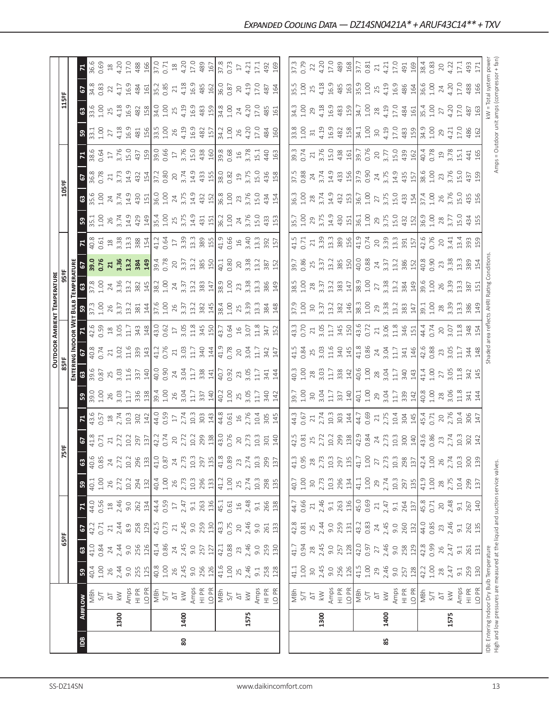|                |      |                                                                                                                            |                     |                           |                   |                                                           |                |                          |                            |                 |                     |                 |                     |                | <b>OUTDOOR AMBIENT TEMPERATURE</b>          |                         |                    |                                                      |                  |                   |                |                            |                                             |                           |              |                     |
|----------------|------|----------------------------------------------------------------------------------------------------------------------------|---------------------|---------------------------|-------------------|-----------------------------------------------------------|----------------|--------------------------|----------------------------|-----------------|---------------------|-----------------|---------------------|----------------|---------------------------------------------|-------------------------|--------------------|------------------------------------------------------|------------------|-------------------|----------------|----------------------------|---------------------------------------------|---------------------------|--------------|---------------------|
|                |      |                                                                                                                            |                     | 65°F                      |                   |                                                           |                |                          | 5°F                        |                 |                     | 85°F            |                     |                |                                             | 95 <sup>2</sup> F       |                    |                                                      |                  | 105°F             |                |                            |                                             | 115°F                     |              |                     |
|                |      |                                                                                                                            |                     |                           |                   |                                                           |                |                          |                            |                 |                     |                 | ENTERING INDOOR WET |                |                                             | <b>BULB TEMPERATURE</b> |                    |                                                      |                  |                   |                |                            |                                             |                           |              |                     |
| $\overline{a}$ |      | <b>AIRFLOW</b>                                                                                                             | 59                  | $\boldsymbol{\mathbb{S}}$ | 57                | $\mathbf{r}$                                              | ${\tt s}$      | ශී                       | 2                          |                 | ႙                   | $\mathbbmss{3}$ | 57                  |                | ន                                           | $\mathbbmss{3}$         |                    |                                                      | S,               | $\frac{3}{2}$     | 2              | ۲.                         | ဌ                                           | $\boldsymbol{\mathbb{S}}$ | 2            | K,                  |
|                |      | MBh                                                                                                                        | 40.4                | 41.0                      | 42.2              | 44.0                                                      | 40.1           | 40.6                     | 41.8<br>0.71               | 43.6            | 39.0                | 39.6            | 40.8                | 42.6           | 37.3<br>1.00                                | 37.8<br>1.00            | 39.0<br>0.76       | 40.8<br>0.61                                         | 35.1<br>1.00     | 35.6<br>1.00      | 36.8<br>0.78   | 38.6<br>0.64               | 33.1                                        | 33.6                      | 34.8<br>0.83 | 36.6                |
|                |      | 5/7                                                                                                                        | 1.00                | 0.84                      | 0.71              | 0.56                                                      | $1.00$         | 0.85                     |                            | 0.57            | 1.00<br>26          | 0.87            | 0.74                | 0.59           |                                             |                         |                    |                                                      |                  |                   |                | $17\,$                     | 1.00                                        | 1.00                      |              | 0.69                |
|                | 1300 | $\gtrapprox$<br>$\overline{\circlearrowright}$                                                                             | $26$<br>2.44        | 2.44<br>$24\,$            | 2.44<br>$\geq 1$  | 2.46<br>$\ensuremath{\mathop{\boxtimes}\limits^{\infty}}$ | 2.72<br>26     | 24<br>2.72               | 2.72<br>$21\,$             | $18$<br>$2.74$  | 3.03                | 25<br>3.03      | $\frac{21}{3.02}$   | $18$<br>3.05   | 3.37<br>26                                  | 3.36<br>24              | 3.36<br>21         | 3.38<br>$^{28}$                                      | 26<br>3.74       | 3.74<br>24        | 3.73<br>$21\,$ | 3.76                       | 4.18<br>27                                  | 4.18<br>25                | 4.17<br>22   | 4.20<br>$^{28}$     |
|                |      |                                                                                                                            | 9.0                 | 9.0                       | 8.9               | 9.0                                                       | 10.2           | 10.2                     | 10.2                       | 10.3            | 11.7                | 11.6            | 11.6                | 11.7           | 13.2                                        | 13.2                    | 13.2               | 13.3                                                 | 14.9             | 14.9              | 14.9           | 15.0                       | 16.9                                        | 16.9                      | 16.9         | 17.0                |
|                |      | Amps<br>H PR<br>LO PR                                                                                                      | 255                 | 256                       | 258               | 262                                                       | 294            | 296                      | 297                        | 302             | 336                 | 337             | 339                 | 343            | 381                                         | 382                     | 384                | 388                                                  | 429              | 430               | 432            | 437                        | 481                                         | 482                       | 484          | 488                 |
|                |      |                                                                                                                            | 125                 | 126                       | 129               | 134                                                       | 132            | 133                      | 137                        | 142             | 138                 | 140             | 143                 | 148            | 144                                         | 145                     | 149                | 154                                                  | 149              | 151               | 154            | 159                        | 156                                         | 158                       | 161          | 166                 |
|                |      | $\frac{1}{96}$                                                                                                             | 40.8                | 41.4                      | 42.5              | 44.4                                                      | 40.4           | 41.0                     | 42.2<br>0.74               | 44.0            | 39.4                | 40.0            | 41.2                | 43.0           | 37.6                                        | 38.2                    | 39.4<br>0.78       | 41.2                                                 | 35.4             | 36.0              | 37.2           | 39.0<br>0.66               | 33.5                                        | 34.0                      | 35.2         | 37.0                |
|                |      |                                                                                                                            | 1.00                | 0.86                      | 0.73              | 0.59                                                      | 1.00           | 0.87                     |                            | 0.59            | 1.00                | 0.90            | 0.76                | 0.62           | 1.00                                        | 1.00                    |                    | 0.64                                                 | 1.00             | 1.00              | 0.80           |                            | 1.00                                        | 1.00                      | 0.85         | 0.71                |
|                |      | $\overline{\triangle}$                                                                                                     | 26                  | $24\,$                    | $21\,$            | $\overline{17}$                                           | 26             | 24                       | $20$                       | $\overline{17}$ | 26                  | 24              | $\mathbf{21}$       | $17\,$         | 26                                          | 24                      | $20$               | $17\,$                                               | 25               | 24                | $20$           | $17\,$                     | 26                                          | 25                        | 21           | $^{28}$             |
| 80             | 1400 | $\lesssim$                                                                                                                 | 2.45                | 2.45                      | 2.45              | 2.47                                                      | 2.73           | 2.73                     |                            | 2.74            | 3.04                | 3.04            | 3.03                | 3.05           | 3.37                                        | 3.37                    | 3.37               | 3.39                                                 | 3.75             | 3.75              | 3.74           |                            | 4.19                                        | 4.19                      | 4.18         | 4.20                |
|                |      | Amps                                                                                                                       | 9.0                 | 9.0                       | 9.0               | 9.1                                                       | $10.3$         | 10.3                     | 2.72<br>10.2               | 10.3            | 11.7                | 11.7            | 11.7                | 11.8           | 13.2                                        | 13.2                    | 13.2<br>385<br>150 | 13.3                                                 | 14.9             | 14.9              | 14.9           | 3.76<br>15.0               | 16.9                                        | 16.9                      | 16.9         | 17.0                |
|                |      | HI PR<br>LO PR                                                                                                             |                     | 257                       | 259               | 263                                                       | 296            | 297                      |                            | 303             |                     |                 |                     |                | 382                                         | 383                     |                    | 389<br>155                                           | 431              | 432               | 433            | 438                        | 482                                         | 483                       | 485          | 489                 |
|                |      |                                                                                                                            | 256<br>126          | 127                       | 130               | 136                                                       | 133            | 135                      |                            | 143             | $\frac{337}{140}$   | 338<br>141      | $340$<br>$144$      | 345<br>150     | 145                                         | 147                     |                    |                                                      | 151              | 152               | 155            |                            | 157                                         | 159                       | 162          | 167                 |
|                |      |                                                                                                                            | 41.6                | 42.1                      | 43.3              | 45.1                                                      | 41.2           | 41.8                     | 299<br>138<br>43.0<br>0.76 | 44.8            | 40.2                | 40.7            | 41.9                | 43.7           | 38.4                                        | 38.9                    | 40.1               | 41.9                                                 | 36.2             | 36.8              | 38.0           |                            | 34.2                                        | 34.8                      | 36.0         |                     |
|                |      | 5/7                                                                                                                        | $1.00$              | 0.88                      | 0.75              | 0.61                                                      | $1.00$         | 0.89                     |                            | 0.61            | 1.00                | 0.92            | 0.78                | 0.64           | 1.00                                        | 1.00                    | 0.80               | 0.66                                                 | 1.00             | 1.00              | 0.82           | 39.8                       | $1.00$                                      | 1.00                      | 0.87         | 37.8                |
|                |      | $\overline{\Delta}$                                                                                                        | 25                  | 23                        | 20                | $16$                                                      | 25             | 23                       | $20$                       | $16$            | 25                  | 23              | 20                  | $\exists$      | 25                                          | 23                      | 20                 | $\frac{16}{1}$                                       | 24               | 23                | $\overline{a}$ | $16$                       | 26                                          | 24                        | 20           | $17\,$              |
|                | 1575 | $\lesssim$                                                                                                                 | 2.46                | 2.46                      | 2.46              | 2.48                                                      | 2.74           | 2.74                     | 2.73                       | 2.76            | 3.05                | 3.05            | 3.04                | 3.07           | 3.39                                        | 3.38                    | 3.38               | 3.40                                                 | 3.76             | 3.76              | 3.75           | 3.78                       | 4.20                                        | 4.20                      | 4.19         | 4.21                |
|                |      | Amps                                                                                                                       | 9.1                 | 9.0                       | 9.0               | 9.1                                                       | 10.3           | 10.3                     | 10.3                       | 10.4            | 1.7                 | Ë               | $\Xi$               | 11.8           | 13.3                                        | 13.3                    | 13.2               | 13.3                                                 | 15.0             | $-5.0$            | 15.0           | 5.1                        | <b>17.0</b>                                 | 0.71                      | 17.0         | $\overline{17.1}$   |
|                |      | HI PR                                                                                                                      | 258                 | 259                       | 261               | 266                                                       | 298            | 299                      | 301                        | 305             | 340                 | 341             | 342                 | 347            | 384                                         | 386                     | 387                | 392                                                  | 433              | 434               | 436            | 440                        | 484                                         | 485                       | 487          | 492                 |
|                |      | LO <sub>PR</sub>                                                                                                           | 128                 | 130                       | 133               | 138                                                       | 135            | 137                      | 140                        | 145             | 142                 | 144             | 147                 | 152            | 148                                         | 149                     | 152                | L <sub>57</sub>                                      | 153              | $\mathbb{E}^d$    | 158            | <u>i63</u>                 | 160                                         | 161                       | 164          | 169                 |
|                |      |                                                                                                                            |                     |                           |                   |                                                           |                |                          |                            |                 |                     |                 |                     |                |                                             |                         |                    |                                                      |                  |                   |                |                            |                                             |                           |              |                     |
|                |      |                                                                                                                            | 41.1                | 41.7                      | 42.8              | 44.7                                                      | 40.7           | 41.3                     | 42.5                       | 44.3            | 39.7                | 40.3            | 41.5                | 43.3           | 37.9                                        | 38.5                    | 39.7               | 41.5                                                 | 35.7             | 36.3              | 37.5           |                            | 33.8                                        | 34.3                      | 35.5         |                     |
|                |      | NBh<br>S/T                                                                                                                 | 1.00                | 0.94                      | 0.81              | 0.66                                                      | 1.00           | 0.95                     | 0.81                       | 0.67            | 001                 | 1.00            | 0.84                | 0.70           | 1.00                                        | 1.00                    | 0.86               |                                                      |                  | 1.00              | 0.88           | 39.3<br>0.74               | 00                                          | 1.00                      | 1.00         | 37.3                |
|                |      | $\overline{\Delta}$                                                                                                        | $30\,$              | $28$                      | 25                | $\gtrsim$                                                 |                |                          |                            | 21              | $30$                | $28\,$          | 25                  | $\gtrsim$      | 30                                          | $28$                    | 25                 | 21                                                   |                  |                   |                | $21\,$                     | $\overline{31}$                             | 29                        | 25           | 22                  |
|                | 1300 | $\lesssim$                                                                                                                 | 2.45                | 2.45                      | 2.44              | 2.46                                                      | $30$<br>$2.73$ |                          | 25<br>2.72                 | 2.74            | 3.04                | 3.03            | 3.03                | 3.05           | 3.37                                        | 3.37                    | 3.37               |                                                      | 29<br>3.75       | $\frac{28}{3.74}$ | $24$<br>3.74   |                            | 4.19                                        | 4.18                      | 4.18         | 4.20                |
|                |      | Amps                                                                                                                       |                     |                           |                   | 9.1                                                       |                | $28$<br>$2.73$<br>$10.3$ | 10.2                       | 10.3            | 11.7                | 11.7            | 11.6                | 11.7           | 13.2                                        | 13.2                    | 13.2               | 3.39<br>13.3<br>156                                  | 14.9             | 14.9              | 14.9           | 3.76<br>15.0<br>438<br>161 | 16.9                                        | 16.9                      | 16.9         | 17.0                |
|                |      | $\frac{P}{I}$                                                                                                              | 9.0<br>256          | 9.0<br>257                | 9.0<br>259<br>131 | 263<br>136                                                | 10.3<br>296    | 297                      | 299                        | 303             | 337                 | 338             | 340                 |                | 382                                         | 383                     |                    |                                                      | 430              | 432               | 433            |                            | 482                                         | 483                       | 485          | 489                 |
|                |      | LO <sub>PR</sub>                                                                                                           | 126                 | 128                       |                   |                                                           | 134            | 135                      | 138                        | 144             | 140                 | 142             | 145                 | 345<br>150     | 146                                         | 147                     | 385<br>150         |                                                      | 151              | 153               | 156            |                            | 158                                         | 159                       | 163          | 168                 |
|                |      | NBh                                                                                                                        | $\frac{41.5}{1.00}$ | 42.0                      | 43.2              | 45.0                                                      | 41.1           | $41.7\,$                 | 42.9<br>0.84               | 44.7            | $\frac{40.1}{1.00}$ | 40.6            | 41.8<br>0.86        | 43.6<br>0.72   | $38.3$<br>$1.00$                            | $38.9$<br>$1.00$        | 40.0<br>0.88       | 41.9<br>0.74                                         | $36.1$<br>$1.00$ | 36.7<br>1.00      | 37.9<br>0.90   | 39.7<br>0.76               | $34.1$<br>$1.00$                            | $34.7$<br>$1.00$          | 35.9         | $\frac{37.7}{0.81}$ |
|                |      | $5\sqrt{ }$                                                                                                                |                     | 0.97                      | 0.83              | 0.69                                                      | $1.00$         | $1.00\,$                 |                            | 0.69            |                     | 1.00            |                     |                |                                             |                         |                    |                                                      |                  |                   |                |                            |                                             |                           | 1.00         |                     |
|                |      | $\overline{\Delta}$                                                                                                        | 29<br>2.46          | $27\,$                    | $24$<br>2.45      | $21$<br>$2.47$                                            | 29             | 27                       | 2.73                       | 2.75            | 29<br>3.04          | 28<br>3.04      | $\frac{24}{3.04}$   | $21$<br>$3.06$ |                                             |                         | 24<br>3.37         |                                                      | 29<br>3.75       | 27                | 24<br>3.75     | $rac{20}{3.77}$            | 30                                          | 28                        | 25<br>4.19   | $21$<br>4.21        |
| 85             | 1400 | $\lesssim$                                                                                                                 |                     | 2.46                      |                   |                                                           | 2.74           | 2.73                     |                            |                 |                     |                 |                     |                | 29<br>3.38<br>13.2<br>383                   | 27<br>3.38<br>13.2      |                    |                                                      |                  | 3.75              |                |                            | 4.19                                        | 4.19                      |              |                     |
|                |      | Amps<br>HI PR                                                                                                              | 9.0                 | 9.0                       | 9.0               | 9.1                                                       | $10.3$         | $10.3$                   |                            | 10.4            | 11.7                | 11.7            | 11.7                | $11.8$         |                                             |                         | 13.2               |                                                      | 15.0             | 15.0              | 14.9           |                            | 17.0                                        | 17.0                      | 16.9         | 17.0                |
|                |      |                                                                                                                            | 257                 | 258<br>129                | 260<br>132        | 264<br>137                                                | 297            | 298                      | 10.3<br>300<br>140         | 304             | 339                 | 340             | 341                 | 346<br>151     |                                             | 384                     | 386<br>152         | $\begin{array}{c} 20 \\ 3.39 \\ 13.3 \\ \end{array}$ | 432              | 433               | 435            | 15.0<br>439                | 483                                         | 484                       | 486          | 491                 |
|                |      | LO PR                                                                                                                      | 128                 |                           |                   |                                                           | 135            | 137                      |                            | 145             | 142                 | 143             | 146                 |                | 147                                         | 149                     |                    |                                                      | 152              | 154               | 157            | 162                        | 159                                         | 161                       | 164          | 169                 |
|                |      | $\frac{1}{\sqrt{9}}$                                                                                                       | 42.2                | 42.8                      | 44.0              | 45.8                                                      | 41.9           | 42.4                     | 43.6                       | 45.4            | 40.8                | 41.4            | 42.6                | 44.4           | 39.1                                        | 39.6                    | 40.8<br>0.90       | 42.6                                                 | 36.9             | 37.4              | 38.6           | 40.4                       | 34.9                                        | 35.4                      | 36.6         | 38.4                |
|                |      |                                                                                                                            | $1.00$              | 0.99                      | 0.85              | 0.71                                                      | $1.00$         | $1.00\,$                 | 0.86                       | 0.71            | 1.00                | 1.00            | 0.88                | 0.74           | $1.00$                                      | 1.00                    |                    | 0.76                                                 | 1.00             | 1.00              | 1.00           | 0.78                       | 1.00                                        | 1.00                      | 1.00         | 0.83                |
|                |      | $\overline{\Delta}$                                                                                                        | $28$                | 26                        | 23                | 20                                                        | $28$           | 26                       | 23                         | $20\,$          | $28$                | 27              | 23                  | $20\,$         | $28$                                        | 26                      | 23                 | 20                                                   | $28$             | 26                | 23             | 19                         | 29                                          | 27                        | 24           | 20                  |
|                | 1575 | $\lesssim$                                                                                                                 | 2.47                | 2.47                      | 2.46              | 2.48                                                      | 2.75           | 2.74                     | 2.74                       | 2.76            | 3.06                | 3.05            | 3.05                | 3.07           | $3.39$<br>$13.3$                            | 3.39                    | 3.38               | 3.41                                                 | 3.77             | 3.76              | 3.76           | 3.78                       | 4.21                                        | 4.20                      | 4.20         | 4.22                |
|                |      | Amps                                                                                                                       | 9.1                 | 9.1                       | 9.1               | $-9.1$                                                    | 10.4           | 10.3                     | 10.3                       | 10.4            | 11.8                | 11.8            | 11.7                | 11.8           |                                             | 13.3                    | 13.3               | 13.4                                                 | 15.0             | 5.0               | 0.50           | 15.1                       | 17.0                                        | 17.0                      | 17.0         | 17.1                |
|                |      | $\frac{\alpha}{\pi}$                                                                                                       | 259                 | 261                       | 262<br>135        | 267                                                       | 299            | 300<br>139               | 302                        | 306             | 341                 | 342             | 344                 | 348            | 386                                         | 387                     | 389                | 393<br>159                                           | 434<br>155       | 435<br>156        | 437<br>159     | 441                        | 486<br>162                                  | 487                       | 488          | 493                 |
|                |      | LO <sub>PR</sub>                                                                                                           | 130                 | 131                       |                   | 140                                                       | 137            |                          | 142                        | 147             | 144                 | 145             | 148                 |                |                                             |                         |                    |                                                      |                  |                   |                | 165                        |                                             | 163                       | 166          | 171                 |
|                |      | High and low pressures are measured at the liquid and suction service valves.<br>IDB: Entering Indoor Dry Bulb Temperature |                     |                           |                   |                                                           |                |                          |                            |                 |                     |                 |                     |                | shaded area reflects AHRI Rating Conditions |                         |                    |                                                      |                  |                   |                |                            | Amps = Outdoor unit amps (compressor + fan) | kW = Total system power   |              |                     |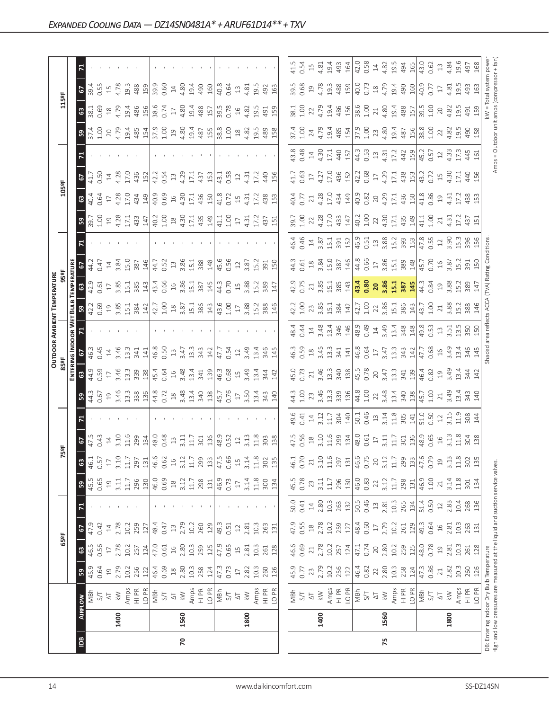|                |      |                                                                                                                            |                 |                 |                |        |                 |                 |                                                                                          |                                   |                                                                                      |                                                             | <b>OUTDOOR AMBIENT TEMPERATURE</b>                |                                                   |                            |                                   |                            |                                       |                                         |                                    |                            |                                                                                    |                                      |                               |                                    |                                    |
|----------------|------|----------------------------------------------------------------------------------------------------------------------------|-----------------|-----------------|----------------|--------|-----------------|-----------------|------------------------------------------------------------------------------------------|-----------------------------------|--------------------------------------------------------------------------------------|-------------------------------------------------------------|---------------------------------------------------|---------------------------------------------------|----------------------------|-----------------------------------|----------------------------|---------------------------------------|-----------------------------------------|------------------------------------|----------------------------|------------------------------------------------------------------------------------|--------------------------------------|-------------------------------|------------------------------------|------------------------------------|
|                |      |                                                                                                                            |                 |                 | 65°F           |        |                 |                 | 5ºF                                                                                      |                                   |                                                                                      | 85°F                                                        |                                                   |                                                   |                            |                                   |                            |                                       |                                         | 105°F                              |                            |                                                                                    |                                      | 115°F                         |                                    |                                    |
|                |      |                                                                                                                            |                 |                 |                |        |                 |                 |                                                                                          |                                   |                                                                                      | ENTERI                                                      | NG INDOOR W                                       |                                                   | <b>BULI</b>                | <b>EMPERATURE</b>                 |                            |                                       |                                         |                                    |                            |                                                                                    |                                      |                               |                                    |                                    |
| $\overline{B}$ |      | <b>AIRFLOW</b>                                                                                                             | 59              | $\mathbbmss{3}$ | 5              | 71     | ${\tt S}$       | $\mathbbmss{3}$ | 2                                                                                        |                                   | ${\tt S}$                                                                            | $\mathbbmss{3}$                                             | 2                                                 |                                                   |                            | $\mathbbmss{3}$                   |                            |                                       | $\frac{10}{3}$                          | $\mathbbmss{3}$                    | 2                          |                                                                                    | ${\tt S}$                            | $\mathbf{3}$                  | 2                                  |                                    |
|                |      | MBh                                                                                                                        | 45.9            | 46.5            | 47.9           |        | 45.5            | 46.1            |                                                                                          |                                   | 44.3<br>0.67                                                                         | 44.9                                                        |                                                   |                                                   | 42.2<br>0.69               | 42.9                              | 44.2                       |                                       |                                         | 40.4                               | 41.7                       |                                                                                    | $37.4$<br>1.00                       | $\overline{\phantom{1}}$ 38.1 | $\frac{39.4}{ }$                   |                                    |
|                |      | 5/7                                                                                                                        | 0.64            | 0.56            | 0.42           |        | 0.65            | 0.57            |                                                                                          |                                   |                                                                                      | 0.59                                                        | 0.45                                              |                                                   |                            |                                   | 0.47                       |                                       |                                         | 0.64                               | 0.50                       |                                                                                    |                                      | 0.69                          | 0.55                               |                                    |
|                |      | $\overline{\sim}$                                                                                                          | $\overline{19}$ | $\Box$          | 14             |        | $\overline{19}$ | $\Box$          | $47.5$<br>0.43<br>14<br>3.10                                                             |                                   |                                                                                      | $\overline{\Box}$                                           | $\overline{1}4$                                   |                                                   | 19 <sub>3.85</sub>         | $\overline{\mathbb{L}}$           | $14\,$                     |                                       | 194.28                                  | 17                                 |                            |                                                                                    | 20<br>4.79                           | 4.79                          | $\Xi$                              |                                    |
|                | 1400 | $\lesssim$                                                                                                                 | 2.79            | 2.78            | 2.78           |        | 3.11            | 3.10            |                                                                                          |                                   |                                                                                      | 3.46                                                        | 3.46                                              |                                                   |                            | 3.85                              | 3.84                       |                                       |                                         | 4.28                               | 4.28                       |                                                                                    |                                      |                               | 4.78                               |                                    |
|                |      |                                                                                                                            | 10.2            | 10.2            | 10.2           |        | $11.7\,$        | 11.7            | 11.6                                                                                     |                                   |                                                                                      | 13.3                                                        | 13.3                                              |                                                   | 15.1                       | 15.1                              | 15.0                       |                                       | 17.1<br>433                             | 17.0                               | 17.0                       |                                                                                    |                                      | 19.4                          | 19.3                               |                                    |
|                |      | Amps<br>HI PR                                                                                                              | 256             | 257             | 259            |        | 296             | 297             |                                                                                          |                                   | $\begin{array}{c} 19 \\ 3,46 \\ 13,3 \\ \end{array}$                                 | 339                                                         | 341                                               |                                                   | 384                        | 385                               | 387                        |                                       |                                         | 434                                | 436                        |                                                                                    | $\frac{19.4}{485}$                   | 486                           | 488                                |                                    |
|                |      | LO PR                                                                                                                      | 122             | 124             | 127            |        | 130             | 131             | 134                                                                                      |                                   |                                                                                      | 138                                                         | 141                                               |                                                   | 142                        | 143                               | 146                        |                                       | 147                                     | 149                                | 152                        |                                                                                    |                                      | 156                           | 159                                |                                    |
|                |      | $\frac{1}{2}$                                                                                                              | 46.4            | 47.0            | 48.4           |        | 46.0            | 46.6            | 48.0                                                                                     |                                   | 44.8<br>0.72                                                                         | 45.4                                                        | 46.8                                              |                                                   | 42.7                       | 43.4                              | 44.7                       |                                       | $40.2$<br>1.00                          | 40.9                               | 42.2                       |                                                                                    | $\frac{6}{100}$                      | 38.6                          | 39.9                               |                                    |
|                |      |                                                                                                                            | 0.69            | 0.61            | 0.47           |        | 0.69            | 0.62            | 0.48                                                                                     |                                   |                                                                                      | 0.64                                                        | 0.50                                              |                                                   | 1.00                       | 0.66                              | 0.52                       |                                       |                                         | 0.69                               | 0.54                       |                                                                                    |                                      | 0.74                          | 0.60                               |                                    |
|                |      | $\overline{\triangle}$                                                                                                     | $^{28}$         | $16$            | $13$           |        | $\frac{8}{18}$  | $\frac{16}{1}$  | $13$                                                                                     |                                   | $^{28}$                                                                              | $16$                                                        | $13\,$                                            |                                                   | $^{28}$                    | $16$                              | $13$                       |                                       | $\overset{\text{\tiny \textsf{QQ}}}{=}$ | $16$                               | $\Xi$                      |                                                                                    |                                      | $1\overline{7}$               | $14\,$                             |                                    |
| 20             | 1560 | $\geqslant$                                                                                                                | 2.80            | 2.80            | 2.79           |        | 3.12            | 3.12            | 3.11                                                                                     |                                   | 3.48                                                                                 | 3.48                                                        | 3.47                                              |                                                   | 3.87                       | 3.86                              | 3.86                       |                                       | 4.30                                    | 4.30                               | 4.29                       |                                                                                    | 4.80                                 | 4.80                          | 4.80                               |                                    |
|                |      | Amps                                                                                                                       | $10.3$          | 10.3            | 10.2           |        | $11.7\,$        | $11.7\,$        | 11.7                                                                                     |                                   |                                                                                      | 13.4                                                        | 13.3                                              |                                                   | 15.1                       | 15.1                              | 15.1                       |                                       | 17.1                                    | 17.1                               | 17.1                       |                                                                                    |                                      | 19.4                          | 19.4                               |                                    |
|                |      | $\frac{P}{I}$                                                                                                              | 258<br>124      | 259<br>125      | 260            |        | 298             | 299             | 301                                                                                      |                                   | $13.4$<br>$340$<br>$138$                                                             | 341<br>139                                                  |                                                   |                                                   | 386<br>143                 | 387                               | 388                        |                                       | 435                                     | 436                                | 437                        |                                                                                    | 19.4<br>487<br>155                   | 488<br>157                    | 490                                |                                    |
|                |      | LO PR                                                                                                                      |                 |                 | 129            |        | 131             | 133             | 136                                                                                      |                                   |                                                                                      |                                                             | 343<br>142                                        |                                                   |                            | 145                               | 148                        |                                       | 149                                     | 150                                | 153                        |                                                                                    |                                      |                               | 160                                |                                    |
|                |      | MBh                                                                                                                        | 47.3            | 47.9            | 49.3           |        | 46.9            | 47.5            |                                                                                          |                                   |                                                                                      | 46.3                                                        | 47.7                                              |                                                   |                            | 44.3                              | 45.6                       |                                       | 41.1                                    | 41.8                               | 43.1                       |                                                                                    | 38.8                                 | 39.5                          | 40.8                               |                                    |
|                |      | 5/1                                                                                                                        | 0.73            | 0.65            | 0.51           |        | 0.73            | 0.66            | $48.9$<br>0.52<br>12                                                                     |                                   | 45.7<br>0.76                                                                         | 0.68                                                        | 0.54                                              |                                                   | 43.6<br>1.00               | 0.70                              | 0.56                       |                                       | 1.00                                    | 0.72                               | 0.58                       |                                                                                    | $-1.00$                              | 0.78                          | 0.64                               |                                    |
|                |      | $\overline{\Delta}$                                                                                                        | $\Box$          | $\overline{15}$ | $12$           |        | $\Box$          | $\frac{15}{1}$  |                                                                                          |                                   | $\overline{17}$                                                                      |                                                             | $12$                                              |                                                   | $17\,$                     | $\overline{15}$                   | $12$                       |                                       | $\overline{17}$                         | $15$                               | $12$                       |                                                                                    |                                      | $16$                          | $13$                               |                                    |
|                | 1800 | $\gtrapprox$                                                                                                               | 2.82            | 2.81            | 2.81           |        | 3.14            | 3.14            | 3.13                                                                                     |                                   | 3.50                                                                                 | $15$<br>3.49                                                | 3.49                                              |                                                   | 3.88                       | 3.88                              | 3.87                       |                                       | $4.\overline{3}1$                       | 4.31                               | 4.31                       |                                                                                    | $18$<br>$4.82$<br>$19.5$             | 4.82                          | 4.81                               |                                    |
|                |      | Amps                                                                                                                       | $10.3$          | 10.3            | 10.3           |        | 11.8            | $11.8$          | 11.8                                                                                     |                                   |                                                                                      |                                                             | 13,4                                              |                                                   | 15.2                       | 15.2                              | 15.2                       |                                       | 17.2                                    | 17.2                               | 17.2                       |                                                                                    |                                      | 19.5                          | 19.5                               |                                    |
|                |      | HI PR                                                                                                                      | 260             | 261             | 263            |        | 300             | 302             | 303                                                                                      |                                   | 13.4<br>343                                                                          | 13.4<br>344                                                 | 346                                               |                                                   | 388                        | 389                               | 391                        |                                       |                                         | 438                                | 440                        |                                                                                    | 489                                  | 491                           | 492                                |                                    |
|                |      | LO PR                                                                                                                      | 126             | 128             | 131            |        | 134             | 135             | 138                                                                                      |                                   | 140                                                                                  | 142                                                         | 145                                               |                                                   | 146                        | 147                               | 150                        |                                       | 437<br>151                              | 153                                | 156                        |                                                                                    | 158                                  | 159                           | 163                                |                                    |
|                |      |                                                                                                                            |                 |                 |                |        |                 |                 |                                                                                          |                                   |                                                                                      |                                                             |                                                   |                                                   |                            |                                   |                            |                                       |                                         |                                    |                            |                                                                                    |                                      |                               |                                    |                                    |
|                |      |                                                                                                                            | 45.9            | 46.6            | 47.9           | 50.0   | 45.5            | 46.1            | 47.5                                                                                     | 49.6                              | 44.3                                                                                 | 45.0                                                        | 46.3                                              | 18.4                                              | 42.2                       | 42.9                              | 44.3                       | 46.4                                  | 39.7                                    | 40.4                               | 41.7                       |                                                                                    | 37.4                                 | 38.1                          | 39.5                               | 41.5                               |
|                |      | 지<br>양                                                                                                                     | 0.77            | 0.69            | 0.55           | 0.41   | 0.78            | 0.70            | 0.56                                                                                     | 0.41                              | 1.00                                                                                 | 0.73                                                        | 0.59                                              | 0.44                                              | 1.00                       | 0.75                              | 0.61                       | 0.46                                  | 1.00                                    | 0.77                               | 0.63                       |                                                                                    | 1.00                                 | $\frac{8}{1}$                 | 0.68                               | 0.54                               |
|                |      | $\overline{\circ}$                                                                                                         | 23              | 21              | $^{28}$        | $14\,$ | 23              | 21              | $^{28}$                                                                                  | $14$                              | 23                                                                                   | 21                                                          | $\ensuremath{\mathop{\boxtimes}\limits^{\infty}}$ | $14\,$                                            |                            |                                   | $^{28}$                    |                                       | 22                                      | 21                                 | $17\,$                     |                                                                                    | 24                                   | 22                            | $\overline{19}$                    | 15                                 |
|                | 1400 | $\lesssim$                                                                                                                 | 2.79            | 2.78            | 2.78           | 2.80   | 3.11            | 3.10            | 3.10                                                                                     | 3.12                              |                                                                                      | 3.46                                                        |                                                   | 3.48                                              |                            | 3.85                              | 3.84                       |                                       |                                         |                                    | 4.27                       |                                                                                    | 4.79                                 | 4.79                          |                                    |                                    |
|                |      | Amps                                                                                                                       | 10.2            | 10.2            | 10.2           | 10.3   | $11.7\,$        | 11.6            | 11.6                                                                                     | 11.7                              | 3.46<br>13.3<br>339<br>136                                                           | 13.3                                                        | $3.45$<br>$13.3$                                  |                                                   | 3.85<br>15.38<br>142       | 15.1<br>385<br>143                |                            | $14.87$<br>$3.51$<br>$3.51$<br>$3.52$ | 4.28<br>17.0<br>433                     | 4.28<br>17.0<br>434<br>149         |                            | $43.8$<br>0.48<br>14.30<br>4.30                                                    | 19.4                                 |                               |                                    | $4.81$<br>19.4                     |
|                |      | $\frac{P}{I}$                                                                                                              | 256             | 257             | 259            | 263    | 296             | 297             |                                                                                          | 304                               |                                                                                      |                                                             | 341                                               |                                                   |                            |                                   |                            |                                       |                                         |                                    |                            | 440                                                                                |                                      |                               |                                    | 493                                |
|                |      | LO <sub>PR</sub>                                                                                                           | 122             | 124             | 127            | 132    | 130             | 131             | $\frac{299}{48.0}$                                                                       | 140                               |                                                                                      | 340<br>138                                                  | 141                                               | 13.4<br>346<br>146                                |                            |                                   | 15.0<br>387<br>146         |                                       | 147                                     |                                    | 17.0<br>436<br>152         | 157                                                                                | 485<br>154                           | 19.4<br>486<br>156            | $4.78$<br>$19.3$<br>$488$<br>$159$ | 164                                |
|                |      | MBh                                                                                                                        | 46.4            | 47.1            | 48.4           | 50.5   | 46.0            | 46.6            |                                                                                          | 50.1<br>0.46                      |                                                                                      | 45.5<br>0.78                                                |                                                   | 48.9<br>0.49                                      | 42.7                       | 43.4                              | 44.8                       |                                       | $40.2$<br>1.00                          |                                    | 42.2<br>0.68               |                                                                                    |                                      | 38.6<br>1.00                  | 40.0                               | 42.0<br>0.58                       |
|                |      | 5/7                                                                                                                        | 0.82            | 0.74            | 0.60           | 0.46   | 0.83            | 0.75            |                                                                                          |                                   | $\begin{array}{c} 44.8 \\ 1.00 \\ 2.2 \\ 3.48 \\ 1.34 \\ 4.9 \\ 1.34 \\ \end{array}$ |                                                             | 46.8<br>0.64<br>17                                |                                                   | 1.00                       |                                   | 0.66                       |                                       |                                         | $40.9$<br>0.82<br>0.82             |                            | $\begin{array}{c} 44.3 \\ 0.53 \\ 1.3 \\ 4.31 \\ 1.2 \\ 4.2 \\ \hline \end{array}$ | 37.9<br>1.00<br>23                   |                               |                                    |                                    |
|                |      | $\overline{\Delta}$                                                                                                        | 22              | 20              | $\Box$         | $13\,$ | 22              | 20              | $\overline{\Box}$                                                                        | $\Xi$                             |                                                                                      |                                                             |                                                   |                                                   | 22                         |                                   | $\overline{17}$            |                                       |                                         |                                    | $17\,$                     |                                                                                    |                                      | $21\,$                        | $\frac{18}{4.79}$                  | $\Xi$                              |
| 75             | 1560 | $\geqslant$                                                                                                                | 2.80            | 2.80            | 2.79           | 2.81   | 3.12            | 3.12            |                                                                                          |                                   |                                                                                      |                                                             |                                                   |                                                   |                            |                                   |                            |                                       |                                         |                                    |                            |                                                                                    |                                      | 4.80                          |                                    |                                    |
|                |      | Amps<br>HI PR                                                                                                              | $10.3$          | 10.2            | 10.2           | $10.3$ | $11.7\,$        | $11.7\,$        |                                                                                          |                                   |                                                                                      |                                                             |                                                   |                                                   |                            |                                   |                            |                                       |                                         |                                    |                            |                                                                                    |                                      |                               |                                    |                                    |
|                |      |                                                                                                                            | 258             | 259             | 261            | 265    | 298             | 299             | $\frac{11}{311}$ $\frac{15}{31}$ $\frac{8}{9}$ $\frac{6}{9}$ $\frac{6}{9}$ $\frac{6}{9}$ | $3.14$<br>$1.8$<br>$305$<br>$141$ |                                                                                      | $\begin{array}{c} 20 \\ 3.47 \\ 13.3 \\ 341 \\ \end{array}$ | 3.47<br>13.3<br>342<br>142                        |                                                   | 3.86<br>15.1<br>386<br>143 | $20$<br>$3.86$<br>$15.1$<br>$387$ | 3.86<br>15.1<br>389<br>148 |                                       | $22$<br>4.30<br>4.31<br>435<br>44       | $4.29$<br>$17.1$<br>$436$<br>$150$ | 4.29<br>17.1<br>438<br>153 |                                                                                    | 4.80<br>19.4<br>487<br>156           | 19.4<br>488<br>157            | 19.4<br>490<br>160                 | $4.82$<br>$19.5$<br>$494$<br>$165$ |
|                |      | LO PR                                                                                                                      | 124             | 125             | 129            | 134    | 131             | 133             |                                                                                          |                                   |                                                                                      |                                                             |                                                   |                                                   |                            |                                   |                            |                                       |                                         |                                    |                            |                                                                                    |                                      |                               |                                    |                                    |
|                |      | $-25$<br>S/T                                                                                                               | 47.3            | 48.0            | 49.3           | 51.4   | 46.9            | 47.6            |                                                                                          | 51.0<br>0.50                      | 45.7<br>1.00                                                                         | 46.4<br>0.82                                                | 47.7<br>0.68                                      | 49.8<br>0.53                                      | 43.7<br>1.00               | 44.3<br>0.84                      | 45.7<br>0.70               | $47.8$<br>0.55<br>12<br>3.90          | 41.1<br>1.00                            | 41.8<br>0.86                       | 43.2<br>0.72               | 45.2<br>0.57                                                                       | 38.8<br>1.00                         | $39.5$<br>$1.00$              | 40.77<br>0.77                      | 43.0<br>0.62                       |
|                |      |                                                                                                                            | 0.86            | 0.78            | 0.64           | 0.50   | $1.00$          | 0.79            |                                                                                          |                                   |                                                                                      |                                                             |                                                   |                                                   |                            |                                   |                            |                                       |                                         |                                    |                            |                                                                                    |                                      |                               |                                    |                                    |
|                |      | $\overline{\mathcal{L}}$                                                                                                   | $21\,$          | 19              | $\frac{16}{1}$ |        | $\geq$          | $\overline{19}$ | $16$                                                                                     | $12\,$                            | $21$<br>3.49                                                                         | $\Xi$                                                       | $16$                                              | $\begin{array}{c} 13 \\ 3.51 \end{array}$         | 21                         | $19\n3.88$                        | 16<br>3.87                 |                                       | $\overline{21}$                         | $\Xi$                              | $15$<br>4.30               | $12$                                                                               | 22                                   | $20$                          | $17\,$                             | $13 \over 4.84$                    |
|                | 1800 | $\lesssim$                                                                                                                 | 2.82            | 2.81            | 2.81           | 2.83   | 3.14            | 3.13            | 3.13                                                                                     | 3.15                              |                                                                                      | 3.49                                                        | 3.49                                              |                                                   | 3.88                       |                                   |                            |                                       | 4.31                                    | 4.31                               |                            | 4.33                                                                               | 4.82                                 | 4.82                          | 4.81                               |                                    |
|                |      | Amps                                                                                                                       | $10.3$          | 10.3            | 10.3           | 10.4   | 11.8            | $11.8$          | 11.8                                                                                     | 11.9                              | 13.4                                                                                 | 13.4                                                        | 13.4                                              | 13.5                                              | 15.2<br>388                | 15.2                              | L5.2                       | 15.3                                  | 17.2                                    | 17.2                               | 17.1                       | 17.3                                                                               | 19.5                                 | 19.5                          | 19.5                               | 19.6                               |
|                |      | $\frac{\text{d} \Sigma}{\text{d} \Sigma}$                                                                                  | 260             | 261             | 263            | 268    | 301             | 302             | 304<br>138                                                                               | $308$<br>144                      | $343$<br>140                                                                         | 34<br>142                                                   | 346                                               | 350                                               |                            | 389                               | 391<br>150                 | 396                                   | 437<br>151                              | 438                                | 440                        | 445                                                                                | 490<br>158                           | 491                           | 493<br>163                         | 497                                |
|                |      | LO PR                                                                                                                      | 126             | 128             | 131            | 136    | 134             | 135             |                                                                                          |                                   |                                                                                      |                                                             | 145                                               | 150                                               | 146                        | $14\overline{1}$                  |                            |                                       |                                         | 153                                | 156                        | 161                                                                                |                                      | 159                           |                                    | 168                                |
|                |      | High and low pressures are measured at the liquid and suction service valves.<br>IDB: Entering Indoor Dry Bulb Temperature |                 |                 |                |        |                 |                 |                                                                                          |                                   |                                                                                      |                                                             |                                                   | Shaded area reflects ACCA (TVA) Rating Conditions |                            |                                   |                            |                                       |                                         |                                    |                            |                                                                                    | Amps = Outdoor unit amps (compressor | kW = Total system powe        |                                    |                                    |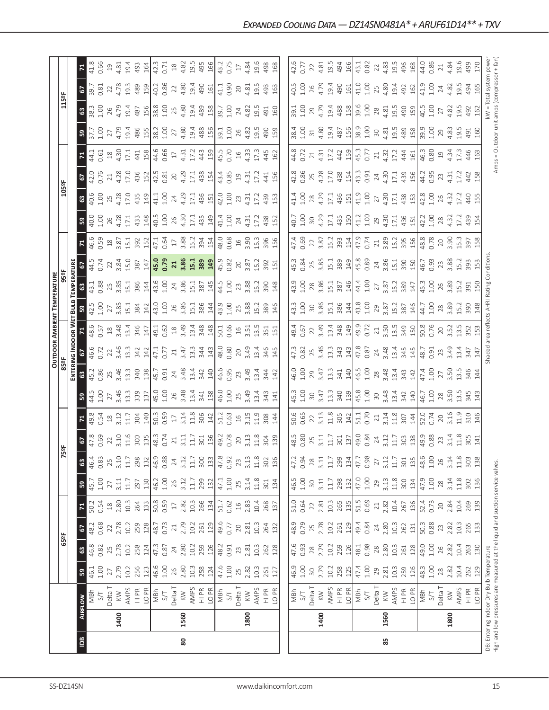|                                                                               |                |                        |            |                 |            |                                                   |            |            |              |                   |                          |                                              |                                                             |                                                    | <b>OUTDOOR AMBIENT TEMPERATURE</b>                                 |                                                             |                    |                                            |                                    |                                                                 |                    |                         |                                             |                   |                        |                                                                     |
|-------------------------------------------------------------------------------|----------------|------------------------|------------|-----------------|------------|---------------------------------------------------|------------|------------|--------------|-------------------|--------------------------|----------------------------------------------|-------------------------------------------------------------|----------------------------------------------------|--------------------------------------------------------------------|-------------------------------------------------------------|--------------------|--------------------------------------------|------------------------------------|-----------------------------------------------------------------|--------------------|-------------------------|---------------------------------------------|-------------------|------------------------|---------------------------------------------------------------------|
|                                                                               |                |                        |            | 65°F            |            |                                                   |            | r          | 5º           |                   |                          | 85°F                                         |                                                             |                                                    |                                                                    | 95 <sup>2</sup> F                                           |                    |                                            |                                    | 105°F                                                           |                    |                         |                                             | 115°F             |                        |                                                                     |
|                                                                               |                |                        |            |                 |            |                                                   |            |            |              |                   |                          |                                              | ENTERING INDOOR WET                                         |                                                    | BulB                                                               | <b>TEMPERATURE</b>                                          |                    |                                            |                                    |                                                                 |                    |                         |                                             |                   |                        |                                                                     |
| $\overline{5}$                                                                | <b>AIRFLOW</b> |                        | ${\tt S}$  | $\mathbbmss{3}$ | 67         | $\mathsf{z}$                                      | ${\tt s}$  | 63         |              | $\mathbf{z}$      | ${\tt S3}$               | $\mathbbmss{3}$                              | 2                                                           |                                                    | ន                                                                  | $\mathbf{G}$                                                | $\overline{5}$     | $\mathbf{z}$                               | ${\tt S3}$                         |                                                                 |                    | $\overline{\mathbf{r}}$ | ${\tt S3}$                                  | $\boldsymbol{63}$ | 2                      | $\Xi$                                                               |
|                                                                               |                | MBh                    | 46.1       | 46.8            | 48.2       | 50.2                                              | 45.7       | 46.4       |              | 49.8              | 44.5                     | 45.2                                         | 46.6                                                        | 48.6                                               | $\frac{42.5}{1.00}$                                                | $\sqrt{43.1}$                                               | 44.5               | 46.59                                      | 40.0<br>1.00                       | $rac{6}{40.6}$                                                  | 67<br>42.0<br>0.76 | 44.1                    | 37.7<br>1.00                                | 38.3              | $-39.7$                | 41.8<br>0.66                                                        |
|                                                                               |                | S/T                    | 1.00       | 0.82            | 0.68       | 0.54                                              | $1.00$     | 0.83       |              | 0.54              | 1.00                     | 0.86                                         | 0.72                                                        | 0.57                                               |                                                                    | 0.88                                                        | 0.74               |                                            |                                    |                                                                 |                    | 0.61                    |                                             | 1.00              | 0.81                   |                                                                     |
|                                                                               | 1400           | Delta T<br>$\leqslant$ | 2.79<br>27 | 25<br>2.78      | 2.78<br>22 | 2.80<br>$\stackrel{\textstyle\circ}{\mathcal{A}}$ | 3.11<br>27 | 3.10<br>25 | $22$<br>3.10 | $\frac{18}{3.12}$ | 3.46<br>27               | 25<br>3.46                                   | $22$<br>3.46<br>13.3                                        | $18$<br>3.48                                       | $\begin{array}{c} 27 \\ 3.85 \\ 15.1 \\ 384 \\ \hline \end{array}$ | 25<br>3.85                                                  | $\frac{22}{3.84}$  | 18<br>3.87                                 | 4.28<br>26                         | 25<br>4.28                                                      | 4.28<br>$\gtrsim$  | $18$<br>4.30            | 4.79<br>$27\,$                              | 4.79<br>26        | 4.78<br>22             | 4.81<br>$\Xi$                                                       |
|                                                                               |                | AMPS                   | 10.2       | 10.2            | 10.2       | 10.3                                              | 11.7       | $11.7\,$   | 11.6         | 11.7              | 13.3                     | 13.3                                         |                                                             | 13.4                                               |                                                                    |                                                             |                    |                                            |                                    |                                                                 | 17.0               | 17.1                    | 19.4                                        | 19.4              | 19.3                   | 19.4                                                                |
|                                                                               |                | $\frac{\alpha}{\pi}$   | 256        | 258             | 259        | 264                                               | 297        | 298        | 300          | 304               | 339                      | 340                                          | 342                                                         |                                                    |                                                                    | $15.1$ 386                                                  | 15.0<br>387        | 15.1<br>392                                | 17.1<br>433                        | 17.0<br>435<br>149                                              | 436                | 441                     | 486                                         | 487               | 489                    | 493                                                                 |
|                                                                               |                | LO PR                  | 123        | 124             | 128        | 133                                               | 130        | 132        | 135          | $\frac{140}{1}$   |                          | $\frac{138}{2}$                              | $\frac{142}{2}$                                             | 345                                                |                                                                    |                                                             |                    | 152                                        | $148$                              |                                                                 | $\frac{151}{2}$    | 158                     | 155                                         | 156               | 159                    | 164                                                                 |
|                                                                               |                | MBh                    | 46.6       | 47.3            | 48.7       | 50.8                                              | 46.2       | 46.9       | 48.3         | 50.3              | $\frac{137}{45.0}$       | 45.7                                         | 47.1<br>0.77                                                |                                                    | 43.0                                                               | 43.6                                                        | $\frac{147}{45.0}$ | 47.1                                       | 40.5                               | 41.1                                                            | 42.5               | 44.6                    | 38.2                                        | 38.8              | 40.2                   | 42.3                                                                |
|                                                                               |                | $S/T$                  | 1.00       | 0.87            | 0.73       | 0.59                                              | 1.00       | 0.88       | 0.74         | 0.59              |                          | 0.91                                         |                                                             | $49.1$<br>0.62<br>18                               | 1.00                                                               | 1.00                                                        |                    | 0.64                                       | $1.00$                             | 1.00                                                            | 0.81               | 0.66                    | 1.00                                        | 1.00              | 0.86                   | 0.71                                                                |
|                                                                               |                | Delta T                | 26         | 24              | $21\,$     | $17\,$                                            | 26         | 24         | 21           | $17\,$            | 26                       | $24\,$                                       | $21\,$                                                      |                                                    | 26                                                                 |                                                             | 21                 | $17\,$                                     | 26                                 | 24                                                              | $20\,$             | $17\,$                  | 27                                          | 25                | 22                     | $^{28}$                                                             |
| 80                                                                            | 1560           | $\leqslant$            | 2.80       | 2.80            | 2.79       | 2.82                                              | 3.12       | 3.12       | 3.11         | 3.14              | 3.48                     |                                              | 3.47                                                        | 3.49                                               | 3.86                                                               |                                                             | 3.86               |                                            | 4.30                               | 4.29                                                            | 4.29               | 4.31                    | 4.80                                        | 4.80              | 4.80                   | 4.82                                                                |
|                                                                               |                | AMPS                   | $10.3$     | 10.2            | 10.2       | $10.3$                                            | $11.7\,$   | $11.7\,$   | 11.7         | 11.8              | 13.4                     | $3.48$<br>13.4                               | 13.3                                                        | $13.4$<br>$348$<br>$148$                           | 15.1<br>386<br>144                                                 | $\begin{array}{c} 24 \\ 3.86 \\ 15.1 \\ 387 \\ \end{array}$ | 15.1               | 3.88<br>15.2                               | 17.1                               | 17.1                                                            | 17.1               | 17.2                    | 19.4                                        | 19.4              | 19.4                   | 19.5                                                                |
|                                                                               |                | HI PR                  | 258        | 259             | 261        | 266                                               | 299        | 300        |              | 306               | 341                      |                                              |                                                             |                                                    |                                                                    |                                                             | 389                |                                            |                                    | 436<br>151                                                      |                    | 443                     | 488                                         |                   | 490                    | 495                                                                 |
|                                                                               |                | LO <sub>PR</sub>       | 124        | 126             | 129        | 134                                               | 132        | 133        | 301<br>136   | 142               | 138                      | 342<br>140                                   | $rac{343}{4}$                                               |                                                    |                                                                    |                                                             | 149                | 394<br>154                                 | 435<br>149                         |                                                                 | 438<br>154         | 159                     | 156                                         | 489<br>158        | 161                    | 166                                                                 |
|                                                                               |                | MBh                    | 47.6       | 48.2            | 49.6       | 51.7                                              | 47.1       | 47.8       |              | 51.2              |                          |                                              |                                                             |                                                    | 43.9                                                               | 44.5                                                        | 45.9               |                                            | 41.4                               | 42.0                                                            | 43.4               | 45.5                    | 39.1                                        | 39.7              | 41.1                   | 43.2                                                                |
|                                                                               |                | 5/1                    | 1.00       | 0.91            | 0.77       | 0.62                                              | $1.00$     | 0.92       | 49.78        | 0.63              | 46.0<br>1.00             | $46.6$<br>0.95<br>23                         | 48.0<br>0.80                                                | 50.1<br>0.66                                       | 1.00                                                               | 1.00                                                        | 0.82               | 48.0<br>0.68                               | 1.00                               | 1.00                                                            | 0.85               | 0.70                    | 1.00                                        | 1.00              | 0.90                   | 0.75                                                                |
|                                                                               |                | Delta T                | 25         | 23              | 20         | $16$                                              | 25         | 23         | 20           | $\frac{1}{6}$     | 25                       |                                              | $20$                                                        |                                                    | 25                                                                 | 23                                                          | $20$               | $\frac{16}{1}$                             | 24                                 | 23                                                              | $\overline{19}$    | $16$                    | 26                                          | 24                | $20$                   | $\Box$                                                              |
|                                                                               | 1800           | $\leqslant$            | 2.82       | 2.81            | 2.81       | 2.83                                              | 3.14       | 3.13       | 3.13         | 3.15              | 3.49                     | 3.49                                         | 3.49                                                        | $16$<br>$3.51$                                     | 3.88                                                               | 3.88                                                        | 3.87               | 3.90                                       | 4.31                               | 4.31                                                            | 4.31               | 4.33                    | 4.82                                        | 4.82              | 4.81                   | 4.84                                                                |
|                                                                               |                | <b>AMPS</b>            | 10.3       | 10.3            | 10.3       | 10.4                                              | $11.8$     | $11.8\,$   | 11.8         | 11.9              | 13.4                     | 13.4                                         | 13.4                                                        | 13.5                                               |                                                                    | 15.2                                                        | 15.2               | 15.3                                       | 17.2                               | 17.2                                                            | 17.2               | 17.3                    | 19.5                                        | 19.5              | 19.5                   | 19.6                                                                |
|                                                                               |                | $\frac{\alpha}{\pi}$   | 261        | 262             | 264        | 268                                               | 301        | 302        | 304          | 308               | 343                      | 344                                          | 346                                                         | 351                                                | 15.2<br>389                                                        | 390                                                         | 392                | 396                                        | 438                                | 439                                                             | 441                | 445                     | 490                                         | 491               | 493                    | 498                                                                 |
|                                                                               |                | LO PR                  | 127        | 128             | 132        | 137                                               | 134        | 136        | 139          | 144               |                          |                                              | 145                                                         | 151                                                | 146                                                                | 148                                                         | 151                | 156                                        | 152                                | 153                                                             | 156                | 162                     | 159                                         | 160               | 163                    | 168                                                                 |
|                                                                               |                |                        |            |                 |            |                                                   |            |            |              |                   | 141                      | 142                                          |                                                             |                                                    |                                                                    |                                                             |                    |                                            |                                    |                                                                 |                    |                         |                                             |                   |                        |                                                                     |
|                                                                               |                | MBh                    | 46.9       | 47.6            | 48.9       | 51.0                                              | 46.5       | 47.2       | 48.5         | 50.6              | 45.3                     | 46.0                                         | 47.3                                                        | 49.4                                               | 43.3                                                               | 43.9                                                        | 45.3               | 47.4                                       | 40.7                               | 41.4                                                            | 42.8               | 44.8                    | 38.4                                        | 39.1              | 40.5                   |                                                                     |
|                                                                               |                |                        |            |                 |            |                                                   |            |            |              |                   |                          |                                              |                                                             |                                                    |                                                                    |                                                             |                    |                                            |                                    |                                                                 |                    |                         |                                             |                   |                        | 42.6<br>0.77                                                        |
|                                                                               |                | $S/\overline{T}$       | 1.00       | 0.93            | 0.79       |                                                   | $1.00$     | 0.94       | 0.80         | 0.65              | 1.00                     | 1.00                                         | 0.82                                                        | 0.67                                               | 1.00                                                               | 1.00                                                        | 0.84               | 0.69                                       | 1.00                               | 1.00                                                            | 0.86               | 0.72                    | 1.00                                        | 1.00              | 1.00                   |                                                                     |
|                                                                               |                | Delta T                | $30$       | $28$            | 25         | 22                                                | 30         | 28         | 25           | 22                | 30                       | 29                                           | 25                                                          | 22                                                 | 30                                                                 |                                                             | 25                 | 22                                         | 30                                 | 28                                                              | 25                 | 21                      | $31$                                        | 29                | 26                     | 22                                                                  |
|                                                                               | 1400           | $\lesssim$             | 2.79       | 2.79            | 2.78       | 2.81                                              | 3.11       | 3.11       | 3.11         | 3.13              | 3.47<br>13.3             | $3.47$<br>$13.3$                             | 3.46                                                        | 3.49                                               |                                                                    |                                                             | $3.85$<br>15.1     |                                            | 4.29                               | 4.29                                                            | 4.28               | 4.31                    | 4.80                                        | 4.79              | 4.79                   | 4.81                                                                |
|                                                                               |                | AMPS                   | 10.2       | 10.2            | 10.2       | 10.3                                              | 11.7       | $11.7\,$   | 11.7         | 11.8<br>305       |                          |                                              | 13.3                                                        |                                                    |                                                                    |                                                             |                    |                                            | 17.1                               | 17.1                                                            | 17.0               | 17.2                    | 19.4                                        | 19.4              | 19.4                   | 19.5                                                                |
|                                                                               |                | $\frac{\alpha}{\pi}$   | 258        | 259             | 261        | 265                                               | 298        | 299        | 301          |                   | 340                      | 341                                          | 343                                                         |                                                    |                                                                    |                                                             | 389                |                                            |                                    |                                                                 |                    |                         | 487                                         |                   | 490                    |                                                                     |
|                                                                               |                | LO PR                  | 125        | 126             | 129        | 135                                               | 132        | 134        | 137          | 142               | 139                      | 140                                          | 143                                                         | $\begin{array}{c} 13.4 \\ 34.8 \\ 149 \end{array}$ | $3.386$<br>$15.1$<br>$384$                                         | $\begin{array}{c} 28 \\ 3.86 \\ 15.1 \\ 87 \\ \end{array}$  | $\frac{149}{2}$    | $3.87$<br>$15.2$<br>$393$<br>$154$         | 435                                | 436                                                             | 438<br>154         | 442                     | 156                                         | 488<br>158        | 161                    | 494<br>166                                                          |
|                                                                               |                | NBh                    | 47.4       | 48.1            | 49.4       | 51.5                                              | 47.0       | 47.7       | 49.0         | 51.1              | $45.8$<br>$1.00$<br>$30$ | $46.5$<br>$1.00$<br>$28$<br>$3.48$<br>$13.4$ | 47.8<br>0.87                                                | 49.9<br>0.72                                       | 43.8<br>1.00<br>29<br>3.87<br>15.2<br>387<br>146                   | 44.4                                                        | 45.89              | 47.9<br>0.74                               | 41.2                               | 41.9                                                            | 43.3               | 45.3                    | $38.9$<br>$1.00$                            | 39.6              | 41.0                   | 43.1                                                                |
|                                                                               |                | $5/1$                  | $1.00$     | 0.98            | 0.84       | 0.69                                              | $1.00\,$   | 0.98       | 0.84         | 0.70              |                          |                                              |                                                             |                                                    |                                                                    | 1.00                                                        |                    |                                            | 1.00                               | $1.00$                                                          | 0.91               | 0.77                    |                                             | 1.00              | 1.00                   | 0.82                                                                |
|                                                                               |                | Delta T                | 29         | $28$            | $24\,$     | $21\,$                                            | 29         | 27         | $24$<br>3.12 | $21$              |                          |                                              |                                                             |                                                    |                                                                    | 27                                                          | 24<br>3.86         |                                            | 29                                 |                                                                 | 24                 | 21                      | $30\frac{1}{4}$                             | $28$<br>4.81      | $25$<br>4.80           |                                                                     |
| 85                                                                            | 1560           | $\leqslant$            | 2.81       | 2.80            | 2.80       | 2.82                                              | 3.13       | 3.12       |              | 3.14              | 3.48                     |                                              |                                                             |                                                    |                                                                    | 3.87                                                        |                    |                                            |                                    |                                                                 | 4.30               | 4.32                    |                                             |                   |                        |                                                                     |
|                                                                               |                | AMPS                   | $10.3$     | 10.3            | $10.3$     | 10.4                                              | $11.8$     | $11.7\,$   | 11.7         | 11.8              | 13.4                     |                                              |                                                             |                                                    |                                                                    |                                                             | 15.1               |                                            |                                    |                                                                 |                    | 17.2                    | 19.5                                        | 19.5              | 19.4                   |                                                                     |
|                                                                               |                | $\frac{P}{T}$          | 259        | 261             | 262        | 267                                               | 300        | 301        | 303<br>138   | 307               | 342<br>140               | 343                                          |                                                             | $21$<br>$3.50$<br>$13.49$<br>$349$                 |                                                                    | 15.2<br>389<br>147                                          | 390<br>150         | $21$<br>$3.89$<br>$15.2$<br>$395$<br>$156$ | $4.30$<br>$17.1$<br>$436$<br>$151$ | $\begin{array}{c} 27 \\ 4.30 \\ 17.1 \\ 438 \\ 153 \end{array}$ | 17.1<br>439<br>156 | 444                     | 489                                         | 490               | 492                    |                                                                     |
|                                                                               |                | LO PR                  | 126        | 128             | 131        | 136                                               | 134        | 135        |              | 144               |                          | 142                                          | $\begin{array}{c} 24 \\ 3.48 \\ 13.4 \\ 345 \\ \end{array}$ |                                                    |                                                                    |                                                             |                    |                                            |                                    |                                                                 |                    | 161                     | 158                                         | 159               | 162                    | $\begin{array}{c} 22 \\ 4.83 \\ 4.95 \\ 4.96 \\ \hline \end{array}$ |
|                                                                               |                | NBh                    | 48.3       | 49.0            | 50.3       | 52.4                                              | 47.9       | 48.6       | 49.9         | 52.0              | 46.7<br>1.00             | 47.4<br>1.00                                 | 48.7<br>0.91                                                | 50.8<br>0.76                                       | 44.7<br>1.00                                                       | 45.3                                                        | 46.7<br>0.93       | 48.8<br>0.78                               | $42.2$<br>1.00                     | 42.8                                                            | 44.2               | 46.3                    | 39.9                                        | 40.5              | 41.9                   | 44.0<br>0.86                                                        |
|                                                                               |                | $5/1$                  | 1.00       | 1.00            | 0.88       | 0.73                                              | 1.00       | $1.00\,$   | 0.88         | 0.74              |                          |                                              |                                                             |                                                    |                                                                    | 1.00                                                        |                    |                                            |                                    | 1.00                                                            | 0.95               | 0.80                    | 1.00                                        | 1.00              | 001                    |                                                                     |
|                                                                               |                | Delta T                | $28$       | 26              | 23         | 20                                                | 28         | 26         | 23           | $\gtrsim$         | 28<br>3.50               | $\sqrt{2}$                                   | 23                                                          | 20<br>3.52                                         | $28$<br>3.89                                                       | 26<br>3.89                                                  | 23.88              | $20$<br>$3.90$                             | $28$                               | 26                                                              | $23$<br>4.31       | $\overline{a}$          | 29                                          | 27                | $24\,$                 | $\mathrel{\mathop{\mathbf{21}}}\nolimits$                           |
|                                                                               | 1800           | $\leqslant$            | 2.82       | 2.82            | 2.82       | 2.84                                              | 3.14       | 3.14       | 3.14         | 3.16              |                          | 3.50                                         | 3.49                                                        |                                                    |                                                                    |                                                             |                    |                                            | 4.32                               | 4.32                                                            |                    | 4.34                    | 4.83                                        | 4.82              | 4.82                   | 4.84                                                                |
|                                                                               |                | AMPS                   | 10.4       | 10.4            | $10.3$     | 10.4                                              | 11.8       | 11.8       | 11.8         | 11.9              | 13.5                     | 13.5                                         | 13.4                                                        | 13.5                                               | 15.2<br>390                                                        | 15.2                                                        | 15.2               | 15.3                                       | 17.2                               | 17.2                                                            | 17.2               | 17.3                    | 19.5                                        | 19.5              | 19.5                   | 19.6                                                                |
|                                                                               |                | $\frac{P}{T}$          | 262        | 263             | 265        | 269                                               | 302        | 303        | 305          | 310               | 345                      | 346                                          | 347                                                         | 352<br>153                                         |                                                                    | $\frac{391}{150}$                                           | 393                | 397<br>158                                 | 439<br>154                         | 440                                                             | 442                | 446<br>163              | 491<br>160                                  | 492               | 494                    | 499                                                                 |
|                                                                               |                | LO PR                  | 129        | 130             | 133        | 139                                               | 136        | 138        | 141          | 146               | 143                      | 144                                          | 14 <sub>1</sub>                                             |                                                    |                                                                    |                                                             |                    |                                            |                                    | 155                                                             | 158                |                         |                                             | 162               | 165                    | 170                                                                 |
| IDB: Entering Indoor Dry Bulb Temperature                                     |                |                        |            |                 |            |                                                   |            |            |              |                   |                          |                                              | shaded                                                      | area reflects AHRI                                 |                                                                    | Rating Conditions                                           |                    |                                            |                                    |                                                                 |                    |                         |                                             |                   | kW = Total system powe |                                                                     |
| High and low pressures are measured at the liquid and suction service valves. |                |                        |            |                 |            |                                                   |            |            |              |                   |                          |                                              |                                                             |                                                    |                                                                    |                                                             |                    |                                            |                                    |                                                                 |                    |                         | Amps = Outdoor unit amps (compressor + fan) |                   |                        |                                                                     |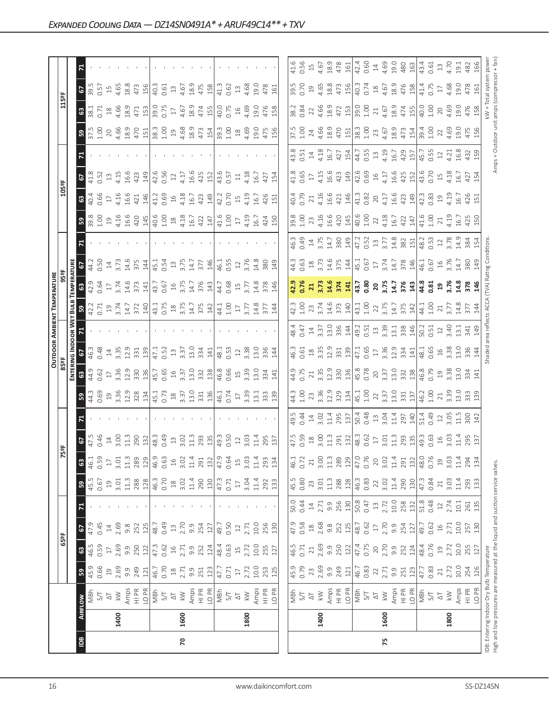|                |      |                                                                                                                            |            |                 |                  |                                             |                 |                 |                                                                                                                                                                                                                                                                                                                       |                                                      |                                                                                                                                                                                                                                                                                       |                                                                     |                                                   |                                                                                                                 | <b>OUTDOOR AMBIENT TEMPERATURE</b>                                                                                                |                                                                 |                                                             |                                                                                                                                                                                                                                                                                                                       |                            |                                    |                                    |                                                   |                                                                                                                                                                                                                                                                                                               |                                                                           |                    |                                             |
|----------------|------|----------------------------------------------------------------------------------------------------------------------------|------------|-----------------|------------------|---------------------------------------------|-----------------|-----------------|-----------------------------------------------------------------------------------------------------------------------------------------------------------------------------------------------------------------------------------------------------------------------------------------------------------------------|------------------------------------------------------|---------------------------------------------------------------------------------------------------------------------------------------------------------------------------------------------------------------------------------------------------------------------------------------|---------------------------------------------------------------------|---------------------------------------------------|-----------------------------------------------------------------------------------------------------------------|-----------------------------------------------------------------------------------------------------------------------------------|-----------------------------------------------------------------|-------------------------------------------------------------|-----------------------------------------------------------------------------------------------------------------------------------------------------------------------------------------------------------------------------------------------------------------------------------------------------------------------|----------------------------|------------------------------------|------------------------------------|---------------------------------------------------|---------------------------------------------------------------------------------------------------------------------------------------------------------------------------------------------------------------------------------------------------------------------------------------------------------------|---------------------------------------------------------------------------|--------------------|---------------------------------------------|
|                |      |                                                                                                                            |            | 65°F            |                  |                                             |                 |                 | 5ºF                                                                                                                                                                                                                                                                                                                   |                                                      |                                                                                                                                                                                                                                                                                       | 85°F                                                                |                                                   |                                                                                                                 |                                                                                                                                   |                                                                 |                                                             |                                                                                                                                                                                                                                                                                                                       |                            | 105°F                              |                                    |                                                   |                                                                                                                                                                                                                                                                                                               | 115°F                                                                     |                    |                                             |
|                |      |                                                                                                                            |            |                 |                  |                                             |                 |                 |                                                                                                                                                                                                                                                                                                                       |                                                      |                                                                                                                                                                                                                                                                                       | ENTERI                                                              | NG INDOOR WET                                     |                                                                                                                 | Bul                                                                                                                               | <b>EMPERATURE</b>                                               |                                                             |                                                                                                                                                                                                                                                                                                                       |                            |                                    |                                    |                                                   |                                                                                                                                                                                                                                                                                                               |                                                                           |                    |                                             |
| $\overline{5}$ |      | <b>AIRFLOW</b>                                                                                                             | ${\tt S}$  | $\mathbbmss{3}$ | 2                | $\mathbf{z}$                                | ${\tt S}$       | $\mathbbmss{3}$ | 2                                                                                                                                                                                                                                                                                                                     |                                                      | ္တ                                                                                                                                                                                                                                                                                    | $\mathbbmss{3}$                                                     | 2                                                 |                                                                                                                 | ន $\vert$                                                                                                                         |                                                                 | c,                                                          |                                                                                                                                                                                                                                                                                                                       | ၛၟ                         | $\mathbbmss{3}$                    | 5                                  |                                                   |                                                                                                                                                                                                                                                                                                               | $\mathbf{G}$                                                              | $rac{67}{5}$       |                                             |
|                |      | MBh                                                                                                                        | 45.9       | 46.5            | 47.9             |                                             | 45.5            | 46.1            | 47.5<br>0.46                                                                                                                                                                                                                                                                                                          |                                                      | 44.3                                                                                                                                                                                                                                                                                  | 44.9                                                                |                                                   |                                                                                                                 | 42.2<br>0.71                                                                                                                      | 42.9                                                            | 44.2                                                        |                                                                                                                                                                                                                                                                                                                       | 39.8<br>1.00               | 40.4                               | 41.8                               |                                                   | 37.5<br>1.00                                                                                                                                                                                                                                                                                                  | 38.1                                                                      |                    |                                             |
|                |      | 5/7                                                                                                                        | 0.66       | 0.59            | 0.45             |                                             | 0.67            | 0.59            |                                                                                                                                                                                                                                                                                                                       |                                                      |                                                                                                                                                                                                                                                                                       | 0.62                                                                |                                                   |                                                                                                                 |                                                                                                                                   | 0.64                                                            | 0.50                                                        |                                                                                                                                                                                                                                                                                                                       |                            | 0.66                               | 0.52                               |                                                   |                                                                                                                                                                                                                                                                                                               | 0.71                                                                      | 0.57               |                                             |
|                |      | $\overline{\Delta}$                                                                                                        | $\Xi$      | $\Box$          | $14\,$           |                                             | $\overline{19}$ | $17\,$          | $14$<br>$3.00$<br>$11.3$                                                                                                                                                                                                                                                                                              |                                                      | 0.69<br>19<br>3.36                                                                                                                                                                                                                                                                    | $17\,$                                                              | $\frac{14}{3.35}$                                 |                                                                                                                 | $19^{3.74}$                                                                                                                       | $\overline{17}$                                                 | $\ensuremath{\mathop{\mathop{\mathbf{1\text{}}}}\nolimits}$ |                                                                                                                                                                                                                                                                                                                       | 194.16                     | 17                                 | $13$                               |                                                   |                                                                                                                                                                                                                                                                                                               | $^{28}$                                                                   | $15$               |                                             |
|                | 1400 | $\gtrapprox$                                                                                                               | 2.69       | 2.69            | 2.69             |                                             | 3.01            | 3.01            |                                                                                                                                                                                                                                                                                                                       |                                                      |                                                                                                                                                                                                                                                                                       | 3.36                                                                |                                                   |                                                                                                                 |                                                                                                                                   | 3.74                                                            | 3.73                                                        |                                                                                                                                                                                                                                                                                                                       |                            | 4.16                               | 4.15                               |                                                   |                                                                                                                                                                                                                                                                                                               | 4.66                                                                      | 4.65               |                                             |
|                |      | Amps<br>HI PR                                                                                                              | 9.9        | 9.9             | $9.\overline{8}$ |                                             | $11.3$          | $11.3$          |                                                                                                                                                                                                                                                                                                                       |                                                      |                                                                                                                                                                                                                                                                                       | 12.9                                                                |                                                   |                                                                                                                 | 14.7                                                                                                                              | 14.6                                                            | 14.6                                                        |                                                                                                                                                                                                                                                                                                                       | 16.6<br>420                | 16.6                               | 16.6                               |                                                   |                                                                                                                                                                                                                                                                                                               | 18.9                                                                      | 18.8               |                                             |
|                |      |                                                                                                                            | 249        | 250             | 252              |                                             | 288             | 289             | 290<br>132                                                                                                                                                                                                                                                                                                            |                                                      | $12.9$<br>$328$<br>$134$                                                                                                                                                                                                                                                              | 330                                                                 | 331                                               |                                                                                                                 | 372                                                                                                                               | 373                                                             | 375                                                         |                                                                                                                                                                                                                                                                                                                       |                            | 421                                | 423                                |                                                   | $\begin{array}{c} 20 \\ 4.66 \\ 18.9 \\ 470 \\ 411 \end{array}$                                                                                                                                                                                                                                               | 471                                                                       | 473                |                                             |
|                |      | LO <sub>PR</sub>                                                                                                           | 121        | 122             | 125              |                                             | 128             | 129             |                                                                                                                                                                                                                                                                                                                       |                                                      |                                                                                                                                                                                                                                                                                       | 136                                                                 | 139                                               |                                                                                                                 | 140                                                                                                                               | 141                                                             | 144                                                         |                                                                                                                                                                                                                                                                                                                       | 145                        | 146                                | 149                                |                                                   |                                                                                                                                                                                                                                                                                                               | 153                                                                       | 156                |                                             |
|                |      | $\frac{1}{2}$                                                                                                              | 46.7       | 47.3            | 48.7             |                                             | 46.3            | 46.9            | 48.3<br>0.49                                                                                                                                                                                                                                                                                                          |                                                      |                                                                                                                                                                                                                                                                                       | 45.7                                                                | 47.1                                              |                                                                                                                 | 43.1<br>0.75                                                                                                                      | 43.7                                                            | 45.1                                                        |                                                                                                                                                                                                                                                                                                                       | $\frac{40.6}{1.00}$        | 41.2                               | 42.6                               |                                                   | $\begin{array}{r} 3.3 \\ 2.5 \\ 3.5 \\ 4.68 \end{array}$                                                                                                                                                                                                                                                      | 39.0                                                                      | 40.3               |                                             |
|                |      |                                                                                                                            | 0.70       | 0.62            | 0.49             |                                             | 0.70            | 0.63            |                                                                                                                                                                                                                                                                                                                       |                                                      |                                                                                                                                                                                                                                                                                       | 0.65                                                                | 0.52                                              |                                                                                                                 |                                                                                                                                   | 0.67                                                            | 0.54                                                        |                                                                                                                                                                                                                                                                                                                       |                            | 0.69                               | 0.56                               |                                                   |                                                                                                                                                                                                                                                                                                               | 0.75                                                                      | 0.61               |                                             |
|                |      | $\overline{\triangle}$                                                                                                     | $18$       | $16$            | $\Xi$            |                                             | $^{28}$         | $16$            | $\ensuremath{\mathop{\mathbb{Z}}}\xspace$                                                                                                                                                                                                                                                                             |                                                      |                                                                                                                                                                                                                                                                                       | $16$                                                                | $13$                                              |                                                                                                                 | $^{28}$                                                                                                                           | $16$                                                            | $13$                                                        |                                                                                                                                                                                                                                                                                                                       |                            | $\frac{1}{6}$                      | $12$                               |                                                   |                                                                                                                                                                                                                                                                                                               | $17\,$                                                                    | $13$               |                                             |
| 20             | 1600 | $\lesssim$                                                                                                                 | 2.71       | 2.71            | 2.70             |                                             | 3.02            | 3.02            | $3.02$<br>11.3                                                                                                                                                                                                                                                                                                        |                                                      |                                                                                                                                                                                                                                                                                       | 3.37                                                                | 3.37                                              |                                                                                                                 | $3.75$<br>14.7                                                                                                                    | 3.75                                                            | 3.75                                                        |                                                                                                                                                                                                                                                                                                                       | 4.18                       | 4.18                               | 4.17                               |                                                   |                                                                                                                                                                                                                                                                                                               | 4.67                                                                      | 4.67               |                                             |
|                |      | Amps                                                                                                                       | 9.9        | 9.9             | 9.9              |                                             | $11.4\,$        | $11.4\,$        |                                                                                                                                                                                                                                                                                                                       |                                                      |                                                                                                                                                                                                                                                                                       | 13.0                                                                | 13.0                                              |                                                                                                                 |                                                                                                                                   | 14.7                                                            | 14.7                                                        |                                                                                                                                                                                                                                                                                                                       | 16.7                       | 16.7                               | 16.6                               |                                                   | 18.9                                                                                                                                                                                                                                                                                                          | 18.9                                                                      | 18.9               |                                             |
|                |      | $H1$ PR                                                                                                                    | 251        | 252             | 254              |                                             | 290             | 291             | 293<br>135                                                                                                                                                                                                                                                                                                            |                                                      | $\begin{bmatrix} 1.1 & 0.73 & 0.73 \\ 0.73 & 0.33 & 0.53 \\ 0.33 & 0.33 & 0.33 \\ 0.33 & 0.33 & 0.33 \\ 0.33 & 0.33 & 0.33 \\ 0.33 & 0.33 & 0.33 \\ 0.33 & 0.33 & 0.33 \\ 0.33 & 0.33 & 0.33 \\ 0.33 & 0.33 & 0.33 \\ 0.33 & 0.33 & 0.33 \\ 0.33 & 0.33 & 0.33 \\ 0.33 & 0.33 & 0.33$ | 332                                                                 | 334                                               |                                                                                                                 | 375<br>142                                                                                                                        | 376<br>143                                                      | 377                                                         |                                                                                                                                                                                                                                                                                                                       | 422                        | 423                                | 425                                |                                                   | 473<br>154                                                                                                                                                                                                                                                                                                    | 474<br>155                                                                | 475<br>158         |                                             |
|                |      | LO <sub>PR</sub>                                                                                                           | 123        | 124             | 127              |                                             | 130             | 132             |                                                                                                                                                                                                                                                                                                                       |                                                      |                                                                                                                                                                                                                                                                                       |                                                                     | 141                                               |                                                                                                                 |                                                                                                                                   |                                                                 | 146                                                         |                                                                                                                                                                                                                                                                                                                       | 147                        | 149                                | 152                                |                                                   |                                                                                                                                                                                                                                                                                                               |                                                                           |                    |                                             |
|                |      | NBh                                                                                                                        | 47.7       | 48.4            | 49.7             |                                             | 47.3            | 47.9            | 49.3                                                                                                                                                                                                                                                                                                                  |                                                      |                                                                                                                                                                                                                                                                                       |                                                                     | 48.1                                              |                                                                                                                 |                                                                                                                                   | 44.7                                                            | 46.1                                                        |                                                                                                                                                                                                                                                                                                                       |                            | 42.2                               | 43.6                               |                                                   |                                                                                                                                                                                                                                                                                                               | 40.0                                                                      | 41.3               |                                             |
|                |      | 5/1                                                                                                                        | 0.71       | 0.63            | 0.50             |                                             | 0.71            | 0.64            | 0.50                                                                                                                                                                                                                                                                                                                  |                                                      | 46.1<br>0.74<br>17                                                                                                                                                                                                                                                                    | 46.8<br>0.66                                                        | 0.53                                              |                                                                                                                 | 44.1<br>1.00                                                                                                                      | 0.68                                                            | 0.55                                                        |                                                                                                                                                                                                                                                                                                                       | 41.6<br>1.00               | 0.70                               | 0.57                               |                                                   | 39.3<br>1.00                                                                                                                                                                                                                                                                                                  | 0.75                                                                      | 0.62               |                                             |
|                |      | $\overline{\triangle}$                                                                                                     | $17\,$     | $\overline{1}$  | $12$             |                                             | $\Box$          | 15              | $12$                                                                                                                                                                                                                                                                                                                  |                                                      |                                                                                                                                                                                                                                                                                       | $15$                                                                | $12\,$                                            |                                                                                                                 | $17\,$                                                                                                                            |                                                                 | $12\,$                                                      |                                                                                                                                                                                                                                                                                                                       | $17\,$                     | $15$                               | $\Xi$                              |                                                   |                                                                                                                                                                                                                                                                                                               | $16$                                                                      | $13$               |                                             |
|                | 1800 | $\gtrapprox$                                                                                                               | 2.72       | 2.72            | 2.71             |                                             | 3.04            | 3.03            | 3.03                                                                                                                                                                                                                                                                                                                  |                                                      | 3.39                                                                                                                                                                                                                                                                                  |                                                                     |                                                   |                                                                                                                 | 3.77                                                                                                                              | $15$<br>$3.77$                                                  | 3.76                                                        |                                                                                                                                                                                                                                                                                                                       | 4.19                       | 4.19                               | 4.18                               |                                                   | $18$<br>$4.69$<br>$19.0$                                                                                                                                                                                                                                                                                      | 4.69                                                                      | 4.68               |                                             |
|                |      | Amps                                                                                                                       | $10.0$     | 10.0            | 10.0             |                                             | 11.4            | $11.4\,$        | 11.4                                                                                                                                                                                                                                                                                                                  |                                                      | 13.1                                                                                                                                                                                                                                                                                  | 3.39<br>13.0<br>334                                                 | $3.38$<br>13.0                                    |                                                                                                                 | $14.8$                                                                                                                            | 14.8                                                            | 14.8                                                        |                                                                                                                                                                                                                                                                                                                       | 16.7                       | 16.7                               | 16.7                               |                                                   |                                                                                                                                                                                                                                                                                                               | 19.0                                                                      | 19.0               |                                             |
|                |      | $\frac{PR}{T}$                                                                                                             | 253        | 255             | 256              |                                             | 292             | 293             |                                                                                                                                                                                                                                                                                                                       |                                                      |                                                                                                                                                                                                                                                                                       |                                                                     | 336                                               |                                                                                                                 | 377                                                                                                                               |                                                                 | 380                                                         |                                                                                                                                                                                                                                                                                                                       |                            | 426                                | 427                                |                                                   |                                                                                                                                                                                                                                                                                                               |                                                                           | 478                |                                             |
|                |      | LO <sub>PR</sub>                                                                                                           | 125        | 127             | 130              |                                             | 133             | 134             | 295<br>137                                                                                                                                                                                                                                                                                                            |                                                      | 33<br>139                                                                                                                                                                                                                                                                             | 141                                                                 | $\frac{1}{4}$                                     |                                                                                                                 | 144                                                                                                                               | 378<br>146                                                      | 149                                                         |                                                                                                                                                                                                                                                                                                                       | 424<br>150                 | 151                                | 154                                |                                                   | 475<br>156                                                                                                                                                                                                                                                                                                    | 476<br>158                                                                | 161                |                                             |
|                |      |                                                                                                                            |            |                 |                  |                                             |                 |                 |                                                                                                                                                                                                                                                                                                                       |                                                      |                                                                                                                                                                                                                                                                                       |                                                                     |                                                   |                                                                                                                 |                                                                                                                                   |                                                                 |                                                             |                                                                                                                                                                                                                                                                                                                       |                            |                                    |                                    |                                                   |                                                                                                                                                                                                                                                                                                               |                                                                           |                    |                                             |
|                |      |                                                                                                                            | 45.9       | 46.5            | 47.9             | 50.0                                        | 45.5            | 46.1            |                                                                                                                                                                                                                                                                                                                       | 49.5                                                 | 44.3                                                                                                                                                                                                                                                                                  | 44.9                                                                | 46.3                                              | 48.4                                                                                                            |                                                                                                                                   | $^{9}$                                                          | 44.3                                                        | 46.3                                                                                                                                                                                                                                                                                                                  | 39.8                       |                                    | 41.8                               |                                                   | 37.5                                                                                                                                                                                                                                                                                                          | 38.2                                                                      | 39.5               | 41.6                                        |
|                |      | NBh<br>S/T                                                                                                                 | 0.79       | 0.71            | 0.58             | 0.44                                        | 0.80            | 0.72            | 47.5<br>0.59                                                                                                                                                                                                                                                                                                          | 0.44                                                 | 1.00                                                                                                                                                                                                                                                                                  | 0.75                                                                | 0.61                                              | 0.47                                                                                                            | $42.3$<br>1.00                                                                                                                    | 0.76                                                            | 0.63                                                        | 0.49                                                                                                                                                                                                                                                                                                                  | 1.00                       | 40.4<br>0.79                       | 0.65                               | $43.8$<br>0.51<br>14                              | 1.00                                                                                                                                                                                                                                                                                                          | 0.84                                                                      | 0.70               | 0.56                                        |
|                |      | $\overline{\circ}$                                                                                                         | 23         | $21\,$          | $^{26}$          | $\ensuremath{\mathop{\mathbb{1}}\nolimits}$ | 23              | 21              | $^{28}$                                                                                                                                                                                                                                                                                                               | $\ensuremath{\mathop{\mathop{\mathbf{1}}}\nolimits}$ | 23                                                                                                                                                                                                                                                                                    | $\sqrt{2}1$                                                         | $\ensuremath{\mathop{\boxtimes}\limits^{\infty}}$ |                                                                                                                 | 23                                                                                                                                | 21                                                              |                                                             |                                                                                                                                                                                                                                                                                                                       | 23                         | 21                                 | $17\,$                             |                                                   | 24                                                                                                                                                                                                                                                                                                            |                                                                           |                    | $15$                                        |
|                | 1400 | $\lesssim$                                                                                                                 | 2.69       | 2.69            | 2.68             | 2.71                                        | 3.01            | 3.00            | 3.00                                                                                                                                                                                                                                                                                                                  | 3.02                                                 |                                                                                                                                                                                                                                                                                       | 3.35<br>12.9                                                        | $3.35$<br>$12.9$                                  |                                                                                                                 |                                                                                                                                   |                                                                 |                                                             |                                                                                                                                                                                                                                                                                                                       |                            | 4.16                               |                                    | $4.18$<br>$16.7$                                  |                                                                                                                                                                                                                                                                                                               | $22$<br>4.66<br>18.9                                                      |                    |                                             |
|                |      | Amps                                                                                                                       | 9.9        | 9.9             | $9.\overline{8}$ | 9.9                                         | 11.3            | $11.3\,$        | 11.3                                                                                                                                                                                                                                                                                                                  | 11.4<br>295<br>137                                   | 3.36<br>12.9<br>329                                                                                                                                                                                                                                                                   |                                                                     |                                                   | $\begin{array}{c} 14 \\ 3.37 \\ 13.0 \\ 336 \\ \hline \end{array}$                                              | $3.74$<br>$14.6$<br>$373$<br>$140$                                                                                                | 3.73<br>14.6<br>141                                             | $\begin{array}{c} 18 \\ 3.73 \\ 14.6 \\ 375 \\ \end{array}$ | $\frac{14}{3.75}$ $\frac{14.7}{3.80}$                                                                                                                                                                                                                                                                                 | 4.16<br>16.6<br>420<br>145 | 16.6<br>421<br>146                 | 4.15<br>16.6<br>423<br>149         |                                                   | 4.66<br>18.9                                                                                                                                                                                                                                                                                                  |                                                                           | $194.65$<br>$18.8$ | 4.67<br>18.9                                |
|                |      | $\frac{P}{T}$                                                                                                              | 249        | 250             | 252              | 256                                         | 288             | 289             |                                                                                                                                                                                                                                                                                                                       |                                                      |                                                                                                                                                                                                                                                                                       | 330<br>136                                                          | 331                                               |                                                                                                                 |                                                                                                                                   |                                                                 |                                                             |                                                                                                                                                                                                                                                                                                                       |                            |                                    |                                    | 427<br>154                                        | 470                                                                                                                                                                                                                                                                                                           | 472<br>153                                                                | 473<br>156         | 478                                         |
|                |      | LO <sub>PR</sub>                                                                                                           | 121        | 122             | 125              | 130                                         | 128             | 129             |                                                                                                                                                                                                                                                                                                                       |                                                      |                                                                                                                                                                                                                                                                                       |                                                                     | 139                                               |                                                                                                                 |                                                                                                                                   |                                                                 |                                                             |                                                                                                                                                                                                                                                                                                                       |                            |                                    |                                    |                                                   | 151                                                                                                                                                                                                                                                                                                           |                                                                           |                    | 161                                         |
|                |      | MBh                                                                                                                        | 46.7       | 47.4            | 48.7             | 50.8                                        | 46.3            | 47.0            | $\begin{array}{c} 291 \\ 132 \\ 48.3 \\ 0.62 \\ 17 \end{array}$                                                                                                                                                                                                                                                       | 50.48<br>0.48                                        |                                                                                                                                                                                                                                                                                       | 45.8<br>0.78                                                        | 47.1<br>0.65                                      |                                                                                                                 |                                                                                                                                   |                                                                 | $\frac{45.1}{0.67}$                                         |                                                                                                                                                                                                                                                                                                                       | $40.6$<br>$1.00$<br>$22$   | 41.3                               | $42.6$<br>0.69<br>16               |                                                   |                                                                                                                                                                                                                                                                                                               | $\frac{9.0}{1.00}$                                                        | 40.3<br>0.74       | 42.4<br>0.60                                |
|                |      | S/T                                                                                                                        | 0.83       | 0.75            | 0.62             | 0.47                                        | 0.83            | 0.76            |                                                                                                                                                                                                                                                                                                                       |                                                      |                                                                                                                                                                                                                                                                                       |                                                                     |                                                   |                                                                                                                 |                                                                                                                                   |                                                                 |                                                             |                                                                                                                                                                                                                                                                                                                       |                            | 0.82                               |                                    |                                                   |                                                                                                                                                                                                                                                                                                               |                                                                           |                    |                                             |
|                |      | $\overline{\triangle}$                                                                                                     | $22\,$     | $20$            | $\Box$           | $\Xi$                                       | 22              | 20              |                                                                                                                                                                                                                                                                                                                       | $13$                                                 |                                                                                                                                                                                                                                                                                       |                                                                     | $17\,$                                            |                                                                                                                 |                                                                                                                                   |                                                                 |                                                             |                                                                                                                                                                                                                                                                                                                       |                            |                                    |                                    |                                                   |                                                                                                                                                                                                                                                                                                               | $\gtrsim$                                                                 | $18 \n4.67$        | $\ensuremath{\mathop{\mathbb{1}}\nolimits}$ |
| 75             | 1600 | $\lesssim$                                                                                                                 | 2.71       | 2.70            | 2.70             | 2.72                                        | 3.02            | 3.02            |                                                                                                                                                                                                                                                                                                                       |                                                      |                                                                                                                                                                                                                                                                                       |                                                                     |                                                   |                                                                                                                 |                                                                                                                                   |                                                                 |                                                             |                                                                                                                                                                                                                                                                                                                       |                            |                                    |                                    |                                                   |                                                                                                                                                                                                                                                                                                               | 4.67<br>18.9                                                              |                    |                                             |
|                |      | Amps<br>HI PR                                                                                                              | 9.9        | 9.9             | 9.9              | $10.0$                                      | 11.4            | $11.4\,$        |                                                                                                                                                                                                                                                                                                                       |                                                      |                                                                                                                                                                                                                                                                                       |                                                                     |                                                   |                                                                                                                 |                                                                                                                                   |                                                                 |                                                             |                                                                                                                                                                                                                                                                                                                       |                            |                                    |                                    |                                                   |                                                                                                                                                                                                                                                                                                               |                                                                           |                    |                                             |
|                |      |                                                                                                                            | 251        | 252             | 254              | 258<br>132                                  | 290             | 291             | $3.01$ $\frac{3}{1}$ $\frac{3}{2}$ $\frac{3}{2}$ $\frac{1}{4}$ $\frac{3}{4}$ $\frac{3}{4}$ $\frac{3}{4}$ $\frac{3}{4}$ $\frac{3}{4}$ $\frac{3}{4}$ $\frac{3}{4}$ $\frac{3}{4}$ $\frac{3}{4}$ $\frac{3}{4}$ $\frac{3}{4}$ $\frac{3}{4}$ $\frac{3}{4}$ $\frac{3}{4}$ $\frac{3}{4}$ $\frac{3}{4}$ $\frac{3}{4}$ $\frac{$ | 3.04<br>11.4<br>297<br>140                           | $\begin{array}{c} 45.1 \\ 1.00 \\ 2.2 \\ 3.37 \\ 13.0 \\ 13.7 \\ \end{array}$                                                                                                                                                                                                         | $\begin{array}{c} 20 \\ 3.37 \\ 13.0 \\ 33.2 \\ \hline \end{array}$ | 3.36<br>12.34<br>141                              | $\frac{1}{3}$ $\frac{3}{5}$ $\frac{3}{3}$ $\frac{3}{3}$ $\frac{3}{3}$ $\frac{3}{3}$ $\frac{3}{3}$ $\frac{4}{3}$ | $\begin{bmatrix} 43.1 \\ 1.00 \\ 2.7 \\ 3.75 \\ 4.7 \\ 5.75 \\ 4.7 \\ 5.7 \\ 4.2 \\ 1.42 \\ 1.42 \\ 1.42 \\ 1.42 \\ 1.43 \\ 1.44$ | $\frac{13.7}{0.80}$<br>$\frac{20}{3.75}$<br>$\frac{14.7}{3.74}$ | 3.74<br>14.7<br>378<br>146                                  | $\begin{bmatrix} 1,2 \\ 1,5 \\ 2,3 \\ 3,7 \\ 4,8 \\ 5,8 \\ 14,8 \\ 6 \end{bmatrix}$                                                                                                                                                                                                                                   | 4.18<br>16.7<br>422<br>147 | $4.17$<br>$16.6$<br>$423$<br>$149$ | $4.17$<br>$16.6$<br>$425$<br>$152$ | $44.7$<br>0.55<br>0.55<br>4.19<br>42<br>42<br>457 | $\begin{array}{c} 38.3 \\ 1.00 \\ 2.3 \\ 4.67 \\ 3.9 \\ 4.73 \\ 4.73 \\ 4.54 \\ 1.54 \\ 1.54 \\ 1.54 \\ 1.54 \\ 1.54 \\ 1.54 \\ 1.54 \\ 1.54 \\ 1.54 \\ 1.55 \\ 1.55 \\ 1.56 \\ 1.57 \\ 1.58 \\ 1.59 \\ 1.59 \\ 1.59 \\ 1.59 \\ 1.59 \\ 1.59 \\ 1.59 \\ 1.59 \\ 1.59 \\ 1.59 \\ 1.59 \\ 1.59 \\ 1.59 \\ 1.59$ | 474                                                                       | 18.9<br>476<br>158 | $4.69$<br>$4.9.0$<br>$4.80$<br>$163$        |
|                |      | LO PR                                                                                                                      | 123        | 124             | 127              |                                             | 130             | 132             |                                                                                                                                                                                                                                                                                                                       |                                                      |                                                                                                                                                                                                                                                                                       |                                                                     |                                                   |                                                                                                                 |                                                                                                                                   |                                                                 |                                                             |                                                                                                                                                                                                                                                                                                                       |                            |                                    |                                    |                                                   |                                                                                                                                                                                                                                                                                                               |                                                                           |                    |                                             |
|                |      | NBh                                                                                                                        | 47.7       | 48.4            | 49.7             | 51.8                                        | 47.3            | 48.0            |                                                                                                                                                                                                                                                                                                                       | 51.49<br>0.49                                        | 46.2<br>1.00                                                                                                                                                                                                                                                                          | 46.8<br>0.79                                                        | 48.1<br>0.65                                      | 50.2<br>0.51                                                                                                    | 44.1<br>1.00                                                                                                                      | 44.8<br>0.81                                                    | 46.1<br>0.67                                                | $\begin{bmatrix} 2 & 2 & 3 \\ 4 & 5 & 2 \\ 0 & 5 & 2 \\ 3 & 7 & 8 \\ 3 & 6 & 7 \\ 3 & 3 & 6 \\ 4 & 6 & 6 \\ 6 & 7 & 8 \\ 7 & 8 & 9 \\ 8 & 9 & 10 \\ 10 & 10 & 10 \\ 11 & 10 & 10 \\ 13 & 10 & 10 \\ 14 & 10 & 10 & 10 \\ 15 & 10 & 10 & 10 \\ 16 & 10 & 10 & 10 \\ 17 & 10 & 10 & 10 \\ 18 & 10 & 10 & 10 \\ 19 & 10$ | 41.6<br>1.00               | 42.3                               | 43.6<br>0.70                       | 45.7<br>0.55                                      | 39.4<br>1.00                                                                                                                                                                                                                                                                                                  | 40.0                                                                      | 41.4<br>0.75       | 43.4<br>0.61                                |
|                |      | $5/1$                                                                                                                      | 0.83       | 0.76            | 0.62             | 0.48                                        | 0.84            | 0.76            |                                                                                                                                                                                                                                                                                                                       |                                                      |                                                                                                                                                                                                                                                                                       |                                                                     |                                                   |                                                                                                                 |                                                                                                                                   |                                                                 |                                                             |                                                                                                                                                                                                                                                                                                                       |                            |                                    |                                    |                                                   |                                                                                                                                                                                                                                                                                                               | 1.00                                                                      |                    |                                             |
|                |      | $\overline{\mathbb{Q}}$                                                                                                    | $21\,$     | $\mathfrak{Q}$  | $\frac{16}{1}$   | $12$                                        | $\geq$          | 19              | $\exists 6$                                                                                                                                                                                                                                                                                                           | $\frac{12}{3.05}$                                    | $\sqrt{21}$                                                                                                                                                                                                                                                                           | $\Xi$                                                               | $16$                                              | $12$<br>3.40                                                                                                    | $21\,$                                                                                                                            | 19<br>3.76                                                      | 16<br>3.76                                                  |                                                                                                                                                                                                                                                                                                                       | $21\,$                     | $\overline{19}$                    | $15$                               | $12\,$                                            | 22                                                                                                                                                                                                                                                                                                            | $20$                                                                      | $\overline{17}$    | $13\,$                                      |
|                | 1800 | $\gtrapprox$                                                                                                               | 2.72       | 2.72            | 2.71             | 2.74                                        | 3.03            | 3.03            | 3.03                                                                                                                                                                                                                                                                                                                  |                                                      | 3.39                                                                                                                                                                                                                                                                                  | 3.38                                                                | 3.38                                              |                                                                                                                 | 3.77                                                                                                                              |                                                                 |                                                             |                                                                                                                                                                                                                                                                                                                       | 4.19                       | 4.19                               | 4.18                               | 4.21                                              | 4.69                                                                                                                                                                                                                                                                                                          | 4.69                                                                      | 4.68               | 4.70                                        |
|                |      | Amps                                                                                                                       | $10.0\,$   | 10.0            | 10.0             | 10.1                                        | 11.4            | 11.4            | 11.4                                                                                                                                                                                                                                                                                                                  | $\frac{5}{11}$                                       | 13.0                                                                                                                                                                                                                                                                                  | 13.0                                                                | 13.0                                              | 13.1                                                                                                            | 14.8                                                                                                                              | 14.8                                                            | 14.7                                                        | 14.9<br>384                                                                                                                                                                                                                                                                                                           | 16.7                       | 16.7                               | $-91$                              | 16.8                                              | 19.0                                                                                                                                                                                                                                                                                                          | 19.0<br>476                                                               | 19.0<br>478        | 19.1                                        |
|                |      | LO PR<br>$\frac{P}{H}$                                                                                                     | 254<br>126 | 255<br>127      | 130<br>257       | 135<br>261                                  | 293<br>133      | 294<br>134      | 295<br>137                                                                                                                                                                                                                                                                                                            | 300<br>142                                           | 333<br>139                                                                                                                                                                                                                                                                            | 334<br>141                                                          | 336<br>144                                        | 149<br>341                                                                                                      | 144                                                                                                                               | 378<br>146                                                      | 149<br>380                                                  |                                                                                                                                                                                                                                                                                                                       | 425<br>150                 | 426<br>151                         | 427<br>154                         | 432<br>159                                        | 475<br>156                                                                                                                                                                                                                                                                                                    | 158                                                                       | 161                | 166<br>482                                  |
|                |      |                                                                                                                            |            |                 |                  |                                             |                 |                 |                                                                                                                                                                                                                                                                                                                       |                                                      |                                                                                                                                                                                                                                                                                       |                                                                     |                                                   |                                                                                                                 |                                                                                                                                   |                                                                 |                                                             |                                                                                                                                                                                                                                                                                                                       |                            |                                    |                                    |                                                   |                                                                                                                                                                                                                                                                                                               |                                                                           |                    |                                             |
|                |      | High and low pressures are measured at the liquid and suction service valves.<br>IDB: Entering Indoor Dry Bulb Temperature |            |                 |                  |                                             |                 |                 |                                                                                                                                                                                                                                                                                                                       |                                                      |                                                                                                                                                                                                                                                                                       |                                                                     | Shaded area reflects ACCA                         |                                                                                                                 |                                                                                                                                   |                                                                 | (TVA) Rating Conditions                                     |                                                                                                                                                                                                                                                                                                                       |                            |                                    |                                    |                                                   |                                                                                                                                                                                                                                                                                                               | <w =="" powe<br="" system="" total="">= Outdoor unit amps (compressor</w> |                    |                                             |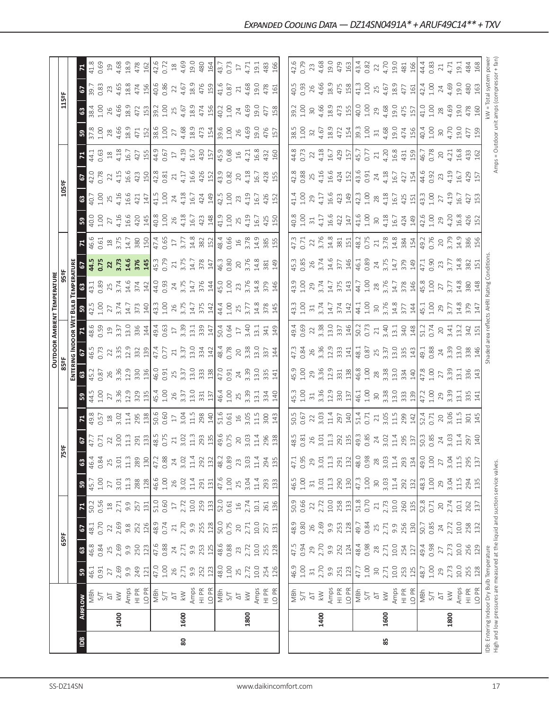|                                                                                                                            |                |                                                                                                                                                                                                                                                                                                                                                                                                                                                               |                                    |                                                       |                          |                    |                   |                           |                   |                             |                            |                                                                              |                                  |                                                             | <b>OUTDOOR AMBIENT TEMPERATURE</b> |                   |                               |                                                                                  |                                    |                     |                    |                                           |                                            |                      |                   |                |
|----------------------------------------------------------------------------------------------------------------------------|----------------|---------------------------------------------------------------------------------------------------------------------------------------------------------------------------------------------------------------------------------------------------------------------------------------------------------------------------------------------------------------------------------------------------------------------------------------------------------------|------------------------------------|-------------------------------------------------------|--------------------------|--------------------|-------------------|---------------------------|-------------------|-----------------------------|----------------------------|------------------------------------------------------------------------------|----------------------------------|-------------------------------------------------------------|------------------------------------|-------------------|-------------------------------|----------------------------------------------------------------------------------|------------------------------------|---------------------|--------------------|-------------------------------------------|--------------------------------------------|----------------------|-------------------|----------------|
|                                                                                                                            |                |                                                                                                                                                                                                                                                                                                                                                                                                                                                               |                                    | 65°F                                                  |                          |                    |                   |                           | 5º                |                             |                            | asse                                                                         |                                  |                                                             |                                    | 95 <sup>2</sup> F |                               |                                                                                  |                                    | 105°F               |                    |                                           |                                            | 115°F                |                   |                |
|                                                                                                                            |                |                                                                                                                                                                                                                                                                                                                                                                                                                                                               |                                    |                                                       |                          |                    |                   |                           |                   |                             |                            | Enteri                                                                       | NG INDOOR W                      |                                                             | BulB                               | TEMPERATURI       |                               |                                                                                  |                                    |                     |                    |                                           |                                            |                      |                   |                |
| $\overline{5}$                                                                                                             | <b>AIRFLOW</b> |                                                                                                                                                                                                                                                                                                                                                                                                                                                               | ${\tt S3}$                         | $\mathbbmss{3}$                                       | $rac{67}{48.1}$          | $\mathbf{z}$       | $\mathbf{B}$      | $\boldsymbol{\mathsf{3}}$ | $\frac{175}{29}$  | $\mathbf{z}$                | ${\tt S3}$                 | $\mathbbmss{3}$                                                              | 2                                |                                                             | ន                                  | $\frac{3}{3}$     | e,                            | Σ,                                                                               | ${\tt S3}$                         | $\frac{3}{2}$       | 67<br>42.0<br>0.78 | $\boldsymbol{\pi}$                        | ${\tt S3}$                                 | $\boldsymbol{63}$    | 2                 | $\mathbf{z}$   |
|                                                                                                                            |                | T/S<br>S/T                                                                                                                                                                                                                                                                                                                                                                                                                                                    | 46.1<br>0.91                       | 46.8                                                  |                          | 50.2<br>0.56       | $\sqrt{45.7}$     | 46.4                      |                   | 49.8<br>0.57                | $\frac{44.5}{1.00}$        | 45.2                                                                         | 46.5<br>0.73                     | 48.6                                                        | $\frac{42.5}{1.00}$                |                   | 44.5<br>0.75                  | 46.6<br>0.61                                                                     | $\frac{40.0}{1.00}$                | $\frac{1}{40.7}$    |                    | 44.1                                      | 37.8                                       | 38.4                 | $39.7$<br>0.83    | 41.8<br>0.69   |
|                                                                                                                            |                |                                                                                                                                                                                                                                                                                                                                                                                                                                                               |                                    | 0.84                                                  | 0.70                     |                    | $1.00$            | 0.84                      |                   |                             |                            | 0.87                                                                         |                                  | 0.59                                                        |                                    | 0.89              |                               |                                                                                  |                                    |                     |                    | 0.63                                      |                                            | 1.00                 |                   |                |
|                                                                                                                            |                | $\mathop{\triangleleft}\limits_{{\mathbb{K}}}$                                                                                                                                                                                                                                                                                                                                                                                                                | $27$<br>$2.69$                     | 2.69                                                  | 22<br>2.69               | $\frac{18}{2.71}$  | 27                | $25$<br>3.01              | $\frac{22}{3.00}$ | $\frac{18}{3.02}$           | 27                         | 26<br>3.36                                                                   | 22<br>3.35                       | $\frac{19}{3.37}$                                           | $\frac{27}{3.74}$                  | $25$<br>3.74      | <b>22</b><br>3.73             | $18$<br>3.75                                                                     | 27<br>4.16                         | 25<br>4.16          | $22\,$             | $\begin{array}{c} 18 \\ 4.18 \end{array}$ | 28<br>4.66                                 | $26$<br>4.66         | 23                | $\overline{c}$ |
|                                                                                                                            | 1400           |                                                                                                                                                                                                                                                                                                                                                                                                                                                               |                                    |                                                       |                          |                    | 3.01              |                           |                   |                             | 3.36                       |                                                                              |                                  |                                                             |                                    |                   |                               |                                                                                  |                                    |                     | 4.15               |                                           |                                            |                      | 4.65              | 4.68           |
|                                                                                                                            |                |                                                                                                                                                                                                                                                                                                                                                                                                                                                               |                                    |                                                       | $9.\overline{8}$         | 9.9                | $11.3$            | 11.3                      | 11.3              | 11.4<br>295                 | 12.9<br>329                | 12.9<br>330                                                                  | 12.9<br>332                      |                                                             | 14.7<br>373                        | 14.6<br>374       |                               | 14.7                                                                             | 16.6                               | 16.6                | 16.6               | 16.7                                      | 18.9                                       | 18.9                 | 18.8              | 18.9           |
|                                                                                                                            |                | $\begin{array}{c}\n\text{Amps} \\ \text{Ampr} \\ \text{Ampr} \\ \text{Ampr} \\ \text{Ampr} \\ \text{Ampr} \\ \text{Ampr} \\ \text{Ampr} \\ \text{Ampr} \\ \text{Ampr} \\ \text{Ampr} \\ \text{Ampr} \\ \text{Ampr} \\ \text{Ampr} \\ \text{Ampr} \\ \text{Ampr} \\ \text{Ampr} \\ \text{Ampr} \\ \text{Ampr} \\ \text{Ampr} \\ \text{Ampr} \\ \text{Ampr} \\ \text{Ampr} \\ \text{Ampr} \\ \text{Ampr} \\ \text{Ampr} \\ \text{A$                             | $9.9$<br>$749$                     | $9.9$<br>$250$<br>$12\frac{1}{4}$<br>$6.88$<br>$2.71$ | 252                      | 257                | 288               | 289                       | 291               |                             |                            |                                                                              |                                  | $13.0$<br>$336$<br>$144$                                    |                                    |                   | 14.6<br>376<br>145.3<br>45.79 | 380                                                                              | 420                                | 421                 | 423                | 427                                       | 471                                        | 472                  | 474               | 478            |
|                                                                                                                            |                |                                                                                                                                                                                                                                                                                                                                                                                                                                                               |                                    |                                                       |                          | 131                | 128               | 130                       | $\frac{133}{2}$   | 138                         |                            | 136                                                                          | 139                              |                                                             | 140                                | 142               |                               | 150                                                                              | 145                                | 147                 | 150                | 155                                       | 152                                        | 153                  | 156               | 162            |
|                                                                                                                            |                |                                                                                                                                                                                                                                                                                                                                                                                                                                                               | 47.0<br>1.00                       |                                                       | $\frac{126}{48.9}$       | 51.0<br>0.60       | 46.6              | 47.2                      | 48.5              | 50.6                        | $\frac{135}{45.4}$<br>1.00 | 46.0<br>0.91<br>25                                                           | 47.4<br>0.77                     | $49.4$<br>0.63<br>17                                        | $43.\overline{3}$                  | 44.0<br>0.93      |                               | $\begin{array}{c} 47.4 \\ 0.65 \\ 17 \\ 3.77 \\ 14.8 \\ 32 \\ 15 \\ \end{array}$ | 40.8                               | 41.5                | 42.8               | 44.9                                      | 38.6                                       | 39.2                 | 40.6              | 42.6           |
|                                                                                                                            |                |                                                                                                                                                                                                                                                                                                                                                                                                                                                               |                                    |                                                       |                          |                    | $1.00$            | 0.88                      | 0.75              | 0.60                        |                            |                                                                              |                                  |                                                             | 1.00                               |                   |                               |                                                                                  | 1.00                               | 1.00                | 0.81               | 0.67                                      | 1.00                                       | 1.00                 | 0.86              | 0.72           |
|                                                                                                                            |                |                                                                                                                                                                                                                                                                                                                                                                                                                                                               | 26                                 |                                                       | $\sqrt{21}$              | $17\,$             | 26                | 24                        | $21\,$            | $17\,$                      |                            |                                                                              | $21\,$                           |                                                             |                                    |                   | $21\,$                        |                                                                                  | 26                                 | 24                  | 21                 | $17\,$                                    | 27                                         | 25                   | 22                | $^{28}$        |
| 80                                                                                                                         | 1600           |                                                                                                                                                                                                                                                                                                                                                                                                                                                               | 2.71                               |                                                       | 2.70                     |                    | 3.02              |                           | 3.02              | 3.04                        |                            |                                                                              | 3.37                             |                                                             | 26<br>3.75                         | 24<br>3.75        |                               |                                                                                  | 4.18                               | 4.18                | 4.17               | 4.19                                      |                                            | 4.67                 | 4.67              | 4.69           |
|                                                                                                                            |                |                                                                                                                                                                                                                                                                                                                                                                                                                                                               |                                    | 9.9                                                   | 9.9                      | 2.72<br>10.0       | 11.4              | $3.02$<br>11.4            | 11.3              | 11.5                        | $3.37$<br>$13.0$           | $3.37$<br>13.0                                                               | 13.0                             | $3.39$<br>$13.1$<br>$339$<br>$147$                          | 14.7                               | 14.7              | $3.75$<br>14.7                |                                                                                  | 16.7                               | 16.7                | 16.6               | 16.7                                      | 4.68<br>18.9                               | 18.9                 | 18.9              | 19.0           |
|                                                                                                                            |                |                                                                                                                                                                                                                                                                                                                                                                                                                                                               |                                    |                                                       |                          |                    | 291               | 292                       |                   | 298                         |                            |                                                                              |                                  |                                                             |                                    |                   |                               |                                                                                  |                                    |                     |                    |                                           | 473                                        |                      | 476               |                |
|                                                                                                                            |                |                                                                                                                                                                                                                                                                                                                                                                                                                                                               | $9.9$<br>$252$<br>$123$            | 253                                                   | 255                      | 259                | 131               | 132                       | 293               | 140                         | $\frac{331}{137}$          | $\begin{bmatrix} 33 \\ 28 \end{bmatrix}$                                     |                                  |                                                             | 375                                | $\frac{376}{144}$ | 378                           |                                                                                  | 423<br>148                         | 424<br>149          | 426                | 430                                       | 154                                        | 474<br>156           | 159               | 480<br>164     |
|                                                                                                                            |                | $\begin{array}{c}\n\text{Amps} \\ \text{H} \text{ PR} \\ \text{O} \text{ PMR} \\ \text{M} \text{ S/T}\n\end{array}$                                                                                                                                                                                                                                                                                                                                           |                                    | 48.6                                                  |                          |                    |                   | 48.2                      |                   |                             |                            |                                                                              | $\frac{142}{48.7}$               |                                                             |                                    | 45.0              | 46.3                          |                                                                                  |                                    | 42.5                | 43.9               | 45.9                                      | 39.6                                       | 40.2                 | 41.6              |                |
|                                                                                                                            |                |                                                                                                                                                                                                                                                                                                                                                                                                                                                               | $48.0$<br>$1.00$                   | 0.88                                                  | 50.0                     | 52.0<br>0.61       | 47.6<br>1.00      | 0.89                      | 49.6<br>0.75      | 51.61<br>0.61<br>16<br>3.05 | 46.4<br>1.00<br>25<br>3.39 |                                                                              |                                  | 50.4<br>0.64<br>17                                          | 44.4<br>1.00                       | 1.00              | 0.80                          | 48.4<br>0.66                                                                     | 41.9<br>1.00                       | 1.00                | 0.82               | 0.68                                      | 1.00                                       | 1.00                 | 0.87              | 43.7<br>0.73   |
|                                                                                                                            |                | $\overline{\triangle}$                                                                                                                                                                                                                                                                                                                                                                                                                                        |                                    | 23                                                    | $20$                     | $\frac{1}{6}$      | 25                | 23                        | $20$              |                             |                            |                                                                              |                                  |                                                             |                                    |                   |                               | $16$                                                                             | 25                                 | 23                  | 20                 |                                           | 26                                         | 24                   | 21                | $17\,$         |
|                                                                                                                            | 1800           | $\lesssim$                                                                                                                                                                                                                                                                                                                                                                                                                                                    | 25                                 | 2.72                                                  | 2.71                     | 2.74               | 3.04              |                           | 3.03              |                             |                            |                                                                              | 20<br>3.38                       | 3.40                                                        | $25$<br>$3.77$                     | 23<br>3.76        | 20<br>3.76                    | 3.78                                                                             | 4.19                               | 4.19                | 4.18               | $16$<br>4.21                              | 4.69                                       | 4.69                 | 4.68              | 4.71           |
|                                                                                                                            |                |                                                                                                                                                                                                                                                                                                                                                                                                                                                               | 10.0                               |                                                       |                          | 10.1               |                   | $3.03$<br>11.4            | 11.4              | 11.5                        | 13.1                       | $47.0$<br>0.91<br>24<br>3.39<br>13.0                                         | 13.0                             | 13.1                                                        | 14.8                               | 14.8              | 14.8                          | 14.9                                                                             | 16.7                               | 16.7                | 16.7               |                                           | 19.0                                       | 0.61                 | 0.61              | 19.1           |
|                                                                                                                            |                | Amps<br>HI PR<br>LO PR                                                                                                                                                                                                                                                                                                                                                                                                                                        |                                    | 10.0<br>255<br>128                                    | 10.0<br>257<br>131       |                    | 11.4              |                           |                   |                             |                            |                                                                              |                                  |                                                             |                                    |                   |                               |                                                                                  |                                    |                     |                    | 16.8                                      |                                            |                      |                   |                |
|                                                                                                                            |                |                                                                                                                                                                                                                                                                                                                                                                                                                                                               | 254<br>126                         |                                                       |                          | 261                | 293<br>133        |                           | 296               | 300                         | 334                        | 335                                                                          | 337                              | 341                                                         | 378                                | 379               | 381                           | 385                                                                              | 425                                | 426                 | 428                | 432                                       | 476                                        | 477                  | 478               | 483            |
|                                                                                                                            |                |                                                                                                                                                                                                                                                                                                                                                                                                                                                               |                                    |                                                       |                          | 136                |                   | 294                       | 138               | 143                         | 140                        | 141                                                                          | 144                              | 149                                                         | 145                                | 146               | 149                           |                                                                                  | 150                                | 152                 | 155                | 160                                       | 157                                        | 158                  | 161               | 166            |
|                                                                                                                            |                |                                                                                                                                                                                                                                                                                                                                                                                                                                                               |                                    |                                                       |                          |                    |                   |                           |                   |                             |                            |                                                                              |                                  |                                                             |                                    |                   |                               |                                                                                  |                                    |                     |                    |                                           |                                            |                      |                   |                |
|                                                                                                                            |                |                                                                                                                                                                                                                                                                                                                                                                                                                                                               |                                    | 47.5                                                  | 48.9                     | 50.9<br>0.66       | 46.5<br>1.00      | 47.1                      | 48.5              | 50.5                        | 45.3                       | 45.9                                                                         | 47.3                             | 49.4<br>0.69                                                | 43.3                               | 43.9              | 45.3                          | 47.3                                                                             | 40.8                               | 41.4                | 42.8               | 44.8                                      | 38.5                                       | 39.2                 | 40.5<br>0.93      | 42.6<br>0.79   |
|                                                                                                                            |                |                                                                                                                                                                                                                                                                                                                                                                                                                                                               |                                    | 0.94                                                  | 0.80                     |                    |                   | 0.95                      | 0.81              |                             | 1.00                       | 1.00                                                                         | 0.84                             |                                                             |                                    | 1.00              | 0.85                          | 0.71                                                                             | 1.00                               | 1.00                | 0.88               | 0.73                                      | 1.00                                       | 1.00                 |                   |                |
|                                                                                                                            |                |                                                                                                                                                                                                                                                                                                                                                                                                                                                               | $46.9$<br>$1.00$<br>$31$<br>$2.70$ |                                                       |                          |                    | $\Xi$             | 29                        |                   | $0.67$<br>22<br>3.03        | $\overline{31}$            |                                                                              |                                  |                                                             | $\overline{31}$                    |                   |                               |                                                                                  | $\overline{31}$                    | 29                  | 25                 | 22                                        | 32                                         |                      |                   | 23             |
|                                                                                                                            | 1400           |                                                                                                                                                                                                                                                                                                                                                                                                                                                               |                                    | 29<br>2.70                                            |                          | 2.72               |                   | 3.01                      | $\frac{26}{3.01}$ |                             |                            | 29<br>3.36                                                                   | 26<br>3.36                       |                                                             | 3.74                               | $29$<br>$3.74$    |                               |                                                                                  | 4.17                               | 4.17                | 4.16               |                                           |                                            |                      | $26$<br>4.66      |                |
|                                                                                                                            |                |                                                                                                                                                                                                                                                                                                                                                                                                                                                               |                                    | 9.9                                                   | $260$<br>$2.69$<br>$9.9$ |                    | $3.01$<br>$1.1.3$ | 11.3                      | 11.3              |                             |                            |                                                                              | 12.9                             |                                                             | 14.7                               | 14.7              | 26<br>3.74<br>14.6            |                                                                                  | 16.6                               | 16.6                | 16.6               |                                           | $4.67$<br>$18.9$                           | $30$<br>4.66<br>18.9 | 18.9              | 4.68<br>19.0   |
|                                                                                                                            |                |                                                                                                                                                                                                                                                                                                                                                                                                                                                               |                                    |                                                       |                          |                    |                   | 291                       |                   |                             |                            |                                                                              |                                  |                                                             |                                    |                   |                               |                                                                                  | 422                                |                     |                    |                                           | 472                                        |                      |                   |                |
|                                                                                                                            |                | $\begin{array}{c}\n\text{MBD} \\ \text{MBD} \\ \text{MBD} \\ \text{MBD} \\ \text{MBD} \\ \text{MBD} \\ \text{MBD} \\ \text{MBD} \\ \text{MBD} \\ \text{MBD} \\ \text{MBD} \\ \text{MBD} \\ \text{MBD} \\ \text{MBD} \\ \text{MBD} \\ \text{MBD} \\ \text{MBD} \\ \text{MBD} \\ \text{MBD} \\ \text{MBD} \\ \text{MBD} \\ \text{MBD} \\ \text{MBD} \\ \text{MBD} \\ \text{MBD} \\ \text{MBD} \\ \text{MBD} \\ \text{MBD} \\ \text{MBD} \\ \text{MBD} \\ \text$ | 9.9<br>251<br>123                  | $\frac{252}{124}$<br>$\frac{124}{48.98}$              | 253<br>128               | 10.0<br>258<br>13] | 290<br>130        | 132                       | 292<br>135        | 11.4<br>297<br>140          | 3.36<br>12.9<br>330<br>137 | $\begin{array}{c c} 12.9 \\ 331 \\ 46.8 \\ 28 \\ 33.3 \\ \hline \end{array}$ | 333                              | $\begin{array}{c} 22 \\ 3.38 \\ 13.0 \\ 337 \\ \end{array}$ | $\frac{374}{142}$                  | $375$<br>$143$    | $377$<br>146                  | $\begin{array}{c} 22 \\ 3.76 \\ 14.8 \\ 381 \\ 48.2 \\ 6.75 \\ \end{array}$      | 147                                | 423<br>149          | 424<br>152         | 4.18<br>16.7<br>429<br>157                | 154                                        | 473<br>155           | 475<br>158        | 479<br>163     |
|                                                                                                                            |                |                                                                                                                                                                                                                                                                                                                                                                                                                                                               | $47.7$<br>1.00                     |                                                       | 49.7                     | 51.8<br>0.70       | $47.3$<br>1.00    | 48.0                      | 49.3<br>0.85      | 51.4<br>0.71                |                            |                                                                              |                                  |                                                             |                                    | 44.7              | 46.1<br>0.89                  |                                                                                  |                                    | 42.3                | 43.6<br>0.91       | 45.7<br>0.77                              | 39.3<br>1.00                               | 40.0                 | $\frac{1}{41.3}$  | 43.4<br>0.82   |
|                                                                                                                            |                |                                                                                                                                                                                                                                                                                                                                                                                                                                                               |                                    |                                                       |                          |                    |                   | 0.98                      |                   |                             | 46.1<br>1.00<br>30<br>3.38 |                                                                              | $\frac{1}{48.1}$<br>0.87<br>3.37 | 50.2                                                        | 44.1<br>1.00                       |                   |                               |                                                                                  | 41.6<br>1.00                       | 1.00                |                    |                                           |                                            | 1.00                 | 1.00              |                |
|                                                                                                                            |                |                                                                                                                                                                                                                                                                                                                                                                                                                                                               |                                    | $28$<br>$2.71$                                        |                          | $\gtrsim$          | $30\,$            | 28                        | $24$<br>3.02      | $\frac{21}{3.05}$           |                            |                                                                              |                                  |                                                             |                                    | 28<br>3.76        | 24<br>3.75                    |                                                                                  | $30\,$                             | $28$                | 24                 | $21$<br>4.20                              | $\Xi$                                      | 29                   | 25                | 22             |
| 85                                                                                                                         | 1600           | $\lesssim$                                                                                                                                                                                                                                                                                                                                                                                                                                                    | $30$<br>$2.71$                     |                                                       | 2.71                     | 2.73<br>10.0       | 3.03              | 3.03                      |                   |                             |                            |                                                                              |                                  | $21$<br>3.40                                                | 3.76                               |                   |                               |                                                                                  |                                    |                     | 4.18               |                                           | 4.68                                       | 4.68                 | 4.67              | 4.70           |
|                                                                                                                            |                |                                                                                                                                                                                                                                                                                                                                                                                                                                                               |                                    | $10.0$                                                | 9.9                      |                    | 11.4              | $11.4\,$                  |                   | 11.5                        | 13.0                       | 13.0                                                                         | 13.0                             |                                                             | 14.8                               | 14.7              | 14.7                          |                                                                                  |                                    |                     | 16.7               |                                           |                                            | 19.0                 | 18.9              |                |
|                                                                                                                            |                | Amps<br>HI PR                                                                                                                                                                                                                                                                                                                                                                                                                                                 | 10.0<br>253<br>125                 | 254                                                   | 256                      | 260                | 292               | 293                       | 11.4<br>295       | 299                         | 333                        | 334                                                                          | 335                              | $\begin{array}{c} 13.1 \\ 340 \\ 148 \end{array}$           | $\frac{377}{44}$                   | $\frac{378}{146}$ | 379                           | $\begin{array}{c} 21 \\ 3.78 \\ 14.8 \\ 384 \\ 154 \end{array}$                  | $4.18$<br>$16.7$<br>$424$<br>$149$ | 4.18<br>16.7<br>425 | 427                | 16.8<br>431<br>159                        | 19.0<br>474                                | 475                  | 477               | 19.0<br>481    |
|                                                                                                                            |                | LO PR                                                                                                                                                                                                                                                                                                                                                                                                                                                         |                                    | 127                                                   | 130                      | 135                | 132               | 134                       | 137               | 142                         | 139                        | 140                                                                          | 143                              |                                                             |                                    |                   | 149                           |                                                                                  |                                    | 151                 | 154                |                                           | 156                                        | 157                  | 161               | 166            |
|                                                                                                                            |                | 1/SM<br>NBM                                                                                                                                                                                                                                                                                                                                                                                                                                                   | 48.7                               | 49.4                                                  | 50.7<br>0.85             | 52.8<br>0.71       | 48.3              | 49.0                      | 50.3              | 52.4                        | 47.2<br>1.00               | 47.8                                                                         | 49.1<br>0.88                     | 51.2<br>0.74                                                | 45.1<br>1.00                       | 45.8              | 47.1<br>0.90                  | 49.2<br>0.76                                                                     | $42.6$<br>$1.00$                   | 43.3                | 44.6               | 46.7                                      | 40.4                                       | 41.0                 | 42.4<br>1.00      | 44.4<br>0.83   |
|                                                                                                                            |                |                                                                                                                                                                                                                                                                                                                                                                                                                                                               | 1.00                               | 0.98                                                  |                          |                    | $1.00$            | $1.00$                    | 0.85              | 0.71                        |                            | 1.00                                                                         |                                  |                                                             |                                    | 1.00              |                               |                                                                                  |                                    | 1.00                | 0.92               | 0.78                                      | 1.00                                       | 1.00                 |                   |                |
|                                                                                                                            |                | $\Delta\top$                                                                                                                                                                                                                                                                                                                                                                                                                                                  | 29                                 | 27                                                    | $\overline{24}$          | 20                 | 29                | 27                        | 24                | $\geqslant$                 | 29                         | 27                                                                           | $24$<br>3.39                     | $20\,$                                                      | 29<br>3.77                         | $\overline{27}$   | $\frac{23}{3.77}$             | 20<br>3.79                                                                       | 29                                 | $\overline{27}$     | 23                 | 20                                        | 30                                         | $28$                 | 24                | 21             |
|                                                                                                                            | 1800           | $\lesssim$                                                                                                                                                                                                                                                                                                                                                                                                                                                    | 2.73                               | 2.73                                                  | 2.72                     | 2.74               | 3.04              | 3.04                      | 3.03              | 3.06                        | 3.39                       | 3.39                                                                         |                                  | 3.41                                                        |                                    | 3.77              |                               |                                                                                  | 4.20                               | 4.19                | 4.19               | 4.21                                      | 4.70                                       | 4.69                 | 4.69              | 4.71           |
|                                                                                                                            |                | Amps<br>HI PR                                                                                                                                                                                                                                                                                                                                                                                                                                                 | 10.0                               | 10.0                                                  | $10.0$                   | 10.1               | 11.5              | 11.5                      | 11.4              | $\frac{5}{11}$              | 13.1                       | $\overline{13.1}$                                                            | 13.0                             | 13.7                                                        | 14.8                               | 14.8              | 14.8                          | 14.9                                                                             | 16.8                               | $\frac{1}{2}$       | <u>ت ما</u>        | 6.8                                       | 0.61                                       | 19.0                 | 0.61              | 19.1           |
|                                                                                                                            |                |                                                                                                                                                                                                                                                                                                                                                                                                                                                               | 255                                | 256                                                   | 258<br>132               | 262<br>137         | 294<br>135        | 295<br>137                | 297               | 301                         | 335                        | 336                                                                          | 338                              | 342                                                         | 379                                | 380               | 382                           | 386                                                                              | 426<br>152                         | 427                 | 429                | 433<br>162                                | 477<br>159                                 | 478<br>160           | 480               | 484            |
|                                                                                                                            |                | LO <sub>PR</sub>                                                                                                                                                                                                                                                                                                                                                                                                                                              | 128                                | 129                                                   |                          |                    |                   |                           | 140               | 145                         | 141                        | 143                                                                          | 146                              |                                                             |                                    |                   |                               |                                                                                  |                                    | 153                 | 157                |                                           |                                            |                      | 163               | 168            |
| High and low pressures are measured at the liquid and suction service valves.<br>IDB: Entering Indoor Dry Bulb Temperature |                |                                                                                                                                                                                                                                                                                                                                                                                                                                                               |                                    |                                                       |                          |                    |                   |                           |                   |                             |                            |                                                                              | haded                            | area refl                                                   | ects AHRI Rating Condition         |                   |                               |                                                                                  |                                    |                     |                    |                                           | Amps = Outdoor unit amps (compressor + fan | $\geq$               | Total system powe |                |
|                                                                                                                            |                |                                                                                                                                                                                                                                                                                                                                                                                                                                                               |                                    |                                                       |                          |                    |                   |                           |                   |                             |                            |                                                                              |                                  |                                                             |                                    |                   |                               |                                                                                  |                                    |                     |                    |                                           |                                            |                      |                   |                |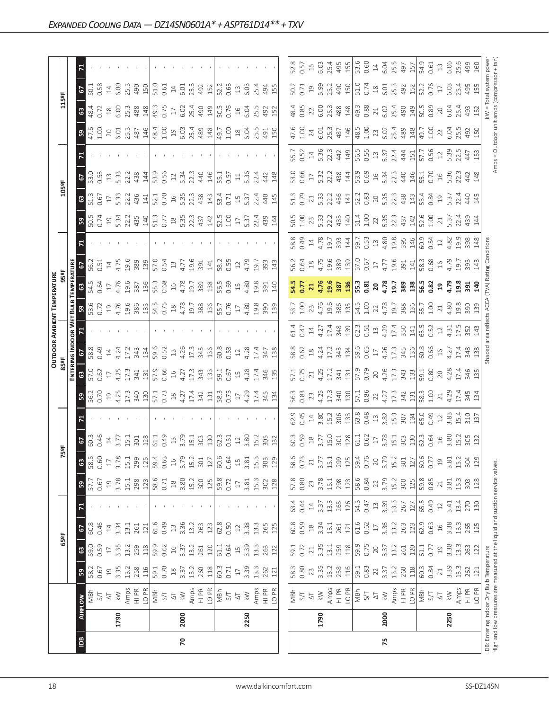|                |      |                                                                                                                            |                 |                 |               |        |                                           |                         |                                                                                                                                                                                                                                                                                                                                 |                                                                                             |                                                                                                                                                                                                                                                                           |                                                                                                                                |                                           |                                                                                                                                                                                                                                                                                                                                                                                                                                                                                                                                                                                       | <b>OUTDOOR AMBIENT TEMPERATURE</b>                                                        |                                                                                                                                                                                                                                                                                                                     |                                                                              |             |                                                                                                                                                                                                                                                                                                               |                                                                                                                                                                                                                                                                                                     |                                                                                                                                                                                                                                                                            |                                                                                                                                                  |                                                                                                                                                                                                                                                                                                                                                      |                                                                    |                                                                                                                                                                                                                                                                                           |
|----------------|------|----------------------------------------------------------------------------------------------------------------------------|-----------------|-----------------|---------------|--------|-------------------------------------------|-------------------------|---------------------------------------------------------------------------------------------------------------------------------------------------------------------------------------------------------------------------------------------------------------------------------------------------------------------------------|---------------------------------------------------------------------------------------------|---------------------------------------------------------------------------------------------------------------------------------------------------------------------------------------------------------------------------------------------------------------------------|--------------------------------------------------------------------------------------------------------------------------------|-------------------------------------------|---------------------------------------------------------------------------------------------------------------------------------------------------------------------------------------------------------------------------------------------------------------------------------------------------------------------------------------------------------------------------------------------------------------------------------------------------------------------------------------------------------------------------------------------------------------------------------------|-------------------------------------------------------------------------------------------|---------------------------------------------------------------------------------------------------------------------------------------------------------------------------------------------------------------------------------------------------------------------------------------------------------------------|------------------------------------------------------------------------------|-------------|---------------------------------------------------------------------------------------------------------------------------------------------------------------------------------------------------------------------------------------------------------------------------------------------------------------|-----------------------------------------------------------------------------------------------------------------------------------------------------------------------------------------------------------------------------------------------------------------------------------------------------|----------------------------------------------------------------------------------------------------------------------------------------------------------------------------------------------------------------------------------------------------------------------------|--------------------------------------------------------------------------------------------------------------------------------------------------|------------------------------------------------------------------------------------------------------------------------------------------------------------------------------------------------------------------------------------------------------------------------------------------------------------------------------------------------------|--------------------------------------------------------------------|-------------------------------------------------------------------------------------------------------------------------------------------------------------------------------------------------------------------------------------------------------------------------------------------|
|                |      |                                                                                                                            |                 | 65°F            |               |        |                                           |                         | 5°F                                                                                                                                                                                                                                                                                                                             |                                                                                             |                                                                                                                                                                                                                                                                           | 85°F                                                                                                                           |                                           |                                                                                                                                                                                                                                                                                                                                                                                                                                                                                                                                                                                       |                                                                                           |                                                                                                                                                                                                                                                                                                                     |                                                                              |             |                                                                                                                                                                                                                                                                                                               | 105°F                                                                                                                                                                                                                                                                                               |                                                                                                                                                                                                                                                                            |                                                                                                                                                  | 115°F                                                                                                                                                                                                                                                                                                                                                |                                                                    |                                                                                                                                                                                                                                                                                           |
|                |      |                                                                                                                            |                 |                 |               |        |                                           |                         |                                                                                                                                                                                                                                                                                                                                 |                                                                                             |                                                                                                                                                                                                                                                                           | ENTERI                                                                                                                         | NG INDOOR W                               |                                                                                                                                                                                                                                                                                                                                                                                                                                                                                                                                                                                       |                                                                                           |                                                                                                                                                                                                                                                                                                                     |                                                                              |             |                                                                                                                                                                                                                                                                                                               |                                                                                                                                                                                                                                                                                                     |                                                                                                                                                                                                                                                                            |                                                                                                                                                  |                                                                                                                                                                                                                                                                                                                                                      |                                                                    |                                                                                                                                                                                                                                                                                           |
| $\overline{B}$ |      | <b>AIRFLOW</b>                                                                                                             | 59              | $\mathbbmss{3}$ | <sub>2</sub>  |        | ${\tt S}$                                 | $\mathbbmss{3}$         | $rac{6}{60}$<br>$rac{3}{4}$<br>$rac{4}{4}$<br>$rac{4}{3}$                                                                                                                                                                                                                                                                       |                                                                                             | ន $\vert$                                                                                                                                                                                                                                                                 | $\mathbbmss{3}$                                                                                                                | $\frac{67}{586}$                          |                                                                                                                                                                                                                                                                                                                                                                                                                                                                                                                                                                                       | <b>53.6</b><br>53.6                                                                       |                                                                                                                                                                                                                                                                                                                     |                                                                              |             | 3.54                                                                                                                                                                                                                                                                                                          | $\mathbbmss{3}$                                                                                                                                                                                                                                                                                     | 57                                                                                                                                                                                                                                                                         |                                                                                                                                                  | $rac{63}{48.4}$                                                                                                                                                                                                                                                                                                                                      | $\mathbf{c}$                                                       |                                                                                                                                                                                                                                                                                           |
|                |      | MBh                                                                                                                        | 58.2            | 59.0            | 60.8          |        | 57.7<br>0.67                              | 58.5                    |                                                                                                                                                                                                                                                                                                                                 |                                                                                             |                                                                                                                                                                                                                                                                           | 57.0<br>0.62                                                                                                                   |                                           |                                                                                                                                                                                                                                                                                                                                                                                                                                                                                                                                                                                       |                                                                                           | 54.5<br>0.64                                                                                                                                                                                                                                                                                                        | 56.2                                                                         |             |                                                                                                                                                                                                                                                                                                               | $\frac{51.3}{0.67}$                                                                                                                                                                                                                                                                                 | $\frac{1}{53.53}$                                                                                                                                                                                                                                                          |                                                                                                                                                  |                                                                                                                                                                                                                                                                                                                                                      | 50.1                                                               |                                                                                                                                                                                                                                                                                           |
|                |      | 5/7                                                                                                                        | 0.67            | 0.59            | 0.46          |        |                                           | 0.60                    |                                                                                                                                                                                                                                                                                                                                 |                                                                                             |                                                                                                                                                                                                                                                                           |                                                                                                                                | 0.49                                      |                                                                                                                                                                                                                                                                                                                                                                                                                                                                                                                                                                                       |                                                                                           |                                                                                                                                                                                                                                                                                                                     | 0.51                                                                         |             |                                                                                                                                                                                                                                                                                                               |                                                                                                                                                                                                                                                                                                     |                                                                                                                                                                                                                                                                            |                                                                                                                                                  |                                                                                                                                                                                                                                                                                                                                                      | 0.58                                                               |                                                                                                                                                                                                                                                                                           |
|                |      | $\overline{\circ}$                                                                                                         | $\overline{19}$ | $\Box$          | 14            |        | $^{29}$                                   | $\Box$                  |                                                                                                                                                                                                                                                                                                                                 |                                                                                             |                                                                                                                                                                                                                                                                           | $17$<br>4.25                                                                                                                   |                                           |                                                                                                                                                                                                                                                                                                                                                                                                                                                                                                                                                                                       |                                                                                           | $17$<br>4.76                                                                                                                                                                                                                                                                                                        | 14.75                                                                        |             |                                                                                                                                                                                                                                                                                                               | $\overline{17}$                                                                                                                                                                                                                                                                                     | 13 <sub>5.33</sub>                                                                                                                                                                                                                                                         |                                                                                                                                                  |                                                                                                                                                                                                                                                                                                                                                      | $14_{\odot}$                                                       |                                                                                                                                                                                                                                                                                           |
|                | 1790 | $\gtrapprox$                                                                                                               | 3.35            | 3.35            | 3.34          |        | 3.78                                      | 3.78                    |                                                                                                                                                                                                                                                                                                                                 |                                                                                             |                                                                                                                                                                                                                                                                           |                                                                                                                                |                                           |                                                                                                                                                                                                                                                                                                                                                                                                                                                                                                                                                                                       |                                                                                           |                                                                                                                                                                                                                                                                                                                     |                                                                              |             |                                                                                                                                                                                                                                                                                                               | 5.33                                                                                                                                                                                                                                                                                                |                                                                                                                                                                                                                                                                            |                                                                                                                                                  |                                                                                                                                                                                                                                                                                                                                                      |                                                                    |                                                                                                                                                                                                                                                                                           |
|                |      | Amps<br>HI PR                                                                                                              | 13.2            | 13.2            | 13.1          |        | 15.1                                      | 15.1                    |                                                                                                                                                                                                                                                                                                                                 |                                                                                             |                                                                                                                                                                                                                                                                           |                                                                                                                                | $14.24$<br>$17.2$<br>$17.3$               |                                                                                                                                                                                                                                                                                                                                                                                                                                                                                                                                                                                       |                                                                                           | 19.6                                                                                                                                                                                                                                                                                                                | 19.6                                                                         |             |                                                                                                                                                                                                                                                                                                               | 22.2                                                                                                                                                                                                                                                                                                | 22.2                                                                                                                                                                                                                                                                       |                                                                                                                                                  | 18<br>6.00<br>488                                                                                                                                                                                                                                                                                                                                    |                                                                    |                                                                                                                                                                                                                                                                                           |
|                |      |                                                                                                                            | 258             | 259             | 261           |        | 298                                       | 299                     | $15.1$ 301                                                                                                                                                                                                                                                                                                                      |                                                                                             |                                                                                                                                                                                                                                                                           | $17.3$<br>$341$<br>$131$                                                                                                       |                                           |                                                                                                                                                                                                                                                                                                                                                                                                                                                                                                                                                                                       | $\begin{array}{c}\n 19 \\  4.76 \\  19.6 \\  386 \\  131 \\  54.5 \\  0.75\n \end{array}$ | 387                                                                                                                                                                                                                                                                                                                 | 389                                                                          |             | $\begin{array}{c}\n 23.736 \\  25.7374 \\  25.7474 \\  25.7574 \\  25.7574 \\  25.7574 \\  25.7574 \\  25.7574 \\  25.7574 \\  25.7574 \\  25.7574 \\  25.7574 \\  25.7574 \\  25.7574 \\  25.7574 \\  25.7574 \\  25.7574 \\  25.7574 \\  25.7574 \\  25.7574 \\  25.7574 \\  25.7574 \\  25.7574 \\  25.75$ | 436                                                                                                                                                                                                                                                                                                 | 438                                                                                                                                                                                                                                                                        | $47.00$<br>$1.00$ $0.01$ $0.03$<br>$0.01$ $0.03$ $0.03$<br>$0.01$ $0.03$ $0.03$<br>$0.04$ $0.03$ $0.04$<br>$0.04$ $0.04$ $0.04$<br>$0.04$ $0.04$ |                                                                                                                                                                                                                                                                                                                                                      | 25.3<br>490<br>150                                                 |                                                                                                                                                                                                                                                                                           |
|                |      | LO PR                                                                                                                      | 116             | 118             | 121           |        | 123                                       | 125                     |                                                                                                                                                                                                                                                                                                                                 |                                                                                             |                                                                                                                                                                                                                                                                           |                                                                                                                                | 134                                       |                                                                                                                                                                                                                                                                                                                                                                                                                                                                                                                                                                                       |                                                                                           | 136                                                                                                                                                                                                                                                                                                                 | 139                                                                          |             |                                                                                                                                                                                                                                                                                                               | 141                                                                                                                                                                                                                                                                                                 | 144                                                                                                                                                                                                                                                                        |                                                                                                                                                  | 148                                                                                                                                                                                                                                                                                                                                                  |                                                                    |                                                                                                                                                                                                                                                                                           |
|                |      | $\frac{1}{2}$                                                                                                              | 59.1            | 59.9            | 61.6          |        | 58.6                                      | 59.4                    |                                                                                                                                                                                                                                                                                                                                 |                                                                                             |                                                                                                                                                                                                                                                                           | 57.9<br>0.66<br>16                                                                                                             | 59.6<br>0.52                              |                                                                                                                                                                                                                                                                                                                                                                                                                                                                                                                                                                                       |                                                                                           | 55.3<br>0.68                                                                                                                                                                                                                                                                                                        | 57.0                                                                         |             |                                                                                                                                                                                                                                                                                                               | 52.1                                                                                                                                                                                                                                                                                                | 53.9<br>0.56                                                                                                                                                                                                                                                               |                                                                                                                                                  | 49.3<br>0.75                                                                                                                                                                                                                                                                                                                                         | 51.0                                                               |                                                                                                                                                                                                                                                                                           |
|                |      |                                                                                                                            | 0.70            | 0.62            | 0.49          |        | 0.71                                      | 0.63                    |                                                                                                                                                                                                                                                                                                                                 |                                                                                             |                                                                                                                                                                                                                                                                           |                                                                                                                                |                                           |                                                                                                                                                                                                                                                                                                                                                                                                                                                                                                                                                                                       |                                                                                           |                                                                                                                                                                                                                                                                                                                     | 0.54                                                                         |             |                                                                                                                                                                                                                                                                                                               | 0.70                                                                                                                                                                                                                                                                                                |                                                                                                                                                                                                                                                                            |                                                                                                                                                  |                                                                                                                                                                                                                                                                                                                                                      |                                                                    |                                                                                                                                                                                                                                                                                           |
|                |      | $\overline{\circ}$                                                                                                         | $^{28}$         | $16$            | $13$          |        | $\stackrel{\textstyle\circ}{\mathcal{A}}$ | $16$                    |                                                                                                                                                                                                                                                                                                                                 |                                                                                             |                                                                                                                                                                                                                                                                           |                                                                                                                                | $\ensuremath{\mathop{\mathbb{Z}}}\xspace$ |                                                                                                                                                                                                                                                                                                                                                                                                                                                                                                                                                                                       | $^{28}$                                                                                   | $16$                                                                                                                                                                                                                                                                                                                | $13$                                                                         |             |                                                                                                                                                                                                                                                                                                               | $16$                                                                                                                                                                                                                                                                                                | $\ensuremath{\mathsf{12}}$                                                                                                                                                                                                                                                 |                                                                                                                                                  | $17\,$                                                                                                                                                                                                                                                                                                                                               |                                                                    |                                                                                                                                                                                                                                                                                           |
| 20             | 2000 | $\geqslant$                                                                                                                | 3.37            | 3.37            | 3.36          |        | 3.80                                      | 3.79                    |                                                                                                                                                                                                                                                                                                                                 |                                                                                             |                                                                                                                                                                                                                                                                           |                                                                                                                                |                                           |                                                                                                                                                                                                                                                                                                                                                                                                                                                                                                                                                                                       |                                                                                           | 4.78                                                                                                                                                                                                                                                                                                                | 4.77                                                                         |             |                                                                                                                                                                                                                                                                                                               | 5.35                                                                                                                                                                                                                                                                                                | 5.34                                                                                                                                                                                                                                                                       |                                                                                                                                                  | 6.02                                                                                                                                                                                                                                                                                                                                                 | $0.61$<br>$14$<br>$6.01$                                           |                                                                                                                                                                                                                                                                                           |
|                |      |                                                                                                                            | 13.2            | 13.2            | 13.2          |        | 15.2                                      | 15.2                    |                                                                                                                                                                                                                                                                                                                                 |                                                                                             |                                                                                                                                                                                                                                                                           | $4.27$<br>17.3                                                                                                                 | 4.26                                      |                                                                                                                                                                                                                                                                                                                                                                                                                                                                                                                                                                                       |                                                                                           |                                                                                                                                                                                                                                                                                                                     | 19.6                                                                         |             |                                                                                                                                                                                                                                                                                                               | 22.3                                                                                                                                                                                                                                                                                                | 22.3                                                                                                                                                                                                                                                                       |                                                                                                                                                  |                                                                                                                                                                                                                                                                                                                                                      | 25.3                                                               |                                                                                                                                                                                                                                                                                           |
|                |      | Amps<br>HI PR                                                                                                              | 260             | 261             | 263           |        | 300                                       | 301                     | 61.1<br>0.49<br>13,79<br>15.1<br>303                                                                                                                                                                                                                                                                                            |                                                                                             |                                                                                                                                                                                                                                                                           | $343$<br>133                                                                                                                   | 345<br>136                                |                                                                                                                                                                                                                                                                                                                                                                                                                                                                                                                                                                                       | 4.78<br>19.7<br>388<br>136                                                                | $19.7$<br>$389$<br>$138$                                                                                                                                                                                                                                                                                            | 391                                                                          |             |                                                                                                                                                                                                                                                                                                               | 438<br>143                                                                                                                                                                                                                                                                                          | 440                                                                                                                                                                                                                                                                        |                                                                                                                                                  | 25.4<br>490<br>149                                                                                                                                                                                                                                                                                                                                   | 492<br>152                                                         |                                                                                                                                                                                                                                                                                           |
|                |      | LO PR                                                                                                                      | 118             | 120             | 123           |        | 125                                       | 127                     |                                                                                                                                                                                                                                                                                                                                 |                                                                                             |                                                                                                                                                                                                                                                                           |                                                                                                                                |                                           |                                                                                                                                                                                                                                                                                                                                                                                                                                                                                                                                                                                       |                                                                                           |                                                                                                                                                                                                                                                                                                                     | 141                                                                          |             |                                                                                                                                                                                                                                                                                                               |                                                                                                                                                                                                                                                                                                     | 146                                                                                                                                                                                                                                                                        |                                                                                                                                                  |                                                                                                                                                                                                                                                                                                                                                      |                                                                    |                                                                                                                                                                                                                                                                                           |
|                |      | NBh                                                                                                                        | 60.3            | 61.1            | 62.8          |        | 59.8                                      | 60.6                    |                                                                                                                                                                                                                                                                                                                                 |                                                                                             |                                                                                                                                                                                                                                                                           |                                                                                                                                |                                           |                                                                                                                                                                                                                                                                                                                                                                                                                                                                                                                                                                                       |                                                                                           | 56.5                                                                                                                                                                                                                                                                                                                | 58.2                                                                         |             |                                                                                                                                                                                                                                                                                                               | 53.4                                                                                                                                                                                                                                                                                                | 55.1                                                                                                                                                                                                                                                                       | $\sqrt{9.5}$ 8 8 8 5 5 5 5 5 5 5 5 5 7 6 5 7 6 7 9 7 5 0                                                                                         | 50.5                                                                                                                                                                                                                                                                                                                                                 | 52.2                                                               |                                                                                                                                                                                                                                                                                           |
|                |      | 5/1                                                                                                                        | 0.71            | 0.64            | 0.50          |        | 0.72                                      | 0.64                    | $62.3$<br>0.51<br>12                                                                                                                                                                                                                                                                                                            |                                                                                             |                                                                                                                                                                                                                                                                           |                                                                                                                                | $60.8$<br>0.53<br>12                      |                                                                                                                                                                                                                                                                                                                                                                                                                                                                                                                                                                                       | 55.7<br>0.76                                                                              | 0.69                                                                                                                                                                                                                                                                                                                | 0.55                                                                         |             | 52.5<br>1.00<br>17                                                                                                                                                                                                                                                                                            | 0.71                                                                                                                                                                                                                                                                                                | 0.57                                                                                                                                                                                                                                                                       |                                                                                                                                                  | 0.76                                                                                                                                                                                                                                                                                                                                                 | 0.63                                                               |                                                                                                                                                                                                                                                                                           |
|                |      | $\overline{\triangle}$                                                                                                     | $\Box$          | $15$            | $12$          |        | $\Box$                                    | $\overline{\mathbb{L}}$ |                                                                                                                                                                                                                                                                                                                                 |                                                                                             |                                                                                                                                                                                                                                                                           |                                                                                                                                |                                           |                                                                                                                                                                                                                                                                                                                                                                                                                                                                                                                                                                                       | $\Gamma$                                                                                  | $15$                                                                                                                                                                                                                                                                                                                | $12\,$                                                                       |             |                                                                                                                                                                                                                                                                                                               |                                                                                                                                                                                                                                                                                                     | $\Xi$                                                                                                                                                                                                                                                                      |                                                                                                                                                  | $16$                                                                                                                                                                                                                                                                                                                                                 | $13\,$                                                             |                                                                                                                                                                                                                                                                                           |
|                | 2250 | $\gtrapprox$                                                                                                               | 3.39            | 3.39            | 3.38          |        | 3.81                                      | 3.81                    |                                                                                                                                                                                                                                                                                                                                 |                                                                                             | 4.29                                                                                                                                                                                                                                                                      | 59.1<br>0.67<br>4.28                                                                                                           |                                           |                                                                                                                                                                                                                                                                                                                                                                                                                                                                                                                                                                                       |                                                                                           | 4.80                                                                                                                                                                                                                                                                                                                | 4.79                                                                         |             |                                                                                                                                                                                                                                                                                                               | $15$<br>5.37                                                                                                                                                                                                                                                                                        | 5.36                                                                                                                                                                                                                                                                       |                                                                                                                                                  |                                                                                                                                                                                                                                                                                                                                                      | 6.03                                                               |                                                                                                                                                                                                                                                                                           |
|                |      | Amps                                                                                                                       | 13.3            | 13.3            | 13.3          |        | 15.3                                      | 15.3                    |                                                                                                                                                                                                                                                                                                                                 |                                                                                             |                                                                                                                                                                                                                                                                           |                                                                                                                                |                                           |                                                                                                                                                                                                                                                                                                                                                                                                                                                                                                                                                                                       |                                                                                           | 19.8                                                                                                                                                                                                                                                                                                                | 19.7                                                                         |             |                                                                                                                                                                                                                                                                                                               | 22.4                                                                                                                                                                                                                                                                                                | 22.4                                                                                                                                                                                                                                                                       |                                                                                                                                                  | 6.04<br>25.5                                                                                                                                                                                                                                                                                                                                         | 25.4                                                               |                                                                                                                                                                                                                                                                                           |
|                |      |                                                                                                                            | 262             | 263             | 265           |        | 302                                       | 303                     | 3.80<br>15.2<br>305                                                                                                                                                                                                                                                                                                             |                                                                                             | 17.4<br>345                                                                                                                                                                                                                                                               | 17.4<br>346<br>135                                                                                                             | 4.28<br>17.4<br>347<br>138                |                                                                                                                                                                                                                                                                                                                                                                                                                                                                                                                                                                                       | $4.80$<br>$19.8$<br>$390$<br>$139$                                                        | 391                                                                                                                                                                                                                                                                                                                 | 393                                                                          |             | 5.37<br>22.4<br>439                                                                                                                                                                                                                                                                                           | 440                                                                                                                                                                                                                                                                                                 | 442                                                                                                                                                                                                                                                                        |                                                                                                                                                  | 492                                                                                                                                                                                                                                                                                                                                                  |                                                                    |                                                                                                                                                                                                                                                                                           |
|                |      | H PR<br>LO PR                                                                                                              | 121             | 122             | 125           |        | 128                                       | 129                     | 132                                                                                                                                                                                                                                                                                                                             |                                                                                             | 134                                                                                                                                                                                                                                                                       |                                                                                                                                |                                           |                                                                                                                                                                                                                                                                                                                                                                                                                                                                                                                                                                                       |                                                                                           | $\frac{1}{4}$                                                                                                                                                                                                                                                                                                       | 143                                                                          |             | 144                                                                                                                                                                                                                                                                                                           | 145                                                                                                                                                                                                                                                                                                 | 148                                                                                                                                                                                                                                                                        |                                                                                                                                                  | 152                                                                                                                                                                                                                                                                                                                                                  | 494<br>155                                                         |                                                                                                                                                                                                                                                                                           |
|                |      |                                                                                                                            |                 |                 |               |        |                                           |                         |                                                                                                                                                                                                                                                                                                                                 |                                                                                             |                                                                                                                                                                                                                                                                           |                                                                                                                                |                                           |                                                                                                                                                                                                                                                                                                                                                                                                                                                                                                                                                                                       |                                                                                           |                                                                                                                                                                                                                                                                                                                     |                                                                              |             |                                                                                                                                                                                                                                                                                                               |                                                                                                                                                                                                                                                                                                     |                                                                                                                                                                                                                                                                            |                                                                                                                                                  |                                                                                                                                                                                                                                                                                                                                                      |                                                                    |                                                                                                                                                                                                                                                                                           |
|                |      |                                                                                                                            | 58.3            | 59.1            | 60.8          | 63.4   | 57.8                                      | 58.6                    |                                                                                                                                                                                                                                                                                                                                 |                                                                                             |                                                                                                                                                                                                                                                                           | 57.1                                                                                                                           | $-8.8$                                    |                                                                                                                                                                                                                                                                                                                                                                                                                                                                                                                                                                                       | 53.7                                                                                      |                                                                                                                                                                                                                                                                                                                     | 56.2                                                                         | 58.8        |                                                                                                                                                                                                                                                                                                               |                                                                                                                                                                                                                                                                                                     |                                                                                                                                                                                                                                                                            | 47.6                                                                                                                                             |                                                                                                                                                                                                                                                                                                                                                      |                                                                    | 52.8                                                                                                                                                                                                                                                                                      |
|                |      | Hg<br>S/T                                                                                                                  | 0.80            | 0.72            | 0.59          | 0.44   | 0.80                                      | 0.73                    |                                                                                                                                                                                                                                                                                                                                 | 0.45                                                                                        | 56.3<br>0.83                                                                                                                                                                                                                                                              | 0.75                                                                                                                           | 0.62                                      |                                                                                                                                                                                                                                                                                                                                                                                                                                                                                                                                                                                       | 1.00                                                                                      | 54.5<br>0.77                                                                                                                                                                                                                                                                                                        | 0.64                                                                         | 0.49        | $50.5$<br>1.00                                                                                                                                                                                                                                                                                                | 0.79                                                                                                                                                                                                                                                                                                |                                                                                                                                                                                                                                                                            | 1.00                                                                                                                                             | $48.4$<br>0.85                                                                                                                                                                                                                                                                                                                                       | 50.71                                                              |                                                                                                                                                                                                                                                                                           |
|                |      | $\overline{\Delta}$                                                                                                        | 23              | 21              | $^{28}$       | $14\,$ | 23                                        | 21                      |                                                                                                                                                                                                                                                                                                                                 | $14\,$                                                                                      | 23                                                                                                                                                                                                                                                                        | 21                                                                                                                             |                                           |                                                                                                                                                                                                                                                                                                                                                                                                                                                                                                                                                                                       | 23                                                                                        | $\overline{21}$                                                                                                                                                                                                                                                                                                     |                                                                              |             | 23                                                                                                                                                                                                                                                                                                            | 21                                                                                                                                                                                                                                                                                                  |                                                                                                                                                                                                                                                                            | 24                                                                                                                                               |                                                                                                                                                                                                                                                                                                                                                      |                                                                    | 0.57                                                                                                                                                                                                                                                                                      |
|                | 1790 | $\lesssim$                                                                                                                 | 3.35            | 3.35            | 3.34          | 3.37   |                                           | 3.77                    |                                                                                                                                                                                                                                                                                                                                 |                                                                                             |                                                                                                                                                                                                                                                                           |                                                                                                                                |                                           |                                                                                                                                                                                                                                                                                                                                                                                                                                                                                                                                                                                       |                                                                                           |                                                                                                                                                                                                                                                                                                                     |                                                                              |             |                                                                                                                                                                                                                                                                                                               |                                                                                                                                                                                                                                                                                                     |                                                                                                                                                                                                                                                                            |                                                                                                                                                  |                                                                                                                                                                                                                                                                                                                                                      |                                                                    |                                                                                                                                                                                                                                                                                           |
|                |      |                                                                                                                            | 13.2            | 13.1            | 13.1          | 13.3   | $3.78$<br>15.1                            | 15.1                    |                                                                                                                                                                                                                                                                                                                                 | 3.80<br>15.2<br>306<br>13.3                                                                 |                                                                                                                                                                                                                                                                           |                                                                                                                                |                                           |                                                                                                                                                                                                                                                                                                                                                                                                                                                                                                                                                                                       |                                                                                           |                                                                                                                                                                                                                                                                                                                     |                                                                              |             |                                                                                                                                                                                                                                                                                                               |                                                                                                                                                                                                                                                                                                     |                                                                                                                                                                                                                                                                            |                                                                                                                                                  |                                                                                                                                                                                                                                                                                                                                                      |                                                                    |                                                                                                                                                                                                                                                                                           |
|                |      | Amps<br>HI PR                                                                                                              | 258             | 259             | 261           | 265    | 298                                       | 299                     |                                                                                                                                                                                                                                                                                                                                 |                                                                                             |                                                                                                                                                                                                                                                                           |                                                                                                                                |                                           |                                                                                                                                                                                                                                                                                                                                                                                                                                                                                                                                                                                       |                                                                                           |                                                                                                                                                                                                                                                                                                                     |                                                                              |             |                                                                                                                                                                                                                                                                                                               |                                                                                                                                                                                                                                                                                                     |                                                                                                                                                                                                                                                                            |                                                                                                                                                  |                                                                                                                                                                                                                                                                                                                                                      |                                                                    |                                                                                                                                                                                                                                                                                           |
|                |      | LO <sub>PR</sub>                                                                                                           | 116             | 118             | 121           | 126    | 123                                       | 125                     | $\frac{33}{25}$ $\frac{33}{25}$ $\frac{33}{25}$ $\frac{33}{25}$ $\frac{33}{25}$ $\frac{33}{25}$ $\frac{33}{25}$ $\frac{33}{25}$ $\frac{33}{25}$ $\frac{33}{25}$ $\frac{33}{25}$ $\frac{33}{25}$ $\frac{33}{25}$ $\frac{33}{25}$ $\frac{33}{25}$ $\frac{33}{25}$ $\frac{33}{25}$ $\frac{33}{25}$ $\frac{3$                       |                                                                                             | $\begin{array}{cccc}\n4.73 & 0.000 & 0.000 & 0.000 & 0.000 & 0.000 & 0.000 & 0.000 & 0.000 & 0.000 & 0.000 & 0.000 & 0.000 & 0.000 & 0.000 & 0.000 & 0.000 & 0.000 & 0.000 & 0.000 & 0.000 & 0.000 & 0.000 & 0.000 & 0.000 & 0.000 & 0.000 & 0.000 & 0.000 & 0.000 & 0.0$ | $4.25$<br>$1.25$<br>$1.37$<br>$1.37$<br>$1.37$<br>$1.37$<br>$1.37$<br>$1.37$<br>$1.37$<br>$1.37$<br>$1.37$<br>$1.37$<br>$1.37$ |                                           | $\begin{array}{cccc}\nG & \stackrel{\rightarrow}{\sim} & \stackrel{\rightarrow}{\sim} & \stackrel{\rightarrow}{\sim} & \stackrel{\rightarrow}{\sim} & \stackrel{\rightarrow}{\sim} & \stackrel{\rightarrow}{\sim} & \stackrel{\rightarrow}{\sim} & \stackrel{\rightarrow}{\sim} & \stackrel{\rightarrow}{\sim} & \stackrel{\rightarrow}{\sim} & \stackrel{\rightarrow}{\sim} & \stackrel{\rightarrow}{\sim} & \stackrel{\rightarrow}{\sim} & \stackrel{\rightarrow}{\sim} & \stackrel{\rightarrow}{\sim} & \stackrel{\rightarrow}{\sim} & \stackrel{\rightarrow}{\sim} & \stackrel{\$ | $4.76$<br>$9.86$<br>$9.87$<br>$9.87$<br>$9.87$<br>$9.78$<br>$9.78$<br>$9.78$<br>$1.96$    | $\frac{1}{2}$ $\frac{1}{3}$ $\frac{1}{3}$ $\frac{1}{3}$ $\frac{1}{3}$ $\frac{1}{3}$ $\frac{1}{3}$ $\frac{1}{3}$ $\frac{1}{3}$ $\frac{1}{3}$ $\frac{1}{2}$ $\frac{1}{3}$ $\frac{1}{2}$ $\frac{1}{3}$ $\frac{1}{3}$ $\frac{1}{3}$ $\frac{1}{3}$ $\frac{1}{3}$ $\frac{1}{3}$ $\frac{1}{3}$ $\frac{1}{3}$ $\frac{1}{3}$ | $18$<br>$4.75$<br>$19.9$<br>$389$<br>$13$                                    |             |                                                                                                                                                                                                                                                                                                               | $\begin{array}{c} 33.36 \\ 25.24 \\ 35.36 \\ 47.36 \\ 58.36 \\ 69.36 \\ 79.36 \\ 79.36 \\ 79.36 \\ 79.36 \\ 79.36 \\ 79.36 \\ 79.36 \\ 74.36 \\ 75.36 \\ 79.36 \\ 79.36 \\ 79.36 \\ 79.36 \\ 79.36 \\ 79.36 \\ 79.36 \\ 79.36 \\ 79.36 \\ 79.36 \\ 79.36 \\ 79.36 \\ 79.36 \\ 79.36 \\ 79.36 \\ 79$ | $\begin{array}{c} 53.66 & 52.7 & 32.7 & 32.8 & 41.7 & 52.7 & 52.7 & 52.7 & 52.7 & 52.7 & 52.7 & 52.7 & 52.7 & 52.7 & 52.7 & 52.7 & 52.7 & 52.7 & 52.7 & 52.7 & 52.7 & 52.7 & 52.7 & 52.7 & 52.7 & 52.7 & 52.7 & 52.7 & 52.7 & 52.7 & 52.7 & 52.7 & 52.7 & 52.7 & 52.7 & 5$ | $6.03$<br>$25.3$<br>$25.4$<br>$25.5$<br>$25.5$<br>$25.5$<br>$25.5$<br>$25.5$<br>$25.4$<br>$25.4$<br>$25.4$                                       | $\begin{array}{c}\n 225 \\  25.3 \\  6.03 \\  7.3 \\  8.4 \\  9.5 \\  10.8 \\  11 \\  9.6 \\  12.5 \\  13.6 \\  14.7 \\  15.6 \\  16.7 \\  17.6 \\  18.9 \\  19.5 \\  15.6 \\  19.5 \\  13.6 \\  15.6 \\  16.7 \\  19.7 \\  19.8 \\  13.8 \\  15.6 \\  16.8 \\  17.7 \\  18.8 \\  19.8 \\  19.8 \\  19.8 \\  19.8 \\  19.8 \\  19.8 \\  19.8 \\  19$ | $\begin{array}{c} 19 \\ 5.99 \\ 25.2 \\ 490 \\ \hline \end{array}$ | $\begin{array}{c} 0.03\\ 0.5,4\\ 495\\ 13,6\\ 0.60\\ 4\\ 0.60\\ 4\\ 0.60\\ 4\\ 0.7\\ 4\\ 0.7\\ 4\\ 0.7\\ 4\\ 0.7\\ 4\\ 0.7\\ 4\\ 0.7\\ 4\\ 0.7\\ 4\\ 0.7\\ 4\\ 0.7\\ 4\\ 0.7\\ 4\\ 0.7\\ 4\\ 0.7\\ 4\\ 0.7\\ 4\\ 0.7\\ 4\\ 0.7\\ 4\\ 0.7\\ 4\\ 0.7\\ 4\\ 0.7\\ 4\\ 0.7\\ 4\\ 0.7\\ 4\\ 0$ |
|                |      | MBh                                                                                                                        | 59.1<br>0.83    | 59.9            | 61.6          | 64.3   | 58.6<br>0.84                              | 59.4                    |                                                                                                                                                                                                                                                                                                                                 |                                                                                             |                                                                                                                                                                                                                                                                           |                                                                                                                                |                                           |                                                                                                                                                                                                                                                                                                                                                                                                                                                                                                                                                                                       |                                                                                           |                                                                                                                                                                                                                                                                                                                     |                                                                              |             |                                                                                                                                                                                                                                                                                                               |                                                                                                                                                                                                                                                                                                     |                                                                                                                                                                                                                                                                            |                                                                                                                                                  |                                                                                                                                                                                                                                                                                                                                                      | 51.0<br>0.74                                                       |                                                                                                                                                                                                                                                                                           |
|                |      | 5/7                                                                                                                        |                 | 0.75            | 0.62          | 0.47   |                                           | 0.76                    |                                                                                                                                                                                                                                                                                                                                 |                                                                                             |                                                                                                                                                                                                                                                                           |                                                                                                                                |                                           |                                                                                                                                                                                                                                                                                                                                                                                                                                                                                                                                                                                       |                                                                                           |                                                                                                                                                                                                                                                                                                                     |                                                                              |             |                                                                                                                                                                                                                                                                                                               |                                                                                                                                                                                                                                                                                                     |                                                                                                                                                                                                                                                                            |                                                                                                                                                  |                                                                                                                                                                                                                                                                                                                                                      |                                                                    |                                                                                                                                                                                                                                                                                           |
|                |      | $\overline{\Delta}$                                                                                                        | 22              | $20$            | $\Box$        | $13$   | $22\,$                                    | 20                      |                                                                                                                                                                                                                                                                                                                                 |                                                                                             |                                                                                                                                                                                                                                                                           |                                                                                                                                |                                           |                                                                                                                                                                                                                                                                                                                                                                                                                                                                                                                                                                                       |                                                                                           |                                                                                                                                                                                                                                                                                                                     |                                                                              |             |                                                                                                                                                                                                                                                                                                               |                                                                                                                                                                                                                                                                                                     |                                                                                                                                                                                                                                                                            |                                                                                                                                                  |                                                                                                                                                                                                                                                                                                                                                      |                                                                    |                                                                                                                                                                                                                                                                                           |
| 75             | 2000 | $\lesssim$                                                                                                                 | 3.37            | 3.37            | 3.36          | 3.39   | 3.79<br>15.2<br>300                       | 3.79                    |                                                                                                                                                                                                                                                                                                                                 |                                                                                             |                                                                                                                                                                                                                                                                           |                                                                                                                                |                                           |                                                                                                                                                                                                                                                                                                                                                                                                                                                                                                                                                                                       |                                                                                           |                                                                                                                                                                                                                                                                                                                     |                                                                              |             |                                                                                                                                                                                                                                                                                                               |                                                                                                                                                                                                                                                                                                     |                                                                                                                                                                                                                                                                            |                                                                                                                                                  |                                                                                                                                                                                                                                                                                                                                                      |                                                                    |                                                                                                                                                                                                                                                                                           |
|                |      | Amps<br>HI PR                                                                                                              | 13.2            | 13.2            | 13.2          | 13.3   |                                           | 15.2                    |                                                                                                                                                                                                                                                                                                                                 |                                                                                             |                                                                                                                                                                                                                                                                           |                                                                                                                                |                                           |                                                                                                                                                                                                                                                                                                                                                                                                                                                                                                                                                                                       |                                                                                           |                                                                                                                                                                                                                                                                                                                     |                                                                              |             |                                                                                                                                                                                                                                                                                                               |                                                                                                                                                                                                                                                                                                     |                                                                                                                                                                                                                                                                            |                                                                                                                                                  |                                                                                                                                                                                                                                                                                                                                                      |                                                                    |                                                                                                                                                                                                                                                                                           |
|                |      |                                                                                                                            | 260             | 261             | 263           | 267    |                                           | 301                     |                                                                                                                                                                                                                                                                                                                                 | $\begin{array}{ l } \hline 63.8 & 21.8 \\ 63.4 & 23.8 \\ 33.8 & 25.7 \\ \hline \end{array}$ |                                                                                                                                                                                                                                                                           |                                                                                                                                |                                           |                                                                                                                                                                                                                                                                                                                                                                                                                                                                                                                                                                                       |                                                                                           |                                                                                                                                                                                                                                                                                                                     | $\begin{array}{c} 57.0 \\ 0.67 \\ 1.77 \\ 4.9 \\ 9.1 \\ 14.1 \\ \end{array}$ |             |                                                                                                                                                                                                                                                                                                               |                                                                                                                                                                                                                                                                                                     |                                                                                                                                                                                                                                                                            |                                                                                                                                                  |                                                                                                                                                                                                                                                                                                                                                      | $\begin{array}{c} 18 \\ 6.01 \\ 2.5 \\ 492 \\ 15 \end{array}$      |                                                                                                                                                                                                                                                                                           |
|                |      | LO PR                                                                                                                      | 118             | 120             | 123           | 127    | 125                                       | 127                     |                                                                                                                                                                                                                                                                                                                                 |                                                                                             |                                                                                                                                                                                                                                                                           |                                                                                                                                |                                           |                                                                                                                                                                                                                                                                                                                                                                                                                                                                                                                                                                                       |                                                                                           |                                                                                                                                                                                                                                                                                                                     |                                                                              |             |                                                                                                                                                                                                                                                                                                               |                                                                                                                                                                                                                                                                                                     |                                                                                                                                                                                                                                                                            |                                                                                                                                                  |                                                                                                                                                                                                                                                                                                                                                      |                                                                    |                                                                                                                                                                                                                                                                                           |
|                |      | T/S<br>NBh                                                                                                                 | 60.3            | 61.1            | 62.9          | 65.5   | 59.85                                     | 60.6                    |                                                                                                                                                                                                                                                                                                                                 | $\begin{bmatrix} 0 & 0 & 0 \\ 0 & 0 & 0 \\ 0 & 0 & 0 \end{bmatrix}$ 3.83                    |                                                                                                                                                                                                                                                                           | $\frac{59.1}{0.80}$                                                                                                            | 60.8<br>0.66                              |                                                                                                                                                                                                                                                                                                                                                                                                                                                                                                                                                                                       | 55.7                                                                                      |                                                                                                                                                                                                                                                                                                                     | 58.3<br>0.68<br>4.79                                                         |             |                                                                                                                                                                                                                                                                                                               | $\frac{53.4}{0.84}$                                                                                                                                                                                                                                                                                 |                                                                                                                                                                                                                                                                            | 49.7<br>1.00                                                                                                                                     |                                                                                                                                                                                                                                                                                                                                                      | $\frac{2.2}{52.76}$                                                | 54.9<br>0.61<br>0.85.6<br>6.06                                                                                                                                                                                                                                                            |
|                |      |                                                                                                                            | 0.84            | 0.77            | 0.63          | 0.49   |                                           | 0.77                    |                                                                                                                                                                                                                                                                                                                                 |                                                                                             |                                                                                                                                                                                                                                                                           |                                                                                                                                |                                           |                                                                                                                                                                                                                                                                                                                                                                                                                                                                                                                                                                                       |                                                                                           |                                                                                                                                                                                                                                                                                                                     |                                                                              |             |                                                                                                                                                                                                                                                                                                               |                                                                                                                                                                                                                                                                                                     |                                                                                                                                                                                                                                                                            |                                                                                                                                                  |                                                                                                                                                                                                                                                                                                                                                      |                                                                    |                                                                                                                                                                                                                                                                                           |
|                |      | $\Delta \top$                                                                                                              | $21\,$          | 19              | $\frac{1}{2}$ |        | $21\,$                                    | $\frac{1}{2}$           |                                                                                                                                                                                                                                                                                                                                 |                                                                                             | 21<br>4.29                                                                                                                                                                                                                                                                | 20<br>4.28                                                                                                                     | $16$                                      |                                                                                                                                                                                                                                                                                                                                                                                                                                                                                                                                                                                       |                                                                                           | $19^{4.79}$                                                                                                                                                                                                                                                                                                         |                                                                              |             |                                                                                                                                                                                                                                                                                                               |                                                                                                                                                                                                                                                                                                     |                                                                                                                                                                                                                                                                            | $\frac{22}{6.04}$                                                                                                                                | $\frac{20}{6.04}$                                                                                                                                                                                                                                                                                                                                    | $\overline{\Box}$                                                  |                                                                                                                                                                                                                                                                                           |
|                | 2250 | $\lesssim$                                                                                                                 | 3.39            | 3.38            | 3.38          | 3.41   | 3.81                                      | 3.81                    |                                                                                                                                                                                                                                                                                                                                 |                                                                                             |                                                                                                                                                                                                                                                                           |                                                                                                                                | 4.27                                      |                                                                                                                                                                                                                                                                                                                                                                                                                                                                                                                                                                                       |                                                                                           |                                                                                                                                                                                                                                                                                                                     |                                                                              |             |                                                                                                                                                                                                                                                                                                               |                                                                                                                                                                                                                                                                                                     |                                                                                                                                                                                                                                                                            |                                                                                                                                                  |                                                                                                                                                                                                                                                                                                                                                      |                                                                    |                                                                                                                                                                                                                                                                                           |
|                |      | Amps                                                                                                                       | 13.3            | 13.3            | 13.3          | 13.4   | 15.3                                      | 15.2                    |                                                                                                                                                                                                                                                                                                                                 | 15.4                                                                                        |                                                                                                                                                                                                                                                                           |                                                                                                                                | 17.4                                      | $12$<br>$4.31$<br>$17.5$                                                                                                                                                                                                                                                                                                                                                                                                                                                                                                                                                              |                                                                                           | 0.8                                                                                                                                                                                                                                                                                                                 | 19.7<br>393                                                                  | 19.9<br>398 |                                                                                                                                                                                                                                                                                                               | 22.4                                                                                                                                                                                                                                                                                                | 2.3                                                                                                                                                                                                                                                                        | 25.5                                                                                                                                             | 25.4<br>493                                                                                                                                                                                                                                                                                                                                          |                                                                    |                                                                                                                                                                                                                                                                                           |
|                |      | $\frac{R}{I}$                                                                                                              | 262             | 263             | 265           | 270    | 303                                       | 304                     | $\frac{8}{3}$ , $\frac{1}{3}$ , $\frac{3}{3}$ , $\frac{5}{3}$ , $\frac{1}{3}$ , $\frac{1}{6}$ , $\frac{3}{6}$ , $\frac{4}{3}$ , $\frac{5}{3}$ , $\frac{3}{3}$ , $\frac{5}{3}$ , $\frac{3}{3}$ , $\frac{3}{3}$ , $\frac{3}{3}$ , $\frac{3}{3}$ , $\frac{3}{3}$ , $\frac{3}{3}$ , $\frac{3}{3}$ , $\frac{3}{3}$ , $\frac{3}{3}$ , | 310<br>137                                                                                  | 17.4<br>345<br>134                                                                                                                                                                                                                                                        | $17.4$<br>346                                                                                                                  | 348                                       | 352                                                                                                                                                                                                                                                                                                                                                                                                                                                                                                                                                                                   | $71$ $4.80$ $80$ $8$ $80$ $139$                                                           | 391                                                                                                                                                                                                                                                                                                                 |                                                                              |             | $23.4$<br>439                                                                                                                                                                                                                                                                                                 | 445                                                                                                                                                                                                                                                                                                 | 442<br>148                                                                                                                                                                                                                                                                 | 492<br>150                                                                                                                                       |                                                                                                                                                                                                                                                                                                                                                      | 03<br>25.4<br>495<br>15                                            | $rac{30}{160}$                                                                                                                                                                                                                                                                            |
|                |      | LO <sub>PR</sub>                                                                                                           | 121             | 122             | 125           | 130    | 128                                       | 129                     |                                                                                                                                                                                                                                                                                                                                 |                                                                                             |                                                                                                                                                                                                                                                                           |                                                                                                                                | 138                                       | 143                                                                                                                                                                                                                                                                                                                                                                                                                                                                                                                                                                                   |                                                                                           | $\overline{a}$                                                                                                                                                                                                                                                                                                      | 143                                                                          |             |                                                                                                                                                                                                                                                                                                               |                                                                                                                                                                                                                                                                                                     |                                                                                                                                                                                                                                                                            |                                                                                                                                                  | 152                                                                                                                                                                                                                                                                                                                                                  |                                                                    |                                                                                                                                                                                                                                                                                           |
|                |      | High and low pressures are measured at the liquid and suction service valves.<br>IDB: Entering Indoor Dry Bulb Temperature |                 |                 |               |        |                                           |                         |                                                                                                                                                                                                                                                                                                                                 |                                                                                             |                                                                                                                                                                                                                                                                           |                                                                                                                                |                                           |                                                                                                                                                                                                                                                                                                                                                                                                                                                                                                                                                                                       | shaded area reflects ACCA (TVA) Rating Conditions                                         |                                                                                                                                                                                                                                                                                                                     |                                                                              |             |                                                                                                                                                                                                                                                                                                               |                                                                                                                                                                                                                                                                                                     |                                                                                                                                                                                                                                                                            | = Outdoor unit amps (compressor                                                                                                                  | <w =="" powe<="" system="" th="" total=""><th></th><th></th></w>                                                                                                                                                                                                                                                                                     |                                                                    |                                                                                                                                                                                                                                                                                           |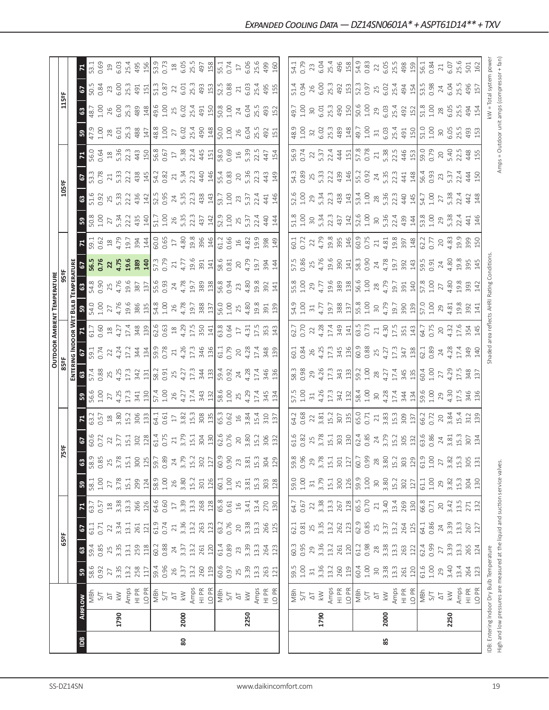|                |         |                                                                                                                                                                                                                                                                                                                                                                                                                                                                                            |                                                                                                                                                                                                                                                                                                                                                                                                                                                                   |                                                                           |                                                                                                                                                                                                                                                                                                                                            |                                                                                                                                                                                                                                                                                                                   |                                                                                                                                                                                                                                                                                                                                                      |                                                                              |                                          |                               |                                                                                            |                                                                 |                                                                                                                                                                                                                                                                                             |                                                                                     | <b>OUTDOOR AMBIENT TEMPERATURE</b>                                                                 |                                                                                                                |                                                                                                     |                                                                                                                                                                                                                                                                                                                                                            |                             |                                                                                      |                                                                                                                                                                                                                                                                                                               |                                                                                                                                                                                                                                                                                                     |                                                                           |                                                               |                                                            |                                                                                                                                                                                                                                                                                                                                 |
|----------------|---------|--------------------------------------------------------------------------------------------------------------------------------------------------------------------------------------------------------------------------------------------------------------------------------------------------------------------------------------------------------------------------------------------------------------------------------------------------------------------------------------------|-------------------------------------------------------------------------------------------------------------------------------------------------------------------------------------------------------------------------------------------------------------------------------------------------------------------------------------------------------------------------------------------------------------------------------------------------------------------|---------------------------------------------------------------------------|--------------------------------------------------------------------------------------------------------------------------------------------------------------------------------------------------------------------------------------------------------------------------------------------------------------------------------------------|-------------------------------------------------------------------------------------------------------------------------------------------------------------------------------------------------------------------------------------------------------------------------------------------------------------------|------------------------------------------------------------------------------------------------------------------------------------------------------------------------------------------------------------------------------------------------------------------------------------------------------------------------------------------------------|------------------------------------------------------------------------------|------------------------------------------|-------------------------------|--------------------------------------------------------------------------------------------|-----------------------------------------------------------------|---------------------------------------------------------------------------------------------------------------------------------------------------------------------------------------------------------------------------------------------------------------------------------------------|-------------------------------------------------------------------------------------|----------------------------------------------------------------------------------------------------|----------------------------------------------------------------------------------------------------------------|-----------------------------------------------------------------------------------------------------|------------------------------------------------------------------------------------------------------------------------------------------------------------------------------------------------------------------------------------------------------------------------------------------------------------------------------------------------------------|-----------------------------|--------------------------------------------------------------------------------------|---------------------------------------------------------------------------------------------------------------------------------------------------------------------------------------------------------------------------------------------------------------------------------------------------------------|-----------------------------------------------------------------------------------------------------------------------------------------------------------------------------------------------------------------------------------------------------------------------------------------------------|---------------------------------------------------------------------------|---------------------------------------------------------------|------------------------------------------------------------|---------------------------------------------------------------------------------------------------------------------------------------------------------------------------------------------------------------------------------------------------------------------------------------------------------------------------------|
|                |         |                                                                                                                                                                                                                                                                                                                                                                                                                                                                                            |                                                                                                                                                                                                                                                                                                                                                                                                                                                                   | 65°F                                                                      |                                                                                                                                                                                                                                                                                                                                            |                                                                                                                                                                                                                                                                                                                   |                                                                                                                                                                                                                                                                                                                                                      |                                                                              | 5ºF                                      |                               |                                                                                            | <b>B</b><br>85ºF                                                |                                                                                                                                                                                                                                                                                             |                                                                                     |                                                                                                    | 959                                                                                                            |                                                                                                     |                                                                                                                                                                                                                                                                                                                                                            |                             | 105°F                                                                                |                                                                                                                                                                                                                                                                                                               |                                                                                                                                                                                                                                                                                                     |                                                                           | 115°F                                                         |                                                            |                                                                                                                                                                                                                                                                                                                                 |
|                |         |                                                                                                                                                                                                                                                                                                                                                                                                                                                                                            |                                                                                                                                                                                                                                                                                                                                                                                                                                                                   |                                                                           |                                                                                                                                                                                                                                                                                                                                            |                                                                                                                                                                                                                                                                                                                   |                                                                                                                                                                                                                                                                                                                                                      |                                                                              |                                          |                               |                                                                                            |                                                                 | ENTERING INDOOR WET                                                                                                                                                                                                                                                                         |                                                                                     | <b>Bulb</b>                                                                                        | <b>TEMPERATURE</b>                                                                                             |                                                                                                     |                                                                                                                                                                                                                                                                                                                                                            |                             |                                                                                      |                                                                                                                                                                                                                                                                                                               |                                                                                                                                                                                                                                                                                                     |                                                                           |                                                               |                                                            |                                                                                                                                                                                                                                                                                                                                 |
| $\overline{5}$ | AIRFLOW |                                                                                                                                                                                                                                                                                                                                                                                                                                                                                            | 53                                                                                                                                                                                                                                                                                                                                                                                                                                                                | C3                                                                        | 2                                                                                                                                                                                                                                                                                                                                          | $\mathbf{r}$                                                                                                                                                                                                                                                                                                      | <b>58.1</b><br>58.1<br>1.00                                                                                                                                                                                                                                                                                                                          | $\boldsymbol{\mathsf{3}}$                                                    |                                          |                               |                                                                                            | $\mathbbmss{3}$                                                 | 2                                                                                                                                                                                                                                                                                           |                                                                                     | 59                                                                                                 | ${\tt G}$                                                                                                      |                                                                                                     |                                                                                                                                                                                                                                                                                                                                                            | ន្ធ                         |                                                                                      |                                                                                                                                                                                                                                                                                                               | 4                                                                                                                                                                                                                                                                                                   | 59                                                                        |                                                               | 2                                                          |                                                                                                                                                                                                                                                                                                                                 |
|                |         |                                                                                                                                                                                                                                                                                                                                                                                                                                                                                            | 58.6<br>0.92                                                                                                                                                                                                                                                                                                                                                                                                                                                      | 59.4<br>0.85                                                              | 61.1<br>0.71                                                                                                                                                                                                                                                                                                                               | 63.7                                                                                                                                                                                                                                                                                                              |                                                                                                                                                                                                                                                                                                                                                      | 58.9                                                                         | <b>67</b><br>60.6                        | 63.2                          | <b>59</b><br>56.6<br>1.00                                                                  | 57.4<br>0.88                                                    | 59.1<br>0.74                                                                                                                                                                                                                                                                                | 61.7<br>0.60                                                                        |                                                                                                    | 54.8<br>0.90                                                                                                   | 56.5<br>0.76                                                                                        | $\frac{59.1}{0.62}$                                                                                                                                                                                                                                                                                                                                        | $\frac{8}{50.8}$            | <b>63</b><br>51.6                                                                    | <b>67</b><br>53.3<br>0.78                                                                                                                                                                                                                                                                                     | 56.0<br>0.64                                                                                                                                                                                                                                                                                        | 47.9<br>1.00                                                              | <b>63</b><br>48.7<br>1.00                                     | 50.5<br>0.84                                               | 53.1<br>0.69                                                                                                                                                                                                                                                                                                                    |
|                |         |                                                                                                                                                                                                                                                                                                                                                                                                                                                                                            |                                                                                                                                                                                                                                                                                                                                                                                                                                                                   |                                                                           |                                                                                                                                                                                                                                                                                                                                            | 0.57                                                                                                                                                                                                                                                                                                              |                                                                                                                                                                                                                                                                                                                                                      | 0.85                                                                         |                                          | 0.57                          |                                                                                            |                                                                 |                                                                                                                                                                                                                                                                                             |                                                                                     |                                                                                                    |                                                                                                                |                                                                                                     |                                                                                                                                                                                                                                                                                                                                                            |                             |                                                                                      |                                                                                                                                                                                                                                                                                                               |                                                                                                                                                                                                                                                                                                     |                                                                           |                                                               |                                                            |                                                                                                                                                                                                                                                                                                                                 |
|                |         |                                                                                                                                                                                                                                                                                                                                                                                                                                                                                            | 27<br>3.35                                                                                                                                                                                                                                                                                                                                                                                                                                                        |                                                                           | $\frac{22}{3.34}$                                                                                                                                                                                                                                                                                                                          | $18$<br>3.38                                                                                                                                                                                                                                                                                                      | $27\,$                                                                                                                                                                                                                                                                                                                                               |                                                                              | 22                                       | $\frac{18}{3.80}$             | 27<br>4.25                                                                                 | 25<br>4.25                                                      | $22$<br>4.24                                                                                                                                                                                                                                                                                |                                                                                     |                                                                                                    | 25<br>4.76                                                                                                     | 22<br>4.75                                                                                          | 4.79                                                                                                                                                                                                                                                                                                                                                       |                             |                                                                                      | $\frac{21}{5.33}$                                                                                                                                                                                                                                                                                             |                                                                                                                                                                                                                                                                                                     | $\frac{28}{6.01}$                                                         | $26$<br>$6.00$                                                | 23                                                         |                                                                                                                                                                                                                                                                                                                                 |
|                | 1790    |                                                                                                                                                                                                                                                                                                                                                                                                                                                                                            |                                                                                                                                                                                                                                                                                                                                                                                                                                                                   |                                                                           |                                                                                                                                                                                                                                                                                                                                            |                                                                                                                                                                                                                                                                                                                   | 3.78                                                                                                                                                                                                                                                                                                                                                 |                                                                              | 3.77                                     |                               |                                                                                            |                                                                 |                                                                                                                                                                                                                                                                                             |                                                                                     |                                                                                                    |                                                                                                                |                                                                                                     |                                                                                                                                                                                                                                                                                                                                                            | 27<br>5.34<br>22.2<br>435   |                                                                                      |                                                                                                                                                                                                                                                                                                               |                                                                                                                                                                                                                                                                                                     |                                                                           |                                                               | 6.00                                                       |                                                                                                                                                                                                                                                                                                                                 |
|                |         |                                                                                                                                                                                                                                                                                                                                                                                                                                                                                            |                                                                                                                                                                                                                                                                                                                                                                                                                                                                   |                                                                           |                                                                                                                                                                                                                                                                                                                                            |                                                                                                                                                                                                                                                                                                                   | 15.1<br>299                                                                                                                                                                                                                                                                                                                                          |                                                                              |                                          |                               | 17.3<br>341                                                                                | 17.3<br>342                                                     |                                                                                                                                                                                                                                                                                             |                                                                                     |                                                                                                    |                                                                                                                |                                                                                                     |                                                                                                                                                                                                                                                                                                                                                            |                             |                                                                                      |                                                                                                                                                                                                                                                                                                               |                                                                                                                                                                                                                                                                                                     | 25.3<br>488                                                               | 25.3<br>489                                                   | 25.3                                                       |                                                                                                                                                                                                                                                                                                                                 |
|                |         | $\begin{array}{l} \left[ \begin{array}{l} \frac{1}{2} \\ 0 \\ 0 \\ 0 \\ 0 \\ \end{array} \right] \end{array} \begin{array}{l} \left[ \begin{array}{l} \frac{1}{2} \\ 0 \\ 0 \\ 0 \\ 0 \\ 0 \\ \end{array} \right] \end{array} \begin{array}{l} \left[ \begin{array}{l} \frac{1}{2} \\ 0 \\ 0 \\ 0 \\ 0 \\ 0 \\ \end{array} \right] \end{array} \begin{array}{l} \left[ \begin{array}{l} \frac{1}{2} \\ 0 \\ 0 \\ 0 \\ 0 \\ 0 \\ \end{array} \right] \end{array} \begin{array}{l} \left[ \$ | $13.2$<br>$758$<br>$11$                                                                                                                                                                                                                                                                                                                                                                                                                                           | $\begin{array}{c} 25 \\ 3.31 \\ 12.1 \\ 259 \\ 60 \\ 38 \\ 7 \end{array}$ | $\begin{array}{c} 13.7 \\ 15.7 \\ 16.7 \\ 17.8 \\ 18.7 \\ 19.7 \\ 19.7 \\ 19.7 \\ 19.7 \\ 19.7 \\ 19.7 \\ 19.7 \\ 19.7 \\ 19.7 \\ 19.7 \\ 19.7 \\ 19.7 \\ 19.7 \\ 19.7 \\ 19.7 \\ 19.7 \\ 19.7 \\ 19.7 \\ 19.7 \\ 19.7 \\ 19.7 \\ 19.7 \\ 19.7 \\ 19.7 \\ 19.7 \\ 19.7 \\ 19.7 \\ 19.7 \\ 19.7 \\ 19.7 \\ 19$                              | $\frac{13.3}{266}$<br>$\frac{126}{64.6}$<br>0.60                                                                                                                                                                                                                                                                  |                                                                                                                                                                                                                                                                                                                                                      | $\begin{array}{c} 25 \\ 3.78 \\ 15.1 \\ 300 \\ 125 \end{array}$              | 15.1<br>302<br>128                       | 15.2<br>306<br>133            | 130                                                                                        | 131                                                             | $\begin{array}{c}\n 17.3 \\  344 \\  159.8 \\  0.78 \\  14\n \end{array}$                                                                                                                                                                                                                   | $\begin{array}{c} 18 \\ 4 \\ 17 \\ 4 \\ 34 \\ 8 \\ 139 \\ \end{array}$              | 54.00<br>1.00<br>4.76<br>4.78<br>385                                                               | $\begin{array}{c}\n 19.6 \\  387 \\  \hline\n 137 \\  55.6 \\  0.93 \\  24.78 \\  \hline\n 4.78\n \end{array}$ | 19.6<br>389<br>57.3<br>57.9                                                                         | $\begin{array}{c c}\n 19.7 & 394 \\  \hline\n 394 & 60.65 \\  \hline\n 0.65 & 17\n \end{array}$                                                                                                                                                                                                                                                            |                             | $\begin{array}{c} 25 \\ 5.33 \\ 2.24 \\ 434 \\ \hline \end{array}$                   | 22.2<br>438<br>145                                                                                                                                                                                                                                                                                            | $\begin{array}{c}\n 18 \\  5.36 \\  22.3 \\  34.3 \\  56.8 \\  0.67 \\  1\n \end{array}$                                                                                                                                                                                                            | 147                                                                       |                                                               | 491<br>151                                                 | $19.03$<br>$6.03$<br>$495$<br>$15$                                                                                                                                                                                                                                                                                              |
|                |         |                                                                                                                                                                                                                                                                                                                                                                                                                                                                                            |                                                                                                                                                                                                                                                                                                                                                                                                                                                                   |                                                                           |                                                                                                                                                                                                                                                                                                                                            |                                                                                                                                                                                                                                                                                                                   | $\frac{124}{58.9}$<br>1.00                                                                                                                                                                                                                                                                                                                           |                                                                              |                                          |                               |                                                                                            |                                                                 |                                                                                                                                                                                                                                                                                             |                                                                                     |                                                                                                    |                                                                                                                |                                                                                                     |                                                                                                                                                                                                                                                                                                                                                            | 140                         |                                                                                      |                                                                                                                                                                                                                                                                                                               |                                                                                                                                                                                                                                                                                                     |                                                                           | 148                                                           |                                                            |                                                                                                                                                                                                                                                                                                                                 |
|                |         |                                                                                                                                                                                                                                                                                                                                                                                                                                                                                            |                                                                                                                                                                                                                                                                                                                                                                                                                                                                   |                                                                           |                                                                                                                                                                                                                                                                                                                                            |                                                                                                                                                                                                                                                                                                                   |                                                                                                                                                                                                                                                                                                                                                      | 59.7<br>0.89                                                                 | 61.4                                     | 64.1                          | 57.4                                                                                       | 58.2<br>0.91<br>25                                              |                                                                                                                                                                                                                                                                                             |                                                                                     | 54.8<br>1.00<br>26<br>4.78                                                                         |                                                                                                                |                                                                                                     |                                                                                                                                                                                                                                                                                                                                                            | 51.7                        |                                                                                      | 54.2<br>0.82                                                                                                                                                                                                                                                                                                  |                                                                                                                                                                                                                                                                                                     | 48.8                                                                      | 49.6                                                          | 51.3                                                       |                                                                                                                                                                                                                                                                                                                                 |
|                |         |                                                                                                                                                                                                                                                                                                                                                                                                                                                                                            |                                                                                                                                                                                                                                                                                                                                                                                                                                                                   |                                                                           |                                                                                                                                                                                                                                                                                                                                            |                                                                                                                                                                                                                                                                                                                   |                                                                                                                                                                                                                                                                                                                                                      |                                                                              | 0.75                                     | $0.61$<br>17                  | $1.00$<br>$26$                                                                             |                                                                 |                                                                                                                                                                                                                                                                                             |                                                                                     |                                                                                                    |                                                                                                                |                                                                                                     |                                                                                                                                                                                                                                                                                                                                                            | $1.00$<br>$26$              |                                                                                      |                                                                                                                                                                                                                                                                                                               |                                                                                                                                                                                                                                                                                                     | 1.00                                                                      | 1.00                                                          | 0.87                                                       |                                                                                                                                                                                                                                                                                                                                 |
|                |         |                                                                                                                                                                                                                                                                                                                                                                                                                                                                                            |                                                                                                                                                                                                                                                                                                                                                                                                                                                                   |                                                                           |                                                                                                                                                                                                                                                                                                                                            |                                                                                                                                                                                                                                                                                                                   |                                                                                                                                                                                                                                                                                                                                                      | 24                                                                           | 21                                       |                               |                                                                                            |                                                                 |                                                                                                                                                                                                                                                                                             |                                                                                     |                                                                                                    |                                                                                                                | 21                                                                                                  |                                                                                                                                                                                                                                                                                                                                                            |                             |                                                                                      | 21                                                                                                                                                                                                                                                                                                            |                                                                                                                                                                                                                                                                                                     | 27                                                                        | 25                                                            | 22                                                         |                                                                                                                                                                                                                                                                                                                                 |
| 80             | 2000    |                                                                                                                                                                                                                                                                                                                                                                                                                                                                                            |                                                                                                                                                                                                                                                                                                                                                                                                                                                                   |                                                                           |                                                                                                                                                                                                                                                                                                                                            |                                                                                                                                                                                                                                                                                                                   |                                                                                                                                                                                                                                                                                                                                                      |                                                                              | 3.79                                     | 3.82                          | 4.27                                                                                       |                                                                 |                                                                                                                                                                                                                                                                                             |                                                                                     |                                                                                                    |                                                                                                                | 4.77                                                                                                |                                                                                                                                                                                                                                                                                                                                                            |                             |                                                                                      | 5.34                                                                                                                                                                                                                                                                                                          | 5.38                                                                                                                                                                                                                                                                                                | 6.02                                                                      | 6.02                                                          | 6.01                                                       |                                                                                                                                                                                                                                                                                                                                 |
|                |         |                                                                                                                                                                                                                                                                                                                                                                                                                                                                                            |                                                                                                                                                                                                                                                                                                                                                                                                                                                                   |                                                                           |                                                                                                                                                                                                                                                                                                                                            |                                                                                                                                                                                                                                                                                                                   |                                                                                                                                                                                                                                                                                                                                                      | $3.79$<br>$15.2$<br>$302$<br>$127$                                           | 15.1                                     | 15.3                          | 17.4                                                                                       | $4.27$<br>17.3                                                  | 4.26<br>17.3                                                                                                                                                                                                                                                                                |                                                                                     |                                                                                                    |                                                                                                                |                                                                                                     |                                                                                                                                                                                                                                                                                                                                                            | $5.35$<br>22.3              |                                                                                      | 22.3                                                                                                                                                                                                                                                                                                          |                                                                                                                                                                                                                                                                                                     | 25.4                                                                      | 25.4                                                          | 25.3                                                       |                                                                                                                                                                                                                                                                                                                                 |
|                |         |                                                                                                                                                                                                                                                                                                                                                                                                                                                                                            |                                                                                                                                                                                                                                                                                                                                                                                                                                                                   |                                                                           |                                                                                                                                                                                                                                                                                                                                            |                                                                                                                                                                                                                                                                                                                   |                                                                                                                                                                                                                                                                                                                                                      |                                                                              |                                          |                               |                                                                                            |                                                                 |                                                                                                                                                                                                                                                                                             |                                                                                     |                                                                                                    |                                                                                                                |                                                                                                     |                                                                                                                                                                                                                                                                                                                                                            | 437                         |                                                                                      |                                                                                                                                                                                                                                                                                                               |                                                                                                                                                                                                                                                                                                     | 490                                                                       |                                                               | 493                                                        |                                                                                                                                                                                                                                                                                                                                 |
|                |         |                                                                                                                                                                                                                                                                                                                                                                                                                                                                                            |                                                                                                                                                                                                                                                                                                                                                                                                                                                                   |                                                                           |                                                                                                                                                                                                                                                                                                                                            |                                                                                                                                                                                                                                                                                                                   |                                                                                                                                                                                                                                                                                                                                                      |                                                                              |                                          |                               |                                                                                            |                                                                 |                                                                                                                                                                                                                                                                                             |                                                                                     |                                                                                                    |                                                                                                                |                                                                                                     |                                                                                                                                                                                                                                                                                                                                                            |                             |                                                                                      |                                                                                                                                                                                                                                                                                                               |                                                                                                                                                                                                                                                                                                     | $\frac{148}{2}$                                                           | 491                                                           | 153                                                        |                                                                                                                                                                                                                                                                                                                                 |
|                |         |                                                                                                                                                                                                                                                                                                                                                                                                                                                                                            | $\begin{array}{c}\n 19.4 \\  19.5 \\  0.96 \\  2.5 \\  7.3 \\  13.2 \\  2.60 \\  19.6 \\  19.5 \\  19.5 \\  13.3 \\  13.4 \\  14.6 \\  15.7 \\  13.9 \\  13.3 \\  14.7 \\  15.7 \\  16.6 \\  17.7 \\  18.8 \\  19.8 \\  13.3 \\  13.3 \\  14.7 \\  15.7 \\  16.6 \\  17.7 \\  18.8 \\  19.8 \\  19.8 \\  13.3 \\  13.3 \\  14.7 \\  15.7 \\  16.$                                                                                                                 | $\frac{25}{120}$<br>$\frac{1}{61}$<br>$\frac{3}{4}$<br>3                  |                                                                                                                                                                                                                                                                                                                                            | $\begin{array}{c} 3.3 \\ 1.3 \\ 2.68 \\ 1.2 \\ 6.5 \\ 6.5 \\ 7.4 \\ 1.0 \\ 6.5 \\ 1.4 \\ 3.41 \\ 3.41 \\ 3.41 \\ 3.42 \\ 3.42 \\ 3.43 \\ 3.44 \\ 3.45 \\ 3.45 \\ 3.47 \\ 3.49 \\ 3.49 \\ 3.49 \\ 3.41 \\ 3.42 \\ 3.43 \\ 3.45 \\ 3.47 \\ 3.49 \\ 3.49 \\ 3.49 \\ 3.49 \\ 3.49 \\ 3.49 \\ 3.49 \\ 3.49 \\ 3.49 \\$ | $\begin{array}{c c} 3.80 \\ 15.2 \\ 301 \\ 126 \\ 601 \\ 1.00 \end{array}$                                                                                                                                                                                                                                                                           | 60.9                                                                         | $\frac{304}{130}$<br>$\frac{62.6}{62.6}$ | $\frac{308}{153}$             | $\begin{array}{c} 343 \\ 131 \\ 58.6 \\ 1.00 \\ 4.29 \\ 4.29 \end{array}$                  | $\frac{343}{394}$<br>$\frac{393}{4}$<br>$\frac{393}{4}$         | $\frac{46}{130}$<br>$\frac{13}{11}$<br>$\frac{13}{11}$<br>$\frac{29}{11}$                                                                                                                                                                                                                   |                                                                                     | $\begin{array}{c}\n 19.7 \\  388 \\  19.0 \\  15.0 \\  1.0 \\  2.5 \\  4.80 \\  4.8\n \end{array}$ | $\begin{array}{c}\n 19.7 \\  389 \\  196 \\  694 \\  73 \\  4.80 \\  4.80\n \end{array}$                       | $\begin{array}{c} 19.6 \\ 391 \\ 141 \\ 58.6 \\ 0.81 \\ 20 \\ 4.79 \end{array}$                     | $4.80$<br>$9.8$<br>$9.9$<br>$9.4$<br>$1.2$<br>$0.6$<br>$0.6$                                                                                                                                                                                                                                                                                               | $\frac{142}{52.9}$          | $\begin{array}{c} 24 \\ 5.35 \\ 2.38 \\ 4.39 \\ 1.00 \\ 1.00 \\ \hline \end{array}$  | $rac{146}{15.4}$                                                                                                                                                                                                                                                                                              | $2445$<br>$445$<br>$1580$<br>$0.69$                                                                                                                                                                                                                                                                 |                                                                           | 50.8                                                          |                                                            | $\begin{bmatrix} 3 & 3 & 3 & 6 \\ 3 & 3 & 2 & 6 \\ 0 & 3 & 4 & 5 \\ 0 & 0 & 0 & 0 \\ 0 & 0 & 0 & 0 \\ 0 & 0 & 0 & 0 \\ 0 & 0 & 0 & 0 \\ 0 & 0 & 0 & 0 \\ 0 & 0 & 0 & 0 \\ 0 & 0 & 0 & 0 \\ 0 & 0 & 0 & 0 \\ 0 & 0 & 0 & 0 \\ 0 & 0 & 0 & 0 \\ 0 & 0 & 0 & 0 \\ 0 & 0 & 0 & 0 & 0 \\ 0 & 0 & 0 & 0 & 0 \\ 0 & 0 & 0 & 0 & 0 \\ $ |
|                |         |                                                                                                                                                                                                                                                                                                                                                                                                                                                                                            |                                                                                                                                                                                                                                                                                                                                                                                                                                                                   |                                                                           |                                                                                                                                                                                                                                                                                                                                            |                                                                                                                                                                                                                                                                                                                   |                                                                                                                                                                                                                                                                                                                                                      | 0.90                                                                         |                                          |                               |                                                                                            |                                                                 |                                                                                                                                                                                                                                                                                             |                                                                                     |                                                                                                    |                                                                                                                |                                                                                                     |                                                                                                                                                                                                                                                                                                                                                            |                             |                                                                                      |                                                                                                                                                                                                                                                                                                               |                                                                                                                                                                                                                                                                                                     | $\frac{50.0}{1.00}$                                                       | 1.00                                                          | 52.5<br>0.88                                               |                                                                                                                                                                                                                                                                                                                                 |
|                |         |                                                                                                                                                                                                                                                                                                                                                                                                                                                                                            |                                                                                                                                                                                                                                                                                                                                                                                                                                                                   |                                                                           | $20$                                                                                                                                                                                                                                                                                                                                       |                                                                                                                                                                                                                                                                                                                   | 25                                                                                                                                                                                                                                                                                                                                                   |                                                                              | 20                                       |                               |                                                                                            |                                                                 |                                                                                                                                                                                                                                                                                             |                                                                                     |                                                                                                    |                                                                                                                |                                                                                                     |                                                                                                                                                                                                                                                                                                                                                            | 25                          | 23                                                                                   |                                                                                                                                                                                                                                                                                                               |                                                                                                                                                                                                                                                                                                     | 26                                                                        | 24                                                            | $\gtrsim$                                                  |                                                                                                                                                                                                                                                                                                                                 |
|                | 2250    |                                                                                                                                                                                                                                                                                                                                                                                                                                                                                            |                                                                                                                                                                                                                                                                                                                                                                                                                                                                   | 3.39                                                                      | 3.38                                                                                                                                                                                                                                                                                                                                       |                                                                                                                                                                                                                                                                                                                   | 3.81                                                                                                                                                                                                                                                                                                                                                 |                                                                              | 3.80                                     | 0.62<br>16<br>3.84            |                                                                                            | 4.28                                                            | 4.28                                                                                                                                                                                                                                                                                        |                                                                                     |                                                                                                    |                                                                                                                |                                                                                                     |                                                                                                                                                                                                                                                                                                                                                            | 5.37                        | 5.37                                                                                 | 20 <sub>5.36</sub>                                                                                                                                                                                                                                                                                            | $16$<br>5.39                                                                                                                                                                                                                                                                                        | 6.O4                                                                      | 6.O4                                                          | 6.03                                                       |                                                                                                                                                                                                                                                                                                                                 |
|                |         |                                                                                                                                                                                                                                                                                                                                                                                                                                                                                            |                                                                                                                                                                                                                                                                                                                                                                                                                                                                   |                                                                           | 13.3                                                                                                                                                                                                                                                                                                                                       | 13.4                                                                                                                                                                                                                                                                                                              |                                                                                                                                                                                                                                                                                                                                                      | $23$<br>$3.81$<br>$15.3$                                                     | 15.2                                     | <b>15.4</b>                   |                                                                                            | 17.4                                                            | 17.4                                                                                                                                                                                                                                                                                        | 17.5                                                                                |                                                                                                    |                                                                                                                | 19.7                                                                                                | $16$<br>$4.82$<br>$19.9$                                                                                                                                                                                                                                                                                                                                   | 22.4                        | 22.4                                                                                 | 22.3                                                                                                                                                                                                                                                                                                          | 22.5                                                                                                                                                                                                                                                                                                | 25.5                                                                      | 25.5                                                          |                                                            | 25.6                                                                                                                                                                                                                                                                                                                            |
|                |         | Amps<br>HI PR<br>LO PR                                                                                                                                                                                                                                                                                                                                                                                                                                                                     | 13.3<br>263<br>121                                                                                                                                                                                                                                                                                                                                                                                                                                                | 13.3<br>264<br>123                                                        |                                                                                                                                                                                                                                                                                                                                            |                                                                                                                                                                                                                                                                                                                   | 15.3<br>303<br>128                                                                                                                                                                                                                                                                                                                                   |                                                                              | 306                                      | 310                           | 17.4<br>345                                                                                | 346                                                             | 348                                                                                                                                                                                                                                                                                         | 353                                                                                 | 19.8<br>391                                                                                        | 19.8<br>392                                                                                                    | 394                                                                                                 | 398                                                                                                                                                                                                                                                                                                                                                        | 440                         | 441                                                                                  | 443                                                                                                                                                                                                                                                                                                           | 447                                                                                                                                                                                                                                                                                                 | 492                                                                       |                                                               | 25.4<br>495<br>155                                         |                                                                                                                                                                                                                                                                                                                                 |
|                |         |                                                                                                                                                                                                                                                                                                                                                                                                                                                                                            |                                                                                                                                                                                                                                                                                                                                                                                                                                                                   |                                                                           | 266<br>125                                                                                                                                                                                                                                                                                                                                 | 270<br>130                                                                                                                                                                                                                                                                                                        |                                                                                                                                                                                                                                                                                                                                                      | $304$<br>$129$                                                               | 132                                      | 137                           | 134                                                                                        | 136                                                             | 139                                                                                                                                                                                                                                                                                         | 143                                                                                 | 139                                                                                                | 141                                                                                                            | 144                                                                                                 | 149                                                                                                                                                                                                                                                                                                                                                        | 144                         | 146                                                                                  | 149                                                                                                                                                                                                                                                                                                           | 154                                                                                                                                                                                                                                                                                                 | 151                                                                       | 493<br>152                                                    |                                                            | $499$<br>$160$                                                                                                                                                                                                                                                                                                                  |
|                |         |                                                                                                                                                                                                                                                                                                                                                                                                                                                                                            |                                                                                                                                                                                                                                                                                                                                                                                                                                                                   |                                                                           |                                                                                                                                                                                                                                                                                                                                            |                                                                                                                                                                                                                                                                                                                   |                                                                                                                                                                                                                                                                                                                                                      |                                                                              |                                          |                               |                                                                                            |                                                                 |                                                                                                                                                                                                                                                                                             |                                                                                     |                                                                                                    |                                                                                                                |                                                                                                     |                                                                                                                                                                                                                                                                                                                                                            |                             |                                                                                      |                                                                                                                                                                                                                                                                                                               |                                                                                                                                                                                                                                                                                                     |                                                                           |                                                               |                                                            |                                                                                                                                                                                                                                                                                                                                 |
|                |         |                                                                                                                                                                                                                                                                                                                                                                                                                                                                                            |                                                                                                                                                                                                                                                                                                                                                                                                                                                                   |                                                                           |                                                                                                                                                                                                                                                                                                                                            |                                                                                                                                                                                                                                                                                                                   |                                                                                                                                                                                                                                                                                                                                                      |                                                                              |                                          |                               |                                                                                            |                                                                 |                                                                                                                                                                                                                                                                                             |                                                                                     | 54.9                                                                                               |                                                                                                                | 57.5                                                                                                |                                                                                                                                                                                                                                                                                                                                                            |                             |                                                                                      |                                                                                                                                                                                                                                                                                                               | 56.9                                                                                                                                                                                                                                                                                                |                                                                           | 49.7                                                          |                                                            |                                                                                                                                                                                                                                                                                                                                 |
|                |         |                                                                                                                                                                                                                                                                                                                                                                                                                                                                                            |                                                                                                                                                                                                                                                                                                                                                                                                                                                                   |                                                                           |                                                                                                                                                                                                                                                                                                                                            |                                                                                                                                                                                                                                                                                                                   | 59.0<br>1.00                                                                                                                                                                                                                                                                                                                                         | 59.8<br>0.96                                                                 |                                          | 54.2                          | 57.5<br>1.00                                                                               | 58.3<br>0.98                                                    |                                                                                                                                                                                                                                                                                             | 62.7                                                                                |                                                                                                    | 55.8<br>1.00                                                                                                   |                                                                                                     | 60.1<br>0.72                                                                                                                                                                                                                                                                                                                                               | 51.8                        | 52.6<br>1.00                                                                         |                                                                                                                                                                                                                                                                                                               |                                                                                                                                                                                                                                                                                                     | $48.9$<br>$1.00$                                                          |                                                               | 51.4<br>0.94                                               | 54.1<br>0.79                                                                                                                                                                                                                                                                                                                    |
|                |         |                                                                                                                                                                                                                                                                                                                                                                                                                                                                                            |                                                                                                                                                                                                                                                                                                                                                                                                                                                                   |                                                                           |                                                                                                                                                                                                                                                                                                                                            |                                                                                                                                                                                                                                                                                                                   |                                                                                                                                                                                                                                                                                                                                                      |                                                                              | 61.6<br>0.82<br>25<br>3.78               | 0.68                          |                                                                                            |                                                                 |                                                                                                                                                                                                                                                                                             |                                                                                     | 1.00                                                                                               |                                                                                                                |                                                                                                     |                                                                                                                                                                                                                                                                                                                                                            |                             |                                                                                      |                                                                                                                                                                                                                                                                                                               |                                                                                                                                                                                                                                                                                                     |                                                                           | 1.00                                                          |                                                            |                                                                                                                                                                                                                                                                                                                                 |
|                |         |                                                                                                                                                                                                                                                                                                                                                                                                                                                                                            |                                                                                                                                                                                                                                                                                                                                                                                                                                                                   |                                                                           |                                                                                                                                                                                                                                                                                                                                            |                                                                                                                                                                                                                                                                                                                   | $\Xi$                                                                                                                                                                                                                                                                                                                                                |                                                                              |                                          |                               | $\approx$                                                                                  | 29                                                              |                                                                                                                                                                                                                                                                                             | 22                                                                                  | $\frac{31}{4.77}$                                                                                  | 29<br>4.77                                                                                                     |                                                                                                     |                                                                                                                                                                                                                                                                                                                                                            |                             | 29                                                                                   |                                                                                                                                                                                                                                                                                                               |                                                                                                                                                                                                                                                                                                     |                                                                           | $30\,$                                                        |                                                            | 23                                                                                                                                                                                                                                                                                                                              |
|                | 1790    |                                                                                                                                                                                                                                                                                                                                                                                                                                                                                            |                                                                                                                                                                                                                                                                                                                                                                                                                                                                   |                                                                           |                                                                                                                                                                                                                                                                                                                                            |                                                                                                                                                                                                                                                                                                                   |                                                                                                                                                                                                                                                                                                                                                      |                                                                              |                                          |                               | 4.26                                                                                       |                                                                 |                                                                                                                                                                                                                                                                                             |                                                                                     |                                                                                                    |                                                                                                                |                                                                                                     |                                                                                                                                                                                                                                                                                                                                                            |                             |                                                                                      |                                                                                                                                                                                                                                                                                                               |                                                                                                                                                                                                                                                                                                     |                                                                           |                                                               | 26<br>6.00<br>25.3                                         |                                                                                                                                                                                                                                                                                                                                 |
|                |         |                                                                                                                                                                                                                                                                                                                                                                                                                                                                                            |                                                                                                                                                                                                                                                                                                                                                                                                                                                                   |                                                                           |                                                                                                                                                                                                                                                                                                                                            |                                                                                                                                                                                                                                                                                                                   |                                                                                                                                                                                                                                                                                                                                                      |                                                                              |                                          |                               |                                                                                            |                                                                 |                                                                                                                                                                                                                                                                                             |                                                                                     |                                                                                                    |                                                                                                                |                                                                                                     |                                                                                                                                                                                                                                                                                                                                                            | $30$<br>5.34<br>22.3<br>437 |                                                                                      |                                                                                                                                                                                                                                                                                                               |                                                                                                                                                                                                                                                                                                     |                                                                           |                                                               |                                                            |                                                                                                                                                                                                                                                                                                                                 |
|                |         | MBh<br>S/T<br>S/T<br>S/T<br>S/T<br>PR<br>D<br>D<br>PR                                                                                                                                                                                                                                                                                                                                                                                                                                      | 59.5<br>1.00<br>3.7<br>3.7<br>260<br>21<br>20<br>21                                                                                                                                                                                                                                                                                                                                                                                                               |                                                                           |                                                                                                                                                                                                                                                                                                                                            |                                                                                                                                                                                                                                                                                                                   |                                                                                                                                                                                                                                                                                                                                                      | $\begin{array}{c} 29 \\ 3.78 \\ 15.1 \\ 301 \\ 127 \end{array}$              | 15.1<br>303<br>130                       | $22$ $3.81$ $3.5$ $3.5$ $3.5$ |                                                                                            |                                                                 |                                                                                                                                                                                                                                                                                             |                                                                                     |                                                                                                    |                                                                                                                |                                                                                                     |                                                                                                                                                                                                                                                                                                                                                            |                             |                                                                                      |                                                                                                                                                                                                                                                                                                               |                                                                                                                                                                                                                                                                                                     |                                                                           | $6.01$<br>$7.3$<br>$490$<br>$150$                             | 492                                                        |                                                                                                                                                                                                                                                                                                                                 |
|                |         |                                                                                                                                                                                                                                                                                                                                                                                                                                                                                            |                                                                                                                                                                                                                                                                                                                                                                                                                                                                   |                                                                           |                                                                                                                                                                                                                                                                                                                                            | $\begin{array}{c} 64.7 \\ 0.67 \\ 2.2 \\ 3.3 \\ 1.3 \\ 1.3 \\ 2.67 \\ 2.8 \\ 1.2 \\ 0.5 \\ 0.7 \\ 0 \\ \end{array}$                                                                                                                                                                                               |                                                                                                                                                                                                                                                                                                                                                      |                                                                              |                                          |                               | $\begin{array}{c}\n 17.3 \\  34.2 \\  \hline\n 13.4 \\  58.1 \\  \hline\n 0\n \end{array}$ | $4.26$<br>$17.3$<br>$34.3$<br>$19.2$<br>$19.2$<br>$28$<br>$4.2$ | $\begin{array}{c c} 60.1 & 0.84 \\ 0.84 & 0.73 \\ 0.64 & 0.73 \\ 0.73 & 0.88 \\ 0.88 & 0.73 \\ 0.88 & 0.73 \\ 0.88 & 0.73 \\ 0.88 & 0.73 \\ 0.88 & 0.73 \\ 0.88 & 0.73 \\ 0.88 & 0.73 \\ 0.88 & 0.73 \\ 0.88 & 0.73 \\ 0.88 & 0.73 \\ 0.88 & 0.73 \\ 0.88 & 0.73 \\ 0.88 & 0.73 \\ 0.88 & $ |                                                                                     | $\begin{array}{c}\n 19.7 \\  388 \\  151 \\  55.8 \\  1.00 \\  4.79 \\  4.79\n \end{array}$        | $\begin{array}{c}\n 19.6 \\  389 \\  130 \\  56.6 \\  1.00 \\  28 \\  4.79\n \end{array}$                      | $\begin{array}{c}\n 25 \\  4.76 \\  9.9 \\  390 \\  14.3 \\  50.9 \\  24.78 \\  4.78\n \end{array}$ |                                                                                                                                                                                                                                                                                                                                                            |                             |                                                                                      | $\begin{array}{c} 3.89 \\ 3.89 \\ 5.31 \\ 5.32 \\ 5.33 \\ 5.34 \\ 5.35 \\ 5.36 \\ 5.37 \\ 5.37 \\ 5.39 \\ 5.33 \\ 5.33 \\ 5.33 \\ 5.33 \\ 5.33 \\ 5.33 \\ 5.33 \\ 5.33 \\ 5.33 \\ 5.33 \\ 5.33 \\ 5.33 \\ 5.33 \\ 5.33 \\ 5.33 \\ 5.33 \\ 5.33 \\ 5.33 \\ 5.33 \\ 5.33 \\ 5.33 \\ 5.33 \\ 5.33 \\ 5.33 \\ 5.$ |                                                                                                                                                                                                                                                                                                     |                                                                           |                                                               | 153                                                        |                                                                                                                                                                                                                                                                                                                                 |
|                |         |                                                                                                                                                                                                                                                                                                                                                                                                                                                                                            |                                                                                                                                                                                                                                                                                                                                                                                                                                                                   |                                                                           |                                                                                                                                                                                                                                                                                                                                            |                                                                                                                                                                                                                                                                                                                   |                                                                                                                                                                                                                                                                                                                                                      | 60.7                                                                         |                                          | 65.0<br>0.71                  |                                                                                            |                                                                 |                                                                                                                                                                                                                                                                                             |                                                                                     |                                                                                                    |                                                                                                                |                                                                                                     |                                                                                                                                                                                                                                                                                                                                                            |                             |                                                                                      |                                                                                                                                                                                                                                                                                                               |                                                                                                                                                                                                                                                                                                     |                                                                           |                                                               |                                                            |                                                                                                                                                                                                                                                                                                                                 |
|                |         |                                                                                                                                                                                                                                                                                                                                                                                                                                                                                            |                                                                                                                                                                                                                                                                                                                                                                                                                                                                   |                                                                           |                                                                                                                                                                                                                                                                                                                                            |                                                                                                                                                                                                                                                                                                                   |                                                                                                                                                                                                                                                                                                                                                      |                                                                              | $62.4$<br>0.85<br>24<br>3.79             |                               |                                                                                            |                                                                 |                                                                                                                                                                                                                                                                                             |                                                                                     |                                                                                                    |                                                                                                                |                                                                                                     |                                                                                                                                                                                                                                                                                                                                                            |                             |                                                                                      |                                                                                                                                                                                                                                                                                                               |                                                                                                                                                                                                                                                                                                     |                                                                           | $\frac{6}{50.00}$<br>1.00<br>2.9<br>6.03                      | $\begin{bmatrix} 3.3 \\ 0.97 \\ 2.5 \\ 6.02 \end{bmatrix}$ |                                                                                                                                                                                                                                                                                                                                 |
|                |         |                                                                                                                                                                                                                                                                                                                                                                                                                                                                                            |                                                                                                                                                                                                                                                                                                                                                                                                                                                                   |                                                                           |                                                                                                                                                                                                                                                                                                                                            |                                                                                                                                                                                                                                                                                                                   |                                                                                                                                                                                                                                                                                                                                                      |                                                                              |                                          | $\frac{21}{3.83}$             |                                                                                            |                                                                 |                                                                                                                                                                                                                                                                                             |                                                                                     |                                                                                                    |                                                                                                                |                                                                                                     |                                                                                                                                                                                                                                                                                                                                                            |                             |                                                                                      |                                                                                                                                                                                                                                                                                                               |                                                                                                                                                                                                                                                                                                     |                                                                           |                                                               |                                                            |                                                                                                                                                                                                                                                                                                                                 |
| 85             | 2000    |                                                                                                                                                                                                                                                                                                                                                                                                                                                                                            |                                                                                                                                                                                                                                                                                                                                                                                                                                                                   |                                                                           |                                                                                                                                                                                                                                                                                                                                            |                                                                                                                                                                                                                                                                                                                   |                                                                                                                                                                                                                                                                                                                                                      |                                                                              |                                          |                               |                                                                                            |                                                                 |                                                                                                                                                                                                                                                                                             |                                                                                     |                                                                                                    |                                                                                                                |                                                                                                     |                                                                                                                                                                                                                                                                                                                                                            |                             |                                                                                      |                                                                                                                                                                                                                                                                                                               |                                                                                                                                                                                                                                                                                                     |                                                                           |                                                               |                                                            |                                                                                                                                                                                                                                                                                                                                 |
|                |         |                                                                                                                                                                                                                                                                                                                                                                                                                                                                                            |                                                                                                                                                                                                                                                                                                                                                                                                                                                                   |                                                                           |                                                                                                                                                                                                                                                                                                                                            |                                                                                                                                                                                                                                                                                                                   |                                                                                                                                                                                                                                                                                                                                                      |                                                                              |                                          |                               |                                                                                            |                                                                 |                                                                                                                                                                                                                                                                                             |                                                                                     |                                                                                                    |                                                                                                                |                                                                                                     |                                                                                                                                                                                                                                                                                                                                                            |                             |                                                                                      |                                                                                                                                                                                                                                                                                                               |                                                                                                                                                                                                                                                                                                     |                                                                           |                                                               | 25.4                                                       |                                                                                                                                                                                                                                                                                                                                 |
|                |         |                                                                                                                                                                                                                                                                                                                                                                                                                                                                                            |                                                                                                                                                                                                                                                                                                                                                                                                                                                                   |                                                                           |                                                                                                                                                                                                                                                                                                                                            |                                                                                                                                                                                                                                                                                                                   | $\begin{array}{c}\n3.79 \\ 1.51 \\ 3.00 \\ 3.00 \\ -1.00 \\ -1.00 \\ -1.00 \\ -1.00 \\ -1.00 \\ -1.00 \\ -1.00 \\ -1.00 \\ -1.00 \\ -1.00 \\ -1.00 \\ -1.00 \\ -1.00 \\ -1.00 \\ -1.00 \\ -1.00 \\ -1.00 \\ -1.00 \\ -1.00 \\ -1.00 \\ -1.00 \\ -1.00 \\ -1.00 \\ -1.00 \\ -1.00 \\ -1.00 \\ -1.00 \\ -1.00 \\ -1.00 \\ -1.00 \\ -1.00 \\ -1.00 \\ $ |                                                                              | $\frac{15.2}{305}$                       | 15.3<br>309<br>137            | $17.4$<br>344<br>134                                                                       | 17.4<br>345                                                     | $\frac{17.3}{347}$                                                                                                                                                                                                                                                                          | $4.28$ $17.4$ $3.49$ $4.19$ $17.5$ $17.5$ $17.5$ $17.5$ $17.5$ $17.5$ $17.5$ $17.5$ |                                                                                                    | 19.7<br>391<br>140                                                                                             |                                                                                                     | $\begin{array}{c} 22 \\ 4.79 \\ 4.99 \\ 29.8 \\ 39.5 \\ \hline \end{array} \begin{array}{c} 24 \\ 24 \\ 24 \\ 25 \\ 26 \\ 27 \\ 28 \\ 29 \\ 20 \\ 24 \\ 29 \\ 20 \\ 24 \\ 24 \\ 25 \\ 27 \\ 28 \\ 29 \\ 24 \\ 24 \\ 25 \\ 27 \\ 28 \\ 29 \\ 24 \\ 29 \\ 20 \\ 24 \\ 25 \\ 27 \\ 28 \\ 29 \\ 29 \\ 24 \\ 29 \\ 20 \\ 24 \\ 25 \\ 27 \\ 28 \\ 29 \\ 29 \\ 2$ |                             | 5.34<br>2.38<br>5.31<br>5.31<br>5.32<br>5.32<br>5.41<br>5.41<br>5.42<br>5.42<br>5.42 |                                                                                                                                                                                                                                                                                                               |                                                                                                                                                                                                                                                                                                     | $\begin{array}{c} 32.033344 \\ 20.03344 \\ 20.0344 \\ \hline \end{array}$ | 25.4<br>492<br>152                                            | 494<br>154                                                 |                                                                                                                                                                                                                                                                                                                                 |
|                |         |                                                                                                                                                                                                                                                                                                                                                                                                                                                                                            |                                                                                                                                                                                                                                                                                                                                                                                                                                                                   |                                                                           |                                                                                                                                                                                                                                                                                                                                            |                                                                                                                                                                                                                                                                                                                   |                                                                                                                                                                                                                                                                                                                                                      |                                                                              |                                          |                               |                                                                                            | 135                                                             |                                                                                                                                                                                                                                                                                             |                                                                                     |                                                                                                    |                                                                                                                |                                                                                                     |                                                                                                                                                                                                                                                                                                                                                            |                             |                                                                                      |                                                                                                                                                                                                                                                                                                               |                                                                                                                                                                                                                                                                                                     |                                                                           |                                                               |                                                            |                                                                                                                                                                                                                                                                                                                                 |
|                |         | $\begin{array}{ l l }\hline\hline\text{SPB}}{\text{SPB}} & \text{SPB} & \text{SPB} \\ \hline\text{SPB}} & \text{SPB} & \text{SPB} \\ \hline\end{array}$                                                                                                                                                                                                                                                                                                                                    | $\begin{array}{c c}\n\overline{63} & \overline{64} & \overline{64} \\ \overline{13} & \overline{13} & \overline{13} & \overline{13} \\ \overline{15} & \overline{13} & \overline{13} & \overline{13} \\ \overline{16} & \overline{13} & \overline{13} & \overline{13} \\ \overline{18} & \overline{13} & \overline{13} & \overline{13} \\ \overline{19} & \overline{13} & \overline{13} & \overline{13} \\ \overline{19} & \overline{13} & \overline{13} & \over$ |                                                                           | $\begin{array}{ccc}\n62 & 62 & 62 \\ 63 & 64 & 65 \\ 74 & 65 & 66 \\ 85 & 66 & 67 \\ 67 & 68 & 67 \\ 68 & 69 & 69 \\ 69 & 69 & 69 \\ 60 & 60 & 60 \\ 60 & 60 & 60 \\ 60 & 60 & 60 \\ 60 & 60 & 60 \\ 60 & 60 & 60 \\ 60 & 60 & 60 \\ 60 & 60 & 60 \\ 60 & 60 & 60 \\ 60 & 60 & 60 \\ 60 & 60 & 60 \\ 60 & 60 & 60 \\ 60 & 60 & 60 \\ 60 &$ | $\begin{array}{c}\n 21 \\  \hline\n 3.40 \\  \hline\n 13.4 \\  \hline\n 269 \\  \hline\n 150 \\  \hline\n 66.8 \\  \hline\n 0.71\n \end{array}$                                                                                                                                                                   | 61.1                                                                                                                                                                                                                                                                                                                                                 | $\begin{array}{c}\n 28 \\  3.80 \\  1.3 \\  2.3 \\  3.3 \\  4\n \end{array}$ |                                          | 66.2                          | $39.6$<br>1.00                                                                             | 60.4                                                            | 62.1<br>0.89                                                                                                                                                                                                                                                                                | 64.7<br>0.75                                                                        | $\frac{19.7}{390}$<br>$\frac{89}{50}$<br>$\frac{10}{50}$                                           | $57.8$<br>1.00                                                                                                 | $\frac{19.7}{392}$<br>$\frac{43}{19.5}$<br>591                                                      | 62.77                                                                                                                                                                                                                                                                                                                                                      |                             | 54.7                                                                                 | $\frac{23}{441}$<br>$\frac{48}{564}$                                                                                                                                                                                                                                                                          | $\begin{array}{c} 22 \\ 25.374 \\ 27.44 \\ 28.44 \\ 29.68 \\ 20.78 \\ 21.88 \\ 23.89 \\ 24.49 \\ 25.09 \\ 26.09 \\ 28.09 \\ 29.09 \\ 20.09 \\ 21.09 \\ 22.09 \\ 23.09 \\ 24.09 \\ 25.09 \\ 26.09 \\ 27.09 \\ 28.09 \\ 29.09 \\ 20.09 \\ 21.09 \\ 22.09 \\ 23.09 \\ 24.09 \\ 25.09 \\ 26.09 \\ 27.0$ | 51.0                                                                      | 51.8                                                          | $\frac{5}{5}$                                              | $\begin{array}{cccccccccc} 0.04 & 0.08 & 0.000 & 0.000 & 0.000 & 0.000 & 0.000 & 0.000 & 0.000 & 0.000 & 0.000 & 0.000 & 0.000 & 0.000 & 0.000 & 0.000 & 0.000 & 0.000 & 0.000 & 0.000 & 0.000 & 0.000 & 0.000 & 0.000 & 0.000 & 0.000 & 0.000 & 0.000 & 0.000 & 0.000 & 0.$                                                    |
|                |         |                                                                                                                                                                                                                                                                                                                                                                                                                                                                                            |                                                                                                                                                                                                                                                                                                                                                                                                                                                                   |                                                                           |                                                                                                                                                                                                                                                                                                                                            |                                                                                                                                                                                                                                                                                                                   | $1.00$                                                                                                                                                                                                                                                                                                                                               |                                                                              | 0.86                                     | 0.72                          |                                                                                            | 1.00                                                            |                                                                                                                                                                                                                                                                                             |                                                                                     |                                                                                                    |                                                                                                                |                                                                                                     |                                                                                                                                                                                                                                                                                                                                                            |                             | 1.00                                                                                 | 0.93                                                                                                                                                                                                                                                                                                          |                                                                                                                                                                                                                                                                                                     | 1.00                                                                      | 1.00                                                          | 0.98                                                       |                                                                                                                                                                                                                                                                                                                                 |
|                |         |                                                                                                                                                                                                                                                                                                                                                                                                                                                                                            |                                                                                                                                                                                                                                                                                                                                                                                                                                                                   | 27                                                                        | $\overline{24}$                                                                                                                                                                                                                                                                                                                            | 20                                                                                                                                                                                                                                                                                                                | 29                                                                                                                                                                                                                                                                                                                                                   | 27                                                                           | 24                                       | 20                            | 29                                                                                         | 27                                                              | 24                                                                                                                                                                                                                                                                                          | $20$                                                                                | 29                                                                                                 | 27                                                                                                             | 24                                                                                                  | 20                                                                                                                                                                                                                                                                                                                                                         |                             | 27                                                                                   | 23                                                                                                                                                                                                                                                                                                            | 20                                                                                                                                                                                                                                                                                                  | 30                                                                        | $28$                                                          | 24                                                         | 21                                                                                                                                                                                                                                                                                                                              |
|                | 2250    |                                                                                                                                                                                                                                                                                                                                                                                                                                                                                            | 3.40                                                                                                                                                                                                                                                                                                                                                                                                                                                              | 3.39                                                                      | 3.39                                                                                                                                                                                                                                                                                                                                       | $3.42$<br>13.5                                                                                                                                                                                                                                                                                                    | 3.82                                                                                                                                                                                                                                                                                                                                                 | 3.82                                                                         | 3.81                                     | 3.84                          | 4.30                                                                                       | 4.29                                                            | 4.28                                                                                                                                                                                                                                                                                        | 4.32                                                                                | 4.81                                                                                               | 4.80                                                                                                           | 4.80                                                                                                | $4.83$<br>19.9                                                                                                                                                                                                                                                                                                                                             | 5.38                        | 5.38                                                                                 | 5.37                                                                                                                                                                                                                                                                                                          | 5.40                                                                                                                                                                                                                                                                                                | 6.05<br>25.5                                                              | 6.05                                                          | 6.O4                                                       | 6.07                                                                                                                                                                                                                                                                                                                            |
|                |         | Amps                                                                                                                                                                                                                                                                                                                                                                                                                                                                                       | 13.4                                                                                                                                                                                                                                                                                                                                                                                                                                                              | 13.3                                                                      | 13.3                                                                                                                                                                                                                                                                                                                                       |                                                                                                                                                                                                                                                                                                                   | 15.3                                                                                                                                                                                                                                                                                                                                                 | 15.3                                                                         | 15 <sup>3</sup>                          | <b>15.4</b>                   | 17.5                                                                                       | 17.5                                                            | 17.4                                                                                                                                                                                                                                                                                        | 17.6                                                                                | 19.8                                                                                               | 19.8                                                                                                           | 19.8                                                                                                |                                                                                                                                                                                                                                                                                                                                                            | 22.4                        | 22.4                                                                                 | 2.4                                                                                                                                                                                                                                                                                                           | 22.5                                                                                                                                                                                                                                                                                                |                                                                           | 25.5                                                          | 25.5                                                       | 25.6                                                                                                                                                                                                                                                                                                                            |
|                |         | H PR<br>LO PR                                                                                                                                                                                                                                                                                                                                                                                                                                                                              | 264                                                                                                                                                                                                                                                                                                                                                                                                                                                               | 265<br>124                                                                | 267<br>127                                                                                                                                                                                                                                                                                                                                 | 271<br>132                                                                                                                                                                                                                                                                                                        | $304$<br>130                                                                                                                                                                                                                                                                                                                                         | $\begin{array}{c} 305 \\ 131 \end{array}$                                    | $\frac{307}{134}$                        | 312<br>139                    | 346<br>136                                                                                 | 348<br>137                                                      | 349                                                                                                                                                                                                                                                                                         | 354                                                                                 | 392                                                                                                | 393                                                                                                            | 395                                                                                                 | 399<br>150                                                                                                                                                                                                                                                                                                                                                 | 441                         | 442<br>148                                                                           | 444<br>150                                                                                                                                                                                                                                                                                                    | 448<br>155                                                                                                                                                                                                                                                                                          | 493<br>153                                                                | 494<br>154                                                    | 496<br>157                                                 | 501<br>162                                                                                                                                                                                                                                                                                                                      |
|                |         |                                                                                                                                                                                                                                                                                                                                                                                                                                                                                            | 123                                                                                                                                                                                                                                                                                                                                                                                                                                                               |                                                                           |                                                                                                                                                                                                                                                                                                                                            |                                                                                                                                                                                                                                                                                                                   |                                                                                                                                                                                                                                                                                                                                                      |                                                                              |                                          |                               |                                                                                            |                                                                 | 140                                                                                                                                                                                                                                                                                         |                                                                                     |                                                                                                    |                                                                                                                |                                                                                                     |                                                                                                                                                                                                                                                                                                                                                            |                             |                                                                                      |                                                                                                                                                                                                                                                                                                               |                                                                                                                                                                                                                                                                                                     |                                                                           |                                                               |                                                            |                                                                                                                                                                                                                                                                                                                                 |
|                |         | IDB: Entering Indoor Dry Bulb Temperature                                                                                                                                                                                                                                                                                                                                                                                                                                                  |                                                                                                                                                                                                                                                                                                                                                                                                                                                                   |                                                                           |                                                                                                                                                                                                                                                                                                                                            |                                                                                                                                                                                                                                                                                                                   |                                                                                                                                                                                                                                                                                                                                                      |                                                                              |                                          |                               |                                                                                            |                                                                 | Shaded                                                                                                                                                                                                                                                                                      | area reflects AHRI                                                                  |                                                                                                    | Rating Conditions                                                                                              |                                                                                                     |                                                                                                                                                                                                                                                                                                                                                            |                             |                                                                                      |                                                                                                                                                                                                                                                                                                               |                                                                                                                                                                                                                                                                                                     |                                                                           | <w =="" system<="" th="" total=""><th></th><th>power</th></w> |                                                            | power                                                                                                                                                                                                                                                                                                                           |
|                |         | High and low pressures are measured at the liquid and suction service valves.                                                                                                                                                                                                                                                                                                                                                                                                              |                                                                                                                                                                                                                                                                                                                                                                                                                                                                   |                                                                           |                                                                                                                                                                                                                                                                                                                                            |                                                                                                                                                                                                                                                                                                                   |                                                                                                                                                                                                                                                                                                                                                      |                                                                              |                                          |                               |                                                                                            |                                                                 |                                                                                                                                                                                                                                                                                             |                                                                                     |                                                                                                    |                                                                                                                |                                                                                                     |                                                                                                                                                                                                                                                                                                                                                            |                             |                                                                                      |                                                                                                                                                                                                                                                                                                               |                                                                                                                                                                                                                                                                                                     | Amps = Outdoor unit amps (compressor + fan                                |                                                               |                                                            |                                                                                                                                                                                                                                                                                                                                 |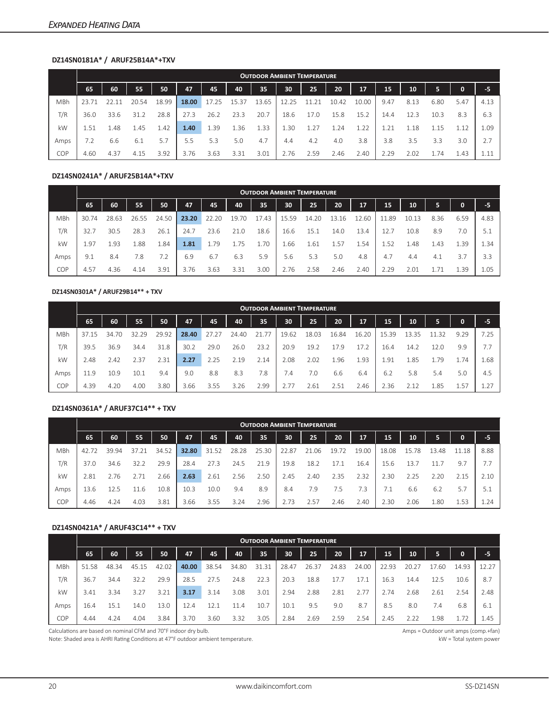#### **DZ14SN0181A\* / ARUF25B14A\*+TXV**

|      |      |      |       |       |       |       |      |       |       | <b>OUTDOOR AMBIENT TEMPERATURE</b> |       |       |      |      |      |      |      |
|------|------|------|-------|-------|-------|-------|------|-------|-------|------------------------------------|-------|-------|------|------|------|------|------|
|      | 65   | 60   | 55    | 50    | 47    | 45    | 40   | 35    | 30    | 25                                 | 20    | 17    | 15   | 10   | 5    | 0    | -5   |
| MBh  | 23.7 |      | 20.54 | 18.99 | 18.00 | 17.25 | 5.37 | L3.65 | 12.25 |                                    | 10.42 | 10.00 | 9.47 | 8.13 | 6.80 | 5.47 | 4.13 |
| T/R  | 36.0 | 33.6 | 31.2  | 28.8  | 27.3  | 26.2  | 23.3 | 20.7  | 18.6  | 17.0                               | 15.8  | 15.2  | 14.4 | 12.3 | 10.3 | 8.3  | 6.3  |
| kW   | 1.51 | 1.48 | 1.45  | 1.42  | 1.40  | 1.39  | 1.36 | 1.33  | 1.30  | 1.27                               | 1.24  | 1.22  | 1.21 | 1.18 | 1.15 | 1.12 | 1.09 |
| Amps | 7.2  | 6.6  | 6.1   | 5.7   | 5.5   | 5.3   | 5.0  | 4.7   | 4.4   | 4.2                                | 4.0   | 3.8   | 3.8  | 3.5  | 3.3  | 3.0  | 7.7  |
| COP  | 4.60 | 4.37 | 4.15  | 3.92  | 3.76  | 3.63  | 3.31 | 3.01  | 2.76  | 2.59                               | 2.46  | 2.40  | 2.29 | 2.02 | 1.74 | 1.43 | 1.11 |

#### **DZ14SN0241A\* / ARUF25B14A\*+TXV**

|            |       |       |       |       |       |       |            |      | <b>OUTDOOR AMBIENT TEMPERATURE</b> |       |       |       |       |       |      |             |      |
|------------|-------|-------|-------|-------|-------|-------|------------|------|------------------------------------|-------|-------|-------|-------|-------|------|-------------|------|
|            | 65    | 60    | 55    | 50    | 47    | 45    | 40         | 35   | 30                                 | 25    | 20    | 17    | 15    | 10    | 5    | $\mathbf 0$ | -5   |
| <b>MBh</b> | 30.74 | 28.63 | 26.55 | 24.50 | 23.20 | 22.20 | .70<br>19. | 7.43 | 15.59                              | 14.20 | 13.16 | .2.60 | 11.89 | 10.13 | 8.36 | 6.59        | 4.83 |
| T/R        | 32.7  | 30.5  | 28.3  | 26.1  | 24.7  | 23.6  | 21.0       | 18.6 | 16.6                               | 15.1  | 14.0  | 13.4  | 12.7  | 10.8  | 8.9  | 7.0         | 5.1  |
| kW         | 1.97  | 1.93  | 1.88  | 84.ء  | 1.81  | 1.79  | 1.75       | 1.70 | 66                                 | 1.61  | 1.57  | 54ء   | 1.52  | 1.48  | 1.43 | 1.39        | 1.34 |
| Amps       | 9.1   | 8.4   | 7.8   | 7.2   | 6.9   | 6.7   | 6.3        | 5.9  | 5.6                                | 5.3   | 5.0   | 4.8   | 4.7   | 4.4   | 4.1  | 3.7         | 3.3  |
| COP        | 4.57  | 4.36  | 4.14  | 3.91  | 3.76  | 3.63  | 3.31       | 3.00 | 2.76                               | 2.58  | 2.46  | 2.40  | 2.29  | 2.01  |      | 1.39        | 1.05 |

#### **DZ14SN0301A\* / ARUF29B14\*\* + TXV**

|            |       |       |       |       |       |       |       |                 | <b>OUTDOOR AMBIENT TEMPERATURE</b> |       |       |       |       |       |      |             |      |
|------------|-------|-------|-------|-------|-------|-------|-------|-----------------|------------------------------------|-------|-------|-------|-------|-------|------|-------------|------|
|            | 65    | 60    | 55    | 50    | 47    | 45    | 40    | 35 <sub>1</sub> | 30                                 | 25    | 20    | 17    | 15    | 10    | 5    | $\mathbf 0$ | -5   |
| <b>MBh</b> | 37.15 | 34.70 | 32.29 | 29.92 | 28.40 | 27.27 | 24.40 | 21.77           | 19.62                              | 18.03 | 16.84 | 16.20 | 15.39 | 13.35 | .32  | 9.29        | 7.25 |
| T/R        | 39.5  | 36.9  | 34.4  | 31.8  | 30.2  | 29.0  | 26.0  | 23.2            | 20.9                               | 19.2  | 17.9  | 17.2  | 16.4  | 14.2  | 12.0 | 9.9         | 7.7  |
| kW         | 2.48  | 2.42  | 2.37  | 2.31  | 2.27  | 2.25  | 2.19  | 2.14            | 2.08                               | 2.02  | 1.96  | L.93  | . 91  | 1.85  | 1.79 | 1.74        | 1.68 |
| Amps       | 11.9  | 10.9  | 10.1  | 9.4   | 9.0   | 8.8   | 8.3   | 7.8             | 7.4                                | 7.0   | 6.6   | 6.4   | 6.2   | 5.8   | 5.4  | 5.0         | 4.5  |
| COP        | 4.39  | 4.20  | 4.00  | 3.80  | 3.66  | 3.55  | 3.26  | 2.99            | 2.77                               | 2.61  | 2.51  | 2.46  | 2.36  | 2.12  | 1.85 | 1.57        | 1.27 |

#### **DZ14SN0361A\* / ARUF37C14\*\* + TXV**

|            |       |       |       |       |       |       |       |       |       | <b>OUTDOOR AMBIENT TEMPERATURE</b> |       |       |       |       |       |       |            |
|------------|-------|-------|-------|-------|-------|-------|-------|-------|-------|------------------------------------|-------|-------|-------|-------|-------|-------|------------|
|            | 65    | 60    | 55    | 50    | 47    | 45    | 40    | 35    | 30    | 25                                 | 20    | 17    | 15    | 10    | 5     | 0     | $-5$       |
| <b>MBh</b> | 42.72 | 39.94 | 37.21 | 34.52 | 32.80 | 31.52 | 28.28 | 25.30 | 22.87 | 21.06                              | 19.72 | 19.00 | 18.08 | 15.78 | 13.48 | 11.18 | 8.88       |
| T/R        | 37.0  | 34.6  | 32.2  | 29.9  | 28.4  | 27.3  | 24.5  | 21.9  | 19.8  | 18.2                               | 17.1  | 16.4  | 15.6  | 13.7  | 11.7  | 9.7   | 7.7        |
| kW         | 2.81  | 2.76  |       | 2.66  | 2.63  | 2.61  | 2.56  | 2.50  | 2.45  | 2.40                               | 2.35  | 2.32  | 2.30  | 2.25  | 2.20  | 2.15  | 2.10       |
| Amps       | 13.6  | 12.5  | l 1.6 | 10.8  | 10.3  | 10.0  | 9.4   | 8.9   | 8.4   | 7.9                                | 7.5   | 7.3   | 7.1   | 6.6   | 6.2   | 5.7   | 5.1        |
| <b>COP</b> | 4.46  | 4.24  | 4.03  | 3.81  | 3.66  | 3.55  | 3.24  | 2.96  | 2.73  | 2.57                               | 2.46  | 2.40  | 2.30  | 2.06  | 1.80  | 1.53  | $\pm 0.24$ |

#### **DZ14SN0421A\* / ARUF43C14\*\* + TXV**

|      |       |       |       |       |       |       |       |       | <b>OUTDOOR AMBIENT TEMPERATURE</b> |       |       |       |       |       |      |             |       |
|------|-------|-------|-------|-------|-------|-------|-------|-------|------------------------------------|-------|-------|-------|-------|-------|------|-------------|-------|
|      | 65    | 60    | 55    | 50    | 47    | 45    | 40    | 35    | 30                                 | 25    | 20    | 17    | 15    | 10    | 5    | $\mathbf 0$ | -5    |
| MBh  | 51.58 | 48.34 | 45.15 | 42.02 | 40.00 | 38.54 | 34.80 | 31.31 | 28.47                              | 26.37 | 24.83 | 24.00 | 22.93 | 20.27 | .60  | 14.93       | 12.27 |
| T/R  | 36.7  | 34.4  | 32.2  | 29.9  | 28.5  | 27.5  | 24.8  | 22.3  | 20.3                               | 18.8  |       | 17.1  | 16.3  | 14.4  | 12.5 | 10.6        | 8.7   |
| kW   | 3.41  | 3.34  | 3.27  | 3.21  | 3.17  | 3.14  | 3.08  | 3.01  | 2.94                               | 2.88  | 2.81  | 2.77  | 2.74  | 2.68  | 2.61 | 2.54        | 2.48  |
| Amps | 16.4  | 15.7  | 14.0  | 13.0  | 12.4  | 12.1  | 11.4  | 10.7  | 10.1                               | 9.5   | 9.0   | 8.7   | 8.5   | 8.0   | 7.4  | 6.8         | 6.1   |
| COP  | 4.44  | 4.24  | 4.04  | 3.84  | 3.70  | 3.60  | 3.32  | 3.05  | 2.84                               | 2.69  | 2.59  | 2.54  | 2.45  | 2.22  | .98  | 1.72        | 1.45  |

Calculations are based on nominal CFM and 70°F indoor dry bulb. Amps = Outdoor unit amps (comp.+fan)

Note: Shaded area is AHRI Rating Conditions at 47°F outdoor ambient temperature. 
W a Total system power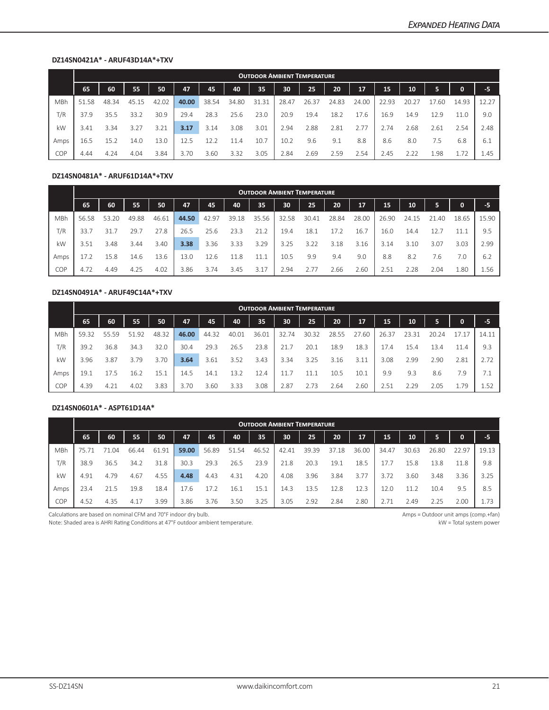#### **DZ14SN0421A\* - ARUF43D14A\*+TXV**

|      |       |       |       |       |       |       |       | <b>OUTDOOR AMBIENT TEMPERATURE</b> |       |       |       |                 |       |       |      |       |       |
|------|-------|-------|-------|-------|-------|-------|-------|------------------------------------|-------|-------|-------|-----------------|-------|-------|------|-------|-------|
|      | 65    | 60    | 55    | 50    | 47    | 45    | 40    | 35                                 | 30    | 25    | 20    | 17 <sup>1</sup> | 15    | 10    | 5    | 0     | $-5$  |
| MBh  | 51.58 | 48.34 | 45.15 | 42.02 | 40.00 | 38.54 | 34.80 | 31.31                              | 28.47 | 26.37 | 24.83 | 24.00           | 22.93 | 20.27 | 7.60 | 14.93 | 12.27 |
| T/R  | 37.9  | 35.5  | 33.2  | 30.9  | 29.4  | 28.3  | 25.6  | 23.0                               | 20.9  | 19.4  | 18.2  | 17.6            | 16.9  | 14.9  | 12.9 | 11.0  | 9.0   |
| kW   | 3.41  | 3.34  | 3.27  | 3.21  | 3.17  | 3.14  | 3.08  | 3.01                               | 2.94  | 2.88  | 2.81  | 2.77            | 2.74  | 2.68  | 2.61 | 2.54  | 2.48  |
| Amps | 16.5  | 15.2  | 14.0  | 13.0  | 12.5  | 12.2  | 11.4  | 10.7                               | 10.2  | 9.6   | 9.1   | 8.8             | 8.6   | 8.0   | 7.5  | 6.8   | 6.1   |
| COP  | 4.44  | 4.24  | 4.04  | 3.84  | 3.70  | 3.60  | 3.32  | 3.05                               | 2.84  | 2.69  | 2.59  | 2.54            | 2.45  | 2.22  | 1.98 | 1.72  | 1.45  |

#### **DZ14SN0481A\* - ARUF61D14A\*+TXV**

|            | <b>OUTDOOR AMBIENT TEMPERATURE</b> |       |       |       |       |       |       |       |       |       |       |       |       |           |       |              |       |
|------------|------------------------------------|-------|-------|-------|-------|-------|-------|-------|-------|-------|-------|-------|-------|-----------|-------|--------------|-------|
|            | 65                                 | 60    | 55    | 50    | 47    | 45    | 40    | 35    | 30    | 25    | 20    | 17    | 15    | 10        | 5     | $\mathbf{0}$ | -5    |
| <b>MBh</b> | 56.58                              | 53.20 | 49.88 | 46.61 | 44.50 | 42.97 | 39.18 | 35.56 | 32.58 | 30.41 | 28.84 | 28.00 | 26.90 | 24.<br>15 | 21.40 | 18.65        | 15.90 |
| T/R        | 33.7                               | 31.7  | 29.7  | 27.8  | 26.5  | 25.6  | 23.3  | 21.2  | 19.4  | 18.1  | 17.2  | 16.7  | 16.0  | 14.4      | 12.7  |              | 9.5   |
| kW         | 3.51                               | 3.48  | 3.44  | 3.40  | 3.38  | 3.36  | 3.33  | 3.29  | 3.25  | 3.22  | 3.18  | 3.16  | 3.14  | 3.10      | 3.07  | 3.03         | 2.99  |
| Amps       | 17.2                               | 15.8  | 14.6  | 13.6  | 13.0  | 12.6  | 11.8  | 11.1  | 10.5  | 9.9   | 9.4   | 9.0   | 8.8   | 8.2       | 7.6   | 7.0          | 6.2   |
| COP        | 4.72                               | 4.49  | 4.25  | 4.02  | 3.86  | 3.74  | 3.45  | 3.17  | 2.94  | 2.77  | 2.66  | 2.60  | 2.51  | 2.28      | 2.04  | 1.80         | 1.56  |

#### **DZ14SN0491A\* - ARUF49C14A\*+TXV**

|            | <b>OUTDOOR AMBIENT TEMPERATURE</b> |       |       |       |       |       |       |       |       |       |       |       |       |           |           |       |       |
|------------|------------------------------------|-------|-------|-------|-------|-------|-------|-------|-------|-------|-------|-------|-------|-----------|-----------|-------|-------|
|            | 65                                 | 60    | 55    | 50    | 47    | 45    | 40    | 35    | 30    | 25    | 20    | 17    | 15    | 10        | 5         | 0     | -5    |
| <b>MBh</b> | 59.32                              | 55.59 | 51.92 | 48.32 | 46.00 | 44.32 | 40.01 | 36.01 | 32.74 | 30.32 | 28.55 | 27.60 | 26.37 | 23<br>.31 | 20.<br>24 | 17.17 | 14.11 |
| T/R        | 39.2                               | 36.8  | 34.3  | 32.0  | 30.4  | 29.3  | 26.5  | 23.8  | 21.7  | 20.1  | 18.9  | 18.3  | 17.4  | 15.4      | 13.4      | 11.4  | 9.3   |
| kW         | 3.96                               | 3.87  | 3.79  | 3.70  | 3.64  | 3.61  | 3.52  | 3.43  | 3.34  | 3.25  | 3.16  | 3.11  | 3.08  | 2.99      | 2.90      | 2.81  | 2.72  |
| Amps       | 19.1                               | 17.5  | 16.2  | 15.1  | 14.5  | 14.1  | 13.2  | 12.4  | 11.7  | 11.1  | 10.5  | 10.1  | 9.9   | 9.3       | 8.6       | 7.9   | 7.1   |
| <b>COP</b> | 4.39                               | 4.21  | 4.02  | 3.83  | 3.70  | 3.60  | 3.33  | 3.08  | 2.87  | 2.73  | 2.64  | 2.60  | 2.51  | 2.29      | 2.05      | 1.79  | 1.52  |

#### **DZ14SN0601A\* - ASPT61D14A\***

|            | <b>OUTDOOR AMBIENT TEMPERATURE</b> |      |       |       |       |       |       |       |       |       |       |       |       |       |       |       |       |
|------------|------------------------------------|------|-------|-------|-------|-------|-------|-------|-------|-------|-------|-------|-------|-------|-------|-------|-------|
|            | 65                                 | 60   | 55    | 50    | 47    | 45    | 40    | 35    | 30    | 25    | 20    | 17    | 15    | 10    | 5     | 0     | -5    |
| <b>MBh</b> |                                    | 1.04 | 66.44 | 61.91 | 59.00 | 56.89 | 51.54 | 46.52 | 42.41 | 39.39 | 37.18 | 36.00 | 34.47 | 30.63 | 26.80 | 22.97 | 19.13 |
| T/R        | 38.9                               | 36.5 | 34.2  | 31.8  | 30.3  | 29.3  | 26.5  | 23.9  | 21.8  | 20.3  | 19.1  | 18.5  | 17.7  | 15.8  | 13.8  | 11.8  | 9.8   |
| kW         | 4.91                               | 4.79 | 4.67  | 4.55  | 4.48  | 4.43  | 4.31  | 4.20  | 4.08  | 3.96  | 3.84  | 3.77  | 3.72  | 3.60  | 3.48  | 3.36  | 3.25  |
| Amps       | 23.4                               | 21.5 | 19.8  | 18.4  | 17.6  | 17.2  | 16.1  | 15.1  | 14.3  | 13.5  | 12.8  | 12.3  | 12.0  | 11.2  | 10.4  | 9.5   | 8.5   |
| <b>COP</b> | 4.52                               | 4.35 | 4.17  | 3.99  | 3.86  | 3.76  | 3.50  | 3.25  | 3.05  | 2.92  | 2.84  | 2.80  | 2.71  | 2.49  | 2.25  | 2.00  | 1.73  |

Calculations are based on nominal CFM and 70°F indoor dry bulb. Amps = Outdoor unit amps (comp.+fan)

Note: Shaded area is AHRI Rating Conditions at 47°F outdoor ambient temperature. 
We area is AHRI Rating Conditions at 47°F outdoor ambient temperature.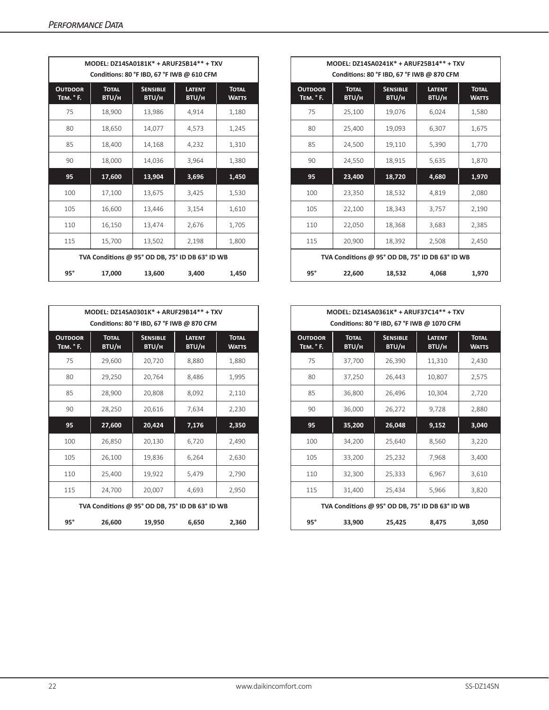|                            |                       | MODEL: DZ14SA0181K* + ARUF25B14** + TXV<br>Conditions: 80 °F IBD, 67 °F IWB @ 610 CFM |                        |                              |                            |                       | MODEL: DZ14SA0241K* + ARUF25B14** + TXV<br>Conditions: 80 °F IBD, 67 °F IWB @ 870 CFM |                        |
|----------------------------|-----------------------|---------------------------------------------------------------------------------------|------------------------|------------------------------|----------------------------|-----------------------|---------------------------------------------------------------------------------------|------------------------|
| <b>OUTDOOR</b><br>TEM. °F. | <b>TOTAL</b><br>BTU/H | <b>SENSIBLE</b><br>BTU/H                                                              | <b>LATENT</b><br>BTU/H | <b>TOTAL</b><br><b>WATTS</b> | <b>OUTDOOR</b><br>TEM. °F. | <b>TOTAL</b><br>BTU/H | <b>SENSIBLE</b><br>BTU/H                                                              | <b>LATENT</b><br>BTU/H |
| 75                         | 18,900                | 13,986                                                                                | 4,914                  | 1,180                        | 75                         | 25,100                | 19,076                                                                                | 6,024                  |
| 80                         | 18,650                | 14,077                                                                                | 4,573                  | 1,245                        | 80                         | 25,400                | 19,093                                                                                | 6,307                  |
| 85                         | 18,400                | 14,168                                                                                | 4,232                  | 1,310                        | 85                         | 24,500                | 19,110                                                                                | 5,390                  |
| 90                         | 18,000                | 14,036                                                                                | 3,964                  | 1,380                        | 90                         | 24,550                | 18,915                                                                                | 5,635                  |
| 95                         | 17,600                | 13,904                                                                                | 3,696                  | 1,450                        | 95                         | 23,400                | 18,720                                                                                | 4,680                  |
| 100                        | 17,100                | 13,675                                                                                | 3,425                  | 1,530                        | 100                        | 23,350                | 18,532                                                                                | 4,819                  |
| 105                        | 16,600                | 13,446                                                                                | 3,154                  | 1,610                        | 105                        | 22,100                | 18,343                                                                                | 3,757                  |
| 110                        | 16,150                | 13,474                                                                                | 2,676                  | 1,705                        | 110                        | 22,050                | 18,368                                                                                | 3,683                  |
| 115                        | 15,700                | 13,502                                                                                | 2,198                  | 1,800                        | 115                        | 20,900                | 18,392                                                                                | 2,508                  |
|                            |                       | TVA Conditions @ 95° OD DB, 75° ID DB 63° ID WB                                       |                        |                              |                            |                       | TVA Conditions @ 95° OD DB, 75° ID DB 63° ID WB                                       |                        |
| $95^\circ$                 | 17,000                | 13,600                                                                                | 3,400                  | 1,450                        | $95^\circ$                 | 22,600                | 18,532                                                                                | 4,068                  |

|                            |                       | MODEL: DZ14SA0301K* + ARUF29B14** + TXV<br>Conditions: 80 °F IBD, 67 °F IWB @ 870 CFM |                        |                              |                            |                       | MODEL: DZ14SA0361K* + ARUF37C14** + TXV<br>Conditions: 80 °F IBD, 67 °F IWB @ 1070 CFM |                        |  |
|----------------------------|-----------------------|---------------------------------------------------------------------------------------|------------------------|------------------------------|----------------------------|-----------------------|----------------------------------------------------------------------------------------|------------------------|--|
| <b>OUTDOOR</b><br>TEM. °F. | <b>TOTAL</b><br>BTU/H | <b>SENSIBLE</b><br>BTU/H                                                              | <b>LATENT</b><br>BTU/H | <b>TOTAL</b><br><b>WATTS</b> | <b>OUTDOOR</b><br>TEM. °F. | <b>TOTAL</b><br>BTU/H | <b>SENSIBLE</b><br>BTU/H                                                               | <b>LATENT</b><br>BTU/H |  |
| 75                         | 29,600                | 20,720                                                                                | 8,880                  | 1,880                        | 75                         | 37,700                | 26,390                                                                                 | 11,310                 |  |
| 80                         | 29,250                | 20,764                                                                                | 8,486                  | 1,995                        | 80                         | 37,250                | 26,443                                                                                 | 10,807                 |  |
| 85                         | 28,900                | 20,808                                                                                | 8,092                  | 2,110                        | 85                         | 36,800                | 26,496                                                                                 | 10,304                 |  |
| 90                         | 28,250                | 20,616                                                                                | 7,634                  | 2,230                        | 90                         | 36,000                | 26,272                                                                                 | 9,728                  |  |
| 95                         | 27,600                | 20,424                                                                                | 7,176                  | 2,350                        | 95                         | 35,200                | 26,048                                                                                 | 9,152                  |  |
| 100                        | 26,850                | 20,130                                                                                | 6,720                  | 2,490                        | 100                        | 34,200                | 25,640                                                                                 | 8,560                  |  |
| 105                        | 26.100                | 19,836                                                                                | 6,264                  | 2,630                        | 105                        | 33,200                | 25,232                                                                                 | 7,968                  |  |
| 110                        | 25,400                | 19,922                                                                                | 5,479                  | 2,790                        | 110                        | 32,300                | 25,333                                                                                 | 6,967                  |  |
| 115                        | 24,700                | 20,007                                                                                | 4,693                  | 2,950                        | 115                        | 31,400                | 25,434                                                                                 | 5,966                  |  |
|                            |                       | TVA Conditions @ 95° OD DB, 75° ID DB 63° ID WB                                       |                        |                              |                            |                       | TVA Conditions @ 95° OD DB, 75° ID DB 63° ID WB                                        |                        |  |
| $95^\circ$                 | 26,600                | 19,950                                                                                | 6,650                  | 2,360                        | $95^\circ$                 | 33,900                | 25,425                                                                                 | 8,475                  |  |

|                                                 |                       | MODEL: DZ14SA0181K* + ARUF25B14** + TXV<br>Conditions: 80 °F IBD, 67 °F IWB @ 610 CFM |                        |                              |  |
|-------------------------------------------------|-----------------------|---------------------------------------------------------------------------------------|------------------------|------------------------------|--|
| <b>TDOOR</b><br>м. ° F.                         | <b>TOTAL</b><br>BTU/H | <b>SENSIBLE</b><br>BTU/H                                                              | <b>LATENT</b><br>BTU/H | <b>TOTAL</b><br><b>WATTS</b> |  |
| 75                                              | 18,900                | 13,986                                                                                | 4,914                  | 1,180                        |  |
| 80                                              | 18,650                | 14,077                                                                                | 4,573                  | 1,245                        |  |
| 85                                              | 18,400                | 14,168                                                                                | 4,232                  | 1,310                        |  |
| 90                                              | 18,000                | 14,036                                                                                | 3,964                  | 1,380                        |  |
| 95                                              | 17,600                | 13,904                                                                                | 3,696                  | 1,450                        |  |
| 100                                             | 17,100                | 13,675                                                                                | 3,425                  | 1,530                        |  |
| 105                                             | 16,600                | 13,446                                                                                | 3,154                  | 1,610                        |  |
| 110                                             | 16,150                | 13,474                                                                                | 2,676                  | 1,705                        |  |
| 115                                             | 15,700                | 13,502                                                                                | 2,198                  | 1,800                        |  |
| TVA Conditions @ 95° OD DB, 75° ID DB 63° ID WB |                       |                                                                                       |                        |                              |  |
| $95^\circ$                                      | 17,000                | 13,600                                                                                | 3,400                  | 1,450                        |  |

|                         |                       | MODEL: DZ14SA0301K* + ARUF29B14** + TXV<br>Conditions: 80 °F IBD, 67 °F IWB @ 870 CFM |                        |                              |                            |                       | MODEL: DZ14SA0361K* + ARUF37C14** + TXV<br>Conditions: 80 °F IBD, 67 °F IWB @ 1070 CFM |                        |                              |
|-------------------------|-----------------------|---------------------------------------------------------------------------------------|------------------------|------------------------------|----------------------------|-----------------------|----------------------------------------------------------------------------------------|------------------------|------------------------------|
| <b>TDOOR</b><br>м. ° F. | <b>TOTAL</b><br>BTU/H | <b>SENSIBLE</b><br>BTU/H                                                              | <b>LATENT</b><br>BTU/H | <b>TOTAL</b><br><b>WATTS</b> | <b>OUTDOOR</b><br>TEM. °F. | <b>TOTAL</b><br>BTU/H | <b>SENSIBLE</b><br>BTU/H                                                               | <b>LATENT</b><br>BTU/H | <b>TOTAL</b><br><b>WATTS</b> |
| 75                      | 29,600                | 20,720                                                                                | 8,880                  | 1,880                        | 75                         | 37,700                | 26,390                                                                                 | 11,310                 | 2,430                        |
| 80                      | 29,250                | 20,764                                                                                | 8,486                  | 1,995                        | 80                         | 37,250                | 26,443                                                                                 | 10,807                 | 2,575                        |
| 85                      | 28,900                | 20,808                                                                                | 8,092                  | 2,110                        | 85                         | 36,800                | 26,496                                                                                 | 10,304                 | 2,720                        |
| 90                      | 28,250                | 20,616                                                                                | 7,634                  | 2,230                        | 90                         | 36,000                | 26,272                                                                                 | 9,728                  | 2,880                        |
| 95                      | 27,600                | 20,424                                                                                | 7,176                  | 2,350                        | 95                         | 35,200                | 26,048                                                                                 | 9,152                  | 3,040                        |
| 100                     | 26,850                | 20,130                                                                                | 6,720                  | 2,490                        | 100                        | 34,200                | 25,640                                                                                 | 8,560                  | 3,220                        |
| 105                     | 26,100                | 19,836                                                                                | 6,264                  | 2,630                        | 105                        | 33,200                | 25,232                                                                                 | 7,968                  | 3,400                        |
| 110                     | 25,400                | 19,922                                                                                | 5,479                  | 2,790                        | 110                        | 32,300                | 25,333                                                                                 | 6,967                  | 3,610                        |
| 115                     | 24.700                | 20,007                                                                                | 4,693                  | 2,950                        | 115                        | 31,400                | 25,434                                                                                 | 5,966                  | 3,820                        |
|                         |                       | TVA Conditions @ 95° OD DB, 75° ID DB 63° ID WB                                       |                        |                              |                            |                       | TVA Conditions @ 95° OD DB, 75° ID DB 63° ID WB                                        |                        |                              |
| $95^\circ$              | 26,600                | 19,950                                                                                | 6,650                  | 2,360                        | $95^\circ$                 | 33,900                | 25,425                                                                                 | 8,475                  | 3,050                        |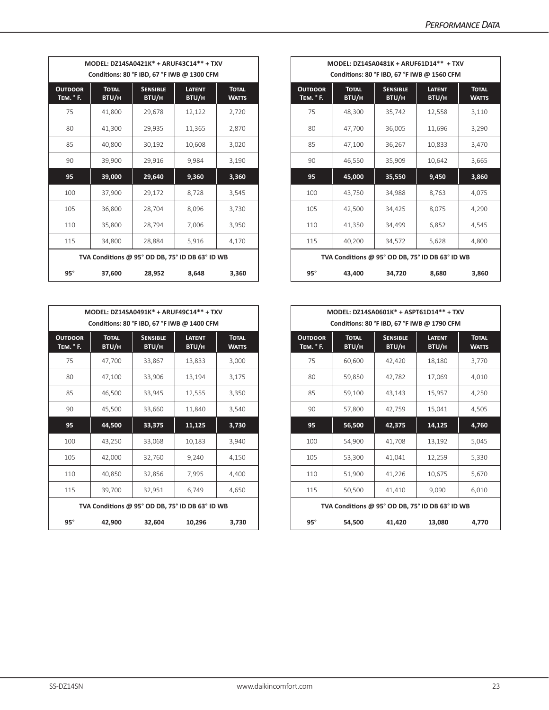|                            |                       | MODEL: DZ14SA0421K* + ARUF43C14** + TXV<br>Conditions: 80 °F IBD, 67 °F IWB @ 1300 CFM |                        |                              |                                    |                       |                          | MODEL: DZ14SA0481K + ARUF61D14** + TXV<br>Conditions: 80 °F IBD, 67 °F IWB @ 1560 CFM |  |
|----------------------------|-----------------------|----------------------------------------------------------------------------------------|------------------------|------------------------------|------------------------------------|-----------------------|--------------------------|---------------------------------------------------------------------------------------|--|
| <b>OUTDOOR</b><br>TEM. °F. | <b>TOTAL</b><br>BTU/H | <b>SENSIBLE</b><br>BTU/H                                                               | <b>LATENT</b><br>BTU/H | <b>TOTAL</b><br><b>WATTS</b> | <b>OUTDOOR</b><br><b>TEM.</b> ° F. | <b>TOTAL</b><br>BTU/H | <b>SENSIBLE</b><br>BTU/H | <b>LATENT</b><br>BTU/H                                                                |  |
| 75                         | 41.800                | 29,678                                                                                 | 12,122                 | 2,720                        | 75                                 | 48,300                | 35,742                   | 12,558                                                                                |  |
| 80                         | 41,300                | 29,935                                                                                 | 11,365                 | 2,870                        | 80                                 | 47,700                | 36,005                   | 11,696                                                                                |  |
| 85                         | 40,800                | 30,192                                                                                 | 10,608                 | 3,020                        | 85                                 | 47,100                | 36,267                   | 10,833                                                                                |  |
| 90                         | 39,900                | 29,916                                                                                 | 9,984                  | 3,190                        | 90                                 | 46,550                | 35,909                   | 10,642                                                                                |  |
| 95                         | 39,000                | 29,640                                                                                 | 9,360                  | 3,360                        | 95                                 | 45,000                | 35,550                   | 9,450                                                                                 |  |
| 100                        | 37,900                | 29,172                                                                                 | 8,728                  | 3,545                        | 100                                | 43,750                | 34,988                   | 8,763                                                                                 |  |
| 105                        | 36,800                | 28,704                                                                                 | 8,096                  | 3,730                        | 105                                | 42,500                | 34,425                   | 8,075                                                                                 |  |
| 110                        | 35,800                | 28,794                                                                                 | 7,006                  | 3,950                        | 110                                | 41,350                | 34,499                   | 6,852                                                                                 |  |
| 115                        | 34,800                | 28,884                                                                                 | 5,916                  | 4,170                        | 115                                | 40,200                | 34,572                   | 5,628                                                                                 |  |
|                            |                       | TVA Conditions @ 95° OD DB, 75° ID DB 63° ID WB                                        |                        |                              |                                    |                       |                          | TVA Conditions @ 95° OD DB, 75° ID DB 63° ID WB                                       |  |
| $95^\circ$                 | 37,600                | 28,952                                                                                 | 8,648                  | 3,360                        | $95^\circ$                         | 43,400                | 34,720                   | 8,680                                                                                 |  |

|                            |                       | MODEL: DZ14SA0491K* + ARUF49C14** + TXV<br>Conditions: 80 °F IBD, 67 °F IWB @ 1400 CFM |                        |                              |                            |                       | MODEL: DZ14SA0601K* + ASPT61D14** + TXV<br>Conditions: 80 °F IBD, 67 °F IWB @ 1790 CFM |                        |
|----------------------------|-----------------------|----------------------------------------------------------------------------------------|------------------------|------------------------------|----------------------------|-----------------------|----------------------------------------------------------------------------------------|------------------------|
| <b>OUTDOOR</b><br>TEM. °F. | <b>TOTAL</b><br>BTU/H | <b>SENSIBLE</b><br>BTU/H                                                               | <b>LATENT</b><br>BTU/H | <b>TOTAL</b><br><b>WATTS</b> | <b>OUTDOOR</b><br>TEM. °F. | <b>TOTAL</b><br>BTU/H | <b>SENSIBLE</b><br>BTU/H                                                               | <b>LATENT</b><br>BTU/H |
| 75                         | 47,700                | 33,867                                                                                 | 13,833                 | 3,000                        | 75                         | 60,600                | 42,420                                                                                 | 18,180                 |
| 80                         | 47,100                | 33,906                                                                                 | 13,194                 | 3,175                        | 80                         | 59,850                | 42,782                                                                                 | 17,069                 |
| 85                         | 46,500                | 33,945                                                                                 | 12,555                 | 3,350                        | 85                         | 59,100                | 43,143                                                                                 | 15,957                 |
| 90                         | 45,500                | 33,660                                                                                 | 11,840                 | 3,540                        | 90                         | 57,800                | 42,759                                                                                 | 15,041                 |
| 95                         | 44,500                | 33,375                                                                                 | 11,125                 | 3,730                        | 95                         | 56,500                | 42,375                                                                                 | 14,125                 |
| 100                        | 43,250                | 33,068                                                                                 | 10,183                 | 3,940                        | 100                        | 54,900                | 41,708                                                                                 | 13,192                 |
| 105                        | 42,000                | 32,760                                                                                 | 9,240                  | 4,150                        | 105                        | 53,300                | 41,041                                                                                 | 12,259                 |
| 110                        | 40,850                | 32,856                                                                                 | 7,995                  | 4,400                        | 110                        | 51,900                | 41,226                                                                                 | 10,675                 |
| 115                        | 39,700                | 32,951                                                                                 | 6,749                  | 4,650                        | 115                        | 50,500                | 41,410                                                                                 | 9,090                  |
|                            |                       | TVA Conditions @ 95° OD DB, 75° ID DB 63° ID WB                                        |                        |                              |                            |                       | TVA Conditions @ 95° OD DB, 75° ID DB 63° ID WB                                        |                        |
| $95^\circ$                 | 42.900                | 32.604                                                                                 | 10.296                 | 3,730                        | $95^\circ$                 | 54,500                | 41.420                                                                                 | 13,080                 |

|                         |                                                 | MODEL: DZ14SA0421K* + ARUF43C14** + TXV<br>Conditions: 80 °F IBD, 67 °F IWB @ 1300 CFM |                        |                              |  |  |
|-------------------------|-------------------------------------------------|----------------------------------------------------------------------------------------|------------------------|------------------------------|--|--|
| <b>TDOOR</b><br>м. ° F. | <b>TOTAL</b><br>BTU/H                           | <b>SENSIBLE</b><br>BTU/H                                                               | <b>LATENT</b><br>BTU/H | <b>TOTAL</b><br><b>WATTS</b> |  |  |
| 75                      | 41,800                                          | 29,678                                                                                 | 12,122                 | 2,720                        |  |  |
| 80                      | 41,300                                          | 29,935                                                                                 | 11,365                 | 2,870                        |  |  |
| 85                      | 40,800                                          | 30,192                                                                                 | 10,608                 | 3,020                        |  |  |
| 90                      | 39,900                                          | 29,916                                                                                 | 9,984                  | 3,190                        |  |  |
| 95                      | 39,000                                          | 29,640                                                                                 | 9,360                  | 3,360                        |  |  |
| 100                     | 37,900                                          | 29,172                                                                                 | 8,728                  | 3,545                        |  |  |
| 105                     | 36,800                                          | 28,704                                                                                 | 8,096                  | 3,730                        |  |  |
| 110                     | 35,800                                          | 28,794                                                                                 | 7,006                  | 3,950                        |  |  |
| 115                     | 34,800                                          | 28,884                                                                                 | 5,916                  | 4,170                        |  |  |
|                         | TVA Conditions @ 95° OD DB, 75° ID DB 63° ID WB |                                                                                        |                        |                              |  |  |
| $95^\circ$              | 37.600                                          | 28,952                                                                                 | 8.648                  | 3,360                        |  |  |

|                         |                       | MODEL: DZ14SA0491K* + ARUF49C14** + TXV<br>Conditions: 80 °F IBD, 67 °F IWB @ 1400 CFM |                        |                              |                                        |                       | MODEL: DZ14SA0601K* + ASPT61D14** + TXV<br>Conditions: 80 °F IBD, 67 °F IWB @ 1790 CFM |                        |                              |
|-------------------------|-----------------------|----------------------------------------------------------------------------------------|------------------------|------------------------------|----------------------------------------|-----------------------|----------------------------------------------------------------------------------------|------------------------|------------------------------|
| <b>TDOOR</b><br>м. ° F. | <b>TOTAL</b><br>BTU/H | <b>SENSIBLE</b><br>BTU/H                                                               | <b>LATENT</b><br>BTU/H | <b>TOTAL</b><br><b>WATTS</b> | <b>OUTDOOR</b><br>TEM. <sup>o</sup> F. | <b>TOTAL</b><br>BTU/H | <b>SENSIBLE</b><br>BTU/H                                                               | <b>LATENT</b><br>BTU/H | <b>TOTAL</b><br><b>WATTS</b> |
| 75                      | 47,700                | 33,867                                                                                 | 13,833                 | 3,000                        | 75                                     | 60,600                | 42,420                                                                                 | 18,180                 | 3,770                        |
| 80                      | 47,100                | 33,906                                                                                 | 13,194                 | 3,175                        | 80                                     | 59,850                | 42,782                                                                                 | 17,069                 | 4,010                        |
| 85                      | 46,500                | 33,945                                                                                 | 12,555                 | 3,350                        | 85                                     | 59,100                | 43,143                                                                                 | 15,957                 | 4,250                        |
| 90                      | 45,500                | 33,660                                                                                 | 11,840                 | 3,540                        | 90                                     | 57,800                | 42,759                                                                                 | 15,041                 | 4,505                        |
| 95                      | 44,500                | 33,375                                                                                 | 11,125                 | 3,730                        | 95                                     | 56,500                | 42,375                                                                                 | 14,125                 | 4,760                        |
| 100                     | 43,250                | 33,068                                                                                 | 10,183                 | 3,940                        | 100                                    | 54,900                | 41,708                                                                                 | 13,192                 | 5,045                        |
| 105                     | 42,000                | 32,760                                                                                 | 9,240                  | 4,150                        | 105                                    | 53,300                | 41,041                                                                                 | 12,259                 | 5,330                        |
| 110                     | 40,850                | 32,856                                                                                 | 7,995                  | 4,400                        | 110                                    | 51,900                | 41,226                                                                                 | 10,675                 | 5,670                        |
| 115                     | 39,700                | 32,951                                                                                 | 6,749                  | 4,650                        | 115                                    | 50,500                | 41,410                                                                                 | 9,090                  | 6,010                        |
|                         |                       | TVA Conditions @ 95° OD DB, 75° ID DB 63° ID WB                                        |                        |                              |                                        |                       | TVA Conditions @ 95° OD DB, 75° ID DB 63° ID WB                                        |                        |                              |
| $95^\circ$              | 42,900                | 32,604                                                                                 | 10,296                 | 3,730                        | $95^\circ$                             | 54.500                | 41,420                                                                                 | 13,080                 | 4,770                        |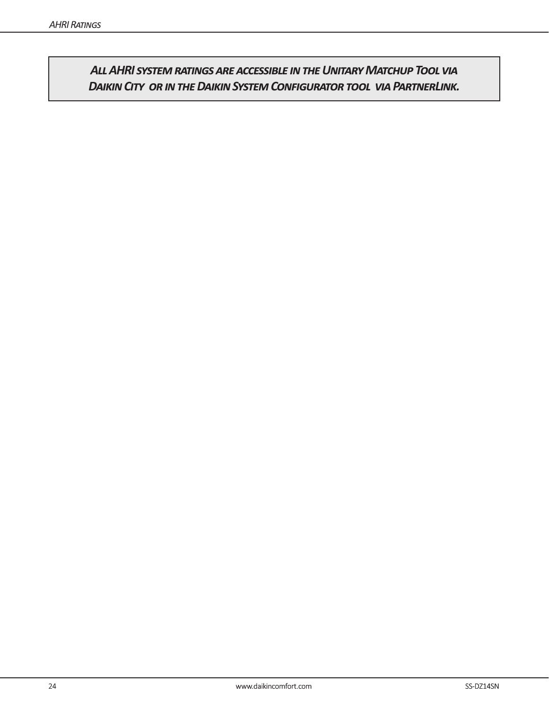*All AHRI system ratings are accessible in the Unitary Matchup Tool via Daikin City or in the Daikin System Configurator tool via PartnerLink.*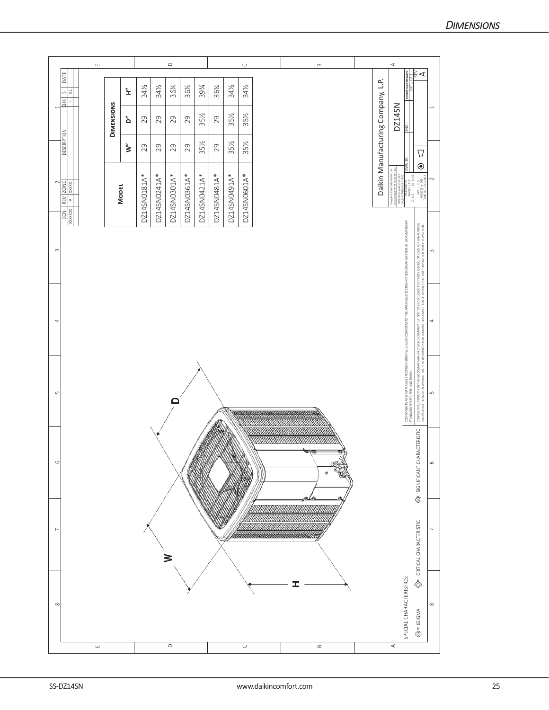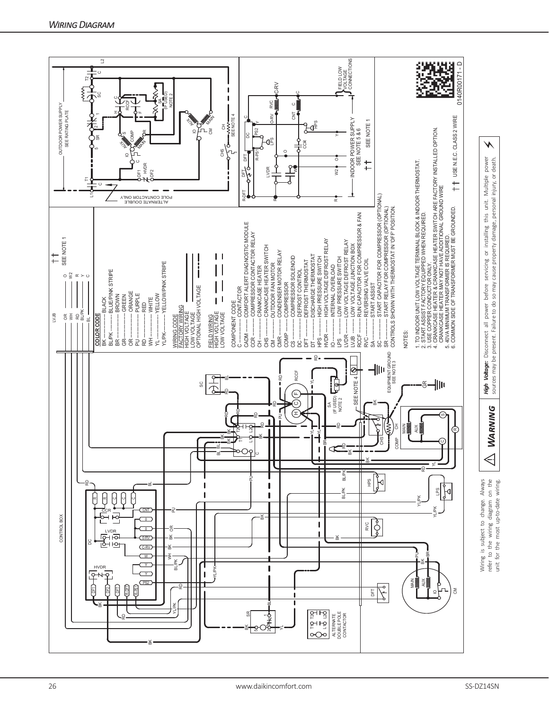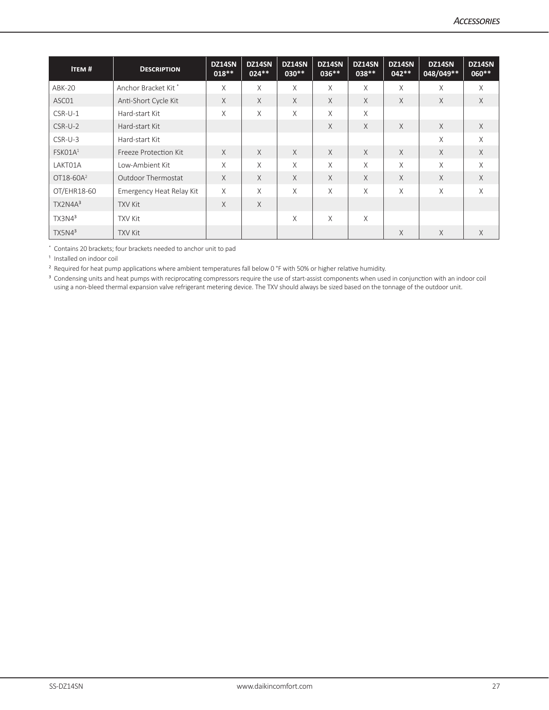| <b>ITEM#</b>        | <b>DESCRIPTION</b>        | DZ14SN<br>$018**$ | DZ14SN<br>$024**$ | DZ14SN<br>$030**$ | DZ14SN<br>$036***$ | DZ14SN<br>038 ** | DZ14SN<br>$042**$ | DZ14SN<br>048/049** | DZ14SN<br>060** |
|---------------------|---------------------------|-------------------|-------------------|-------------------|--------------------|------------------|-------------------|---------------------|-----------------|
| ABK-20              | Anchor Bracket Kit*       | X                 | X                 | X                 | X                  | X                | X                 | X                   | X               |
| ASC01               | Anti-Short Cycle Kit      | $\times$          | $\times$          | X                 | $\times$           | $\chi$           | $\times$          | $\chi$              | $\times$        |
| $CSR-U-1$           | Hard-start Kit            | X                 | X                 | $\chi$            | $\times$           | X                |                   |                     |                 |
| $CSR-U-2$           | Hard-start Kit            |                   |                   |                   | $\times$           | $\times$         | $\times$          | X                   | X               |
| CSR-U-3             | Hard-start Kit            |                   |                   |                   |                    |                  |                   | $\times$            | $\times$        |
| FSKO1A <sup>1</sup> | Freeze Protection Kit     | $\times$          | $\times$          | X                 | $\times$           | X                | $\times$          | $\times$            | $\times$        |
| LAKT01A             | Low-Ambient Kit           | $\chi$            | X                 | $\times$          | X                  | X                | X                 | $\times$            | $\chi$          |
| OT18-60 $A^2$       | <b>Outdoor Thermostat</b> | X                 | X                 | X                 | $\times$           | $\times$         | X                 | X                   | $\times$        |
| OT/EHR18-60         | Emergency Heat Relay Kit  | X                 | X                 | $\times$          | $\times$           | X                | X                 | X                   | $\times$        |
| TX2N4A <sup>3</sup> | <b>TXV Kit</b>            | $\times$          | $\times$          |                   |                    |                  |                   |                     |                 |
| TX3N4 <sup>3</sup>  | <b>TXV Kit</b>            |                   |                   | $\times$          | X                  | $\times$         |                   |                     |                 |
| TX5N4 <sup>3</sup>  | <b>TXV Kit</b>            |                   |                   |                   |                    |                  | $\times$          | X                   | X               |

\* Contains 20 brackets; four brackets needed to anchor unit to pad

<sup>1</sup> Installed on indoor coil

² Required for heat pump applications where ambient temperatures fall below 0 °F with 50% or higher relative humidity.

<sup>3</sup> Condensing units and heat pumps with reciprocating compressors require the use of start-assist components when used in conjunction with an indoor coil using a non-bleed thermal expansion valve refrigerant metering device. The TXV should always be sized based on the tonnage of the outdoor unit.